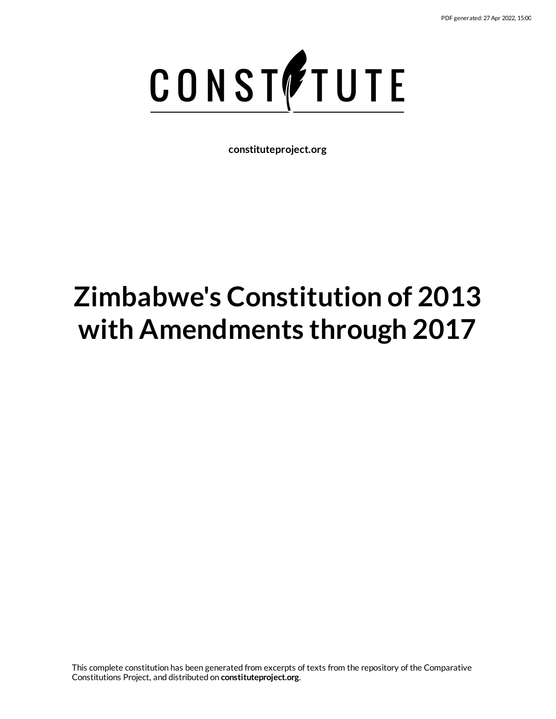

**constituteproject.org**

# **Zimbabwe's Constitution of 2013 with Amendments through 2017**

This complete constitution has been generated from excerpts of texts from the repository of the Comparative Constitutions Project, and distributed on **constituteproject.org**.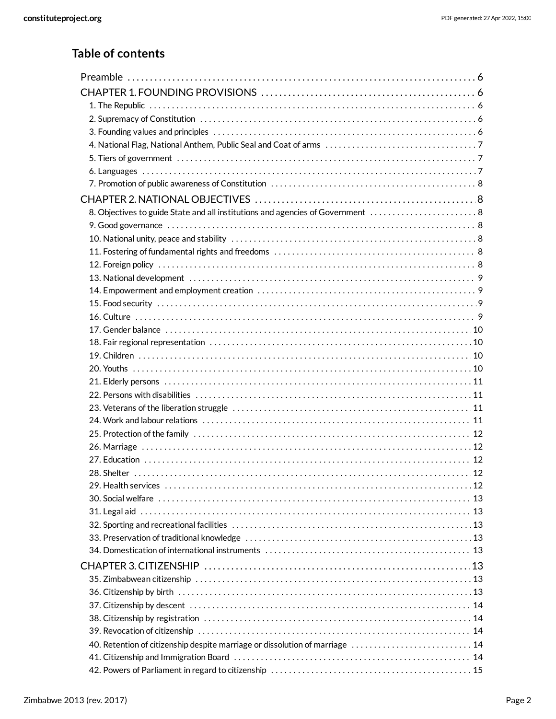### **Table of contents**

| 8. Objectives to guide State and all institutions and agencies of Government  8 |
|---------------------------------------------------------------------------------|
|                                                                                 |
|                                                                                 |
|                                                                                 |
|                                                                                 |
|                                                                                 |
|                                                                                 |
|                                                                                 |
|                                                                                 |
|                                                                                 |
|                                                                                 |
|                                                                                 |
|                                                                                 |
|                                                                                 |
|                                                                                 |
|                                                                                 |
|                                                                                 |
|                                                                                 |
|                                                                                 |
|                                                                                 |
|                                                                                 |
|                                                                                 |
|                                                                                 |
|                                                                                 |
|                                                                                 |
|                                                                                 |
|                                                                                 |
|                                                                                 |
|                                                                                 |
|                                                                                 |
|                                                                                 |
|                                                                                 |
|                                                                                 |
| 40. Retention of citizenship despite marriage or dissolution of marriage  14    |
|                                                                                 |
|                                                                                 |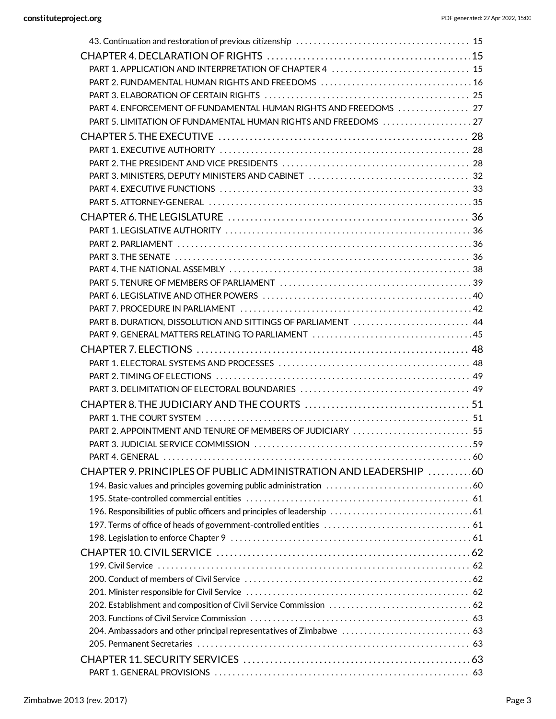| PART 1. APPLICATION AND INTERPRETATION OF CHAPTER 4  15              |  |
|----------------------------------------------------------------------|--|
| PART 2. FUNDAMENTAL HUMAN RIGHTS AND FREEDOMS  16                    |  |
|                                                                      |  |
| PART 4. ENFORCEMENT OF FUNDAMENTAL HUMAN RIGHTS AND FREEDOMS 27      |  |
| PART 5. LIMITATION OF FUNDAMENTAL HUMAN RIGHTS AND FREEDOMS  27      |  |
|                                                                      |  |
|                                                                      |  |
|                                                                      |  |
|                                                                      |  |
|                                                                      |  |
|                                                                      |  |
|                                                                      |  |
|                                                                      |  |
|                                                                      |  |
|                                                                      |  |
|                                                                      |  |
|                                                                      |  |
|                                                                      |  |
|                                                                      |  |
| PART 8. DURATION, DISSOLUTION AND SITTINGS OF PARLIAMENT  44         |  |
|                                                                      |  |
|                                                                      |  |
|                                                                      |  |
|                                                                      |  |
|                                                                      |  |
|                                                                      |  |
|                                                                      |  |
|                                                                      |  |
| PART 2. APPOINTMENT AND TENURE OF MEMBERS OF JUDICIARY 55            |  |
|                                                                      |  |
|                                                                      |  |
| CHAPTER 9. PRINCIPLES OF PUBLIC ADMINISTRATION AND LEADERSHIP 60     |  |
|                                                                      |  |
|                                                                      |  |
|                                                                      |  |
|                                                                      |  |
|                                                                      |  |
|                                                                      |  |
|                                                                      |  |
|                                                                      |  |
|                                                                      |  |
|                                                                      |  |
|                                                                      |  |
| 204. Ambassadors and other principal representatives of Zimbabwe  63 |  |
|                                                                      |  |
|                                                                      |  |
|                                                                      |  |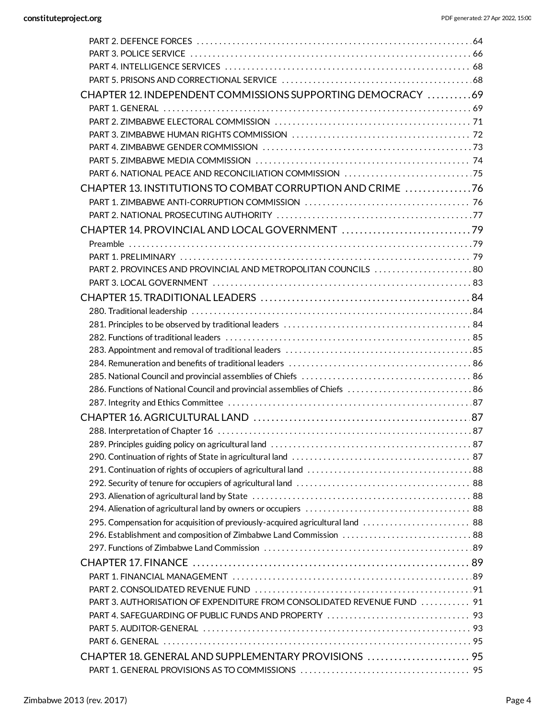| CHAPTER 12. INDEPENDENT COMMISSIONS SUPPORTING DEMOCRACY 69                    |  |
|--------------------------------------------------------------------------------|--|
|                                                                                |  |
|                                                                                |  |
|                                                                                |  |
|                                                                                |  |
|                                                                                |  |
|                                                                                |  |
| CHAPTER 13. INSTITUTIONS TO COMBAT CORRUPTION AND CRIME 76                     |  |
|                                                                                |  |
|                                                                                |  |
|                                                                                |  |
|                                                                                |  |
|                                                                                |  |
| PART 2. PROVINCES AND PROVINCIAL AND METROPOLITAN COUNCILS  80                 |  |
|                                                                                |  |
|                                                                                |  |
|                                                                                |  |
|                                                                                |  |
|                                                                                |  |
|                                                                                |  |
|                                                                                |  |
|                                                                                |  |
|                                                                                |  |
|                                                                                |  |
|                                                                                |  |
|                                                                                |  |
|                                                                                |  |
|                                                                                |  |
|                                                                                |  |
|                                                                                |  |
|                                                                                |  |
|                                                                                |  |
|                                                                                |  |
| 295. Compensation for acquisition of previously-acquired agricultural land  88 |  |
| 296. Establishment and composition of Zimbabwe Land Commission  88             |  |
|                                                                                |  |
|                                                                                |  |
|                                                                                |  |
|                                                                                |  |
| PART 3. AUTHORISATION OF EXPENDITURE FROM CONSOLIDATED REVENUE FUND  91        |  |
|                                                                                |  |
|                                                                                |  |
|                                                                                |  |
| CHAPTER 18. GENERAL AND SUPPLEMENTARY PROVISIONS  95                           |  |
|                                                                                |  |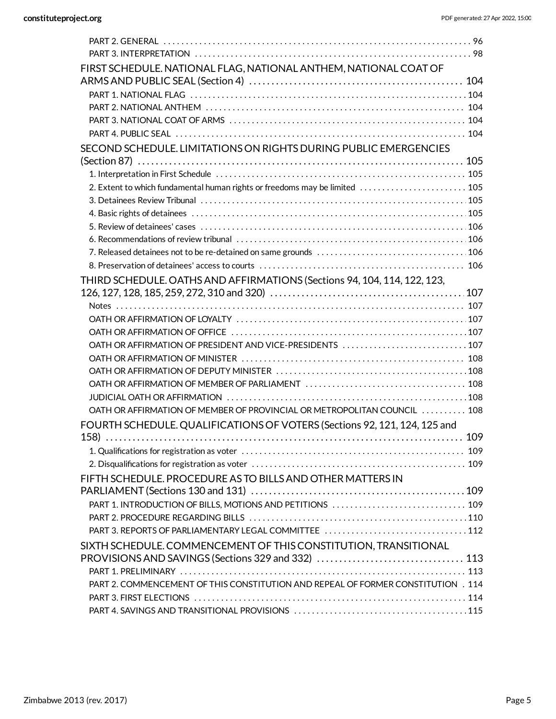| FIRST SCHEDULE. NATIONAL FLAG, NATIONAL ANTHEM, NATIONAL COAT OF                  |  |
|-----------------------------------------------------------------------------------|--|
|                                                                                   |  |
|                                                                                   |  |
|                                                                                   |  |
|                                                                                   |  |
|                                                                                   |  |
| SECOND SCHEDULE. LIMITATIONS ON RIGHTS DURING PUBLIC EMERGENCIES                  |  |
|                                                                                   |  |
|                                                                                   |  |
| 2. Extent to which fundamental human rights or freedoms may be limited  105       |  |
|                                                                                   |  |
|                                                                                   |  |
|                                                                                   |  |
|                                                                                   |  |
|                                                                                   |  |
|                                                                                   |  |
| THIRD SCHEDULE. OATHS AND AFFIRMATIONS (Sections 94, 104, 114, 122, 123,          |  |
|                                                                                   |  |
|                                                                                   |  |
|                                                                                   |  |
|                                                                                   |  |
| OATH OR AFFIRMATION OF PRESIDENT AND VICE-PRESIDENTS  107                         |  |
|                                                                                   |  |
|                                                                                   |  |
|                                                                                   |  |
|                                                                                   |  |
| OATH OR AFFIRMATION OF MEMBER OF PROVINCIAL OR METROPOLITAN COUNCIL  108          |  |
| FOURTH SCHEDULE. QUALIFICATIONS OF VOTERS (Sections 92, 121, 124, 125 and         |  |
|                                                                                   |  |
|                                                                                   |  |
|                                                                                   |  |
| FIFTH SCHEDULE. PROCEDURE AS TO BILLS AND OTHER MATTERS IN                        |  |
|                                                                                   |  |
| PART 1. INTRODUCTION OF BILLS, MOTIONS AND PETITIONS  109                         |  |
|                                                                                   |  |
| PART 3. REPORTS OF PARLIAMENTARY LEGAL COMMITTEE 112                              |  |
| SIXTH SCHEDULE. COMMENCEMENT OF THIS CONSTITUTION, TRANSITIONAL                   |  |
|                                                                                   |  |
|                                                                                   |  |
| PART 2. COMMENCEMENT OF THIS CONSTITUTION AND REPEAL OF FORMER CONSTITUTION . 114 |  |
|                                                                                   |  |
|                                                                                   |  |
|                                                                                   |  |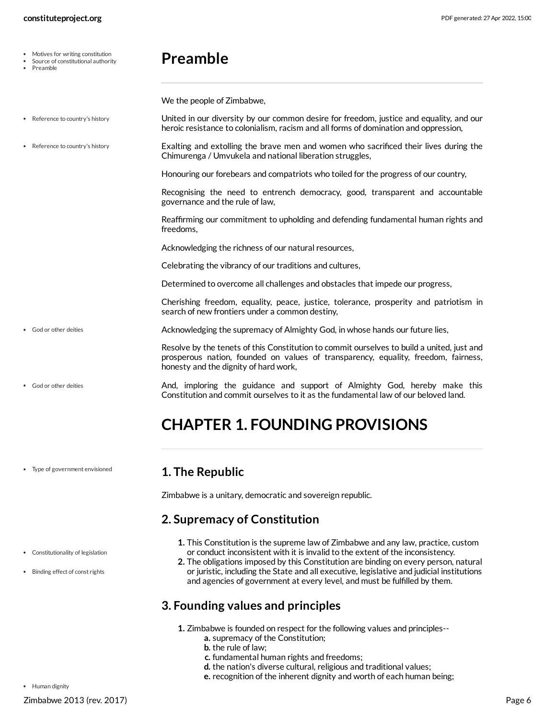- Motives for writing constitution  $\sim$
- Source of constitutional authority Preamble

Reference to country's history

## <span id="page-5-0"></span>**Preamble**

We the people of Zimbabwe,

- United in our diversity by our common desire for freedom, justice and equality, and our heroic resistance to colonialism, racism and all forms of domination and oppression, Reference to country's history
	- Exalting and extolling the brave men and women who sacrificed their lives during the Chimurenga / Umvukela and national liberation struggles,

Honouring our forebears and compatriots who toiled for the progress of our country,

Recognising the need to entrench democracy, good, transparent and accountable governance and the rule of law,

Reaffirming our commitment to upholding and defending fundamental human rights and freedoms,

Acknowledging the richness of our natural resources,

Celebrating the vibrancy of our traditions and cultures,

Determined to overcome all challenges and obstacles that impede our progress,

Acknowledging the supremacy of Almighty God, in whose hands our future lies,

<span id="page-5-1"></span>**CHAPTER 1. FOUNDING PROVISIONS**

Cherishing freedom, equality, peace, justice, tolerance, prosperity and patriotism in search of new frontiers under a common destiny,

Resolve by the tenets of this Constitution to commit ourselves to build a united, just and prosperous nation, founded on values of transparency, equality, freedom, fairness,

And, imploring the guidance and support of Almighty God, hereby make this Constitution and commit ourselves to it as the fundamental law of our beloved land.

- God or other deities
- God or other deities

Type of government envisioned

### <span id="page-5-2"></span>**1. The Republic**

Zimbabwe is a unitary, democratic and sovereign republic.

### <span id="page-5-3"></span>**2. Supremacy of Constitution**

honesty and the dignity of hard work,

- **1.** This Constitution is the supreme law of Zimbabwe and any law, practice, custom or conduct inconsistent with it is invalid to the extent of the inconsistency.
- **2.** The obligations imposed by this Constitution are binding on every person, natural or juristic, including the State and all executive, legislative and judicial institutions and agencies of government at every level, and must be fulfilled by them.

### <span id="page-5-4"></span>**3. Founding values and principles**

- **1.** Zimbabwe is founded on respect for the following values and principles-
	- **a.** supremacy of the Constitution;
		- **b.** the rule of law;
		- **c.** fundamental human rights and freedoms;
		- **d.** the nation's diverse cultural, religious and traditional values;
		- **e.** recognition of the inherent dignity and worth of each human being;

• Binding effect of const rights

• Human dignity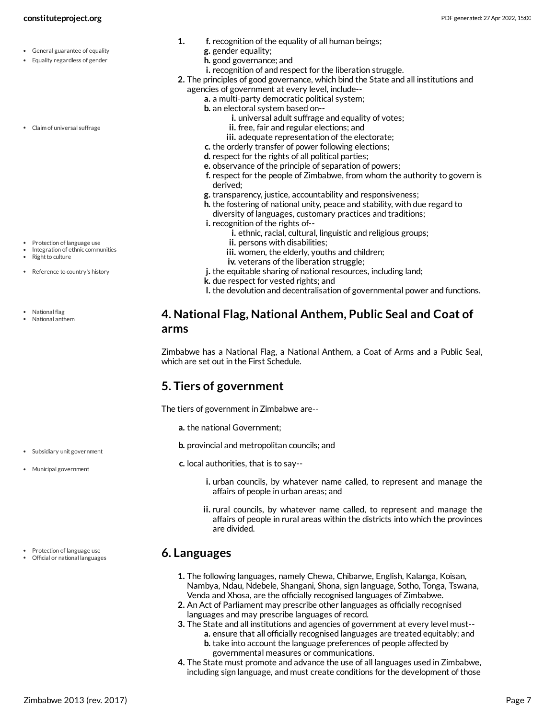- General guarantee of equality
- Equality regardless of gender
- Claim of universal suffrage

- Protection of language use Integration of ethnic communities
- Right to culture
- Reference to country's history
- National flag
- National anthem

- Subsidiary unit government
- Municipal government

• Protection of language use Official or national languages

- **constituteproject.org** PDF generated: 27 Apr 2022, 15:00
	- **1. f.** recognition of the equality of all human beings;
		- **g.** gender equality;
			- **h.** good governance; and
		- **i.** recognition of and respect for the liberation struggle.
	- **2.** The principles of good governance, which bind the State and all institutions and agencies of government at every level, include-
		- **a.** a multi-party democratic political system;
		- **b.** an electoral system based on-
			- **i.** universal adult suffrage and equality of votes;
			- **ii.** free, fair and regular elections; and
			- **iii.** adequate representation of the electorate;
		- **c.** the orderly transfer of power following elections;
		- **d.** respect for the rights of all political parties;
		- **e.** observance of the principle of separation of powers;
		- **f.** respect for the people of Zimbabwe, from whom the authority to govern is derived;
		- **g.** transparency, justice, accountability and responsiveness;
		- **h.** the fostering of national unity, peace and stability, with due regard to diversity of languages, customary practices and traditions;
		- **i.** recognition of the rights of-
			- **i.** ethnic, racial, cultural, linguistic and religious groups;
			- **ii.** persons with disabilities;
			- **iii.** women, the elderly, youths and children;
			- **iv.** veterans of the liberation struggle;
			- **j.** the equitable sharing of national resources, including land;
		- **k.** due respect for vested rights; and
		- **l.** the devolution and decentralisation of governmental power and functions.

### <span id="page-6-0"></span>**4. National Flag, National Anthem, Public Seal and Coat of arms**

Zimbabwe has a National Flag, a National Anthem, a Coat of Arms and a Public Seal, which are set out in the First Schedule.

### <span id="page-6-1"></span>**5. Tiers of government**

The tiers of government in Zimbabwe are--

- **a.** the national Government;
- **b.** provincial and metropolitan councils; and
- **c.** local authorities, that is to say-
	- **i.** urban councils, by whatever name called, to represent and manage the affairs of people in urban areas; and
	- **ii.** rural councils, by whatever name called, to represent and manage the affairs of people in rural areas within the districts into which the provinces are divided.

### <span id="page-6-2"></span>**6. Languages**

- **1.** The following languages, namely Chewa, Chibarwe, English, Kalanga, Koisan, Nambya, Ndau, Ndebele, Shangani, Shona, sign language, Sotho, Tonga, Tswana, Venda and Xhosa, are the officially recognised languages of Zimbabwe.
- **2.** An Act of Parliament may prescribe other languages as officially recognised languages and may prescribe languages of record.
- **3.** The State and all institutions and agencies of government at every level must- **a.** ensure that all officially recognised languages are treated equitably; and **b.** take into account the language preferences of people affected by governmental measures or communications.
- **4.** The State must promote and advance the use of all languages used in Zimbabwe, including sign language, and must create conditions for the development of those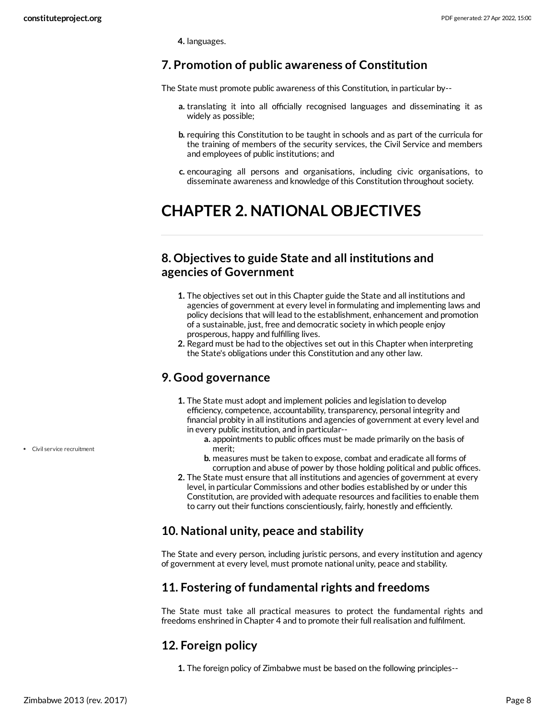**4.** languages.

### <span id="page-7-0"></span>**7. Promotion of public awareness of Constitution**

The State must promote public awareness of this Constitution, in particular by--

- **a.** translating it into all officially recognised languages and disseminating it as widely as possible;
- **b.** requiring this Constitution to be taught in schools and as part of the curricula for the training of members of the security services, the Civil Service and members and employees of public institutions; and
- **c.** encouraging all persons and organisations, including civic organisations, to disseminate awareness and knowledge of this Constitution throughout society.

# <span id="page-7-1"></span>**CHAPTER 2. NATIONAL OBJECTIVES**

### <span id="page-7-2"></span>**8. Objectives to guide State and all institutions and agencies of Government**

- **1.** The objectives set out in this Chapter guide the State and all institutions and agencies of government at every level in formulating and implementing laws and policy decisions that will lead to the establishment, enhancement and promotion of a sustainable, just, free and democratic society in which people enjoy prosperous, happy and fulfilling lives.
- **2.** Regard must be had to the objectives set out in this Chapter when interpreting the State's obligations under this Constitution and any other law.

### <span id="page-7-3"></span>**9. Good governance**

- **1.** The State must adopt and implement policies and legislation to develop efficiency, competence, accountability, transparency, personal integrity and financial probity in all institutions and agencies of government at every level and in every public institution, and in particular-
	- **a.** appointments to public offices must be made primarily on the basis of merit;
	- **b.** measures must be taken to expose, combat and eradicate all forms of corruption and abuse of power by those holding political and public offices.
- **2.** The State must ensure that all institutions and agencies of government at every level, in particular Commissions and other bodies established by or under this Constitution, are provided with adequate resources and facilities to enable them to carry out their functions conscientiously, fairly, honestly and efficiently.

### <span id="page-7-4"></span>**10. National unity, peace and stability**

The State and every person, including juristic persons, and every institution and agency of government at every level, must promote national unity, peace and stability.

### <span id="page-7-5"></span>**11. Fostering of fundamental rights and freedoms**

The State must take all practical measures to protect the fundamental rights and freedoms enshrined in Chapter 4 and to promote their full realisation and fulfilment.

### <span id="page-7-6"></span>**12. Foreign policy**

**1.** The foreign policy of Zimbabwe must be based on the following principles--

Civil service recruitment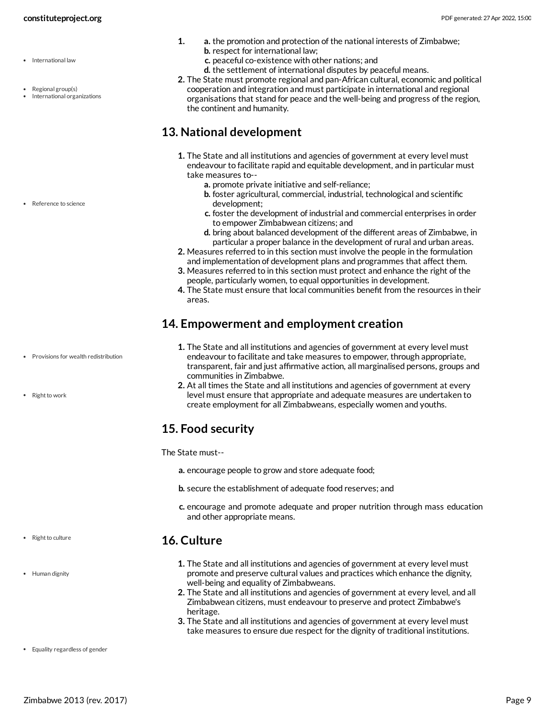- International law
- Regional group(s) International organizations

• Reference to science

• Provisions for wealth redistribution

• Right to work

 $\cdot$  Right to culture

• Human dignity

- **1. a.** the promotion and protection of the national interests of Zimbabwe; **b.** respect for international law;
	- **c.** peaceful co-existence with other nations; and
	- **d.** the settlement of international disputes by peaceful means.
- **2.** The State must promote regional and pan-African cultural, economic and political cooperation and integration and must participate in international and regional organisations that stand for peace and the well-being and progress of the region, the continent and humanity.

### <span id="page-8-0"></span>**13. National development**

- **1.** The State and all institutions and agencies of government at every level must endeavour to facilitate rapid and equitable development, and in particular must take measures to-
	- **a.** promote private initiative and self-reliance;
	- **b.** foster agricultural, commercial, industrial, technological and scientific development;
	- **c.** foster the development of industrial and commercial enterprises in order to empower Zimbabwean citizens; and
	- **d.** bring about balanced development of the different areas of Zimbabwe, in particular a proper balance in the development of rural and urban areas.
- **2.** Measures referred to in this section must involve the people in the formulation and implementation of development plans and programmes that affect them.
- **3.** Measures referred to in this section must protect and enhance the right of the people, particularly women, to equal opportunities in development.
- **4.** The State must ensure that local communities benefit from the resources in their areas.

### <span id="page-8-1"></span>**14. Empowerment and employment creation**

- **1.** The State and all institutions and agencies of government at every level must endeavour to facilitate and take measures to empower, through appropriate, transparent, fair and just affirmative action, all marginalised persons, groups and communities in Zimbabwe.
	- **2.** At all times the State and all institutions and agencies of government at every level must ensure that appropriate and adequate measures are undertaken to create employment for all Zimbabweans, especially women and youths.

### <span id="page-8-2"></span>**15. Food security**

The State must--

- **a.** encourage people to grow and store adequate food;
- **b.** secure the establishment of adequate food reserves; and
- **c.** encourage and promote adequate and proper nutrition through mass education and other appropriate means.

### <span id="page-8-3"></span>**16. Culture**

- **1.** The State and all institutions and agencies of government at every level must promote and preserve cultural values and practices which enhance the dignity, well-being and equality of Zimbabweans.
- **2.** The State and all institutions and agencies of government at every level, and all Zimbabwean citizens, must endeavour to preserve and protect Zimbabwe's heritage.
- **3.** The State and all institutions and agencies of government at every level must take measures to ensure due respect for the dignity of traditional institutions.

Equality regardless of gender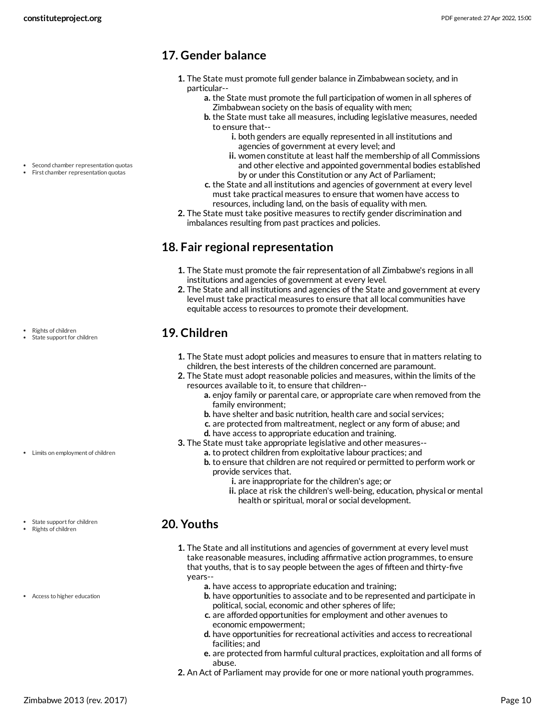### <span id="page-9-0"></span>**17. Gender balance**

- **1.** The State must promote full gender balance in Zimbabwean society, and in particular-
	- **a.** the State must promote the full participation of women in all spheres of Zimbabwean society on the basis of equality with men;
	- **b.** the State must take all measures, including legislative measures, needed to ensure that-
		- **i.** both genders are equally represented in all institutions and agencies of government at every level; and
		- **ii.** women constitute at least half the membership of all Commissions and other elective and appointed governmental bodies established by or under this Constitution or any Act of Parliament;
	- **c.** the State and all institutions and agencies of government at every level must take practical measures to ensure that women have access to resources, including land, on the basis of equality with men.
- **2.** The State must take positive measures to rectify gender discrimination and imbalances resulting from past practices and policies.

### <span id="page-9-1"></span>**18. Fair regional representation**

- **1.** The State must promote the fair representation of all Zimbabwe's regions in all institutions and agencies of government at every level.
- **2.** The State and all institutions and agencies of the State and government at every level must take practical measures to ensure that all local communities have equitable access to resources to promote their development.

### <span id="page-9-2"></span>**19. Children**

- **1.** The State must adopt policies and measures to ensure that in matters relating to children, the best interests of the children concerned are paramount.
- **2.** The State must adopt reasonable policies and measures, within the limits of the resources available to it, to ensure that children-
	- **a.** enjoy family or parental care, or appropriate care when removed from the family environment;
	- **b.** have shelter and basic nutrition, health care and social services;
	- **c.** are protected from maltreatment, neglect or any form of abuse; and
	- **d.** have access to appropriate education and training.
- **3.** The State must take appropriate legislative and other measures-
	- **a.** to protect children from exploitative labour practices; and
	- **b.** to ensure that children are not required or permitted to perform work or provide services that.
		- **i.** are inappropriate for the children's age; or
		- **ii.** place at risk the children's well-being, education, physical or mental health or spiritual, moral or social development.

### <span id="page-9-3"></span>**20. Youths**

- **1.** The State and all institutions and agencies of government at every level must take reasonable measures, including affirmative action programmes, to ensure that youths, that is to say people between the ages of fifteen and thirty-five years-
	- **a.** have access to appropriate education and training;
	- **b.** have opportunities to associate and to be represented and participate in political, social, economic and other spheres of life;
	- **c.** are afforded opportunities for employment and other avenues to economic empowerment;
	- **d.** have opportunities for recreational activities and access to recreational facilities; and
	- **e.** are protected from harmful cultural practices, exploitation and all forms of abuse.
- **2.** An Act of Parliament may provide for one or more national youth programmes.
- Second chamber representation quotas
- First chamber representation quotas

- Rights of children
- State support for children

Limits on employment of children

State support for children • Rights of children

Access to higher education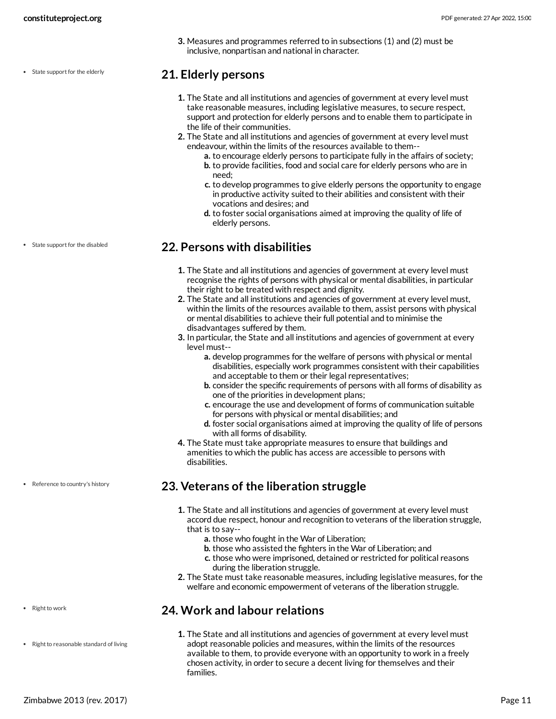• State support for the elderly

**3.** Measures and programmes referred to in subsections (1) and (2) must be inclusive, nonpartisan and national in character.

### <span id="page-10-0"></span>**21. Elderly persons**

- **1.** The State and all institutions and agencies of government at every level must take reasonable measures, including legislative measures, to secure respect, support and protection for elderly persons and to enable them to participate in the life of their communities.
- **2.** The State and all institutions and agencies of government at every level must endeavour, within the limits of the resources available to them-
	- **a.** to encourage elderly persons to participate fully in the affairs of society; **b.** to provide facilities, food and social care for elderly persons who are in need;
	- **c.** to develop programmes to give elderly persons the opportunity to engage in productive activity suited to their abilities and consistent with their vocations and desires; and
	- **d.** to foster social organisations aimed at improving the quality of life of elderly persons.

### <span id="page-10-1"></span>**22. Persons with disabilities**

- **1.** The State and all institutions and agencies of government at every level must recognise the rights of persons with physical or mental disabilities, in particular their right to be treated with respect and dignity.
- **2.** The State and all institutions and agencies of government at every level must, within the limits of the resources available to them, assist persons with physical or mental disabilities to achieve their full potential and to minimise the disadvantages suffered by them.
- **3.** In particular, the State and all institutions and agencies of government at every level must-
	- **a.** develop programmes for the welfare of persons with physical or mental disabilities, especially work programmes consistent with their capabilities and acceptable to them or their legal representatives;
	- **b.** consider the specific requirements of persons with all forms of disability as one of the priorities in development plans;
	- **c.** encourage the use and development of forms of communication suitable for persons with physical or mental disabilities; and
	- **d.** foster social organisations aimed at improving the quality of life of persons with all forms of disability.
- **4.** The State must take appropriate measures to ensure that buildings and amenities to which the public has access are accessible to persons with disabilities.

### <span id="page-10-2"></span>**23. Veterans of the liberation struggle**

- **1.** The State and all institutions and agencies of government at every level must accord due respect, honour and recognition to veterans of the liberation struggle, that is to say-
	- **a.** those who fought in the War of Liberation;
	- **b.** those who assisted the fighters in the War of Liberation; and
	- **c.** those who were imprisoned, detained or restricted for political reasons during the liberation struggle.
- **2.** The State must take reasonable measures, including legislative measures, for the welfare and economic empowerment of veterans of the liberation struggle.

### <span id="page-10-3"></span>**24. Work and labour relations**

**1.** The State and all institutions and agencies of government at every level must adopt reasonable policies and measures, within the limits of the resources available to them, to provide everyone with an opportunity to work in a freely chosen activity, in order to secure a decent living for themselves and their families.

• State support for the disabled

• Reference to country's history

• Right to work

• Right to reasonable standard of living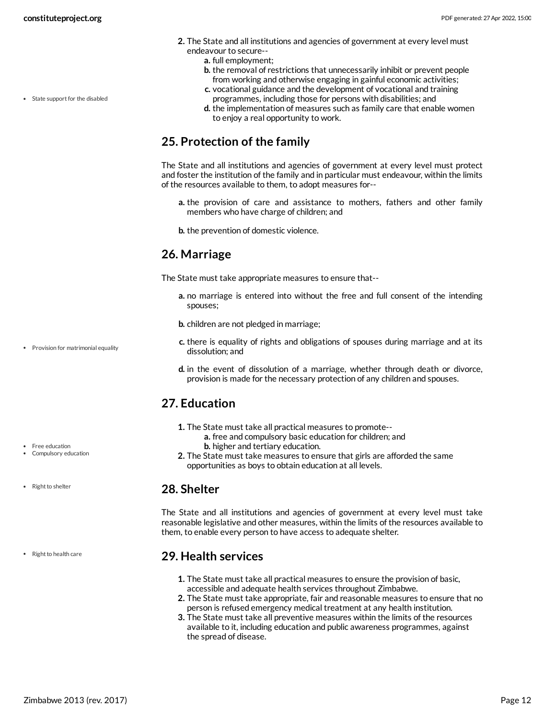- **2.** The State and all institutions and agencies of government at every level must endeavour to secure-
	- **a.** full employment;
	- **b.** the removal of restrictions that unnecessarily inhibit or prevent people from working and otherwise engaging in gainful economic activities;
	- **c.** vocational guidance and the development of vocational and training programmes, including those for persons with disabilities; and
	- **d.** the implementation of measures such as family care that enable women to enjoy a real opportunity to work.

### <span id="page-11-0"></span>**25. Protection of the family**

The State and all institutions and agencies of government at every level must protect and foster the institution of the family and in particular must endeavour, within the limits of the resources available to them, to adopt measures for--

- **a.** the provision of care and assistance to mothers, fathers and other family members who have charge of children; and
- **b.** the prevention of domestic violence.

### <span id="page-11-1"></span>**26. Marriage**

The State must take appropriate measures to ensure that--

- **a.** no marriage is entered into without the free and full consent of the intending spouses;
- **b.** children are not pledged in marriage;
- **c.** there is equality of rights and obligations of spouses during marriage and at its dissolution; and
- **d.** in the event of dissolution of a marriage, whether through death or divorce, provision is made for the necessary protection of any children and spouses.

### <span id="page-11-2"></span>**27. Education**

- **1.** The State must take all practical measures to promote-
	- **a.** free and compulsory basic education for children; and **b.** higher and tertiary education.
- **2.** The State must take measures to ensure that girls are afforded the same opportunities as boys to obtain education at all levels.

### <span id="page-11-3"></span>**28. Shelter**

The State and all institutions and agencies of government at every level must take reasonable legislative and other measures, within the limits of the resources available to them, to enable every person to have access to adequate shelter.

### <span id="page-11-4"></span>**29. Health services**

- **1.** The State must take all practical measures to ensure the provision of basic, accessible and adequate health services throughout Zimbabwe.
- **2.** The State must take appropriate, fair and reasonable measures to ensure that no person is refused emergency medical treatment at any health institution.
- **3.** The State must take all preventive measures within the limits of the resources available to it, including education and public awareness programmes, against the spread of disease.

• State support for the disabled

• Provision for matrimonial equality

- Free education Compulsory education
- 
- Right to shelter

• Right to health care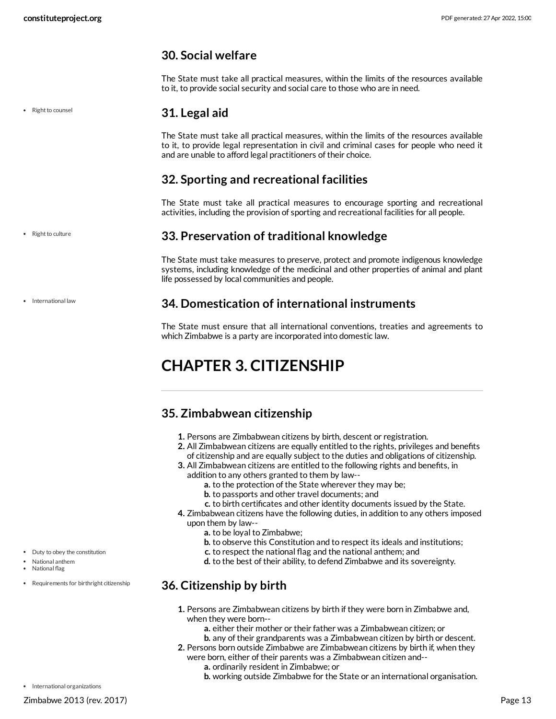### <span id="page-12-0"></span>**30. Social welfare**

The State must take all practical measures, within the limits of the resources available to it, to provide social security and social care to those who are in need.

### <span id="page-12-1"></span>**31. Legal aid**

The State must take all practical measures, within the limits of the resources available to it, to provide legal representation in civil and criminal cases for people who need it and are unable to afford legal practitioners of their choice.

### <span id="page-12-2"></span>**32. Sporting and recreational facilities**

The State must take all practical measures to encourage sporting and recreational activities, including the provision of sporting and recreational facilities for all people.

### <span id="page-12-3"></span>**33. Preservation of traditional knowledge**

The State must take measures to preserve, protect and promote indigenous knowledge systems, including knowledge of the medicinal and other properties of animal and plant life possessed by local communities and people.

### <span id="page-12-4"></span>**34. Domestication of international instruments**

The State must ensure that all international conventions, treaties and agreements to which Zimbabwe is a party are incorporated into domestic law.

# <span id="page-12-5"></span>**CHAPTER 3. CITIZENSHIP**

### <span id="page-12-6"></span>**35. Zimbabwean citizenship**

- **1.** Persons are Zimbabwean citizens by birth, descent or registration.
- **2.** All Zimbabwean citizens are equally entitled to the rights, privileges and benefits of citizenship and are equally subject to the duties and obligations of citizenship.
- **3.** All Zimbabwean citizens are entitled to the following rights and benefits, in addition to any others granted to them by law-
	- **a.** to the protection of the State wherever they may be;
	- **b.** to passports and other travel documents; and
	- **c.** to birth certificates and other identity documents issued by the State.
- **4.** Zimbabwean citizens have the following duties, in addition to any others imposed upon them by law-
	- **a.** to be loyal to Zimbabwe;
	- **b.** to observe this Constitution and to respect its ideals and institutions;
	- **c.** to respect the national flag and the national anthem; and
	- **d.** to the best of their ability, to defend Zimbabwe and its sovereignty.

### <span id="page-12-7"></span>**36. Citizenship by birth**

- **1.** Persons are Zimbabwean citizens by birth if they were born in Zimbabwe and, when they were born-
	- **a.** either their mother or their father was a Zimbabwean citizen; or
- **b.** any of their grandparents was a Zimbabwean citizen by birth or descent. **2.** Persons born outside Zimbabwe are Zimbabwean citizens by birth if, when they
	- were born, either of their parents was a Zimbabwean citizen and- **a.** ordinarily resident in Zimbabwe; or
		- **b.** working outside Zimbabwe for the State or an international organisation.

• Right to counsel

International law

• Right to culture

Duty to obey the constitution National anthem National flag

Requirements for birthright citizenship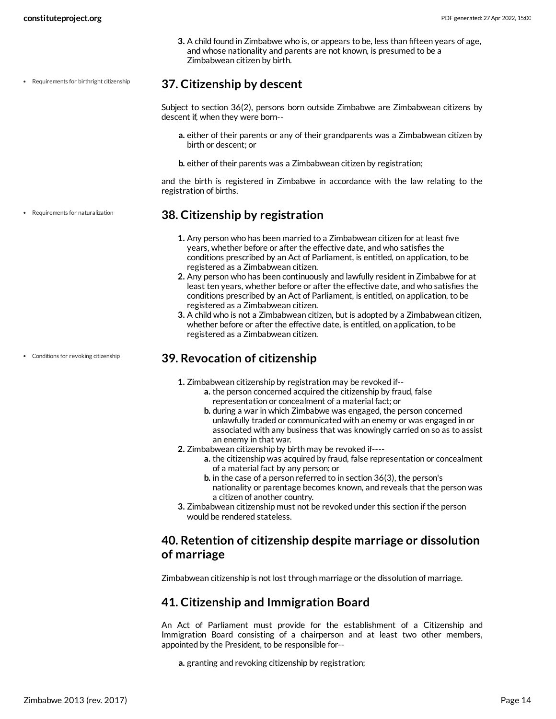Requirements for birthright citizenship

**3.** A child found in Zimbabwe who is, or appears to be, less than fifteen years of age, and whose nationality and parents are not known, is presumed to be a Zimbabwean citizen by birth.

### <span id="page-13-0"></span>**37. Citizenship by descent**

Subject to section 36(2), persons born outside Zimbabwe are Zimbabwean citizens by descent if, when they were born--

- **a.** either of their parents or any of their grandparents was a Zimbabwean citizen by birth or descent; or
- **b.** either of their parents was a Zimbabwean citizen by registration;

and the birth is registered in Zimbabwe in accordance with the law relating to the registration of births.

### <span id="page-13-1"></span>**38. Citizenship by registration**

- **1.** Any person who has been married to a Zimbabwean citizen for at least five years, whether before or after the effective date, and who satisfies the conditions prescribed by an Act of Parliament, is entitled, on application, to be registered as a Zimbabwean citizen.
- **2.** Any person who has been continuously and lawfully resident in Zimbabwe for at least ten years, whether before or after the effective date, and who satisfies the conditions prescribed by an Act of Parliament, is entitled, on application, to be registered as a Zimbabwean citizen.
- **3.** A child who is not a Zimbabwean citizen, but is adopted by a Zimbabwean citizen, whether before or after the effective date, is entitled, on application, to be registered as a Zimbabwean citizen.

### <span id="page-13-2"></span>**39. Revocation of citizenship**

**1.** Zimbabwean citizenship by registration may be revoked if--

- **a.** the person concerned acquired the citizenship by fraud, false representation or concealment of a material fact; or
- **b.** during a war in which Zimbabwe was engaged, the person concerned unlawfully traded or communicated with an enemy or was engaged in or associated with any business that was knowingly carried on so as to assist an enemy in that war.
- **2.** Zimbabwean citizenship by birth may be revoked if---
	- **a.** the citizenship was acquired by fraud, false representation or concealment of a material fact by any person; or
	- **b.** in the case of a person referred to in section 36(3), the person's nationality or parentage becomes known, and reveals that the person was a citizen of another country.
- **3.** Zimbabwean citizenship must not be revoked under this section if the person would be rendered stateless.

### <span id="page-13-3"></span>**40. Retention of citizenship despite marriage or dissolution of marriage**

Zimbabwean citizenship is not lost through marriage or the dissolution of marriage.

### <span id="page-13-4"></span>**41. Citizenship and Immigration Board**

An Act of Parliament must provide for the establishment of a Citizenship and Immigration Board consisting of a chairperson and at least two other members, appointed by the President, to be responsible for--

**a.** granting and revoking citizenship by registration;

• Requirements for naturalization

Conditions for revoking citizenship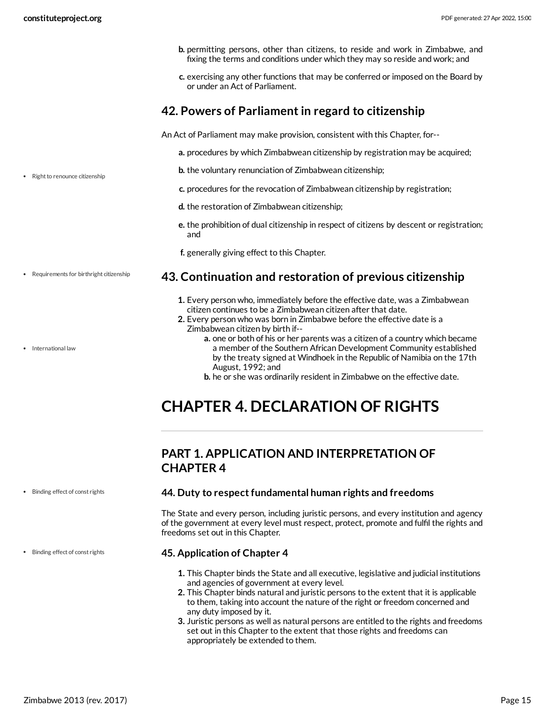- **b.** permitting persons, other than citizens, to reside and work in Zimbabwe, and fixing the terms and conditions under which they may so reside and work; and
- **c.** exercising any other functions that may be conferred or imposed on the Board by or under an Act of Parliament.

### <span id="page-14-0"></span>**42. Powers of Parliament in regard to citizenship**

An Act of Parliament may make provision, consistent with this Chapter, for--

- **a.** procedures by which Zimbabwean citizenship by registration may be acquired;
- **b.** the voluntary renunciation of Zimbabwean citizenship;
- **c.** procedures for the revocation of Zimbabwean citizenship by registration;
- **d.** the restoration of Zimbabwean citizenship;
- **e.** the prohibition of dual citizenship in respect of citizens by descent or registration; and
- <span id="page-14-1"></span>**f.** generally giving effect to this Chapter.

#### **43. Continuation and restoration of previous citizenship** • Requirements for birthright citizenship

- **1.** Every person who, immediately before the effective date, was a Zimbabwean citizen continues to be a Zimbabwean citizen after that date.
- **2.** Every person who was born in Zimbabwe before the effective date is a Zimbabwean citizen by birth if-
	- **a.** one or both of his or her parents was a citizen of a country which became a member of the Southern African Development Community established by the treaty signed at Windhoek in the Republic of Namibia on the 17th August, 1992; and
	- **b.** he or she was ordinarily resident in Zimbabwe on the effective date.

# <span id="page-14-2"></span>**CHAPTER 4. DECLARATION OF RIGHTS**

### <span id="page-14-3"></span>**PART 1. APPLICATION AND INTERPRETATION OF CHAPTER 4**

#### **44. Duty to respectfundamental human rights and freedoms**

The State and every person, including juristic persons, and every institution and agency of the government at every level must respect, protect, promote and fulfil the rights and freedoms set out in this Chapter.

#### **45. Application of Chapter 4**

- **1.** This Chapter binds the State and all executive, legislative and judicial institutions and agencies of government at every level.
- **2.** This Chapter binds natural and juristic persons to the extent that it is applicable to them, taking into account the nature of the right or freedom concerned and any duty imposed by it.
- **3.** Juristic persons as well as natural persons are entitled to the rights and freedoms set out in this Chapter to the extent that those rights and freedoms can appropriately be extended to them.

• Right to renounce citizenship

• International law

Binding effect of const rights

Binding effect of const rights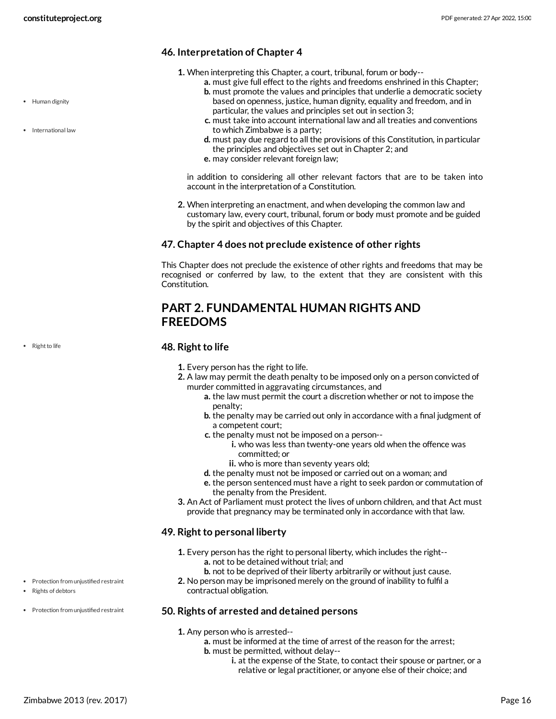• Human dignity

• International law

#### **46. Interpretation of Chapter 4**

- **1.** When interpreting this Chapter, a court, tribunal, forum or body-
	- **a.** must give full effect to the rights and freedoms enshrined in this Chapter;
		- **b.** must promote the values and principles that underlie a democratic society based on openness, justice, human dignity, equality and freedom, and in particular, the values and principles set out in section 3;
		- **c.** must take into account international law and all treaties and conventions to which Zimbabwe is a party;
		- **d.** must pay due regard to all the provisions of this Constitution, in particular the principles and objectives set out in Chapter 2; and
		- **e.** may consider relevant foreign law;

in addition to considering all other relevant factors that are to be taken into account in the interpretation of a Constitution.

**2.** When interpreting an enactment, and when developing the common law and customary law, every court, tribunal, forum or body must promote and be guided by the spirit and objectives of this Chapter.

#### **47. Chapter 4 does not preclude existence of other rights**

This Chapter does not preclude the existence of other rights and freedoms that may be recognised or conferred by law, to the extent that they are consistent with this Constitution.

### <span id="page-15-0"></span>**PART 2. FUNDAMENTAL HUMAN RIGHTS AND FREEDOMS**

• Right to life

#### **48.** Right to life

- **1.** Every person has the right to life.
- **2.** A law may permit the death penalty to be imposed only on a person convicted of murder committed in aggravating circumstances, and
	- **a.** the law must permit the court a discretion whether or not to impose the penalty;
	- **b.** the penalty may be carried out only in accordance with a final judgment of a competent court;
	- **c.** the penalty must not be imposed on a person-
		- **i.** who was less than twenty-one years old when the offence was committed; or
		- **ii.** who is more than seventy years old;
	- **d.** the penalty must not be imposed or carried out on a woman; and
	- **e.** the person sentenced must have a right to seek pardon or commutation of the penalty from the President.
- **3.** An Act of Parliament must protect the lives of unborn children, and that Act must provide that pregnancy may be terminated only in accordance with that law.

#### **49. Right to personal liberty**

- **1.** Every person has the right to personal liberty, which includes the right- **a.** not to be detained without trial; and
	- **b.** not to be deprived of their liberty arbitrarily or without just cause.
- **2.** No person may be imprisoned merely on the ground of inability to fulfil a contractual obligation.

#### **50. Rights of arrested and detained persons**

- **1.** Any person who is arrested-
	- **a.** must be informed at the time of arrest of the reason for the arrest;
	- **b.** must be permitted, without delay-
		- **i.** at the expense of the State, to contact their spouse or partner, or a relative or legal practitioner, or anyone else of their choice; and
- Protection from unjustified restraint
- Rights of debtors

• Protection from unjustified restraint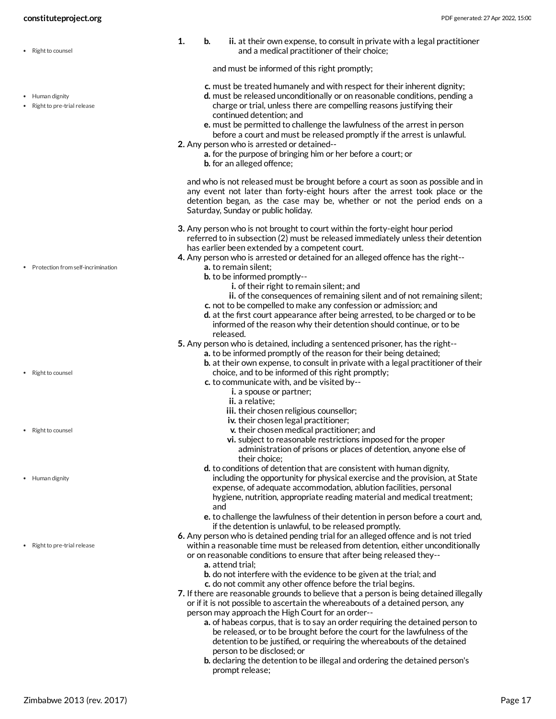• Right to counsel

• Human dignity • Right to pre-trial release **1. b. ii.** at their own expense, to consult in private with a legal practitioner and a medical practitioner of their choice;

and must be informed of this right promptly;

- **c.** must be treated humanely and with respect for their inherent dignity;
- **d.** must be released unconditionally or on reasonable conditions, pending a charge or trial, unless there are compelling reasons justifying their continued detention; and
- **e.** must be permitted to challenge the lawfulness of the arrest in person before a court and must be released promptly if the arrest is unlawful.
- **2.** Any person who is arrested or detained-
	- **a.** for the purpose of bringing him or her before a court; or **b.** for an alleged offence;

and who is not released must be brought before a court as soon as possible and in any event not later than forty-eight hours after the arrest took place or the detention began, as the case may be, whether or not the period ends on a Saturday, Sunday or public holiday.

- **3.** Any person who is not brought to court within the forty-eight hour period referred to in subsection (2) must be released immediately unless their detention has earlier been extended by a competent court.
- **4.** Any person who is arrested or detained for an alleged offence has the right-
	- **a.** to remain silent;
	- **b.** to be informed promptly-
		- **i.** of their right to remain silent; and
		- **ii.** of the consequences of remaining silent and of not remaining silent;
	- **c.** not to be compelled to make any confession or admission; and
	- **d.** at the first court appearance after being arrested, to be charged or to be informed of the reason why their detention should continue, or to be released.
- **5.** Any person who is detained, including a sentenced prisoner, has the right-
	- **a.** to be informed promptly of the reason for their being detained; **b.** at their own expense, to consult in private with a legal practitioner of their
		- choice, and to be informed of this right promptly;
		- **c.** to communicate with, and be visited by-
			- **i.** a spouse or partner;
			- **ii.** a relative;
			- **iii.** their chosen religious counsellor;
			- **iv.** their chosen legal practitioner;
			- **v.** their chosen medical practitioner; and
			- **vi.** subject to reasonable restrictions imposed for the proper administration of prisons or places of detention, anyone else of their choice;
		- **d.** to conditions of detention that are consistent with human dignity, including the opportunity for physical exercise and the provision, at State expense, of adequate accommodation, ablution facilities, personal hygiene, nutrition, appropriate reading material and medical treatment; and
		- **e.** to challenge the lawfulness of their detention in person before a court and, if the detention is unlawful, to be released promptly.

**6.** Any person who is detained pending trial for an alleged offence and is not tried within a reasonable time must be released from detention, either unconditionally

- or on reasonable conditions to ensure that after being released they- **a.** attend trial;
	- **b.** do not interfere with the evidence to be given at the trial; and
	- **c.** do not commit any other offence before the trial begins.
- **7.** If there are reasonable grounds to believe that a person is being detained illegally or if it is not possible to ascertain the whereabouts of a detained person, any person may approach the High Court for an order-
	- **a.** of habeas corpus, that is to say an order requiring the detained person to be released, or to be brought before the court for the lawfulness of the detention to be justified, or requiring the whereabouts of the detained person to be disclosed; or
	- **b.** declaring the detention to be illegal and ordering the detained person's prompt release;

Protection from self-incrimination

- Right to counsel
- Right to counsel
- Human dignity
- Right to pre-trial release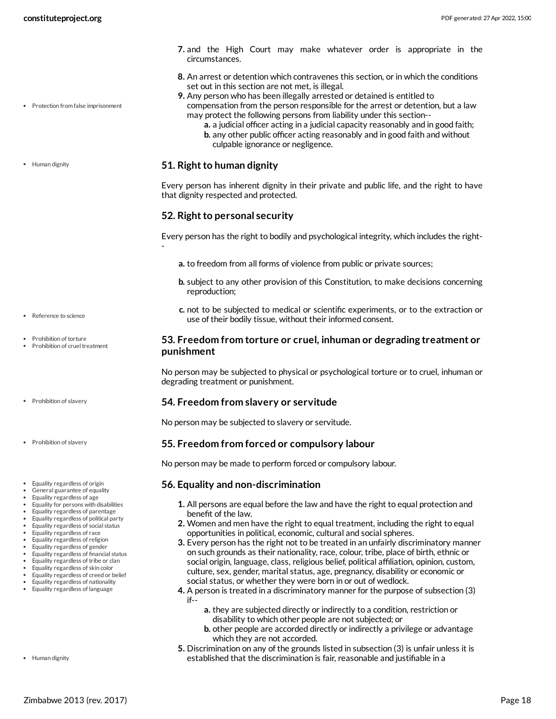• Protection from false imprisonment

- **7.** and the High Court may make whatever order is appropriate in the circumstances.
- **8.** An arrest or detention which contravenes this section, or in which the conditions set out in this section are not met, is illegal.
- **9.** Any person who has been illegally arrested or detained is entitled to compensation from the person responsible for the arrest or detention, but a law may protect the following persons from liability under this section-
	- **a.** a judicial officer acting in a judicial capacity reasonably and in good faith; **b.** any other public officer acting reasonably and in good faith and without culpable ignorance or negligence.

#### **51.** Right to human dignity

-

Every person has inherent dignity in their private and public life, and the right to have that dignity respected and protected.

#### **52. Right to personal security**

Every person has the right to bodily and psychological integrity, which includes the right-

- **a.** to freedom from all forms of violence from public or private sources;
- **b.** subject to any other provision of this Constitution, to make decisions concerning reproduction;
- **c.** not to be subjected to medical or scientific experiments, or to the extraction or use of their bodily tissue, without their informed consent.

#### **53. Freedom from torture or cruel, inhuman or degrading treatment or punishment**

No person may be subjected to physical or psychological torture or to cruel, inhuman or degrading treatment or punishment.

#### **54. Freedom from slavery or servitude**

No person may be subjected to slavery or servitude.

#### **55. Freedom from forced or compulsory labour**

No person may be made to perform forced or compulsory labour.

#### **56. Equality and non-discrimination**

- **1.** All persons are equal before the law and have the right to equal protection and benefit of the law.
- **2.** Women and men have the right to equal treatment, including the right to equal opportunities in political, economic, cultural and social spheres.
- **3.** Every person has the right not to be treated in an unfairly discriminatory manner on such grounds as their nationality, race, colour, tribe, place of birth, ethnic or social origin, language, class, religious belief, political affiliation, opinion, custom, culture, sex, gender, marital status, age, pregnancy, disability or economic or social status, or whether they were born in or out of wedlock.
- **4.** A person is treated in a discriminatory manner for the purpose of subsection (3) if-
	- **a.** they are subjected directly or indirectly to a condition, restriction or disability to which other people are not subjected; or
	- **b.** other people are accorded directly or indirectly a privilege or advantage which they are not accorded.
- **5.** Discrimination on any of the grounds listed in subsection (3) is unfair unless it is established that the discrimination is fair, reasonable and justifiable in a

• Human dignity

• Reference to science

- Prohibition of torture
- Prohibition of cruel treatment
- Prohibition of slavery

• Prohibition of slavery

- Equality regardless of origin General guarantee of equality
- Equality regardless of age
- Equality for persons with disabilities
- Equality regardless of parentage
- Equality regardless of political party
- Equality regardless of social status
- Equality regardless of race Equality regardless of religion
- Equality regardless of gender
- Equality regardless of financial status
- Equality regardless of tribe or clan
- Equality regardless of skin color
- Equality regardless of creed or belief
- Equality regardless of nationality Equality regardless of language

• Human dignity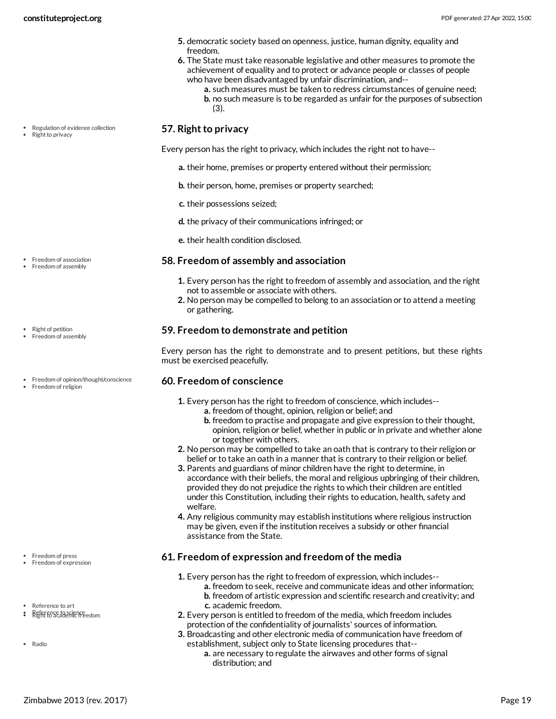- **5.** democratic society based on openness, justice, human dignity, equality and freedom.
- **6.** The State must take reasonable legislative and other measures to promote the achievement of equality and to protect or advance people or classes of people who have been disadvantaged by unfair discrimination, and-
	- **a.** such measures must be taken to redress circumstances of genuine need; **b.** no such measure is to be regarded as unfair for the purposes of subsection (3).

#### **57.** Right to privacy

Every person has the right to privacy, which includes the right not to have--

- **a.** their home, premises or property entered without their permission;
- **b.** their person, home, premises or property searched;
- **c.** their possessions seized;
- **d.** the privacy of their communications infringed; or
- **e.** their health condition disclosed.

#### **58. Freedom of assembly and association**

- **1.** Every person has the right to freedom of assembly and association, and the right not to assemble or associate with others.
- **2.** No person may be compelled to belong to an association or to attend a meeting or gathering.

#### **59. Freedom to demonstrate and petition**

Every person has the right to demonstrate and to present petitions, but these rights must be exercised peacefully.

#### **60. Freedom of conscience**

- **1.** Every person has the right to freedom of conscience, which includes-
	- **a.** freedom of thought, opinion, religion or belief; and
	- **b.** freedom to practise and propagate and give expression to their thought, opinion, religion or belief, whether in public or in private and whether alone or together with others.
- **2.** No person may be compelled to take an oath that is contrary to their religion or belief or to take an oath in a manner that is contrary to their religion or belief.
- **3.** Parents and guardians of minor children have the right to determine, in accordance with their beliefs, the moral and religious upbringing of their children, provided they do not prejudice the rights to which their children are entitled under this Constitution, including their rights to education, health, safety and welfare.
- **4.** Any religious community may establish institutions where religious instruction may be given, even if the institution receives a subsidy or other financial assistance from the State.

#### **61. Freedom of expression and freedom of the media**

- **1.** Every person has the right to freedom of expression, which includes-
	- **a.** freedom to seek, receive and communicate ideas and other information; **b.** freedom of artistic expression and scientific research and creativity; and
	- **c.** academic freedom.
- **2.** Every person is entitled to freedom of the media, which freedom includes protection of the confidentiality of journalists' sources of information.
- **3.** Broadcasting and other electronic media of communication have freedom of establishment, subject only to State licensing procedures that-
	- **a.** are necessary to regulate the airwaves and other forms of signal distribution; and

Regulation of evidence collection **Right to privacy** 

- Freedom of association
- Freedom of assembly
- Right of petition
- Freedom of assembly
- Freedom of opinion/thought/conscience
- Freedom of religion

- Freedom of press • Freedom of expression
- 
- Reference to art
- Reference to science Rightto academic freedom
- Radio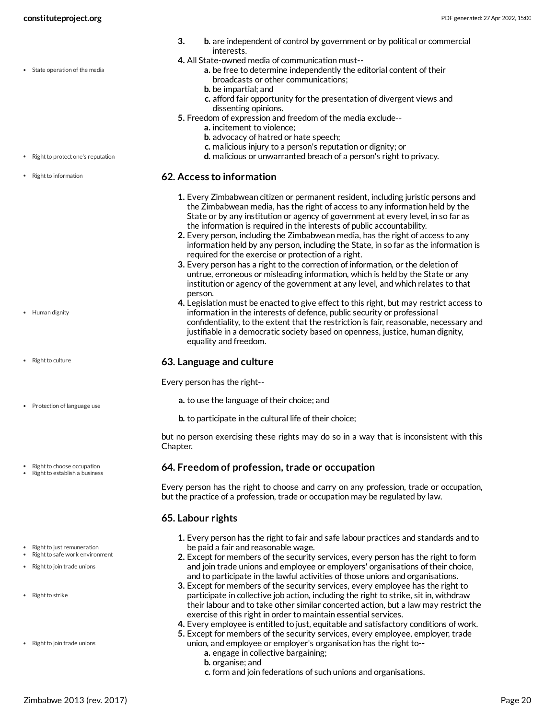- Right to protect one's reputation
- Right to information

- Human dignity
- Right to culture
- Protection of language use
- Right to choose occupation Right to establish a business
- Right to just remuneration
- Right to safe work environment
- Right to join trade unions
- Right to strike
- Right to join trade unions
- **3. b.** are independent of control by government or by political or commercial interests.
- **4.** All State-owned media of communication must-
	- **a.** be free to determine independently the editorial content of their broadcasts or other communications;
	- **b.** be impartial; and
	- **c.** afford fair opportunity for the presentation of divergent views and dissenting opinions.
- **5.** Freedom of expression and freedom of the media exclude-
	- **a.** incitement to violence;
	- **b.** advocacy of hatred or hate speech;
	- **c.** malicious injury to a person's reputation or dignity; or
	- **d.** malicious or unwarranted breach of a person's right to privacy.

#### **62. Access to information**

- **1.** Every Zimbabwean citizen or permanent resident, including juristic persons and the Zimbabwean media, has the right of access to any information held by the State or by any institution or agency of government at every level, in so far as the information is required in the interests of public accountability.
- **2.** Every person, including the Zimbabwean media, has the right of access to any information held by any person, including the State, in so far as the information is required for the exercise or protection of a right.
- **3.** Every person has a right to the correction of information, or the deletion of untrue, erroneous or misleading information, which is held by the State or any institution or agency of the government at any level, and which relates to that person.
- **4.** Legislation must be enacted to give effect to this right, but may restrict access to information in the interests of defence, public security or professional confidentiality, to the extent that the restriction is fair, reasonable, necessary and justifiable in a democratic society based on openness, justice, human dignity, equality and freedom.

#### **63. Language and culture**

Every person has the right--

- **a.** to use the language of their choice; and
- **b.** to participate in the cultural life of their choice;

but no person exercising these rights may do so in a way that is inconsistent with this Chapter.

#### **64. Freedom of profession, trade or occupation**

Every person has the right to choose and carry on any profession, trade or occupation, but the practice of a profession, trade or occupation may be regulated by law.

#### **65. Labour rights**

- **1.** Every person has the right to fair and safe labour practices and standards and to be paid a fair and reasonable wage.
- **2.** Except for members of the security services, every person has the right to form and join trade unions and employee or employers' organisations of their choice, and to participate in the lawful activities of those unions and organisations.
- **3.** Except for members of the security services, every employee has the right to participate in collective job action, including the right to strike, sit in, withdraw their labour and to take other similar concerted action, but a law may restrict the exercise of this right in order to maintain essential services.
- **4.** Every employee is entitled to just, equitable and satisfactory conditions of work.
- **5.** Except for members of the security services, every employee, employer, trade union, and employee or employer's organisation has the right to-
	- **a.** engage in collective bargaining;
		- **b.** organise; and
		- **c.** form and join federations of such unions and organisations.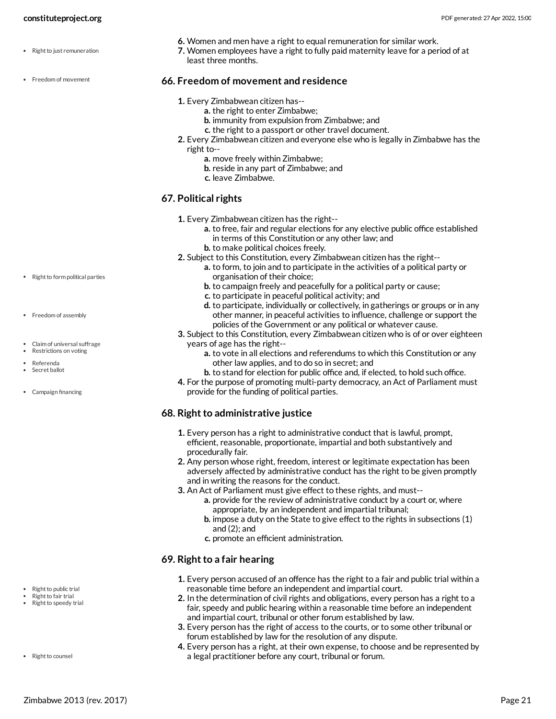- Right to just remuneration
- Freedom of movement
- **6.** Women and men have a right to equal remuneration for similar work.
- **7.** Women employees have a right to fully paid maternity leave for a period of at least three months.

#### **66. Freedom of movement and residence**

- **1.** Every Zimbabwean citizen has-
	- **a.** the right to enter Zimbabwe;
		- **b.** immunity from expulsion from Zimbabwe; and
		- **c.** the right to a passport or other travel document.
- **2.** Every Zimbabwean citizen and everyone else who is legally in Zimbabwe has the right to-
	- **a.** move freely within Zimbabwe;
	- **b.** reside in any part of Zimbabwe; and
	- **c.** leave Zimbabwe.

#### **67. Political rights**

- **1.** Every Zimbabwean citizen has the right-
	- **a.** to free, fair and regular elections for any elective public office established in terms of this Constitution or any other law; and
	- **b.** to make political choices freely.
- **2.** Subject to this Constitution, every Zimbabwean citizen has the right-
	- **a.** to form, to join and to participate in the activities of a political party or organisation of their choice;
	- **b.** to campaign freely and peacefully for a political party or cause;
	- **c.** to participate in peaceful political activity; and
	- **d.** to participate, individually or collectively, in gatherings or groups or in any other manner, in peaceful activities to influence, challenge or support the policies of the Government or any political or whatever cause.
- **3.** Subject to this Constitution, every Zimbabwean citizen who is of or over eighteen years of age has the right-
	- **a.** to vote in all elections and referendums to which this Constitution or any other law applies, and to do so in secret; and
	- **b.** to stand for election for public office and, if elected, to hold such office.
- **4.** For the purpose of promoting multi-party democracy, an Act of Parliament must provide for the funding of political parties.

#### **68.** Right to administrative justice

- **1.** Every person has a right to administrative conduct that is lawful, prompt, efficient, reasonable, proportionate, impartial and both substantively and procedurally fair.
- **2.** Any person whose right, freedom, interest or legitimate expectation has been adversely affected by administrative conduct has the right to be given promptly and in writing the reasons for the conduct.
- **3.** An Act of Parliament must give effect to these rights, and must-
	- **a.** provide for the review of administrative conduct by a court or, where appropriate, by an independent and impartial tribunal;
	- **b.** impose a duty on the State to give effect to the rights in subsections (1) and (2); and
	- **c.** promote an efficient administration.

#### **69.** Right to a fair hearing

- **1.** Every person accused of an offence has the right to a fair and public trial within a reasonable time before an independent and impartial court.
- **2.** In the determination of civil rights and obligations, every person has a right to a fair, speedy and public hearing within a reasonable time before an independent and impartial court, tribunal or other forum established by law.
- **3.** Every person has the right of access to the courts, or to some other tribunal or forum established by law for the resolution of any dispute.
- **4.** Every person has a right, at their own expense, to choose and be represented by a legal practitioner before any court, tribunal or forum.
- Zimbabwe 2013 (rev. 2017) Page 21
- Right to form political parties
- Freedom of assembly
- Claim of universal suffrage
- Restrictions on voting
- Referenda
- Secret ballot
- Campaign financing

- Right to public trial Right to fair trial
- Right to speedy trial

• Right to counsel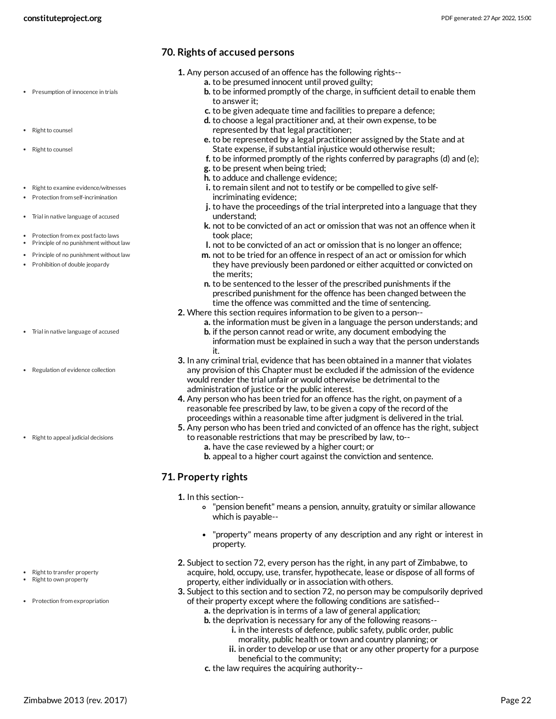#### **70. Rights of accused persons**

- **1.** Any person accused of an offence has the following rights-
	- **a.** to be presumed innocent until proved guilty;
		- **b.** to be informed promptly of the charge, in sufficient detail to enable them to answer it;
		- **c.** to be given adequate time and facilities to prepare a defence;
		- **d.** to choose a legal practitioner and, at their own expense, to be represented by that legal practitioner;
		- **e.** to be represented by a legal practitioner assigned by the State and at State expense, if substantial injustice would otherwise result;
		- **f.** to be informed promptly of the rights conferred by paragraphs (d) and (e);
		- **g.** to be present when being tried;
		- **h.** to adduce and challenge evidence;
		- **i.** to remain silent and not to testify or be compelled to give selfincriminating evidence;
		- **j.** to have the proceedings of the trial interpreted into a language that they understand;
		- **k.** not to be convicted of an act or omission that was not an offence when it took place;
		- **l.** not to be convicted of an act or omission that is no longer an offence;
		- **m.** not to be tried for an offence in respect of an act or omission for which they have previously been pardoned or either acquitted or convicted on the merits;
		- **n.** to be sentenced to the lesser of the prescribed punishments if the prescribed punishment for the offence has been changed between the time the offence was committed and the time of sentencing.
- **2.** Where this section requires information to be given to a person-
	- **a.** the information must be given in a language the person understands; and **b.** if the person cannot read or write, any document embodying the
		- information must be explained in such a way that the person understands it.
- **3.** In any criminal trial, evidence that has been obtained in a manner that violates any provision of this Chapter must be excluded if the admission of the evidence would render the trial unfair or would otherwise be detrimental to the administration of justice or the public interest.
- **4.** Any person who has been tried for an offence has the right, on payment of a reasonable fee prescribed by law, to be given a copy of the record of the proceedings within a reasonable time after judgment is delivered in the trial.
- **5.** Any person who has been tried and convicted of an offence has the right, subject to reasonable restrictions that may be prescribed by law, to-
	- **a.** have the case reviewed by a higher court; or
	- **b.** appeal to a higher court against the conviction and sentence.

#### **71. Property rights**

**1.** In this section--

- "pension benefit" means a pension, annuity, gratuity or similar allowance which is payable--
- "property" means property of any description and any right or interest in property.
- **2.** Subject to section 72, every person has the right, in any part of Zimbabwe, to acquire, hold, occupy, use, transfer, hypothecate, lease or dispose of all forms of property, either individually or in association with others.
- **3.** Subject to this section and to section 72, no person may be compulsorily deprived of their property except where the following conditions are satisfied-
	- **a.** the deprivation is in terms of a law of general application; **b.** the deprivation is necessary for any of the following reasons-
		- **i.** in the interests of defence, public safety, public order, public
			- morality, public health or town and country planning; or
			- **ii.** in order to develop or use that or any other property for a purpose beneficial to the community;
	- **c.** the law requires the acquiring authority--
- Presumption of innocence in trials
- Right to counsel
- Right to counsel
- $\cdot$  Right to examine evidence/witnesses
- Protection from self-incrimination
- Trial in native language of accused
- Protection from ex post facto laws Principle of no punishment without law
- Principle of no punishment without law
- Prohibition of double jeopardy
- Trial in native language of accused
- Regulation of evidence collection
- Right to appeal judicial decisions

- Right to transfer property Right to own property
- Protection from expropriation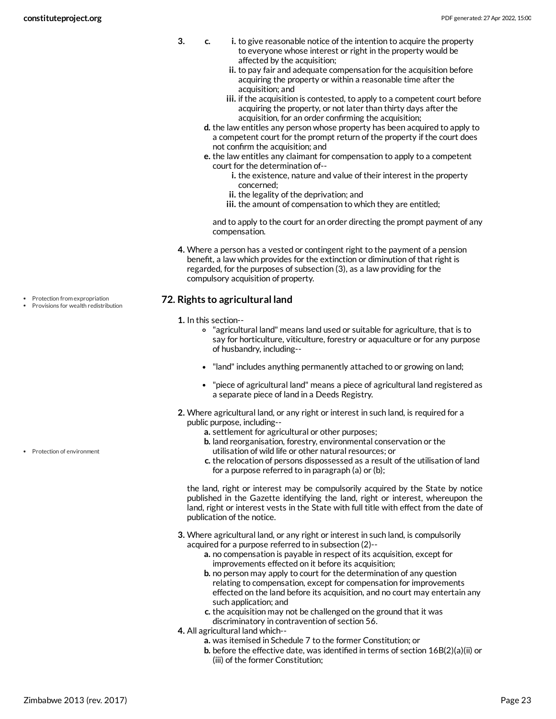- **3. c. i.** to give reasonable notice of the intention to acquire the property to everyone whose interest or right in the property would be affected by the acquisition;
	- **ii.** to pay fair and adequate compensation for the acquisition before acquiring the property or within a reasonable time after the acquisition; and
	- **iii.** if the acquisition is contested, to apply to a competent court before acquiring the property, or not later than thirty days after the acquisition, for an order confirming the acquisition;
	- **d.** the law entitles any person whose property has been acquired to apply to a competent court for the prompt return of the property if the court does not confirm the acquisition; and
	- **e.** the law entitles any claimant for compensation to apply to a competent court for the determination of-
		- **i.** the existence, nature and value of their interest in the property concerned;
		- **ii.** the legality of the deprivation; and
		- **iii.** the amount of compensation to which they are entitled;

and to apply to the court for an order directing the prompt payment of any compensation.

**4.** Where a person has a vested or contingent right to the payment of a pension benefit, a law which provides for the extinction or diminution of that right is regarded, for the purposes of subsection (3), as a law providing for the compulsory acquisition of property.

#### **72. Rights to agricultural land**

- **1.** In this section--
	- "agricultural land" means land used or suitable for agriculture, that is to say for horticulture, viticulture, forestry or aquaculture or for any purpose of husbandry, including--
	- "land" includes anything permanently attached to or growing on land;
	- "piece of agricultural land" means a piece of agricultural land registered as a separate piece of land in a Deeds Registry.
- **2.** Where agricultural land, or any right or interest in such land, is required for a public purpose, including-
	- **a.** settlement for agricultural or other purposes;
	- **b.** land reorganisation, forestry, environmental conservation or the utilisation of wild life or other natural resources; or
	- **c.** the relocation of persons dispossessed as a result of the utilisation of land for a purpose referred to in paragraph (a) or (b);

the land, right or interest may be compulsorily acquired by the State by notice published in the Gazette identifying the land, right or interest, whereupon the land, right or interest vests in the State with full title with effect from the date of publication of the notice.

- **3.** Where agricultural land, or any right or interest in such land, is compulsorily acquired for a purpose referred to in subsection (2)-
	- **a.** no compensation is payable in respect of its acquisition, except for improvements effected on it before its acquisition;
	- **b.** no person may apply to court for the determination of any question relating to compensation, except for compensation for improvements effected on the land before its acquisition, and no court may entertain any such application; and
	- **c.** the acquisition may not be challenged on the ground that it was discriminatory in contravention of section 56.
- **4.** All agricultural land which-
	- **a.** was itemised in Schedule 7 to the former Constitution; or
	- **b.** before the effective date, was identified in terms of section 16B(2)(a)(ii) or (iii) of the former Constitution;
- Protection from expropriation
- Provisions for wealth redistribution

• Protection of environment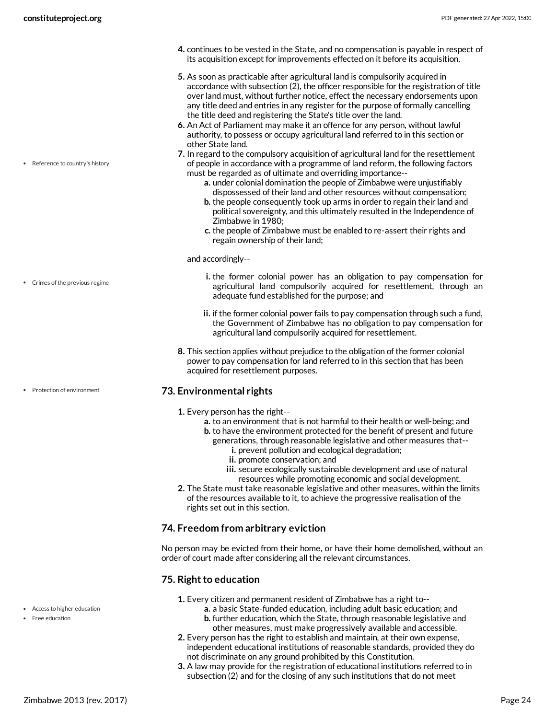- **4.** continues to be vested in the State, and no compensation is payable in respect of its acquisition except for improvements effected on it before its acquisition.
- **5.** As soon as practicable after agricultural land is compulsorily acquired in accordance with subsection (2), the officer responsible for the registration of title over land must, without further notice, effect the necessary endorsements upon any title deed and entries in any register for the purpose of formally cancelling the title deed and registering the State's title over the land.
- **6.** An Act of Parliament may make it an offence for any person, without lawful authority, to possess or occupy agricultural land referred to in this section or other State land.
- **7.** In regard to the compulsory acquisition of agricultural land for the resettlement of people in accordance with a programme of land reform, the following factors must be regarded as of ultimate and overriding importance-
	- **a.** under colonial domination the people of Zimbabwe were unjustifiably dispossessed of their land and other resources without compensation;
	- **b.** the people consequently took up arms in order to regain their land and political sovereignty, and this ultimately resulted in the Independence of Zimbabwe in 1980;
	- **c.** the people of Zimbabwe must be enabled to re-assert their rights and regain ownership of their land;

and accordingly--

- **i.** the former colonial power has an obligation to pay compensation for agricultural land compulsorily acquired for resettlement, through an adequate fund established for the purpose; and
- **ii.** if the former colonial power fails to pay compensation through such a fund, the Government of Zimbabwe has no obligation to pay compensation for agricultural land compulsorily acquired for resettlement.
- **8.** This section applies without prejudice to the obligation of the former colonial power to pay compensation for land referred to in this section that has been acquired for resettlement purposes.

#### **73. Environmental rights**

- **1.** Every person has the right-
	- **a.** to an environment that is not harmful to their health or well-being; and **b.** to have the environment protected for the benefit of present and future generations, through reasonable legislative and other measures that-
		- **i.** prevent pollution and ecological degradation;
		- **ii.** promote conservation; and
		- **iii.** secure ecologically sustainable development and use of natural resources while promoting economic and social development.
- **2.** The State must take reasonable legislative and other measures, within the limits of the resources available to it, to achieve the progressive realisation of the rights set out in this section.

#### **74. Freedom from arbitrary eviction**

No person may be evicted from their home, or have their home demolished, without an order of court made after considering all the relevant circumstances.

#### **75.** Right to education

- **1.** Every citizen and permanent resident of Zimbabwe has a right to-
	- **a.** a basic State-funded education, including adult basic education; and **b.** further education, which the State, through reasonable legislative and
	- other measures, must make progressively available and accessible.
- **2.** Every person has the right to establish and maintain, at their own expense, independent educational institutions of reasonable standards, provided they do not discriminate on any ground prohibited by this Constitution.
- **3.** A law may provide for the registration of educational institutions referred to in subsection (2) and for the closing of any such institutions that do not meet

• Reference to country's history

Crimes of the previous regime

• Protection of environment

- Access to higher education
- Free education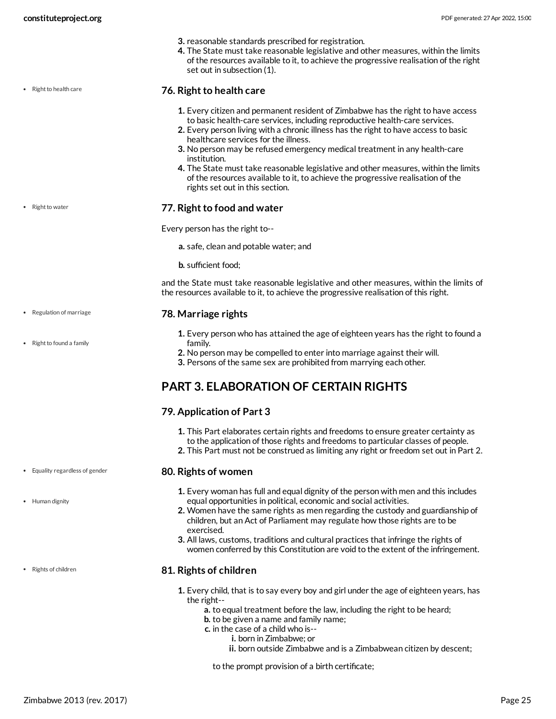- **3.** reasonable standards prescribed for registration.
- **4.** The State must take reasonable legislative and other measures, within the limits of the resources available to it, to achieve the progressive realisation of the right set out in subsection (1).

• Right to health care

#### **76.** Right to health care

- **1.** Every citizen and permanent resident of Zimbabwe has the right to have access to basic health-care services, including reproductive health-care services.
- **2.** Every person living with a chronic illness has the right to have access to basic healthcare services for the illness.
- **3.** No person may be refused emergency medical treatment in any health-care institution.
- **4.** The State must take reasonable legislative and other measures, within the limits of the resources available to it, to achieve the progressive realisation of the rights set out in this section.

• Right to water

• Regulation of marriage

• Right to found a family

#### **77.** Right to food and water

Every person has the right to--

- **a.** safe, clean and potable water; and
- **b.** sufficient food;

and the State must take reasonable legislative and other measures, within the limits of the resources available to it, to achieve the progressive realisation of this right.

#### **78. Marriage rights**

- **1.** Every person who has attained the age of eighteen years has the right to found a family.
- **2.** No person may be compelled to enter into marriage against their will.
- **3.** Persons of the same sex are prohibited from marrying each other.

### <span id="page-24-0"></span>**PART 3. ELABORATION OF CERTAIN RIGHTS**

#### **79. Application of Part 3**

- **1.** This Part elaborates certain rights and freedoms to ensure greater certainty as to the application of those rights and freedoms to particular classes of people.
- **2.** This Part must not be construed as limiting any right or freedom set out in Part 2.

#### **80. Rights of women**

- **1.** Every woman has full and equal dignity of the person with men and this includes equal opportunities in political, economic and social activities.
- **2.** Women have the same rights as men regarding the custody and guardianship of children, but an Act of Parliament may regulate how those rights are to be exercised.
- **3.** All laws, customs, traditions and cultural practices that infringe the rights of women conferred by this Constitution are void to the extent of the infringement.

#### **81. Rights of children**

- **1.** Every child, that is to say every boy and girl under the age of eighteen years, has the right-
	- **a.** to equal treatment before the law, including the right to be heard;
	- **b.** to be given a name and family name;
	- **c.** in the case of a child who is-
		- **i.** born in Zimbabwe; or
			- **ii.** born outside Zimbabwe and is a Zimbabwean citizen by descent;

to the prompt provision of a birth certificate;

• Human dignity

• Rights of children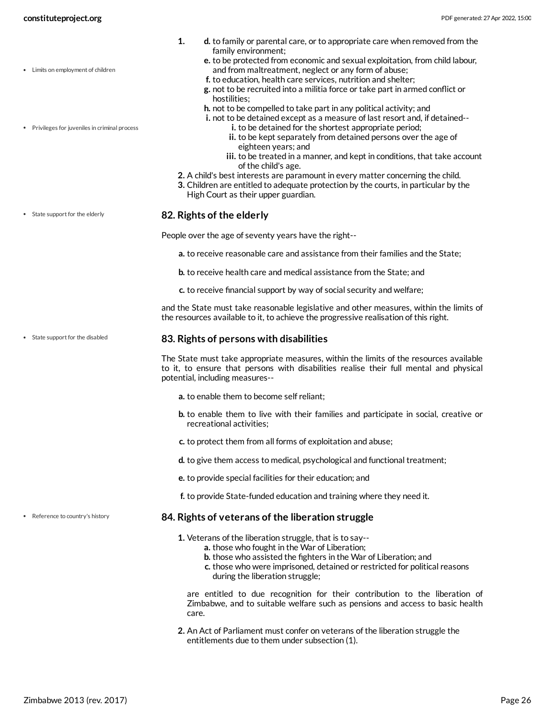Privileges for juveniles in criminal process

- **1. d.** to family or parental care, or to appropriate care when removed from the family environment;
	- **e.** to be protected from economic and sexual exploitation, from child labour, and from maltreatment, neglect or any form of abuse;
	- **f.** to education, health care services, nutrition and shelter;
	- **g.** not to be recruited into a militia force or take part in armed conflict or hostilities;
	- **h.** not to be compelled to take part in any political activity; and
	- **i.** not to be detained except as a measure of last resort and, if detained- **i.** to be detained for the shortest appropriate period;
		- **ii.** to be kept separately from detained persons over the age of eighteen years; and
		- **iii.** to be treated in a manner, and kept in conditions, that take account of the child's age.
- **2.** A child's best interests are paramount in every matter concerning the child.
- **3.** Children are entitled to adequate protection by the courts, in particular by the High Court as their upper guardian.

#### **82. Rights of the elderly**

People over the age of seventy years have the right--

**a.** to receive reasonable care and assistance from their families and the State;

**b.** to receive health care and medical assistance from the State; and

**c.** to receive financial support by way of social security and welfare;

and the State must take reasonable legislative and other measures, within the limits of the resources available to it, to achieve the progressive realisation of this right.

• State support for the disabled

• State support for the elderly

#### **83. Rights of persons with disabilities**

The State must take appropriate measures, within the limits of the resources available to it, to ensure that persons with disabilities realise their full mental and physical potential, including measures--

**a.** to enable them to become self reliant;

- **b.** to enable them to live with their families and participate in social, creative or recreational activities;
- **c.** to protect them from all forms of exploitation and abuse;
- **d.** to give them access to medical, psychological and functional treatment;

**e.** to provide special facilities for their education; and

**f.** to provide State-funded education and training where they need it.

• Reference to country's history

**1.** Veterans of the liberation struggle, that is to say--

**84. Rights of veterans of the liberation struggle**

- **a.** those who fought in the War of Liberation;
	- **b.** those who assisted the fighters in the War of Liberation; and
	- **c.** those who were imprisoned, detained or restricted for political reasons during the liberation struggle;

are entitled to due recognition for their contribution to the liberation of Zimbabwe, and to suitable welfare such as pensions and access to basic health care.

**2.** An Act of Parliament must confer on veterans of the liberation struggle the entitlements due to them under subsection (1).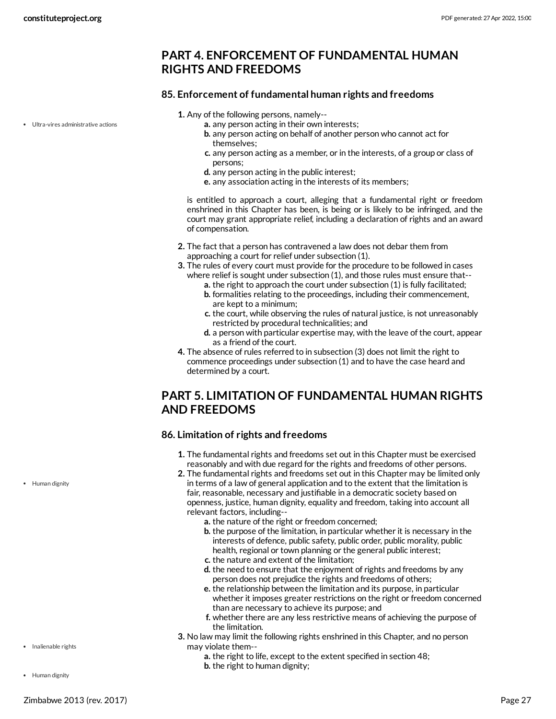### <span id="page-26-0"></span>**PART 4. ENFORCEMENT OF FUNDAMENTAL HUMAN RIGHTS AND FREEDOMS**

#### **85. Enforcement of fundamental human rights and freedoms**

- **1.** Any of the following persons, namely-
	- **a.** any person acting in their own interests;
	- **b.** any person acting on behalf of another person who cannot act for themselves;
	- **c.** any person acting as a member, or in the interests, of a group or class of persons;
	- **d.** any person acting in the public interest;
	- **e.** any association acting in the interests of its members;

is entitled to approach a court, alleging that a fundamental right or freedom enshrined in this Chapter has been, is being or is likely to be infringed, and the court may grant appropriate relief, including a declaration of rights and an award of compensation.

- **2.** The fact that a person has contravened a law does not debar them from approaching a court for relief under subsection (1).
- **3.** The rules of every court must provide for the procedure to be followed in cases where relief is sought under subsection (1), and those rules must ensure that-
	- **a.** the right to approach the court under subsection (1) is fully facilitated;
	- **b.** formalities relating to the proceedings, including their commencement, are kept to a minimum;
	- **c.** the court, while observing the rules of natural justice, is not unreasonably restricted by procedural technicalities; and
	- **d.** a person with particular expertise may, with the leave of the court, appear as a friend of the court.
- **4.** The absence of rules referred to in subsection (3) does not limit the right to commence proceedings under subsection (1) and to have the case heard and determined by a court.

### <span id="page-26-1"></span>**PART 5. LIMITATION OF FUNDAMENTAL HUMAN RIGHTS AND FREEDOMS**

#### **86. Limitation of rights and freedoms**

- **1.** The fundamental rights and freedoms set out in this Chapter must be exercised reasonably and with due regard for the rights and freedoms of other persons.
- **2.** The fundamental rights and freedoms set out in this Chapter may be limited only in terms of a law of general application and to the extent that the limitation is fair, reasonable, necessary and justifiable in a democratic society based on openness, justice, human dignity, equality and freedom, taking into account all relevant factors, including-
	- **a.** the nature of the right or freedom concerned;
	- **b.** the purpose of the limitation, in particular whether it is necessary in the interests of defence, public safety, public order, public morality, public health, regional or town planning or the general public interest;
	- **c.** the nature and extent of the limitation;
	- **d.** the need to ensure that the enjoyment of rights and freedoms by any person does not prejudice the rights and freedoms of others;
	- **e.** the relationship between the limitation and its purpose, in particular whether it imposes greater restrictions on the right or freedom concerned than are necessary to achieve its purpose; and
	- **f.** whether there are any less restrictive means of achieving the purpose of the limitation.
- **3.** No law may limit the following rights enshrined in this Chapter, and no person may violate them-
	- **a.** the right to life, except to the extent specified in section 48;
	- **b.** the right to human dignity;

Ultra-vires administrative actions

• Human dignity

• Inalienable rights

• Human dignity

Zimbabwe 2013 (rev. 2017) Page 27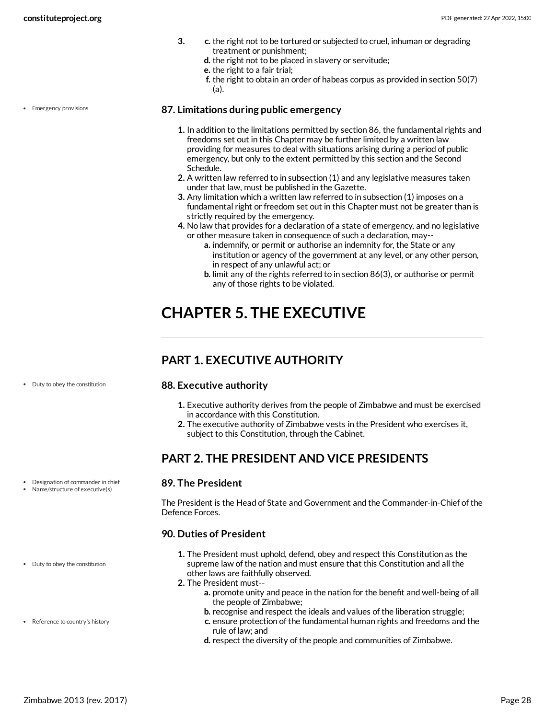- **3. c.** the right not to be tortured or subjected to cruel, inhuman or degrading treatment or punishment;
	- **d.** the right not to be placed in slavery or servitude;
	- **e.** the right to a fair trial;
	- **f.** the right to obtain an order of habeas corpus as provided in section 50(7)  $(a)$

#### • Emergency provisions

#### **87. Limitations during public emergency**

- **1.** In addition to the limitations permitted by section 86, the fundamental rights and freedoms set out in this Chapter may be further limited by a written law providing for measures to deal with situations arising during a period of public emergency, but only to the extent permitted by this section and the Second Schedule.
- **2.** A written law referred to in subsection (1) and any legislative measures taken under that law, must be published in the Gazette.
- **3.** Any limitation which a written law referred to in subsection (1) imposes on a fundamental right or freedom set out in this Chapter must not be greater than is strictly required by the emergency.
- **4.** No law that provides for a declaration of a state of emergency, and no legislative or other measure taken in consequence of such a declaration, may-
	- **a.** indemnify, or permit or authorise an indemnity for, the State or any institution or agency of the government at any level, or any other person, in respect of any unlawful act; or
	- **b.** limit any of the rights referred to in section 86(3), or authorise or permit any of those rights to be violated.

# <span id="page-27-0"></span>**CHAPTER 5. THE EXECUTIVE**

### <span id="page-27-1"></span>**PART 1. EXECUTIVE AUTHORITY**

#### • Duty to obey the constitution

#### **88. Executive authority**

- **1.** Executive authority derives from the people of Zimbabwe and must be exercised in accordance with this Constitution.
- **2.** The executive authority of Zimbabwe vests in the President who exercises it, subject to this Constitution, through the Cabinet.

### <span id="page-27-2"></span>**PART 2. THE PRESIDENT AND VICE PRESIDENTS**

#### **89. The President**

The President is the Head of State and Government and the Commander-in-Chief of the Defence Forces.

#### **90. Duties of President**

- **1.** The President must uphold, defend, obey and respect this Constitution as the supreme law of the nation and must ensure that this Constitution and all the other laws are faithfully observed.
- **2.** The President must-
	- **a.** promote unity and peace in the nation for the benefit and well-being of all the people of Zimbabwe;
	- **b.** recognise and respect the ideals and values of the liberation struggle;
	- **c.** ensure protection of the fundamental human rights and freedoms and the rule of law; and
	- **d.** respect the diversity of the people and communities of Zimbabwe.

Designation of commander in chief Name/structure of executive(s)

- 
- Reference to country's history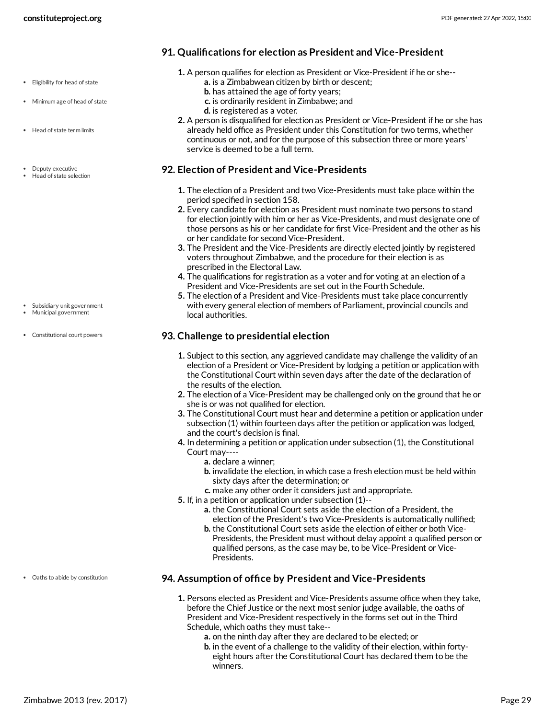- Eligibility for head of state
- Minimum age of head of state
- Head of state term limits
- · Deputy executive
- Head of state selection

- Subsidiary unit government
- Municipal government
- Constitutional court powers
- **91. Qualifications for election as President and Vice-President**
	- **1.** A person qualifies for election as President or Vice-President if he or she-
		- **a.** is a Zimbabwean citizen by birth or descent;
		- **b.** has attained the age of forty years;
		- **c.** is ordinarily resident in Zimbabwe; and
		- **d.** is registered as a voter.
	- **2.** A person is disqualified for election as President or Vice-President if he or she has already held office as President under this Constitution for two terms, whether continuous or not, and for the purpose of this subsection three or more years' service is deemed to be a full term.

#### **92. Election of President and Vice-Presidents**

- **1.** The election of a President and two Vice-Presidents must take place within the period specified in section 158.
- **2.** Every candidate for election as President must nominate two persons to stand for election jointly with him or her as Vice-Presidents, and must designate one of those persons as his or her candidate for first Vice-President and the other as his or her candidate for second Vice-President.
- **3.** The President and the Vice-Presidents are directly elected jointly by registered voters throughout Zimbabwe, and the procedure for their election is as prescribed in the Electoral Law.
- **4.** The qualifications for registration as a voter and for voting at an election of a President and Vice-Presidents are set out in the Fourth Schedule.
- **5.** The election of a President and Vice-Presidents must take place concurrently with every general election of members of Parliament, provincial councils and local authorities.

#### **93. Challenge to presidential election**

- **1.** Subject to this section, any aggrieved candidate may challenge the validity of an election of a President or Vice-President by lodging a petition or application with the Constitutional Court within seven days after the date of the declaration of the results of the election.
- **2.** The election of a Vice-President may be challenged only on the ground that he or she is or was not qualified for election.
- **3.** The Constitutional Court must hear and determine a petition or application under subsection (1) within fourteen days after the petition or application was lodged, and the court's decision is final.
- **4.** In determining a petition or application under subsection (1), the Constitutional Court may---
	- **a.** declare a winner;
	- **b.** invalidate the election, in which case a fresh election must be held within sixty days after the determination; or
	- **c.** make any other order it considers just and appropriate.
- **5.** If, in a petition or application under subsection (1)-
	- **a.** the Constitutional Court sets aside the election of a President, the election of the President's two Vice-Presidents is automatically nullified;
	- **b.** the Constitutional Court sets aside the election of either or both Vice-Presidents, the President must without delay appoint a qualified person or qualified persons, as the case may be, to be Vice-President or Vice-Presidents.

#### **94. Assumption of office by President and Vice-Presidents**

- **1.** Persons elected as President and Vice-Presidents assume office when they take, before the Chief Justice or the next most senior judge available, the oaths of President and Vice-President respectively in the forms set out in the Third Schedule, which oaths they must take-
	- **a.** on the ninth day after they are declared to be elected; or
	- **b.** in the event of a challenge to the validity of their election, within fortyeight hours after the Constitutional Court has declared them to be the winners.

Oaths to abide by constitution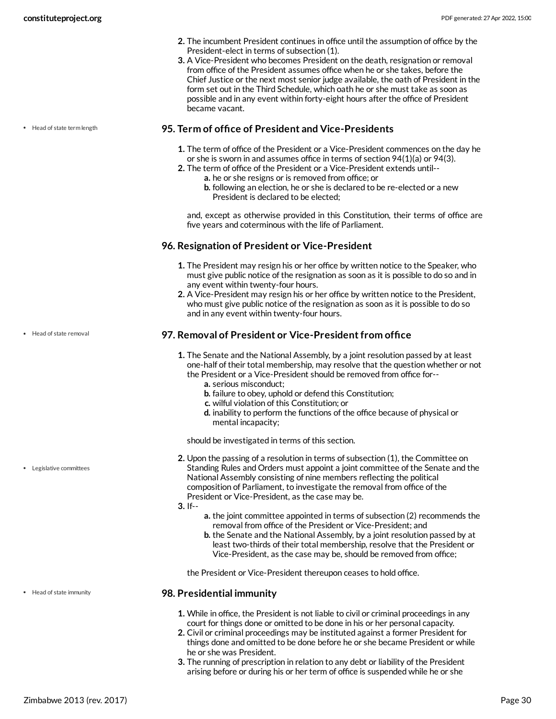- **2.** The incumbent President continues in office until the assumption of office by the President-elect in terms of subsection (1).
- **3.** A Vice-President who becomes President on the death, resignation or removal from office of the President assumes office when he or she takes, before the Chief Justice or the next most senior judge available, the oath of President in the form set out in the Third Schedule, which oath he or she must take as soon as possible and in any event within forty-eight hours after the office of President became vacant.

#### **95. Term of office of President and Vice-Presidents**

- **1.** The term of office of the President or a Vice-President commences on the day he or she is sworn in and assumes office in terms of section 94(1)(a) or 94(3).
- **2.** The term of office of the President or a Vice-President extends until- **a.** he or she resigns or is removed from office; or
	- **b.** following an election, he or she is declared to be re-elected or a new President is declared to be elected;

and, except as otherwise provided in this Constitution, their terms of office are five years and coterminous with the life of Parliament.

#### **96. Resignation of President or Vice-President**

- **1.** The President may resign his or her office by written notice to the Speaker, who must give public notice of the resignation as soon as it is possible to do so and in any event within twenty-four hours.
- **2.** A Vice-President may resign his or her office by written notice to the President, who must give public notice of the resignation as soon as it is possible to do so and in any event within twenty-four hours.

#### **97. Removal of President or Vice-Presidentfrom office**

- **1.** The Senate and the National Assembly, by a joint resolution passed by at least one-half of their total membership, may resolve that the question whether or not the President or a Vice-President should be removed from office for-
	- **a.** serious misconduct;
	- **b.** failure to obey, uphold or defend this Constitution;
	- **c.** wilful violation of this Constitution; or
	- **d.** inability to perform the functions of the office because of physical or mental incapacity;

should be investigated in terms of this section.

- **2.** Upon the passing of a resolution in terms of subsection (1), the Committee on Standing Rules and Orders must appoint a joint committee of the Senate and the National Assembly consisting of nine members reflecting the political composition of Parliament, to investigate the removal from office of the President or Vice-President, as the case may be.
- **3.** If-
	- **a.** the joint committee appointed in terms of subsection (2) recommends the removal from office of the President or Vice-President; and
	- **b.** the Senate and the National Assembly, by a joint resolution passed by at least two-thirds of their total membership, resolve that the President or Vice-President, as the case may be, should be removed from office;

the President or Vice-President thereupon ceases to hold office.

#### **98. Presidential immunity**

- **1.** While in office, the President is not liable to civil or criminal proceedings in any court for things done or omitted to be done in his or her personal capacity.
- **2.** Civil or criminal proceedings may be instituted against a former President for things done and omitted to be done before he or she became President or while he or she was President.
- **3.** The running of prescription in relation to any debt or liability of the President arising before or during his or her term of office is suspended while he or she

Head of state term length

Head of state removal

Legislative committees

• Head of state immunity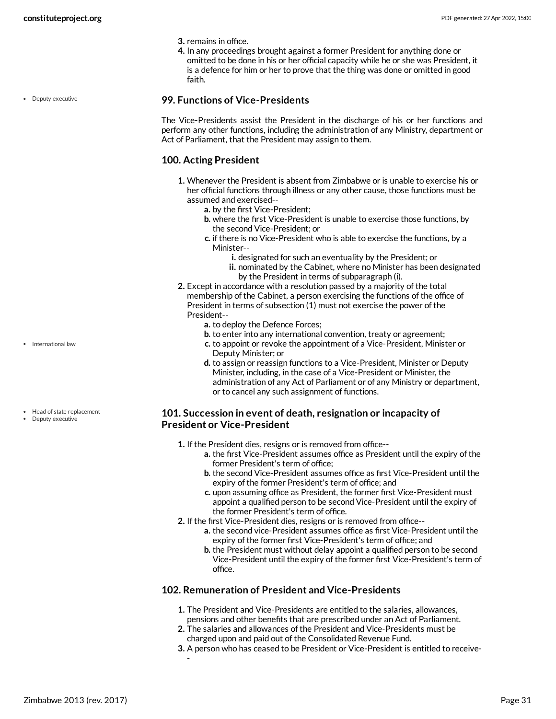- **3.** remains in office.
- **4.** In any proceedings brought against a former President for anything done or omitted to be done in his or her official capacity while he or she was President, it is a defence for him or her to prove that the thing was done or omitted in good faith.

• Deputy executive

#### **99. Functions of Vice-Presidents**

The Vice-Presidents assist the President in the discharge of his or her functions and perform any other functions, including the administration of any Ministry, department or Act of Parliament, that the President may assign to them.

#### **100. Acting President**

- **1.** Whenever the President is absent from Zimbabwe or is unable to exercise his or her official functions through illness or any other cause, those functions must be assumed and exercised-
	- **a.** by the first Vice-President;
	- **b.** where the first Vice-President is unable to exercise those functions, by the second Vice-President; or
	- **c.** if there is no Vice-President who is able to exercise the functions, by a Minister-
		- **i.** designated for such an eventuality by the President; or
		- **ii.** nominated by the Cabinet, where no Minister has been designated by the President in terms of subparagraph (i).
- **2.** Except in accordance with a resolution passed by a majority of the total membership of the Cabinet, a person exercising the functions of the office of President in terms of subsection (1) must not exercise the power of the President-
	- **a.** to deploy the Defence Forces;
	- **b.** to enter into any international convention, treaty or agreement;
	- **c.** to appoint or revoke the appointment of a Vice-President, Minister or Deputy Minister; or
	- **d.** to assign or reassign functions to a Vice-President, Minister or Deputy Minister, including, in the case of a Vice-President or Minister, the administration of any Act of Parliament or of any Ministry or department, or to cancel any such assignment of functions.

#### **101. Succession in event of death, resignation or incapacity of President or Vice-President**

- **1.** If the President dies, resigns or is removed from office-
	- **a.** the first Vice-President assumes office as President until the expiry of the former President's term of office;
	- **b.** the second Vice-President assumes office as first Vice-President until the expiry of the former President's term of office; and
	- **c.** upon assuming office as President, the former first Vice-President must appoint a qualified person to be second Vice-President until the expiry of the former President's term of office.
- **2.** If the first Vice-President dies, resigns or is removed from office-
	- **a.** the second vice-President assumes office as first Vice-President until the expiry of the former first Vice-President's term of office; and
	- **b.** the President must without delay appoint a qualified person to be second Vice-President until the expiry of the former first Vice-President's term of office.

#### **102. Remuneration of President and Vice-Presidents**

-

- **1.** The President and Vice-Presidents are entitled to the salaries, allowances, pensions and other benefits that are prescribed under an Act of Parliament.
- **2.** The salaries and allowances of the President and Vice-Presidents must be charged upon and paid out of the Consolidated Revenue Fund.
- **3.** A person who has ceased to be President or Vice-President is entitled to receive-

International law

- Head of state replacement
- Deputy executive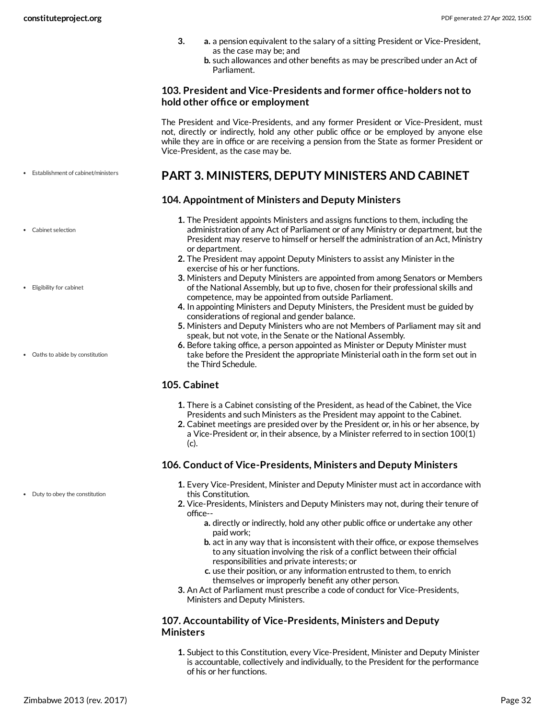- **3. a.** a pension equivalent to the salary of a sitting President or Vice-President, as the case may be; and
	- **b.** such allowances and other benefits as may be prescribed under an Act of Parliament.

#### **103. President and Vice-Presidents and former office-holders notto hold other office or employment**

The President and Vice-Presidents, and any former President or Vice-President, must not, directly or indirectly, hold any other public office or be employed by anyone else while they are in office or are receiving a pension from the State as former President or Vice-President, as the case may be.

#### **PART 3. MINISTERS, DEPUTY MINISTERS AND CABINET** Establishment of cabinet/ministers

#### <span id="page-31-0"></span>**104. Appointment of Ministers and Deputy Ministers**

- **1.** The President appoints Ministers and assigns functions to them, including the administration of any Act of Parliament or of any Ministry or department, but the President may reserve to himself or herself the administration of an Act, Ministry or department.
- **2.** The President may appoint Deputy Ministers to assist any Minister in the exercise of his or her functions.
- **3.** Ministers and Deputy Ministers are appointed from among Senators or Members of the National Assembly, but up to five, chosen for their professional skills and competence, may be appointed from outside Parliament.
- **4.** In appointing Ministers and Deputy Ministers, the President must be guided by considerations of regional and gender balance.
- **5.** Ministers and Deputy Ministers who are not Members of Parliament may sit and speak, but not vote, in the Senate or the National Assembly.
- **6.** Before taking office, a person appointed as Minister or Deputy Minister must take before the President the appropriate Ministerial oath in the form set out in the Third Schedule.

#### **105. Cabinet**

- **1.** There is a Cabinet consisting of the President, as head of the Cabinet, the Vice Presidents and such Ministers as the President may appoint to the Cabinet.
- **2.** Cabinet meetings are presided over by the President or, in his or her absence, by a Vice-President or, in their absence, by a Minister referred to in section 100(1) (c).

#### **106. Conduct of Vice-Presidents, Ministers and Deputy Ministers**

- **1.** Every Vice-President, Minister and Deputy Minister must act in accordance with this Constitution.
- **2.** Vice-Presidents, Ministers and Deputy Ministers may not, during their tenure of office-
	- **a.** directly or indirectly, hold any other public office or undertake any other paid work;
	- **b.** act in any way that is inconsistent with their office, or expose themselves to any situation involving the risk of a conflict between their official responsibilities and private interests; or
	- **c.** use their position, or any information entrusted to them, to enrich themselves or improperly benefit any other person.
- **3.** An Act of Parliament must prescribe a code of conduct for Vice-Presidents, Ministers and Deputy Ministers.

#### **107. Accountability of Vice-Presidents, Ministers and Deputy Ministers**

**1.** Subject to this Constitution, every Vice-President, Minister and Deputy Minister is accountable, collectively and individually, to the President for the performance of his or her functions.

Cabinet selection

Eligibility for cabinet

Oaths to abide by constitution

Duty to obey the constitution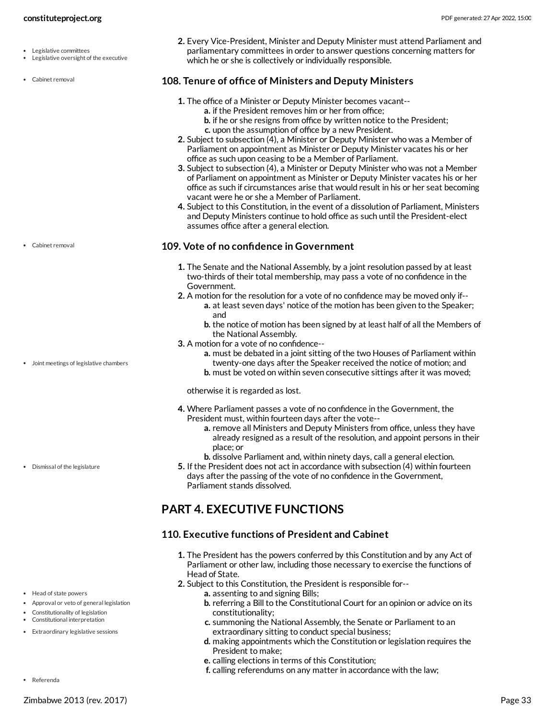- Legislative committees
- Legislative oversight of the executive
- Cabinet removal

Cabinet removal

- Joint meetings of legislative chambers
- 
- Dismissal of the legislature

- Head of state powers
- Approval or veto of general legislation
- Constitutionality of legislation
- Constitutional interpretation
- Extraordinary legislative sessions

**2.** Every Vice-President, Minister and Deputy Minister must attend Parliament and parliamentary committees in order to answer questions concerning matters for which he or she is collectively or individually responsible.

#### **108. Tenure of office of Ministers and Deputy Ministers**

- **1.** The office of a Minister or Deputy Minister becomes vacant-
	- **a.** if the President removes him or her from office;
	- **b.** if he or she resigns from office by written notice to the President;
	- **c.** upon the assumption of office by a new President.
- **2.** Subject to subsection (4), a Minister or Deputy Minister who was a Member of Parliament on appointment as Minister or Deputy Minister vacates his or her office as such upon ceasing to be a Member of Parliament.
- **3.** Subject to subsection (4), a Minister or Deputy Minister who was not a Member of Parliament on appointment as Minister or Deputy Minister vacates his or her office as such if circumstances arise that would result in his or her seat becoming vacant were he or she a Member of Parliament.
- **4.** Subject to this Constitution, in the event of a dissolution of Parliament, Ministers and Deputy Ministers continue to hold office as such until the President-elect assumes office after a general election.

#### **109. Vote of no confidence in Government**

- **1.** The Senate and the National Assembly, by a joint resolution passed by at least two-thirds of their total membership, may pass a vote of no confidence in the Government.
- **2.** A motion for the resolution for a vote of no confidence may be moved only if- **a.** at least seven days' notice of the motion has been given to the Speaker; and
	- **b.** the notice of motion has been signed by at least half of all the Members of the National Assembly.
- **3.** A motion for a vote of no confidence-
	- **a.** must be debated in a joint sitting of the two Houses of Parliament within twenty-one days after the Speaker received the notice of motion; and **b.** must be voted on within seven consecutive sittings after it was moved;

otherwise it is regarded as lost.

- **4.** Where Parliament passes a vote of no confidence in the Government, the President must, within fourteen days after the vote-
	- **a.** remove all Ministers and Deputy Ministers from office, unless they have already resigned as a result of the resolution, and appoint persons in their place; or
	- **b.** dissolve Parliament and, within ninety days, call a general election.
- **5.** If the President does not act in accordance with subsection (4) within fourteen days after the passing of the vote of no confidence in the Government, Parliament stands dissolved.

### <span id="page-32-0"></span>**PART 4. EXECUTIVE FUNCTIONS**

#### **110. Executive functions of President and Cabinet**

- **1.** The President has the powers conferred by this Constitution and by any Act of Parliament or other law, including those necessary to exercise the functions of Head of State.
- **2.** Subject to this Constitution, the President is responsible for-
	- **a.** assenting to and signing Bills;
		- **b.** referring a Bill to the Constitutional Court for an opinion or advice on its constitutionality;
		- **c.** summoning the National Assembly, the Senate or Parliament to an extraordinary sitting to conduct special business;
		- **d.** making appointments which the Constitution or legislation requires the President to make;
		- **e.** calling elections in terms of this Constitution;
		- **f.** calling referendums on any matter in accordance with the law;

Referenda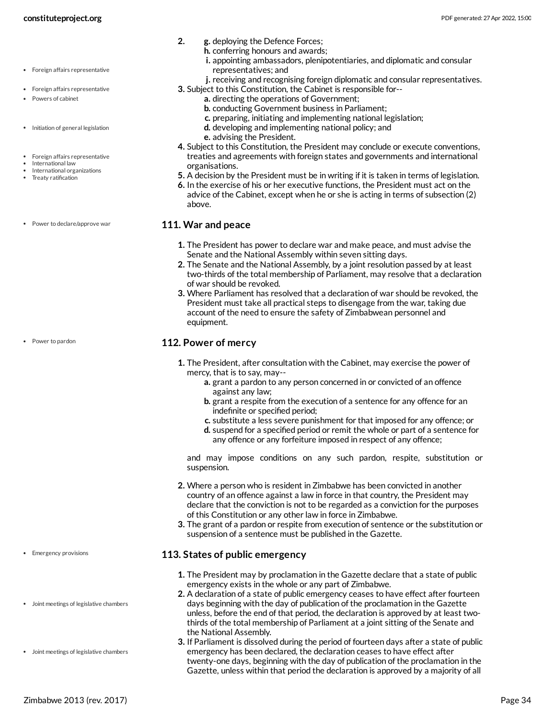- Foreign affairs representative
- Foreign affairs representative
- Powers of cabinet
- Initiation of general legislation
- Foreign affairs representative
- International law International organizations
- Treaty ratification

• Power to pardon

Power to declare/approve war

- **2. g.** deploying the Defence Forces;
	- **h.** conferring honours and awards;
		- **i.** appointing ambassadors, plenipotentiaries, and diplomatic and consular representatives; and
	- **j.** receiving and recognising foreign diplomatic and consular representatives.
- **3.** Subject to this Constitution, the Cabinet is responsible for-
	- **a.** directing the operations of Government;
		- **b.** conducting Government business in Parliament;
		- **c.** preparing, initiating and implementing national legislation;
		- **d.** developing and implementing national policy; and
		- **e.** advising the President.
- **4.** Subject to this Constitution, the President may conclude or execute conventions, treaties and agreements with foreign states and governments and international organisations.
- **5.** A decision by the President must be in writing if it is taken in terms of legislation.
- **6.** In the exercise of his or her executive functions, the President must act on the advice of the Cabinet, except when he or she is acting in terms of subsection (2) above.

#### **111. War and peace**

- **1.** The President has power to declare war and make peace, and must advise the Senate and the National Assembly within seven sitting days.
- **2.** The Senate and the National Assembly, by a joint resolution passed by at least two-thirds of the total membership of Parliament, may resolve that a declaration of war should be revoked.
- **3.** Where Parliament has resolved that a declaration of war should be revoked, the President must take all practical steps to disengage from the war, taking due account of the need to ensure the safety of Zimbabwean personnel and equipment.

#### **112. Power of mercy**

- **1.** The President, after consultation with the Cabinet, may exercise the power of mercy, that is to say, may-
	- **a.** grant a pardon to any person concerned in or convicted of an offence against any law;
	- **b.** grant a respite from the execution of a sentence for any offence for an indefinite or specified period;
	- **c.** substitute a less severe punishment for that imposed for any offence; or
	- **d.** suspend for a specified period or remit the whole or part of a sentence for any offence or any forfeiture imposed in respect of any offence;

and may impose conditions on any such pardon, respite, substitution or suspension.

- **2.** Where a person who is resident in Zimbabwe has been convicted in another country of an offence against a law in force in that country, the President may declare that the conviction is not to be regarded as a conviction for the purposes of this Constitution or any other law in force in Zimbabwe.
- **3.** The grant of a pardon or respite from execution of sentence or the substitution or suspension of a sentence must be published in the Gazette.

#### **113. States of public emergency**

- **1.** The President may by proclamation in the Gazette declare that a state of public emergency exists in the whole or any part of Zimbabwe.
- **2.** A declaration of a state of public emergency ceases to have effect after fourteen days beginning with the day of publication of the proclamation in the Gazette unless, before the end of that period, the declaration is approved by at least twothirds of the total membership of Parliament at a joint sitting of the Senate and the National Assembly.
- **3.** If Parliament is dissolved during the period of fourteen days after a state of public emergency has been declared, the declaration ceases to have effect after twenty-one days, beginning with the day of publication of the proclamation in the Gazette, unless within that period the declaration is approved by a majority of all

• Emergency provisions

- Joint meetings of legislative chambers
- Joint meetings of legislative chambers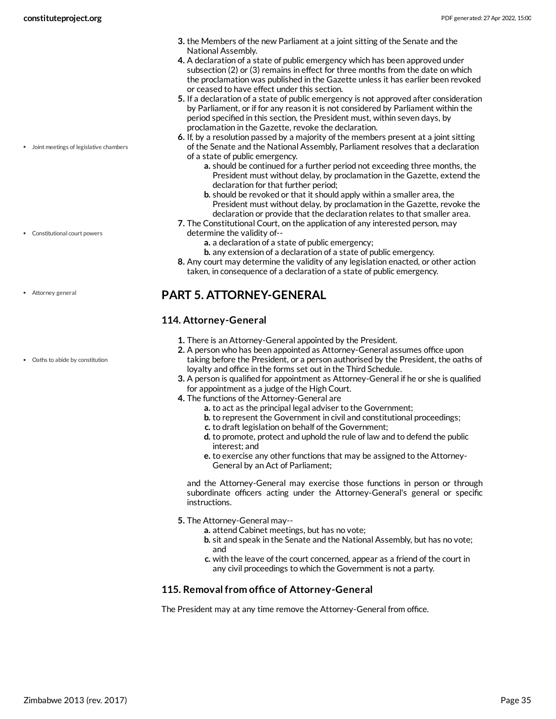- **3.** the Members of the new Parliament at a joint sitting of the Senate and the National Assembly.
- **4.** A declaration of a state of public emergency which has been approved under subsection (2) or (3) remains in effect for three months from the date on which the proclamation was published in the Gazette unless it has earlier been revoked or ceased to have effect under this section.
- **5.** If a declaration of a state of public emergency is not approved after consideration by Parliament, or if for any reason it is not considered by Parliament within the period specified in this section, the President must, within seven days, by proclamation in the Gazette, revoke the declaration.
- **6.** If, by a resolution passed by a majority of the members present at a joint sitting of the Senate and the National Assembly, Parliament resolves that a declaration of a state of public emergency.
	- **a.** should be continued for a further period not exceeding three months, the President must without delay, by proclamation in the Gazette, extend the declaration for that further period;
	- **b.** should be revoked or that it should apply within a smaller area, the President must without delay, by proclamation in the Gazette, revoke the declaration or provide that the declaration relates to that smaller area.
- **7.** The Constitutional Court, on the application of any interested person, may determine the validity of-
	- **a.** a declaration of a state of public emergency;
	- **b.** any extension of a declaration of a state of public emergency.
- **8.** Any court may determine the validity of any legislation enacted, or other action taken, in consequence of a declaration of a state of public emergency.

### <span id="page-34-0"></span>**PART 5. ATTORNEY-GENERAL**

#### **114. Attorney-General**

- **1.** There is an Attorney-General appointed by the President.
- **2.** A person who has been appointed as Attorney-General assumes office upon taking before the President, or a person authorised by the President, the oaths of loyalty and office in the forms set out in the Third Schedule.
- **3.** A person is qualified for appointment as Attorney-General if he or she is qualified for appointment as a judge of the High Court.
- **4.** The functions of the Attorney-General are
	- **a.** to act as the principal legal adviser to the Government;
	- **b.** to represent the Government in civil and constitutional proceedings;
	- **c.** to draft legislation on behalf of the Government;
	- **d.** to promote, protect and uphold the rule of law and to defend the public interest; and
	- **e.** to exercise any other functions that may be assigned to the Attorney-General by an Act of Parliament;

and the Attorney-General may exercise those functions in person or through subordinate officers acting under the Attorney-General's general or specific instructions.

- **5.** The Attorney-General may-
	- **a.** attend Cabinet meetings, but has no vote;
	- **b.** sit and speak in the Senate and the National Assembly, but has no vote; and
	- **c.** with the leave of the court concerned, appear as a friend of the court in any civil proceedings to which the Government is not a party.

#### **115. Removal from office of Attorney-General**

The President may at any time remove the Attorney-General from office.

Joint meetings of legislative chambers

Attorney general

Constitutional court powers

Oaths to abide by constitution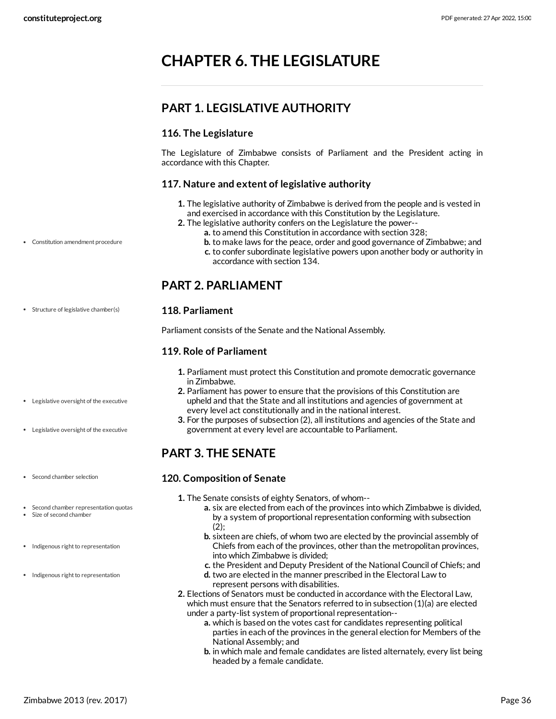# <span id="page-35-0"></span>**CHAPTER 6. THE LEGISLATURE**

### <span id="page-35-1"></span>**PART 1. LEGISLATIVE AUTHORITY**

#### **116. The Legislature**

The Legislature of Zimbabwe consists of Parliament and the President acting in accordance with this Chapter.

#### **117. Nature and extent of legislative authority**

- **1.** The legislative authority of Zimbabwe is derived from the people and is vested in and exercised in accordance with this Constitution by the Legislature.
- **2.** The legislative authority confers on the Legislature the power-
	- **a.** to amend this Constitution in accordance with section 328;
		- **b.** to make laws for the peace, order and good governance of Zimbabwe; and
		- **c.** to confer subordinate legislative powers upon another body or authority in accordance with section 134.

### <span id="page-35-2"></span>**PART 2. PARLIAMENT**

#### **118. Parliament**

Parliament consists of the Senate and the National Assembly.

#### **119. Role of Parliament**

- **1.** Parliament must protect this Constitution and promote democratic governance in Zimbabwe.
- **2.** Parliament has power to ensure that the provisions of this Constitution are upheld and that the State and all institutions and agencies of government at every level act constitutionally and in the national interest.
- **3.** For the purposes of subsection (2), all institutions and agencies of the State and government at every level are accountable to Parliament.

### <span id="page-35-3"></span>**PART 3. THE SENATE**

#### **120. Composition of Senate**

- **1.** The Senate consists of eighty Senators, of whom-
	- **a.** six are elected from each of the provinces into which Zimbabwe is divided, by a system of proportional representation conforming with subsection (2);
	- **b.** sixteen are chiefs, of whom two are elected by the provincial assembly of Chiefs from each of the provinces, other than the metropolitan provinces, into which Zimbabwe is divided;
	- **c.** the President and Deputy President of the National Council of Chiefs; and
	- **d.** two are elected in the manner prescribed in the Electoral Law to represent persons with disabilities.
- **2.** Elections of Senators must be conducted in accordance with the Electoral Law, which must ensure that the Senators referred to in subsection (1)(a) are elected under a party-list system of proportional representation-
	- **a.** which is based on the votes cast for candidates representing political parties in each of the provinces in the general election for Members of the National Assembly; and
	- **b.** in which male and female candidates are listed alternately, every list being headed by a female candidate.

Constitution amendment procedure

• Structure of legislative chamber(s)

Legislative oversight of the executive

- Legislative oversight of the executive
- Second chamber selection
- Second chamber representation quotas
- Size of second chamber
- Indigenous right to representation
- Indigenous right to representation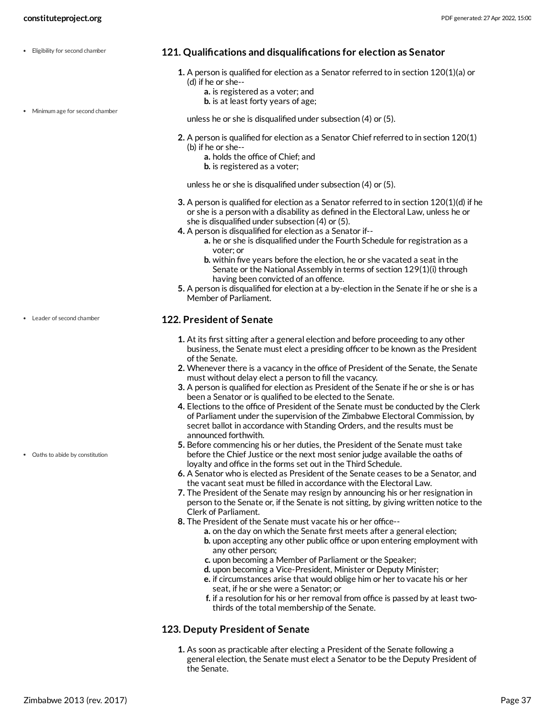### **121. Qualifications and disqualifications for election as Senator**

- **1.** A person is qualified for election as a Senator referred to in section 120(1)(a) or (d) if he or she-
	- **a.** is registered as a voter; and
	- **b.** is at least forty years of age;

unless he or she is disqualified under subsection (4) or (5).

- **2.** A person is qualified for election as a Senator Chief referred to in section 120(1) (b) if he or she-
	- **a.** holds the office of Chief; and
	- **b.** is registered as a voter;

unless he or she is disqualified under subsection (4) or (5).

- **3.** A person is qualified for election as a Senator referred to in section 120(1)(d) if he or she is a person with a disability as defined in the Electoral Law, unless he or she is disqualified under subsection (4) or (5).
- **4.** A person is disqualified for election as a Senator if-
	- **a.** he or she is disqualified under the Fourth Schedule for registration as a voter; or
	- **b.** within five years before the election, he or she vacated a seat in the Senate or the National Assembly in terms of section 129(1)(i) through having been convicted of an offence.
- **5.** A person is disqualified for election at a by-election in the Senate if he or she is a Member of Parliament.

### **122. President of Senate**

- **1.** At its first sitting after a general election and before proceeding to any other business, the Senate must elect a presiding officer to be known as the President of the Senate.
- **2.** Whenever there is a vacancy in the office of President of the Senate, the Senate must without delay elect a person to fill the vacancy.
- **3.** A person is qualified for election as President of the Senate if he or she is or has been a Senator or is qualified to be elected to the Senate.
- **4.** Elections to the office of President of the Senate must be conducted by the Clerk of Parliament under the supervision of the Zimbabwe Electoral Commission, by secret ballot in accordance with Standing Orders, and the results must be announced forthwith.
- **5.** Before commencing his or her duties, the President of the Senate must take before the Chief Justice or the next most senior judge available the oaths of loyalty and office in the forms set out in the Third Schedule.
- **6.** A Senator who is elected as President of the Senate ceases to be a Senator, and the vacant seat must be filled in accordance with the Electoral Law.
- **7.** The President of the Senate may resign by announcing his or her resignation in person to the Senate or, if the Senate is not sitting, by giving written notice to the Clerk of Parliament.
- **8.** The President of the Senate must vacate his or her office-
	- **a.** on the day on which the Senate first meets after a general election; **b.** upon accepting any other public office or upon entering employment with any other person;
	- **c.** upon becoming a Member of Parliament or the Speaker;
	- **d.** upon becoming a Vice-President, Minister or Deputy Minister;
	- **e.** if circumstances arise that would oblige him or her to vacate his or her seat, if he or she were a Senator; or
	- **f.** if a resolution for his or her removal from office is passed by at least twothirds of the total membership of the Senate.

### **123. Deputy President of Senate**

**1.** As soon as practicable after electing a President of the Senate following a general election, the Senate must elect a Senator to be the Deputy President of the Senate.

Minimum age for second chamber

Leader of second chamber

Oaths to abide by constitution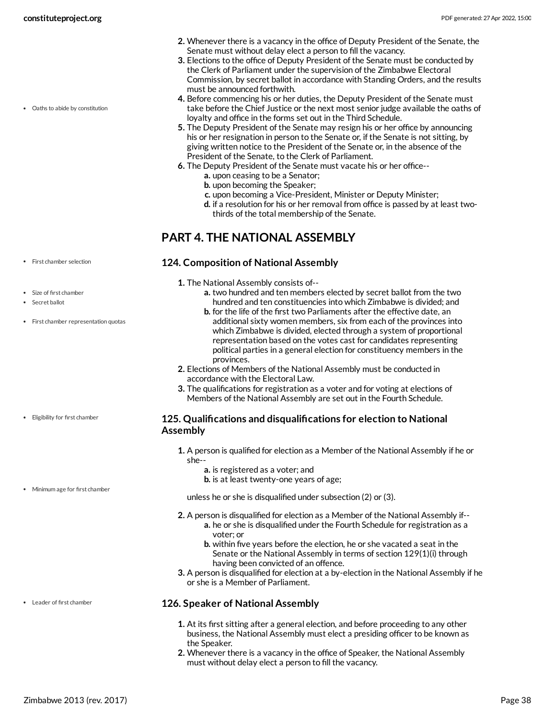- **2.** Whenever there is a vacancy in the office of Deputy President of the Senate, the Senate must without delay elect a person to fill the vacancy.
- **3.** Elections to the office of Deputy President of the Senate must be conducted by the Clerk of Parliament under the supervision of the Zimbabwe Electoral Commission, by secret ballot in accordance with Standing Orders, and the results must be announced forthwith.
- **4.** Before commencing his or her duties, the Deputy President of the Senate must take before the Chief Justice or the next most senior judge available the oaths of loyalty and office in the forms set out in the Third Schedule.
- **5.** The Deputy President of the Senate may resign his or her office by announcing his or her resignation in person to the Senate or, if the Senate is not sitting, by giving written notice to the President of the Senate or, in the absence of the President of the Senate, to the Clerk of Parliament.
- **6.** The Deputy President of the Senate must vacate his or her office-
	- **a.** upon ceasing to be a Senator;
		- **b.** upon becoming the Speaker;
		- **c.** upon becoming a Vice-President, Minister or Deputy Minister;
		- **d.** if a resolution for his or her removal from office is passed by at least twothirds of the total membership of the Senate.

### **PART 4. THE NATIONAL ASSEMBLY**

#### **124. Composition of National Assembly**

- **1.** The National Assembly consists of-
	- **a.** two hundred and ten members elected by secret ballot from the two hundred and ten constituencies into which Zimbabwe is divided; and
	- **b.** for the life of the first two Parliaments after the effective date, an additional sixty women members, six from each of the provinces into which Zimbabwe is divided, elected through a system of proportional representation based on the votes cast for candidates representing political parties in a general election for constituency members in the provinces.
- **2.** Elections of Members of the National Assembly must be conducted in accordance with the Electoral Law.
- **3.** The qualifications for registration as a voter and for voting at elections of Members of the National Assembly are set out in the Fourth Schedule.

#### **125. Qualifications and disqualifications for election to National Assembly**

- **1.** A person is qualified for election as a Member of the National Assembly if he or she-
	- **a.** is registered as a voter; and
	- **b.** is at least twenty-one years of age;

unless he or she is disqualified under subsection (2) or (3).

- **2.** A person is disqualified for election as a Member of the National Assembly if- **a.** he or she is disqualified under the Fourth Schedule for registration as a
	- voter; or
	- **b.** within five years before the election, he or she vacated a seat in the Senate or the National Assembly in terms of section 129(1)(i) through having been convicted of an offence.
- **3.** A person is disqualified for election at a by-election in the National Assembly if he or she is a Member of Parliament.

#### **126. Speaker of National Assembly**

- **1.** At its first sitting after a general election, and before proceeding to any other business, the National Assembly must elect a presiding officer to be known as the Speaker.
- **2.** Whenever there is a vacancy in the office of Speaker, the National Assembly must without delay elect a person to fill the vacancy.

Oaths to abide by constitution

- First chamber selection
- Size of first chamber
- Secret ballot
- First chamber representation quotas

- Eligibility for first chamber
- Minimum age for first chamber

Leader of first chamber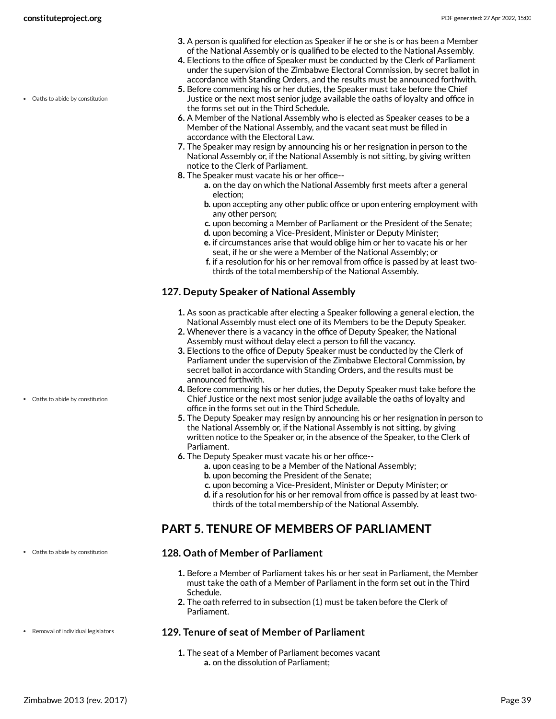Oaths to abide by constitution

- **3.** A person is qualified for election as Speaker if he or she is or has been a Member of the National Assembly or is qualified to be elected to the National Assembly.
- **4.** Elections to the office of Speaker must be conducted by the Clerk of Parliament under the supervision of the Zimbabwe Electoral Commission, by secret ballot in accordance with Standing Orders, and the results must be announced forthwith.
- **5.** Before commencing his or her duties, the Speaker must take before the Chief Justice or the next most senior judge available the oaths of loyalty and office in the forms set out in the Third Schedule.
- **6.** A Member of the National Assembly who is elected as Speaker ceases to be a Member of the National Assembly, and the vacant seat must be filled in accordance with the Electoral Law.
- **7.** The Speaker may resign by announcing his or her resignation in person to the National Assembly or, if the National Assembly is not sitting, by giving written notice to the Clerk of Parliament.
- **8.** The Speaker must vacate his or her office-
	- **a.** on the day on which the National Assembly first meets after a general election;
	- **b.** upon accepting any other public office or upon entering employment with any other person;
	- **c.** upon becoming a Member of Parliament or the President of the Senate;
	- **d.** upon becoming a Vice-President, Minister or Deputy Minister;
	- **e.** if circumstances arise that would oblige him or her to vacate his or her seat, if he or she were a Member of the National Assembly; or
	- **f.** if a resolution for his or her removal from office is passed by at least twothirds of the total membership of the National Assembly.

### **127. Deputy Speaker of National Assembly**

- **1.** As soon as practicable after electing a Speaker following a general election, the National Assembly must elect one of its Members to be the Deputy Speaker.
- **2.** Whenever there is a vacancy in the office of Deputy Speaker, the National Assembly must without delay elect a person to fill the vacancy.
- **3.** Elections to the office of Deputy Speaker must be conducted by the Clerk of Parliament under the supervision of the Zimbabwe Electoral Commission, by secret ballot in accordance with Standing Orders, and the results must be announced forthwith.
- **4.** Before commencing his or her duties, the Deputy Speaker must take before the Chief Justice or the next most senior judge available the oaths of loyalty and office in the forms set out in the Third Schedule.
- **5.** The Deputy Speaker may resign by announcing his or her resignation in person to the National Assembly or, if the National Assembly is not sitting, by giving written notice to the Speaker or, in the absence of the Speaker, to the Clerk of Parliament.
- **6.** The Deputy Speaker must vacate his or her office-
	- **a.** upon ceasing to be a Member of the National Assembly;
	- **b.** upon becoming the President of the Senate;
	- **c.** upon becoming a Vice-President, Minister or Deputy Minister; or
	- **d.** if a resolution for his or her removal from office is passed by at least twothirds of the total membership of the National Assembly.

### **PART 5. TENURE OF MEMBERS OF PARLIAMENT**

#### **128. Oath of Member of Parliament**

- **1.** Before a Member of Parliament takes his or her seat in Parliament, the Member must take the oath of a Member of Parliament in the form set out in the Third Schedule.
- **2.** The oath referred to in subsection (1) must be taken before the Clerk of Parliament.

Removal of individual legislators

Oaths to abide by constitution

### **129. Tenure of seat of Member of Parliament**

**1.** The seat of a Member of Parliament becomes vacant **a.** on the dissolution of Parliament;

Oaths to abide by constitution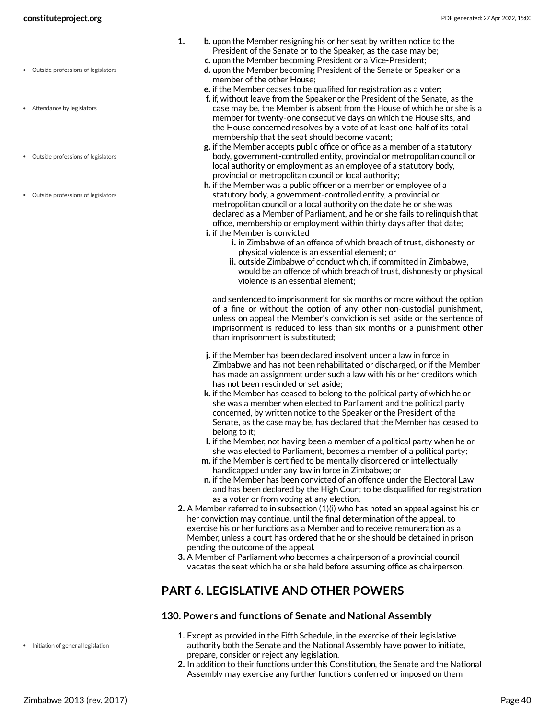- Outside professions of legislators
- Attendance by legislators
- Outside professions of legislators
- Outside professions of legislators
- **1. b.** upon the Member resigning his or her seat by written notice to the President of the Senate or to the Speaker, as the case may be;
	- **c.** upon the Member becoming President or a Vice-President;
	- **d.** upon the Member becoming President of the Senate or Speaker or a member of the other House;
	- **e.** if the Member ceases to be qualified for registration as a voter;
	- **f.** if, without leave from the Speaker or the President of the Senate, as the case may be, the Member is absent from the House of which he or she is a member for twenty-one consecutive days on which the House sits, and the House concerned resolves by a vote of at least one-half of its total membership that the seat should become vacant;
	- **g.** if the Member accepts public office or office as a member of a statutory body, government-controlled entity, provincial or metropolitan council or local authority or employment as an employee of a statutory body, provincial or metropolitan council or local authority;
	- **h.** if the Member was a public officer or a member or employee of a statutory body, a government-controlled entity, a provincial or metropolitan council or a local authority on the date he or she was declared as a Member of Parliament, and he or she fails to relinquish that office, membership or employment within thirty days after that date;
	- **i.** if the Member is convicted
		- **i.** in Zimbabwe of an offence of which breach of trust, dishonesty or physical violence is an essential element; or
		- **ii.** outside Zimbabwe of conduct which, if committed in Zimbabwe, would be an offence of which breach of trust, dishonesty or physical violence is an essential element;

and sentenced to imprisonment for six months or more without the option of a fine or without the option of any other non-custodial punishment, unless on appeal the Member's conviction is set aside or the sentence of imprisonment is reduced to less than six months or a punishment other than imprisonment is substituted;

- **j.** if the Member has been declared insolvent under a law in force in Zimbabwe and has not been rehabilitated or discharged, or if the Member has made an assignment under such a law with his or her creditors which has not been rescinded or set aside;
- **k.** if the Member has ceased to belong to the political party of which he or she was a member when elected to Parliament and the political party concerned, by written notice to the Speaker or the President of the Senate, as the case may be, has declared that the Member has ceased to belong to it;
- **l.** if the Member, not having been a member of a political party when he or she was elected to Parliament, becomes a member of a political party;
- **m.** if the Member is certified to be mentally disordered or intellectually handicapped under any law in force in Zimbabwe; or
- **n.** if the Member has been convicted of an offence under the Electoral Law and has been declared by the High Court to be disqualified for registration as a voter or from voting at any election.
- **2.** A Member referred to in subsection (1)(i) who has noted an appeal against his or her conviction may continue, until the final determination of the appeal, to exercise his or her functions as a Member and to receive remuneration as a Member, unless a court has ordered that he or she should be detained in prison pending the outcome of the appeal.
- **3.** A Member of Parliament who becomes a chairperson of a provincial council vacates the seat which he or she held before assuming office as chairperson.

### **PART 6. LEGISLATIVE AND OTHER POWERS**

#### **130. Powers and functions of Senate and National Assembly**

- **1.** Except as provided in the Fifth Schedule, in the exercise of their legislative authority both the Senate and the National Assembly have power to initiate, prepare, consider or reject any legislation.
- **2.** In addition to their functions under this Constitution, the Senate and the National Assembly may exercise any further functions conferred or imposed on them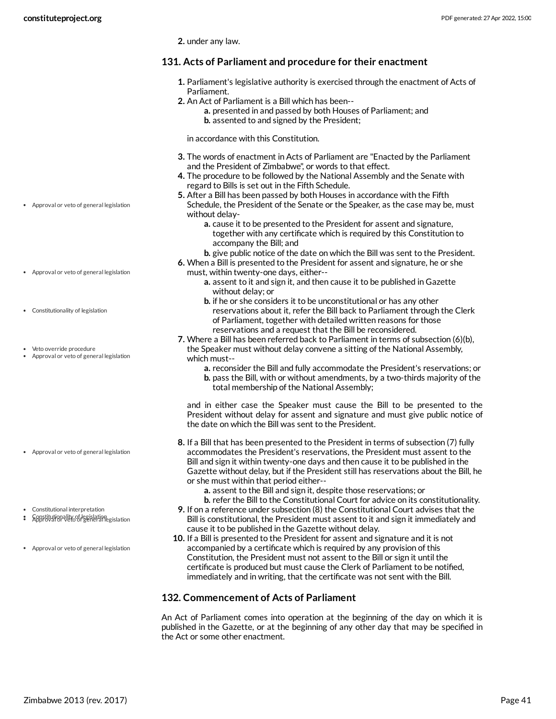**2.** under any law.

### **131. Acts of Parliament and procedure for their enactment**

- **1.** Parliament's legislative authority is exercised through the enactment of Acts of Parliament.
- **2.** An Act of Parliament is a Bill which has been-
	- **a.** presented in and passed by both Houses of Parliament; and **b.** assented to and signed by the President;

in accordance with this Constitution.

- **3.** The words of enactment in Acts of Parliament are "Enacted by the Parliament and the President of Zimbabwe", or words to that effect.
- **4.** The procedure to be followed by the National Assembly and the Senate with regard to Bills is set out in the Fifth Schedule.
- **5.** After a Bill has been passed by both Houses in accordance with the Fifth Schedule, the President of the Senate or the Speaker, as the case may be, must without delay
	- **a.** cause it to be presented to the President for assent and signature, together with any certificate which is required by this Constitution to accompany the Bill; and
- **b.** give public notice of the date on which the Bill was sent to the President.
- **6.** When a Bill is presented to the President for assent and signature, he or she must, within twenty-one days, either-
	- **a.** assent to it and sign it, and then cause it to be published in Gazette without delay; or
	- **b.** if he or she considers it to be unconstitutional or has any other reservations about it, refer the Bill back to Parliament through the Clerk of Parliament, together with detailed written reasons for those reservations and a request that the Bill be reconsidered.
- **7.** Where a Bill has been referred back to Parliament in terms of subsection (6)(b), the Speaker must without delay convene a sitting of the National Assembly, which must-
	- **a.** reconsider the Bill and fully accommodate the President's reservations; or **b.** pass the Bill, with or without amendments, by a two-thirds majority of the
		- total membership of the National Assembly;

and in either case the Speaker must cause the Bill to be presented to the President without delay for assent and signature and must give public notice of the date on which the Bill was sent to the President.

- **8.** If a Bill that has been presented to the President in terms of subsection (7) fully accommodates the President's reservations, the President must assent to the Bill and sign it within twenty-one days and then cause it to be published in the Gazette without delay, but if the President still has reservations about the Bill, he or she must within that period either-
	- **a.** assent to the Bill and sign it, despite those reservations; or
	- **b.** refer the Bill to the Constitutional Court for advice on its constitutionality.
- **9.** If on a reference under subsection (8) the Constitutional Court advises that the Bill is constitutional, the President must assent to it and sign it immediately and cause it to be published in the Gazette without delay.
- **10.** If a Bill is presented to the President for assent and signature and it is not accompanied by a certificate which is required by any provision of this Constitution, the President must not assent to the Bill or sign it until the certificate is produced but must cause the Clerk of Parliament to be notified, immediately and in writing, that the certificate was not sent with the Bill.

### **132. Commencement of Acts of Parliament**

An Act of Parliament comes into operation at the beginning of the day on which it is published in the Gazette, or at the beginning of any other day that may be specified in the Act or some other enactment.

Approval or veto of general legislation

- Approval or veto of general legislation
- Constitutionality of legislation
- Veto override procedure
- Approval or veto of general legislation

- Approval or veto of general legislation
- Constitutional interpretation
- : Approval or although the sister of degislation
- Approval or veto of general legislation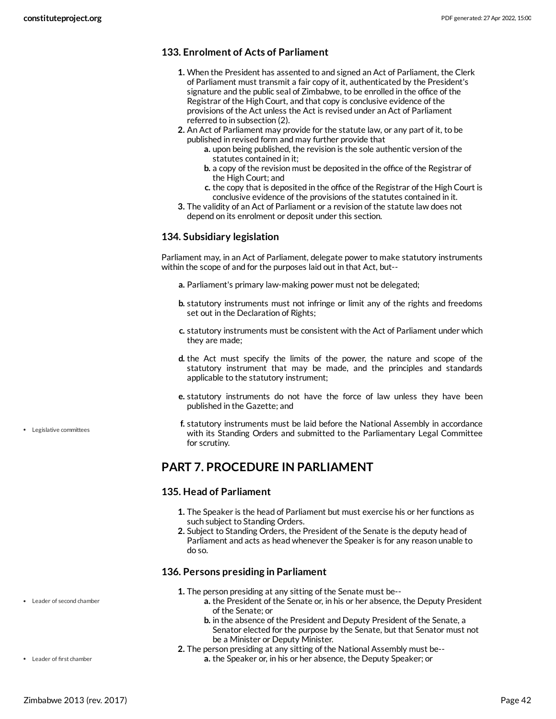### **133. Enrolment of Acts of Parliament**

- **1.** When the President has assented to and signed an Act of Parliament, the Clerk of Parliament must transmit a fair copy of it, authenticated by the President's signature and the public seal of Zimbabwe, to be enrolled in the office of the Registrar of the High Court, and that copy is conclusive evidence of the provisions of the Act unless the Act is revised under an Act of Parliament referred to in subsection (2).
- **2.** An Act of Parliament may provide for the statute law, or any part of it, to be published in revised form and may further provide that
	- **a.** upon being published, the revision is the sole authentic version of the statutes contained in it;
	- **b.** a copy of the revision must be deposited in the office of the Registrar of the High Court; and
	- **c.** the copy that is deposited in the office of the Registrar of the High Court is conclusive evidence of the provisions of the statutes contained in it.
- **3.** The validity of an Act of Parliament or a revision of the statute law does not depend on its enrolment or deposit under this section.

### **134. Subsidiary legislation**

Parliament may, in an Act of Parliament, delegate power to make statutory instruments within the scope of and for the purposes laid out in that Act, but--

- **a.** Parliament's primary law-making power must not be delegated;
- **b.** statutory instruments must not infringe or limit any of the rights and freedoms set out in the Declaration of Rights;
- **c.** statutory instruments must be consistent with the Act of Parliament under which they are made;
- **d.** the Act must specify the limits of the power, the nature and scope of the statutory instrument that may be made, and the principles and standards applicable to the statutory instrument;
- **e.** statutory instruments do not have the force of law unless they have been published in the Gazette; and
- **f.** statutory instruments must be laid before the National Assembly in accordance with its Standing Orders and submitted to the Parliamentary Legal Committee for scrutiny.

### **PART 7. PROCEDURE IN PARLIAMENT**

### **135. Head of Parliament**

- **1.** The Speaker is the head of Parliament but must exercise his or her functions as such subject to Standing Orders.
- **2.** Subject to Standing Orders, the President of the Senate is the deputy head of Parliament and acts as head whenever the Speaker is for any reason unable to do so.

### **136. Persons presiding in Parliament**

- **1.** The person presiding at any sitting of the Senate must be-
	- **a.** the President of the Senate or, in his or her absence, the Deputy President of the Senate; or
	- **b.** in the absence of the President and Deputy President of the Senate, a Senator elected for the purpose by the Senate, but that Senator must not be a Minister or Deputy Minister.
- **2.** The person presiding at any sitting of the National Assembly must be-
	- **a.** the Speaker or, in his or her absence, the Deputy Speaker; or

Legislative committees

Leader of second chamber

Leader of first chamber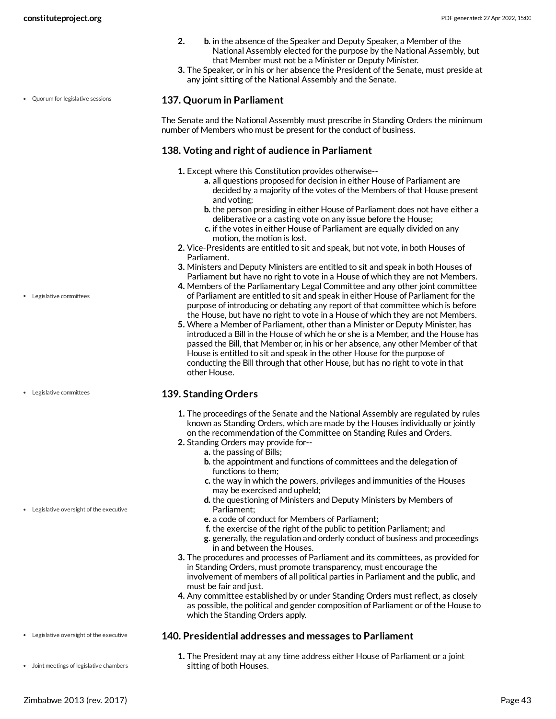Quorum for legislative sessions

- **2. b.** in the absence of the Speaker and Deputy Speaker, a Member of the National Assembly elected for the purpose by the National Assembly, but that Member must not be a Minister or Deputy Minister.
- **3.** The Speaker, or in his or her absence the President of the Senate, must preside at any joint sitting of the National Assembly and the Senate.

### **137. Quorum in Parliament**

The Senate and the National Assembly must prescribe in Standing Orders the minimum number of Members who must be present for the conduct of business.

#### **138. Voting and right of audience in Parliament**

- **1.** Except where this Constitution provides otherwise-
	- **a.** all questions proposed for decision in either House of Parliament are decided by a majority of the votes of the Members of that House present and voting;
	- **b.** the person presiding in either House of Parliament does not have either a deliberative or a casting vote on any issue before the House;
	- **c.** if the votes in either House of Parliament are equally divided on any motion, the motion is lost.
- **2.** Vice-Presidents are entitled to sit and speak, but not vote, in both Houses of Parliament.
- **3.** Ministers and Deputy Ministers are entitled to sit and speak in both Houses of Parliament but have no right to vote in a House of which they are not Members.
- **4.** Members of the Parliamentary Legal Committee and any other joint committee of Parliament are entitled to sit and speak in either House of Parliament for the purpose of introducing or debating any report of that committee which is before the House, but have no right to vote in a House of which they are not Members.
- **5.** Where a Member of Parliament, other than a Minister or Deputy Minister, has introduced a Bill in the House of which he or she is a Member, and the House has passed the Bill, that Member or, in his or her absence, any other Member of that House is entitled to sit and speak in the other House for the purpose of conducting the Bill through that other House, but has no right to vote in that other House.

### **139. Standing Orders**

- **1.** The proceedings of the Senate and the National Assembly are regulated by rules known as Standing Orders, which are made by the Houses individually or jointly on the recommendation of the Committee on Standing Rules and Orders.
- **2.** Standing Orders may provide for-
	- **a.** the passing of Bills;
	- **b.** the appointment and functions of committees and the delegation of functions to them;
	- **c.** the way in which the powers, privileges and immunities of the Houses may be exercised and upheld;
	- **d.** the questioning of Ministers and Deputy Ministers by Members of Parliament;
	- **e.** a code of conduct for Members of Parliament;
	- **f.** the exercise of the right of the public to petition Parliament; and
	- **g.** generally, the regulation and orderly conduct of business and proceedings in and between the Houses.
- **3.** The procedures and processes of Parliament and its committees, as provided for in Standing Orders, must promote transparency, must encourage the involvement of members of all political parties in Parliament and the public, and must be fair and just.
- **4.** Any committee established by or under Standing Orders must reflect, as closely as possible, the political and gender composition of Parliament or of the House to which the Standing Orders apply.

### **140. Presidential addresses and messages to Parliament**

**1.** The President may at any time address either House of Parliament or a joint sitting of both Houses.

Legislative committees

Legislative committees

Legislative oversight of the executive

Legislative oversight of the executive

Joint meetings of legislative chambers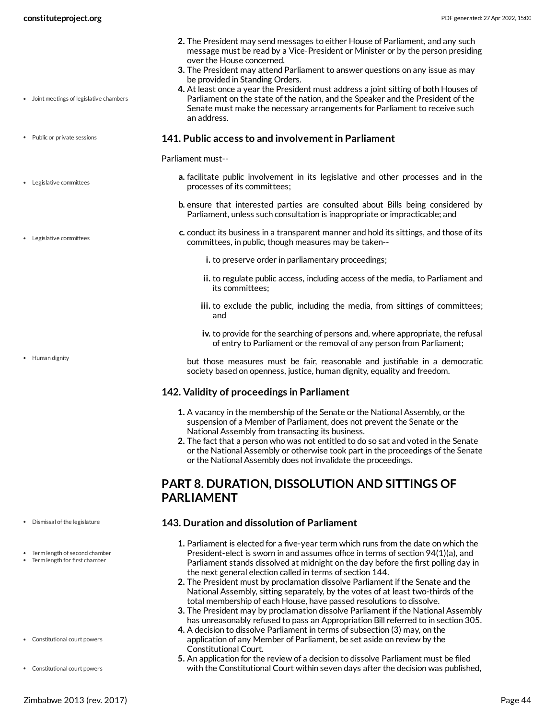- **2.** The President may send messages to either House of Parliament, and any such message must be read by a Vice-President or Minister or by the person presiding over the House concerned.
- **3.** The President may attend Parliament to answer questions on any issue as may be provided in Standing Orders.
- **4.** At least once a year the President must address a joint sitting of both Houses of Parliament on the state of the nation, and the Speaker and the President of the Senate must make the necessary arrangements for Parliament to receive such an address.

#### **141. Public access to and involvementin Parliament**

Parliament must--

- **a.** facilitate public involvement in its legislative and other processes and in the processes of its committees;
- **b.** ensure that interested parties are consulted about Bills being considered by Parliament, unless such consultation is inappropriate or impracticable; and
- **c.** conduct its business in a transparent manner and hold its sittings, and those of its committees, in public, though measures may be taken-
	- **i.** to preserve order in parliamentary proceedings;
	- **ii.** to regulate public access, including access of the media, to Parliament and its committees;
	- **iii.** to exclude the public, including the media, from sittings of committees; and
	- **iv.** to provide for the searching of persons and, where appropriate, the refusal of entry to Parliament or the removal of any person from Parliament;

but those measures must be fair, reasonable and justifiable in a democratic society based on openness, justice, human dignity, equality and freedom.

### **142. Validity of proceedings in Parliament**

- **1.** A vacancy in the membership of the Senate or the National Assembly, or the suspension of a Member of Parliament, does not prevent the Senate or the National Assembly from transacting its business.
- **2.** The fact that a person who was not entitled to do so sat and voted in the Senate or the National Assembly or otherwise took part in the proceedings of the Senate or the National Assembly does not invalidate the proceedings.

### **PART 8. DURATION, DISSOLUTION AND SITTINGS OF PARLIAMENT**

#### **143. Duration and dissolution of Parliament**

- **1.** Parliament is elected for a five-year term which runs from the date on which the President-elect is sworn in and assumes office in terms of section 94(1)(a), and Parliament stands dissolved at midnight on the day before the first polling day in the next general election called in terms of section 144.
- **2.** The President must by proclamation dissolve Parliament if the Senate and the National Assembly, sitting separately, by the votes of at least two-thirds of the total membership of each House, have passed resolutions to dissolve.
- **3.** The President may by proclamation dissolve Parliament if the National Assembly has unreasonably refused to pass an Appropriation Bill referred to in section 305.
- **4.** A decision to dissolve Parliament in terms of subsection (3) may, on the application of any Member of Parliament, be set aside on review by the Constitutional Court.
- **5.** An application for the review of a decision to dissolve Parliament must be filed with the Constitutional Court within seven days after the decision was published,

Joint meetings of legislative chambers

- Public or private sessions
- Legislative committees
- Legislative committees

• Human dignity

- Dismissal of the legislature
- Term length of second chamber
- Term length for first chamber
- Constitutional court powers
- Constitutional court powers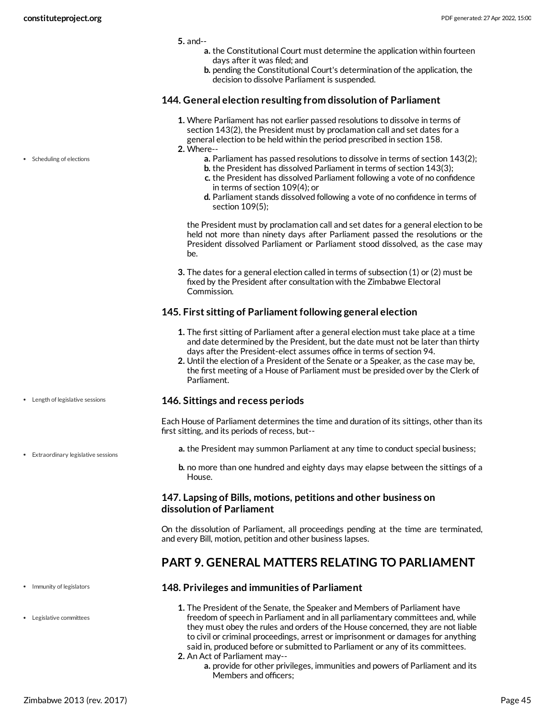- **5.** and-
	- **a.** the Constitutional Court must determine the application within fourteen days after it was filed; and
	- **b.** pending the Constitutional Court's determination of the application, the decision to dissolve Parliament is suspended.

### **144. General election resulting from dissolution of Parliament**

- **1.** Where Parliament has not earlier passed resolutions to dissolve in terms of section 143(2), the President must by proclamation call and set dates for a general election to be held within the period prescribed in section 158.
- **2.** Where-
	- **a.** Parliament has passed resolutions to dissolve in terms of section 143(2);
	- **b.** the President has dissolved Parliament in terms of section 143(3);
	- **c.** the President has dissolved Parliament following a vote of no confidence in terms of section 109(4); or
	- **d.** Parliament stands dissolved following a vote of no confidence in terms of section 109(5);

the President must by proclamation call and set dates for a general election to be held not more than ninety days after Parliament passed the resolutions or the President dissolved Parliament or Parliament stood dissolved, as the case may be.

**3.** The dates for a general election called in terms of subsection (1) or (2) must be fixed by the President after consultation with the Zimbabwe Electoral Commission.

### **145. First sitting of Parliamentfollowing general election**

- **1.** The first sitting of Parliament after a general election must take place at a time and date determined by the President, but the date must not be later than thirty days after the President-elect assumes office in terms of section 94.
- **2.** Until the election of a President of the Senate or a Speaker, as the case may be, the first meeting of a House of Parliament must be presided over by the Clerk of Parliament.

#### **146. Sittings and recess periods**

Each House of Parliament determines the time and duration of its sittings, other than its first sitting, and its periods of recess, but--

- **a.** the President may summon Parliament at any time to conduct special business;
- **b.** no more than one hundred and eighty days may elapse between the sittings of a House.

### **147. Lapsing of Bills, motions, petitions and other business on dissolution of Parliament**

On the dissolution of Parliament, all proceedings pending at the time are terminated, and every Bill, motion, petition and other business lapses.

### **PART 9. GENERAL MATTERS RELATING TO PARLIAMENT**

#### **148. Privileges and immunities of Parliament**

- **1.** The President of the Senate, the Speaker and Members of Parliament have freedom of speech in Parliament and in all parliamentary committees and, while they must obey the rules and orders of the House concerned, they are not liable to civil or criminal proceedings, arrest or imprisonment or damages for anything said in, produced before or submitted to Parliament or any of its committees.
- **2.** An Act of Parliament may-
	- **a.** provide for other privileges, immunities and powers of Parliament and its Members and officers;

Scheduling of elections

Extraordinary legislative sessions

Length of legislative sessions

- Immunity of legislators
- Legislative committees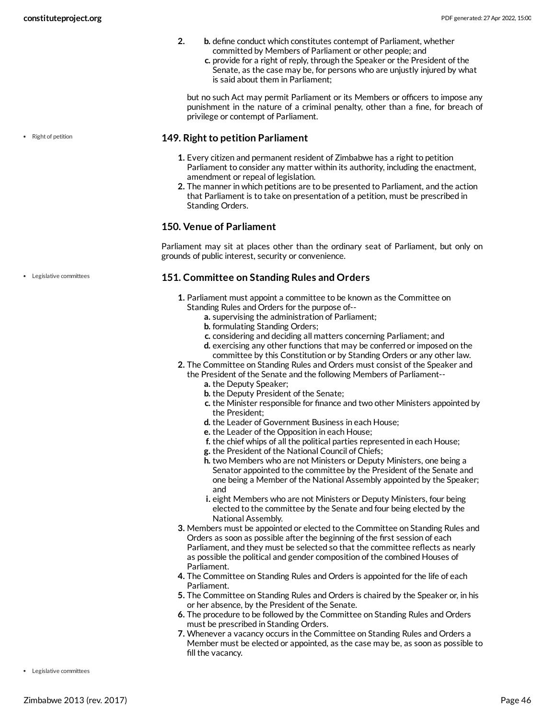- **2. b.** define conduct which constitutes contempt of Parliament, whether committed by Members of Parliament or other people; and
	- **c.** provide for a right of reply, through the Speaker or the President of the Senate, as the case may be, for persons who are unjustly injured by what is said about them in Parliament;

but no such Act may permit Parliament or its Members or officers to impose any punishment in the nature of a criminal penalty, other than a fine, for breach of privilege or contempt of Parliament.

#### **149. Right to petition Parliament**

- **1.** Every citizen and permanent resident of Zimbabwe has a right to petition Parliament to consider any matter within its authority, including the enactment, amendment or repeal of legislation.
- **2.** The manner in which petitions are to be presented to Parliament, and the action that Parliament is to take on presentation of a petition, must be prescribed in Standing Orders.

### **150. Venue of Parliament**

Parliament may sit at places other than the ordinary seat of Parliament, but only on grounds of public interest, security or convenience.

### **151. Committee on Standing Rules and Orders**

- **1.** Parliament must appoint a committee to be known as the Committee on
	- Standing Rules and Orders for the purpose of-
		- **a.** supervising the administration of Parliament;
		- **b.** formulating Standing Orders;
		- **c.** considering and deciding all matters concerning Parliament; and
		- **d.** exercising any other functions that may be conferred or imposed on the committee by this Constitution or by Standing Orders or any other law.
- **2.** The Committee on Standing Rules and Orders must consist of the Speaker and the President of the Senate and the following Members of Parliament-
	- **a.** the Deputy Speaker;
	- **b.** the Deputy President of the Senate;
	- **c.** the Minister responsible for finance and two other Ministers appointed by the President;
	- **d.** the Leader of Government Business in each House;
	- **e.** the Leader of the Opposition in each House;
	- **f.** the chief whips of all the political parties represented in each House;
	- **g.** the President of the National Council of Chiefs;
	- **h.** two Members who are not Ministers or Deputy Ministers, one being a Senator appointed to the committee by the President of the Senate and one being a Member of the National Assembly appointed by the Speaker; and
	- **i.** eight Members who are not Ministers or Deputy Ministers, four being elected to the committee by the Senate and four being elected by the National Assembly.
- **3.** Members must be appointed or elected to the Committee on Standing Rules and Orders as soon as possible after the beginning of the first session of each Parliament, and they must be selected so that the committee reflects as nearly as possible the political and gender composition of the combined Houses of Parliament.
- **4.** The Committee on Standing Rules and Orders is appointed for the life of each Parliament.
- **5.** The Committee on Standing Rules and Orders is chaired by the Speaker or, in his or her absence, by the President of the Senate.
- **6.** The procedure to be followed by the Committee on Standing Rules and Orders must be prescribed in Standing Orders.
- **7.** Whenever a vacancy occurs in the Committee on Standing Rules and Orders a Member must be elected or appointed, as the case may be, as soon as possible to fill the vacancy.

• Right of petition

Legislative committees

Legislative committees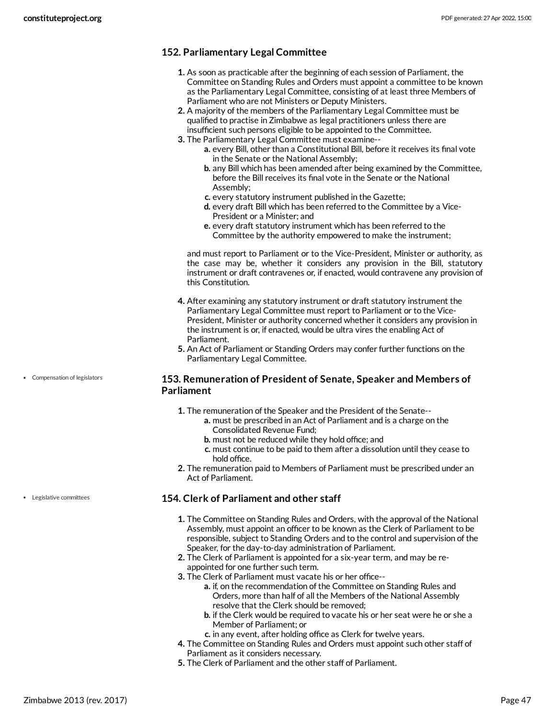### **152. Parliamentary Legal Committee**

- **1.** As soon as practicable after the beginning of each session of Parliament, the Committee on Standing Rules and Orders must appoint a committee to be known as the Parliamentary Legal Committee, consisting of at least three Members of Parliament who are not Ministers or Deputy Ministers.
- **2.** A majority of the members of the Parliamentary Legal Committee must be qualified to practise in Zimbabwe as legal practitioners unless there are insufficient such persons eligible to be appointed to the Committee.
- **3.** The Parliamentary Legal Committee must examine-
	- **a.** every Bill, other than a Constitutional Bill, before it receives its final vote in the Senate or the National Assembly;
	- **b.** any Bill which has been amended after being examined by the Committee, before the Bill receives its final vote in the Senate or the National Assembly;
	- **c.** every statutory instrument published in the Gazette;
	- **d.** every draft Bill which has been referred to the Committee by a Vice-President or a Minister; and
	- **e.** every draft statutory instrument which has been referred to the Committee by the authority empowered to make the instrument;

and must report to Parliament or to the Vice-President, Minister or authority, as the case may be, whether it considers any provision in the Bill, statutory instrument or draft contravenes or, if enacted, would contravene any provision of this Constitution.

- **4.** After examining any statutory instrument or draft statutory instrument the Parliamentary Legal Committee must report to Parliament or to the Vice-President, Minister or authority concerned whether it considers any provision in the instrument is or, if enacted, would be ultra vires the enabling Act of Parliament.
- **5.** An Act of Parliament or Standing Orders may confer further functions on the Parliamentary Legal Committee.

#### **153. Remuneration of President of Senate, Speaker and Members of Parliament**

- **1.** The remuneration of the Speaker and the President of the Senate-
	- **a.** must be prescribed in an Act of Parliament and is a charge on the Consolidated Revenue Fund;
	- **b.** must not be reduced while they hold office; and
	- **c.** must continue to be paid to them after a dissolution until they cease to hold office.
- **2.** The remuneration paid to Members of Parliament must be prescribed under an Act of Parliament.

### **154. Clerk of Parliament and other staff**

- **1.** The Committee on Standing Rules and Orders, with the approval of the National Assembly, must appoint an officer to be known as the Clerk of Parliament to be responsible, subject to Standing Orders and to the control and supervision of the Speaker, for the day-to-day administration of Parliament.
- **2.** The Clerk of Parliament is appointed for a six-year term, and may be reappointed for one further such term.
- **3.** The Clerk of Parliament must vacate his or her office-
	- **a.** if, on the recommendation of the Committee on Standing Rules and Orders, more than half of all the Members of the National Assembly resolve that the Clerk should be removed;
	- **b.** if the Clerk would be required to vacate his or her seat were he or she a Member of Parliament; or
	- **c.** in any event, after holding office as Clerk for twelve years.
- **4.** The Committee on Standing Rules and Orders must appoint such other staff of Parliament as it considers necessary.
- **5.** The Clerk of Parliament and the other staff of Parliament.

Legislative committees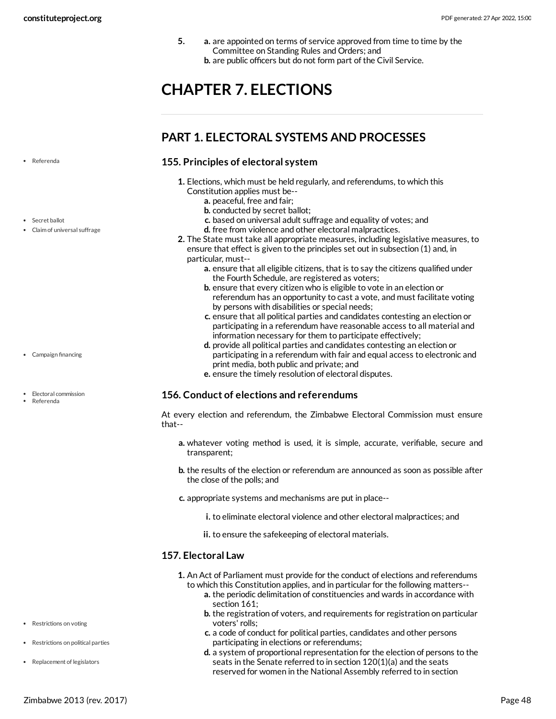**5. a.** are appointed on terms of service approved from time to time by the Committee on Standing Rules and Orders; and **b.** are public officers but do not form part of the Civil Service.

# **CHAPTER 7. ELECTIONS**

### **PART 1. ELECTORAL SYSTEMS AND PROCESSES**

Referenda

• Secret ballot

Claim of universal suffrage

- **155. Principles of electoral system**
	- **1.** Elections, which must be held regularly, and referendums, to which this Constitution applies must be-
		- **a.** peaceful, free and fair;
		- **b.** conducted by secret ballot;
		- **c.** based on universal adult suffrage and equality of votes; and
		- **d.** free from violence and other electoral malpractices.
	- **2.** The State must take all appropriate measures, including legislative measures, to ensure that effect is given to the principles set out in subsection (1) and, in particular, must-
		- **a.** ensure that all eligible citizens, that is to say the citizens qualified under the Fourth Schedule, are registered as voters;
		- **b.** ensure that every citizen who is eligible to vote in an election or referendum has an opportunity to cast a vote, and must facilitate voting by persons with disabilities or special needs;
		- **c.** ensure that all political parties and candidates contesting an election or participating in a referendum have reasonable access to all material and information necessary for them to participate effectively;
		- **d.** provide all political parties and candidates contesting an election or participating in a referendum with fair and equal access to electronic and print media, both public and private; and
		- **e.** ensure the timely resolution of electoral disputes.

### **156. Conduct of elections and referendums**

At every election and referendum, the Zimbabwe Electoral Commission must ensure that--

- **a.** whatever voting method is used, it is simple, accurate, verifiable, secure and transparent;
- **b.** the results of the election or referendum are announced as soon as possible after the close of the polls; and
- **c.** appropriate systems and mechanisms are put in place-
	- **i.** to eliminate electoral violence and other electoral malpractices; and
	- **ii.** to ensure the safekeeping of electoral materials.

### **157. Electoral Law**

- **1.** An Act of Parliament must provide for the conduct of elections and referendums to which this Constitution applies, and in particular for the following matters-
	- **a.** the periodic delimitation of constituencies and wards in accordance with section 161;
	- **b.** the registration of voters, and requirements for registration on particular voters' rolls;
	- **c.** a code of conduct for political parties, candidates and other persons participating in elections or referendums;
	- **d.** a system of proportional representation for the election of persons to the seats in the Senate referred to in section 120(1)(a) and the seats reserved for women in the National Assembly referred to in section
- Campaign financing
- Electoral commission
- Referenda

- Restrictions on voting
- Restrictions on political parties
- Replacement of legislators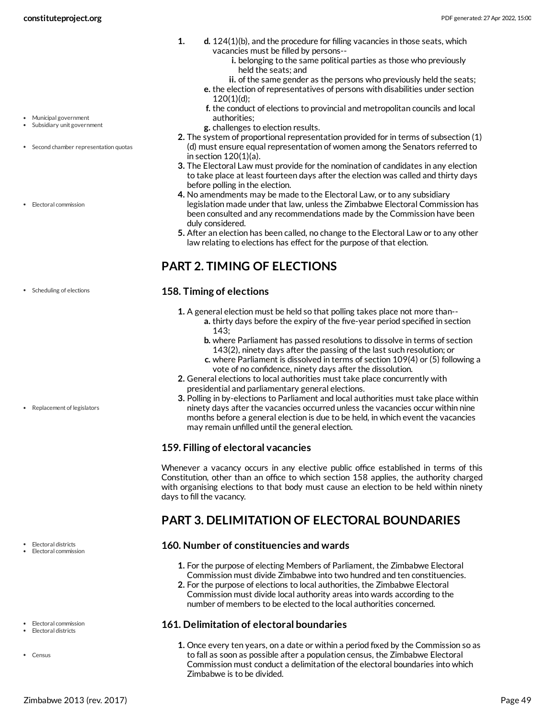- **1. d.** 124(1)(b), and the procedure for filling vacancies in those seats, which vacancies must be filled by persons-
	- **i.** belonging to the same political parties as those who previously held the seats; and
	- **ii.** of the same gender as the persons who previously held the seats;
	- **e.** the election of representatives of persons with disabilities under section 120(1)(d);
	- **f.** the conduct of elections to provincial and metropolitan councils and local authorities;
	- **g.** challenges to election results.
- **2.** The system of proportional representation provided for in terms of subsection (1) (d) must ensure equal representation of women among the Senators referred to in section 120(1)(a).
- **3.** The Electoral Law must provide for the nomination of candidates in any election to take place at least fourteen days after the election was called and thirty days before polling in the election.
- **4.** No amendments may be made to the Electoral Law, or to any subsidiary legislation made under that law, unless the Zimbabwe Electoral Commission has been consulted and any recommendations made by the Commission have been duly considered.
- **5.** After an election has been called, no change to the Electoral Law or to any other law relating to elections has effect for the purpose of that election.

### **PART 2. TIMING OF ELECTIONS**

### **158. Timing of elections**

- **1.** A general election must be held so that polling takes place not more than-
	- **a.** thirty days before the expiry of the five-year period specified in section 143;
	- **b.** where Parliament has passed resolutions to dissolve in terms of section 143(2), ninety days after the passing of the last such resolution; or
	- **c.** where Parliament is dissolved in terms of section 109(4) or (5) following a vote of no confidence, ninety days after the dissolution.
- **2.** General elections to local authorities must take place concurrently with presidential and parliamentary general elections.
- **3.** Polling in by-elections to Parliament and local authorities must take place within ninety days after the vacancies occurred unless the vacancies occur within nine months before a general election is due to be held, in which event the vacancies may remain unfilled until the general election.

### **159. Filling of electoral vacancies**

Whenever a vacancy occurs in any elective public office established in terms of this Constitution, other than an office to which section 158 applies, the authority charged with organising elections to that body must cause an election to be held within ninety days to fill the vacancy.

### **PART 3. DELIMITATION OF ELECTORAL BOUNDARIES**

### **160. Number of constituencies and wards**

- **1.** For the purpose of electing Members of Parliament, the Zimbabwe Electoral Commission must divide Zimbabwe into two hundred and ten constituencies.
- **2.** For the purpose of elections to local authorities, the Zimbabwe Electoral Commission must divide local authority areas into wards according to the number of members to be elected to the local authorities concerned.

### **161. Delimitation of electoral boundaries**

**1.** Once every ten years, on a date or within a period fixed by the Commission so as to fall as soon as possible after a population census, the Zimbabwe Electoral Commission must conduct a delimitation of the electoral boundaries into which Zimbabwe is to be divided.

• Second chamber representation quotas

Municipal government Subsidiary unit government

Electoral commission

• Scheduling of elections

- 
- Replacement of legislators

Electoral districts Electoral commission

- Electoral commission • Electoral districts
- Census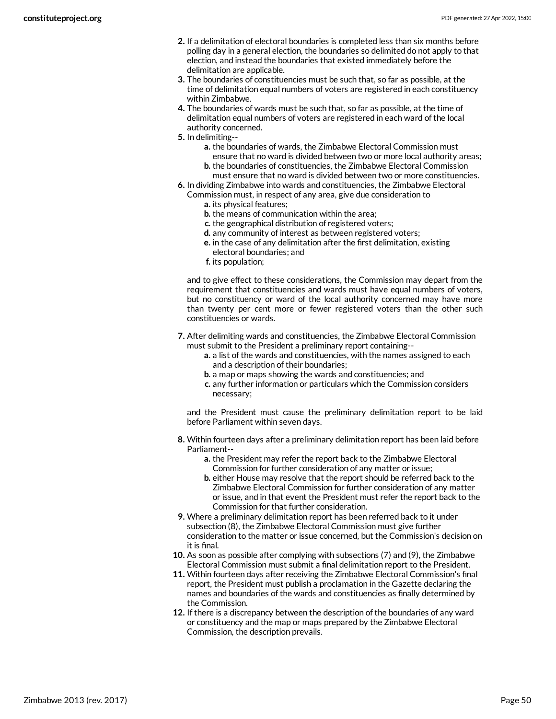- **2.** If a delimitation of electoral boundaries is completed less than six months before polling day in a general election, the boundaries so delimited do not apply to that election, and instead the boundaries that existed immediately before the delimitation are applicable.
- **3.** The boundaries of constituencies must be such that, so far as possible, at the time of delimitation equal numbers of voters are registered in each constituency within Zimbabwe.
- **4.** The boundaries of wards must be such that, so far as possible, at the time of delimitation equal numbers of voters are registered in each ward of the local authority concerned.
- **5.** In delimiting-
	- **a.** the boundaries of wards, the Zimbabwe Electoral Commission must ensure that no ward is divided between two or more local authority areas;
	- **b.** the boundaries of constituencies, the Zimbabwe Electoral Commission must ensure that no ward is divided between two or more constituencies.
- **6.** In dividing Zimbabwe into wards and constituencies, the Zimbabwe Electoral Commission must, in respect of any area, give due consideration to
	- **a.** its physical features;
	- **b.** the means of communication within the area;
	- **c.** the geographical distribution of registered voters;
	- **d.** any community of interest as between registered voters;
	- **e.** in the case of any delimitation after the first delimitation, existing electoral boundaries; and
	- **f.** its population;

and to give effect to these considerations, the Commission may depart from the requirement that constituencies and wards must have equal numbers of voters, but no constituency or ward of the local authority concerned may have more than twenty per cent more or fewer registered voters than the other such constituencies or wards.

- **7.** After delimiting wards and constituencies, the Zimbabwe Electoral Commission must submit to the President a preliminary report containing-
	- **a.** a list of the wards and constituencies, with the names assigned to each and a description of their boundaries;
	- **b.** a map or maps showing the wards and constituencies; and
	- **c.** any further information or particulars which the Commission considers necessary;

and the President must cause the preliminary delimitation report to be laid before Parliament within seven days.

- **8.** Within fourteen days after a preliminary delimitation report has been laid before Parliament-
	- **a.** the President may refer the report back to the Zimbabwe Electoral Commission for further consideration of any matter or issue;
	- **b.** either House may resolve that the report should be referred back to the Zimbabwe Electoral Commission for further consideration of any matter or issue, and in that event the President must refer the report back to the Commission for that further consideration.
- **9.** Where a preliminary delimitation report has been referred back to it under subsection (8), the Zimbabwe Electoral Commission must give further consideration to the matter or issue concerned, but the Commission's decision on it is final.
- **10.** As soon as possible after complying with subsections (7) and (9), the Zimbabwe Electoral Commission must submit a final delimitation report to the President.
- **11.** Within fourteen days after receiving the Zimbabwe Electoral Commission's final report, the President must publish a proclamation in the Gazette declaring the names and boundaries of the wards and constituencies as finally determined by the Commission.
- **12.** If there is a discrepancy between the description of the boundaries of any ward or constituency and the map or maps prepared by the Zimbabwe Electoral Commission, the description prevails.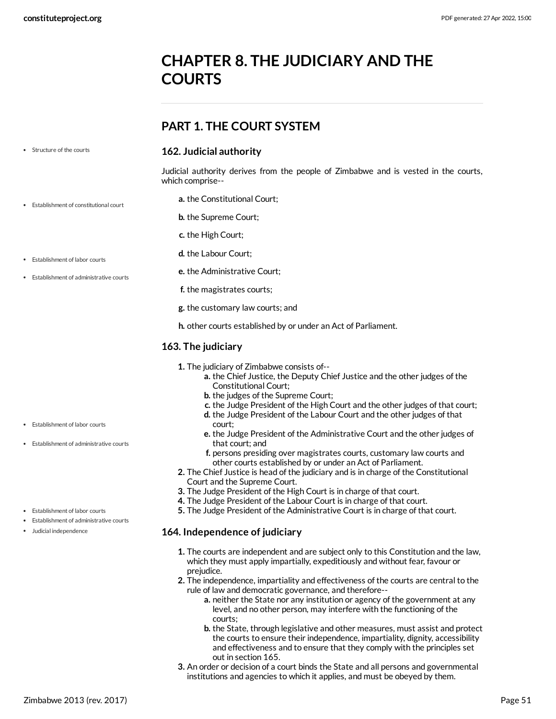## **CHAPTER 8. THE JUDICIARY AND THE COURTS**

### **PART 1. THE COURT SYSTEM**

Structure of the courts

### **162. Judicial authority**

**a.** the Constitutional Court;

**e.** the Administrative Court;

**f.** the magistrates courts;

court;

that court; and

**g.** the customary law courts; and

**1.** The judiciary of Zimbabwe consists of--

Constitutional Court;

**b.** the judges of the Supreme Court;

**b.** the Supreme Court;

**c.** the High Court;

**163. The judiciary**

**d.** the Labour Court;

Judicial authority derives from the people of Zimbabwe and is vested in the courts, which comprise--

- Establishment of constitutional court
- **•** Establishment of labor courts
- Establishment of administrative courts

- Establishment of labor courts
- Establishment of administrative courts
- **f.** persons presiding over magistrates courts, customary law courts and other courts established by or under an Act of Parliament.

**a.** the Chief Justice, the Deputy Chief Justice and the other judges of the

**c.** the Judge President of the High Court and the other judges of that court; **d.** the Judge President of the Labour Court and the other judges of that

**e.** the Judge President of the Administrative Court and the other judges of

- **2.** The Chief Justice is head of the judiciary and is in charge of the Constitutional Court and the Supreme Court.
- **3.** The Judge President of the High Court is in charge of that court.

**h.** other courts established by or under an Act of Parliament.

- **4.** The Judge President of the Labour Court is in charge of that court.
- **5.** The Judge President of the Administrative Court is in charge of that court.

### **164. Independence of judiciary**

- **1.** The courts are independent and are subject only to this Constitution and the law, which they must apply impartially, expeditiously and without fear, favour or prejudice.
- **2.** The independence, impartiality and effectiveness of the courts are central to the rule of law and democratic governance, and therefore-
	- **a.** neither the State nor any institution or agency of the government at any level, and no other person, may interfere with the functioning of the courts;
	- **b.** the State, through legislative and other measures, must assist and protect the courts to ensure their independence, impartiality, dignity, accessibility and effectiveness and to ensure that they comply with the principles set out in section 165.
- **3.** An order or decision of a court binds the State and all persons and governmental institutions and agencies to which it applies, and must be obeyed by them.
- 
- Establishment of labor courts
- Establishment of administrative courts
- Judicial independence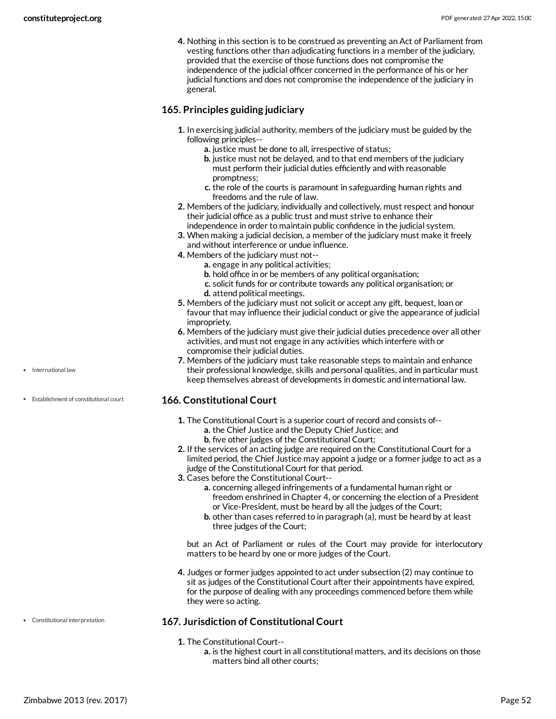**4.** Nothing in this section is to be construed as preventing an Act of Parliament from vesting functions other than adjudicating functions in a member of the judiciary, provided that the exercise of those functions does not compromise the independence of the judicial officer concerned in the performance of his or her judicial functions and does not compromise the independence of the judiciary in general.

### **165. Principles guiding judiciary**

- **1.** In exercising judicial authority, members of the judiciary must be guided by the following principles-
	- **a.** justice must be done to all, irrespective of status;
	- **b.** justice must not be delayed, and to that end members of the judiciary must perform their judicial duties efficiently and with reasonable promptness;
	- **c.** the role of the courts is paramount in safeguarding human rights and freedoms and the rule of law.
- **2.** Members of the judiciary, individually and collectively, must respect and honour their judicial office as a public trust and must strive to enhance their
- independence in order to maintain public confidence in the judicial system. **3.** When making a judicial decision, a member of the judiciary must make it freely and without interference or undue influence.
- **4.** Members of the judiciary must not-
	- **a.** engage in any political activities;
	- **b.** hold office in or be members of any political organisation;
	- **c.** solicit funds for or contribute towards any political organisation; or
	- **d.** attend political meetings.
- **5.** Members of the judiciary must not solicit or accept any gift, bequest, loan or favour that may influence their judicial conduct or give the appearance of judicial impropriety.
- **6.** Members of the judiciary must give their judicial duties precedence over all other activities, and must not engage in any activities which interfere with or compromise their judicial duties.
- **7.** Members of the judiciary must take reasonable steps to maintain and enhance their professional knowledge, skills and personal qualities, and in particular must keep themselves abreast of developments in domestic and international law.

### **166. Constitutional Court**

- **1.** The Constitutional Court is a superior court of record and consists of-
	- **a.** the Chief Justice and the Deputy Chief Justice; and
	- **b.** five other judges of the Constitutional Court;
- **2.** If the services of an acting judge are required on the Constitutional Court for a limited period, the Chief Justice may appoint a judge or a former judge to act as a judge of the Constitutional Court for that period.
- **3.** Cases before the Constitutional Court-
	- **a.** concerning alleged infringements of a fundamental human right or freedom enshrined in Chapter 4, or concerning the election of a President or Vice-President, must be heard by all the judges of the Court;
	- **b.** other than cases referred to in paragraph (a), must be heard by at least three judges of the Court;

but an Act of Parliament or rules of the Court may provide for interlocutory matters to be heard by one or more judges of the Court.

**4.** Judges or former judges appointed to act under subsection (2) may continue to sit as judges of the Constitutional Court after their appointments have expired, for the purpose of dealing with any proceedings commenced before them while they were so acting.

### **167. Jurisdiction of Constitutional Court**

- **1.** The Constitutional Court-
	- **a.** is the highest court in all constitutional matters, and its decisions on those matters bind all other courts;
- International law
- Establishment of constitutional court

Constitutional interpretation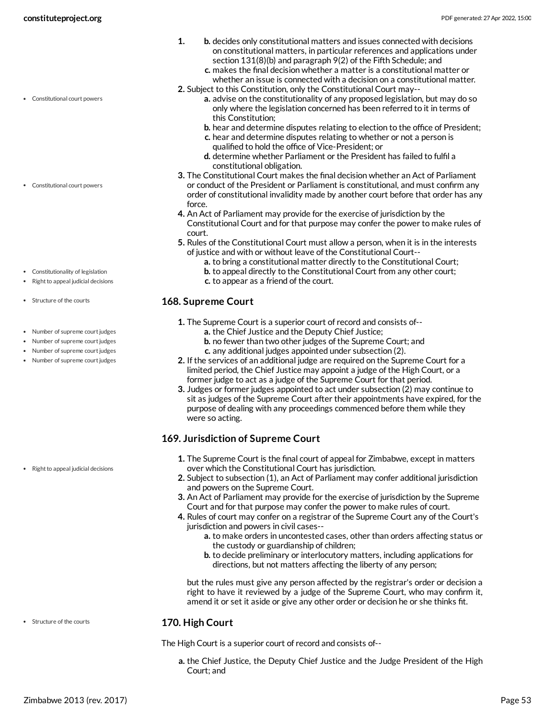- **1. b.** decides only constitutional matters and issues connected with decisions on constitutional matters, in particular references and applications under section 131(8)(b) and paragraph 9(2) of the Fifth Schedule; and
	- **c.** makes the final decision whether a matter is a constitutional matter or whether an issue is connected with a decision on a constitutional matter.
- **2.** Subject to this Constitution, only the Constitutional Court may-
	- **a.** advise on the constitutionality of any proposed legislation, but may do so only where the legislation concerned has been referred to it in terms of this Constitution;
		- **b.** hear and determine disputes relating to election to the office of President;
		- **c.** hear and determine disputes relating to whether or not a person is qualified to hold the office of Vice-President; or
		- **d.** determine whether Parliament or the President has failed to fulfil a constitutional obligation.
- **3.** The Constitutional Court makes the final decision whether an Act of Parliament or conduct of the President or Parliament is constitutional, and must confirm any order of constitutional invalidity made by another court before that order has any force.
- **4.** An Act of Parliament may provide for the exercise of jurisdiction by the Constitutional Court and for that purpose may confer the power to make rules of court.
- **5.** Rules of the Constitutional Court must allow a person, when it is in the interests of justice and with or without leave of the Constitutional Court-
	- **a.** to bring a constitutional matter directly to the Constitutional Court;
	- **b.** to appeal directly to the Constitutional Court from any other court;
	- **c.** to appear as a friend of the court.

### **168. Supreme Court**

- **1.** The Supreme Court is a superior court of record and consists of-
	- **a.** the Chief Justice and the Deputy Chief Justice;
	- **b.** no fewer than two other judges of the Supreme Court; and
	- **c.** any additional judges appointed under subsection (2).
- **2.** If the services of an additional judge are required on the Supreme Court for a limited period, the Chief Justice may appoint a judge of the High Court, or a former judge to act as a judge of the Supreme Court for that period.
- **3.** Judges or former judges appointed to act under subsection (2) may continue to sit as judges of the Supreme Court after their appointments have expired, for the purpose of dealing with any proceedings commenced before them while they were so acting.

### **169. Jurisdiction of Supreme Court**

- **1.** The Supreme Court is the final court of appeal for Zimbabwe, except in matters over which the Constitutional Court has jurisdiction.
- **2.** Subject to subsection (1), an Act of Parliament may confer additional jurisdiction and powers on the Supreme Court.
- **3.** An Act of Parliament may provide for the exercise of jurisdiction by the Supreme Court and for that purpose may confer the power to make rules of court.
- **4.** Rules of court may confer on a registrar of the Supreme Court any of the Court's jurisdiction and powers in civil cases-
	- **a.** to make orders in uncontested cases, other than orders affecting status or the custody or guardianship of children;
	- **b.** to decide preliminary or interlocutory matters, including applications for directions, but not matters affecting the liberty of any person;

but the rules must give any person affected by the registrar's order or decision a right to have it reviewed by a judge of the Supreme Court, who may confirm it, amend it or set it aside or give any other order or decision he or she thinks fit.

#### **170. High Court**

The High Court is a superior court of record and consists of--

**a.** the Chief Justice, the Deputy Chief Justice and the Judge President of the High Court; and

- Constitutional court powers
- Constitutional court powers

- Constitutionality of legislation
- Right to appeal judicial decisions
- Structure of the courts
- Number of supreme court judges
- Number of supreme court judges
- Number of supreme court judges
- Number of supreme court judges

• Right to appeal judicial decisions

Structure of the courts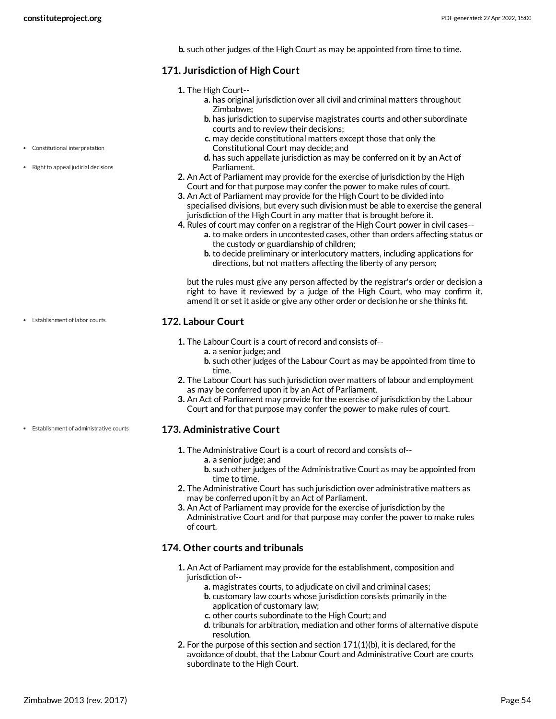**b.** such other judges of the High Court as may be appointed from time to time.

### **171. Jurisdiction of High Court**

- **1.** The High Court-
	- **a.** has original jurisdiction over all civil and criminal matters throughout Zimbabwe;
	- **b.** has jurisdiction to supervise magistrates courts and other subordinate courts and to review their decisions;
	- **c.** may decide constitutional matters except those that only the Constitutional Court may decide; and
	- **d.** has such appellate jurisdiction as may be conferred on it by an Act of Parliament.
- **2.** An Act of Parliament may provide for the exercise of jurisdiction by the High Court and for that purpose may confer the power to make rules of court.
- **3.** An Act of Parliament may provide for the High Court to be divided into specialised divisions, but every such division must be able to exercise the general jurisdiction of the High Court in any matter that is brought before it.
- **4.** Rules of court may confer on a registrar of the High Court power in civil cases- **a.** to make orders in uncontested cases, other than orders affecting status or the custody or guardianship of children;
	- **b.** to decide preliminary or interlocutory matters, including applications for directions, but not matters affecting the liberty of any person;

but the rules must give any person affected by the registrar's order or decision a right to have it reviewed by a judge of the High Court, who may confirm it, amend it or set it aside or give any other order or decision he or she thinks fit.

### **172. Labour Court**

- **1.** The Labour Court is a court of record and consists of-
	- **a.** a senior judge; and
	- **b.** such other judges of the Labour Court as may be appointed from time to time.
- **2.** The Labour Court has such jurisdiction over matters of labour and employment as may be conferred upon it by an Act of Parliament.
- **3.** An Act of Parliament may provide for the exercise of jurisdiction by the Labour Court and for that purpose may confer the power to make rules of court.

### **173. Administrative Court**

- **1.** The Administrative Court is a court of record and consists of-
	- **a.** a senior judge; and
	- **b.** such other judges of the Administrative Court as may be appointed from time to time.
- **2.** The Administrative Court has such jurisdiction over administrative matters as may be conferred upon it by an Act of Parliament.
- **3.** An Act of Parliament may provide for the exercise of jurisdiction by the Administrative Court and for that purpose may confer the power to make rules of court.

### **174. Other courts and tribunals**

- **1.** An Act of Parliament may provide for the establishment, composition and jurisdiction of-
	- **a.** magistrates courts, to adjudicate on civil and criminal cases;
	- **b.** customary law courts whose jurisdiction consists primarily in the application of customary law;
	- **c.** other courts subordinate to the High Court; and
	- **d.** tribunals for arbitration, mediation and other forms of alternative dispute resolution.
- **2.** For the purpose of this section and section 171(1)(b), it is declared, for the avoidance of doubt, that the Labour Court and Administrative Court are courts subordinate to the High Court.

• Right to appeal judicial decisions

Establishment of labor courts

Establishment of administrative courts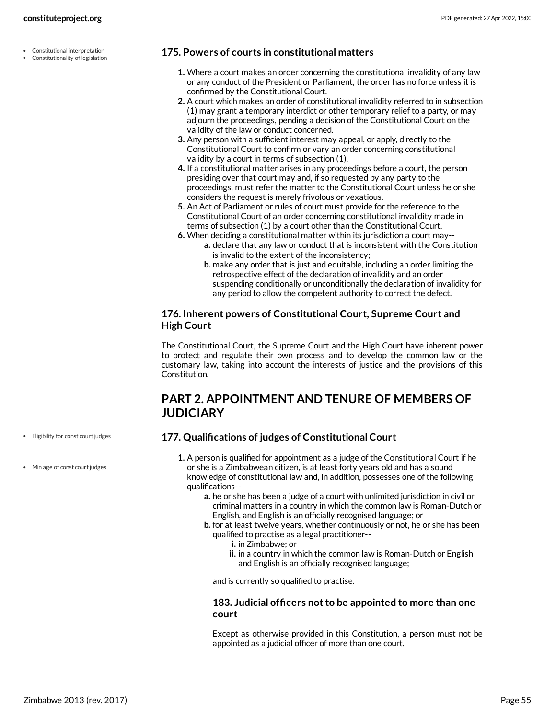Constitutionality of legislation

### **175. Powers of courts in constitutional matters**

- **1.** Where a court makes an order concerning the constitutional invalidity of any law or any conduct of the President or Parliament, the order has no force unless it is confirmed by the Constitutional Court.
- **2.** A court which makes an order of constitutional invalidity referred to in subsection (1) may grant a temporary interdict or other temporary relief to a party, or may adjourn the proceedings, pending a decision of the Constitutional Court on the validity of the law or conduct concerned.
- **3.** Any person with a sufficient interest may appeal, or apply, directly to the Constitutional Court to confirm or vary an order concerning constitutional validity by a court in terms of subsection (1).
- **4.** If a constitutional matter arises in any proceedings before a court, the person presiding over that court may and, if so requested by any party to the proceedings, must refer the matter to the Constitutional Court unless he or she considers the request is merely frivolous or vexatious.
- **5.** An Act of Parliament or rules of court must provide for the reference to the Constitutional Court of an order concerning constitutional invalidity made in terms of subsection (1) by a court other than the Constitutional Court.
- **6.** When deciding a constitutional matter within its jurisdiction a court may- **a.** declare that any law or conduct that is inconsistent with the Constitution is invalid to the extent of the inconsistency;
	- **b.** make any order that is just and equitable, including an order limiting the retrospective effect of the declaration of invalidity and an order suspending conditionally or unconditionally the declaration of invalidity for any period to allow the competent authority to correct the defect.

### **176. Inherent powers of Constitutional Court, Supreme Court and High Court**

The Constitutional Court, the Supreme Court and the High Court have inherent power to protect and regulate their own process and to develop the common law or the customary law, taking into account the interests of justice and the provisions of this Constitution.

### **PART 2. APPOINTMENT AND TENURE OF MEMBERS OF JUDICIARY**

### **177. Qualifications of judges of Constitutional Court**

- **1.** A person is qualified for appointment as a judge of the Constitutional Court if he or she is a Zimbabwean citizen, is at least forty years old and has a sound knowledge of constitutional law and, in addition, possesses one of the following qualifications-
	- **a.** he or she has been a judge of a court with unlimited jurisdiction in civil or criminal matters in a country in which the common law is Roman-Dutch or English, and English is an officially recognised language; or
	- **b.** for at least twelve years, whether continuously or not, he or she has been qualified to practise as a legal practitioner-
		- **i.** in Zimbabwe; or
		- **ii.** in a country in which the common law is Roman-Dutch or English and English is an officially recognised language;

and is currently so qualified to practise.

### **183. Judicial officers notto be appointed to more than one court**

Except as otherwise provided in this Constitution, a person must not be appointed as a judicial officer of more than one court.

- Eligibility for const court judges
- Min age of const court judges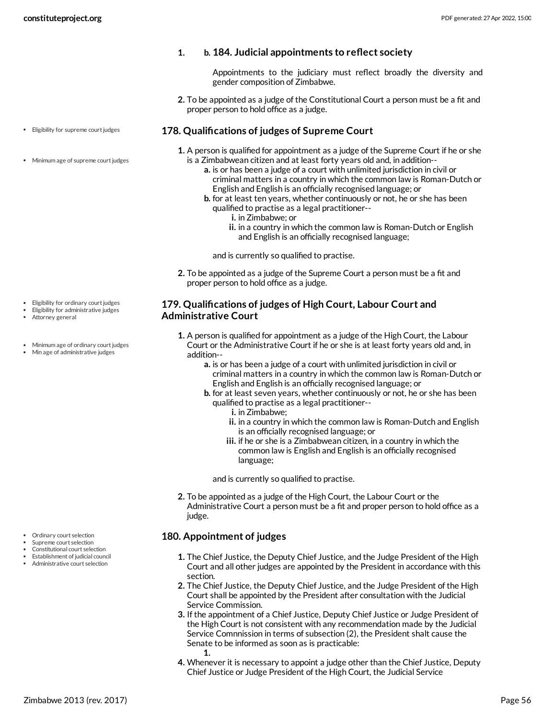### **1. b. 184. Judicial appointments to reflect society**

Appointments to the judiciary must reflect broadly the diversity and gender composition of Zimbabwe.

**2.** To be appointed as a judge of the Constitutional Court a person must be a fit and proper person to hold office as a judge.

#### **178. Qualifications of judges of Supreme Court**

- **1.** A person is qualified for appointment as a judge of the Supreme Court if he or she
	- is a Zimbabwean citizen and at least forty years old and, in addition- **a.** is or has been a judge of a court with unlimited jurisdiction in civil or criminal matters in a country in which the common law is Roman-Dutch or
		- English and English is an officially recognised language; or **b.** for at least ten years, whether continuously or not, he or she has been
			- qualified to practise as a legal practitioner- **i.** in Zimbabwe; or
				- **ii.** in a country in which the common law is Roman-Dutch or English and English is an officially recognised language;

and is currently so qualified to practise.

**2.** To be appointed as a judge of the Supreme Court a person must be a fit and proper person to hold office as a judge.

### **179. Qualifications of judges of High Court, Labour Court and Administrative Court**

- **1.** A person is qualified for appointment as a judge of the High Court, the Labour Court or the Administrative Court if he or she is at least forty years old and, in addition-
	- **a.** is or has been a judge of a court with unlimited jurisdiction in civil or criminal matters in a country in which the common law is Roman-Dutch or English and English is an officially recognised language; or
	- **b.** for at least seven years, whether continuously or not, he or she has been qualified to practise as a legal practitioner-
		- **i.** in Zimbabwe;
		- **ii.** in a country in which the common law is Roman-Dutch and English is an officially recognised language; or
		- **iii.** if he or she is a Zimbabwean citizen, in a country in which the common law is English and English is an officially recognised language;

and is currently so qualified to practise.

**2.** To be appointed as a judge of the High Court, the Labour Court or the Administrative Court a person must be a fit and proper person to hold office as a judge.

### **180. Appointment of judges**

- **1.** The Chief Justice, the Deputy Chief Justice, and the Judge President of the High Court and all other judges are appointed by the President in accordance with this section.
- **2.** The Chief Justice, the Deputy Chief Justice, and the Judge President of the High Court shall be appointed by the President after consultation with the Judicial Service Commission.
- **3.** If the appointment of a Chief Justice, Deputy Chief Justice or Judge President of the High Court is not consistent with any recommendation made by the Judicial Service Comnnission in terms of subsection (2), the President shalt cause the Senate to be informed as soon as is practicable: **1.**
- **4.** Whenever it is necessary to appoint a judge other than the Chief Justice, Deputy Chief Justice or Judge President of the High Court, the Judicial Service
- Eligibility for supreme court judges
- Minimum age of supreme court judges

- $\bullet$  Eligibility for ordinary court judges
- Eligibility for administrative judges
- Attorney general
- Minimum age of ordinary court judges
- Min age of administrative judges

- Ordinary court selection
- Supreme court selection
- Constitutional court selection Establishment of judicial council
- Administrative court selection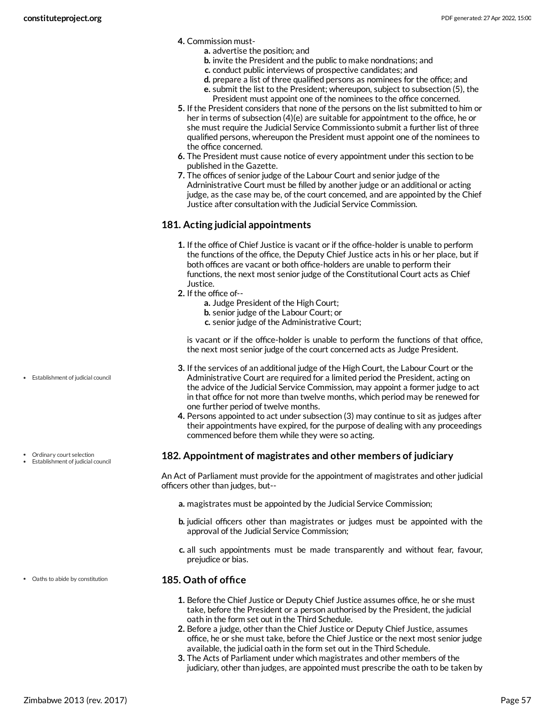- **4.** Commission must
	- **a.** advertise the position; and
		- **b.** invite the President and the public to make nondnations; and
		- **c.** conduct public interviews of prospective candidates; and
		- **d.** prepare a list of three qualified persons as nominees for the office; and
		- **e.** submit the list to the President; whereupon, subject to subsection (5), the President must appoint one of the nominees to the office concerned.
- **5.** If the President considers that none of the persons on the list submitted to him or her in terms of subsection (4)(e) are suitable for appointment to the office, he or she must require the Judicial Service Commissionto submit a further list of three qualified persons, whereupon the President must appoint one of the nominees to the office concerned.
- **6.** The President must cause notice of every appointment under this section to be published in the Gazette.
- **7.** The offices of senior judge of the Labour Court and senior judge of the Adrninistrative Court must be filled by another judge or an additional or acting judge, as the case may be, of the court concemed, and are appointed by the Chief Justice after consultation with the Judicial Service Commission.

### **181. Acting judicial appointments**

- **1.** If the office of Chief Justice is vacant or if the office-holder is unable to perform the functions of the office, the Deputy Chief Justice acts in his or her place, but if both offices are vacant or both office-holders are unable to perform their functions, the next most senior judge of the Constitutional Court acts as Chief Justice.
- **2.** If the office of-
	- **a.** Judge President of the High Court;
	- **b.** senior judge of the Labour Court; or
	- **c.** senior judge of the Administrative Court;

is vacant or if the office-holder is unable to perform the functions of that office, the next most senior judge of the court concerned acts as Judge President.

- **3.** If the services of an additional judge of the High Court, the Labour Court or the Administrative Court are required for a limited period the President, acting on the advice of the Judicial Service Commission, may appoint a former judge to act in that office for not more than twelve months, which period may be renewed for one further period of twelve months.
- **4.** Persons appointed to act under subsection (3) may continue to sit as judges after their appointments have expired, for the purpose of dealing with any proceedings commenced before them while they were so acting.

### **182. Appointment of magistrates and other members of judiciary**

An Act of Parliament must provide for the appointment of magistrates and other judicial officers other than judges, but--

- **a.** magistrates must be appointed by the Judicial Service Commission;
- **b.** judicial officers other than magistrates or judges must be appointed with the approval of the Judicial Service Commission;
- **c.** all such appointments must be made transparently and without fear, favour, prejudice or bias.

### **185. Oath of office**

- **1.** Before the Chief Justice or Deputy Chief Justice assumes office, he or she must take, before the President or a person authorised by the President, the judicial oath in the form set out in the Third Schedule.
- **2.** Before a judge, other than the Chief Justice or Deputy Chief Justice, assumes office, he or she must take, before the Chief Justice or the next most senior judge available, the judicial oath in the form set out in the Third Schedule.
- **3.** The Acts of Parliament under which magistrates and other members of the judiciary, other than judges, are appointed must prescribe the oath to be taken by
- Establishment of judicial council
- Ordinary court selection
- Establishment of judicial council

Oaths to abide by constitution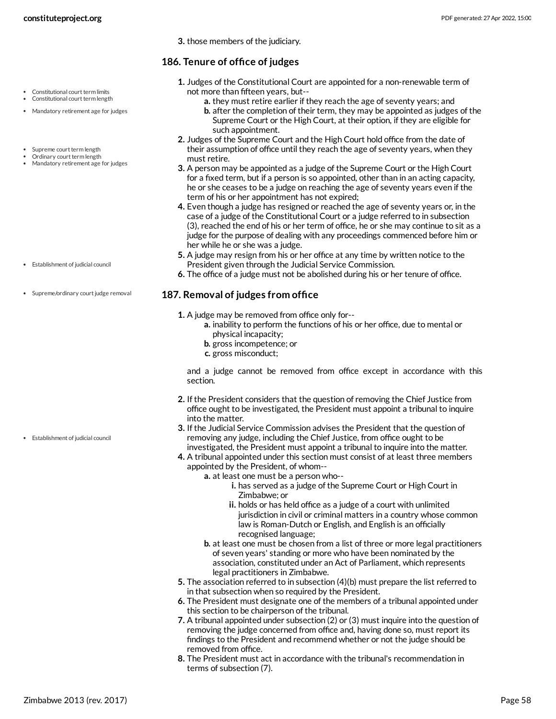• Constitutional court term limits Constitutional court term length Mandatory retirement age for judges

• Supreme court term length Ordinary court term length Mandatory retirement age for judges **3.** those members of the judiciary.

### **186. Tenure of office of judges**

- **1.** Judges of the Constitutional Court are appointed for a non-renewable term of not more than fifteen years, but-
	- **a.** they must retire earlier if they reach the age of seventy years; and
	- **b.** after the completion of their term, they may be appointed as judges of the Supreme Court or the High Court, at their option, if they are eligible for such appointment.
- **2.** Judges of the Supreme Court and the High Court hold office from the date of their assumption of office until they reach the age of seventy years, when they must retire.
- **3.** A person may be appointed as a judge of the Supreme Court or the High Court for a fixed term, but if a person is so appointed, other than in an acting capacity, he or she ceases to be a judge on reaching the age of seventy years even if the term of his or her appointment has not expired;
- **4.** Even though a judge has resigned or reached the age of seventy years or, in the case of a judge of the Constitutional Court or a judge referred to in subsection (3), reached the end of his or her term of office, he or she may continue to sit as a judge for the purpose of dealing with any proceedings commenced before him or her while he or she was a judge.
- **5.** A judge may resign from his or her office at any time by written notice to the President given through the Judicial Service Commission.
- **6.** The office of a judge must not be abolished during his or her tenure of office.

### **187. Removal of judges from office**

- **1.** A judge may be removed from office only for-
	- **a.** inability to perform the functions of his or her office, due to mental or physical incapacity;
	- **b.** gross incompetence; or
	- **c.** gross misconduct;

and a judge cannot be removed from office except in accordance with this section.

- **2.** If the President considers that the question of removing the Chief Justice from office ought to be investigated, the President must appoint a tribunal to inquire into the matter.
- **3.** If the Judicial Service Commission advises the President that the question of removing any judge, including the Chief Justice, from office ought to be investigated, the President must appoint a tribunal to inquire into the matter.
- **4.** A tribunal appointed under this section must consist of at least three members appointed by the President, of whom-
	- **a.** at least one must be a person who-
		- **i.** has served as a judge of the Supreme Court or High Court in Zimbabwe; or
		- **ii.** holds or has held office as a judge of a court with unlimited jurisdiction in civil or criminal matters in a country whose common law is Roman-Dutch or English, and English is an officially recognised language;
	- **b.** at least one must be chosen from a list of three or more legal practitioners of seven years' standing or more who have been nominated by the association, constituted under an Act of Parliament, which represents legal practitioners in Zimbabwe.
- **5.** The association referred to in subsection (4)(b) must prepare the list referred to in that subsection when so required by the President.
- **6.** The President must designate one of the members of a tribunal appointed under this section to be chairperson of the tribunal.
- **7.** A tribunal appointed under subsection (2) or (3) must inquire into the question of removing the judge concerned from office and, having done so, must report its findings to the President and recommend whether or not the judge should be removed from office.
- **8.** The President must act in accordance with the tribunal's recommendation in terms of subsection (7).

• Supreme/ordinary court judge removal

Establishment of judicial council

Establishment of judicial council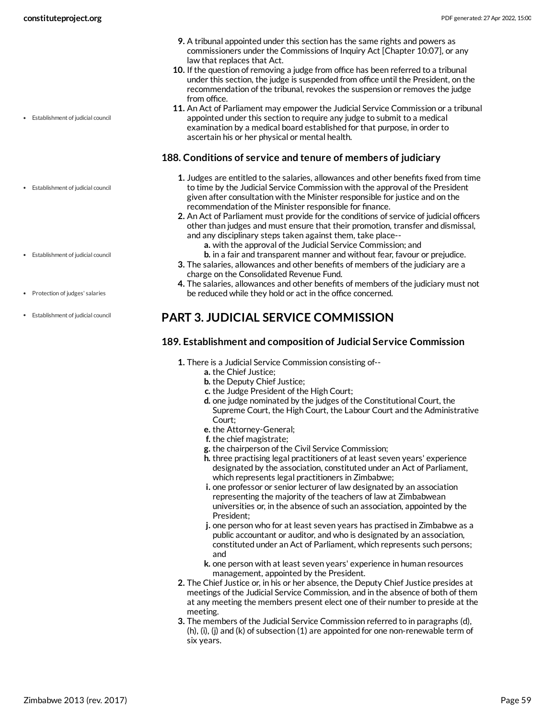- **9.** A tribunal appointed under this section has the same rights and powers as commissioners under the Commissions of Inquiry Act [Chapter 10:07], or any law that replaces that Act.
- **10.** If the question of removing a judge from office has been referred to a tribunal under this section, the judge is suspended from office until the President, on the recommendation of the tribunal, revokes the suspension or removes the judge from office.
- **11.** An Act of Parliament may empower the Judicial Service Commission or a tribunal appointed under this section to require any judge to submit to a medical examination by a medical board established for that purpose, in order to ascertain his or her physical or mental health.

### **188. Conditions of service and tenure of members of judiciary**

- **1.** Judges are entitled to the salaries, allowances and other benefits fixed from time to time by the Judicial Service Commission with the approval of the President given after consultation with the Minister responsible for justice and on the recommendation of the Minister responsible for finance.
- **2.** An Act of Parliament must provide for the conditions of service of judicial officers other than judges and must ensure that their promotion, transfer and dismissal, and any disciplinary steps taken against them, take place-
	- **a.** with the approval of the Judicial Service Commission; and
	- **b.** in a fair and transparent manner and without fear, favour or prejudice.
- **3.** The salaries, allowances and other benefits of members of the judiciary are a charge on the Consolidated Revenue Fund.
- **4.** The salaries, allowances and other benefits of members of the judiciary must not be reduced while they hold or act in the office concerned.

### **PART 3. JUDICIAL SERVICE COMMISSION**

### **189. Establishment and composition of Judicial Service Commission**

- **1.** There is a Judicial Service Commission consisting of-
	- **a.** the Chief Justice;
	- **b.** the Deputy Chief Justice;
	- **c.** the Judge President of the High Court;
	- **d.** one judge nominated by the judges of the Constitutional Court, the Supreme Court, the High Court, the Labour Court and the Administrative Court;
	- **e.** the Attorney-General;
	- **f.** the chief magistrate;
	- **g.** the chairperson of the Civil Service Commission;
	- **h.** three practising legal practitioners of at least seven years' experience designated by the association, constituted under an Act of Parliament, which represents legal practitioners in Zimbabwe;
	- **i.** one professor or senior lecturer of law designated by an association representing the majority of the teachers of law at Zimbabwean universities or, in the absence of such an association, appointed by the President;
	- **j.** one person who for at least seven years has practised in Zimbabwe as a public accountant or auditor, and who is designated by an association, constituted under an Act of Parliament, which represents such persons; and
	- **k.** one person with at least seven years' experience in human resources management, appointed by the President.
- **2.** The Chief Justice or, in his or her absence, the Deputy Chief Justice presides at meetings of the Judicial Service Commission, and in the absence of both of them at any meeting the members present elect one of their number to preside at the meeting.
- **3.** The members of the Judicial Service Commission referred to in paragraphs (d), (h), (i), (j) and (k) of subsection (1) are appointed for one non-renewable term of six years.

Establishment of judicial council

- Establishment of judicial council
- Establishment of judicial council
- Protection of judges' salaries
- Establishment of judicial council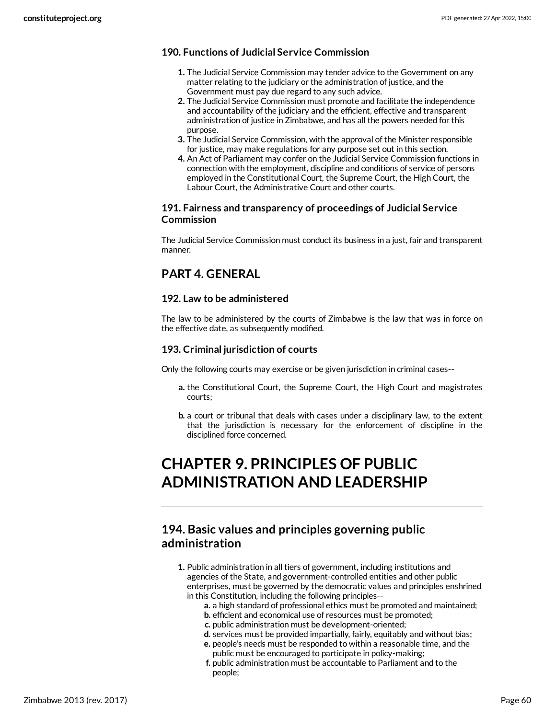### **190. Functions of Judicial Service Commission**

- **1.** The Judicial Service Commission may tender advice to the Government on any matter relating to the judiciary or the administration of justice, and the Government must pay due regard to any such advice.
- **2.** The Judicial Service Commission must promote and facilitate the independence and accountability of the judiciary and the efficient, effective and transparent administration of justice in Zimbabwe, and has all the powers needed for this purpose.
- **3.** The Judicial Service Commission, with the approval of the Minister responsible for justice, may make regulations for any purpose set out in this section.
- **4.** An Act of Parliament may confer on the Judicial Service Commission functions in connection with the employment, discipline and conditions of service of persons employed in the Constitutional Court, the Supreme Court, the High Court, the Labour Court, the Administrative Court and other courts.

### **191. Fairness and transparency of proceedings of Judicial Service Commission**

The Judicial Service Commission must conduct its business in a just, fair and transparent manner.

### **PART 4. GENERAL**

### **192. Law to be administered**

The law to be administered by the courts of Zimbabwe is the law that was in force on the effective date, as subsequently modified.

### **193. Criminal jurisdiction of courts**

Only the following courts may exercise or be given jurisdiction in criminal cases--

- **a.** the Constitutional Court, the Supreme Court, the High Court and magistrates courts;
- **b.** a court or tribunal that deals with cases under a disciplinary law, to the extent that the jurisdiction is necessary for the enforcement of discipline in the disciplined force concerned.

## **CHAPTER 9. PRINCIPLES OF PUBLIC ADMINISTRATION AND LEADERSHIP**

### **194. Basic values and principles governing public administration**

- **1.** Public administration in all tiers of government, including institutions and agencies of the State, and government-controlled entities and other public enterprises, must be governed by the democratic values and principles enshrined in this Constitution, including the following principles-
	- **a.** a high standard of professional ethics must be promoted and maintained;
	- **b.** efficient and economical use of resources must be promoted;
	- **c.** public administration must be development-oriented;
	- **d.** services must be provided impartially, fairly, equitably and without bias;
	- **e.** people's needs must be responded to within a reasonable time, and the public must be encouraged to participate in policy-making;
	- **f.** public administration must be accountable to Parliament and to the people;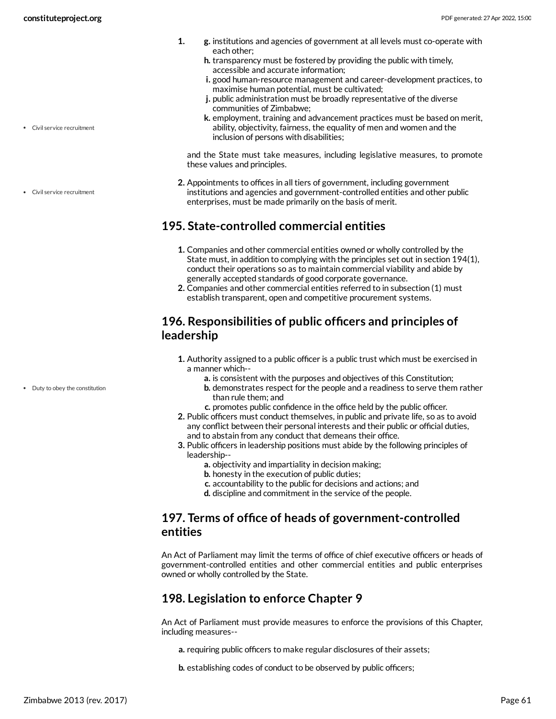- **1. g.** institutions and agencies of government at all levels must co-operate with each other;
	- **h.** transparency must be fostered by providing the public with timely, accessible and accurate information;
	- **i.** good human-resource management and career-development practices, to maximise human potential, must be cultivated;
	- **j.** public administration must be broadly representative of the diverse communities of Zimbabwe;
	- **k.** employment, training and advancement practices must be based on merit, ability, objectivity, fairness, the equality of men and women and the inclusion of persons with disabilities;

and the State must take measures, including legislative measures, to promote these values and principles.

**2.** Appointments to offices in all tiers of government, including government institutions and agencies and government-controlled entities and other public enterprises, must be made primarily on the basis of merit.

### **195. State-controlled commercial entities**

- **1.** Companies and other commercial entities owned or wholly controlled by the State must, in addition to complying with the principles set out in section 194(1), conduct their operations so as to maintain commercial viability and abide by generally accepted standards of good corporate governance.
- **2.** Companies and other commercial entities referred to in subsection (1) must establish transparent, open and competitive procurement systems.

### **196. Responsibilities of public officers and principles of leadership**

- **1.** Authority assigned to a public officer is a public trust which must be exercised in a manner which-
	- **a.** is consistent with the purposes and objectives of this Constitution;
	- **b.** demonstrates respect for the people and a readiness to serve them rather than rule them; and
	- **c.** promotes public confidence in the office held by the public officer.
- **2.** Public officers must conduct themselves, in public and private life, so as to avoid any conflict between their personal interests and their public or official duties, and to abstain from any conduct that demeans their office.
- **3.** Public officers in leadership positions must abide by the following principles of leadership-
	- **a.** objectivity and impartiality in decision making;
	- **b.** honesty in the execution of public duties;
	- **c.** accountability to the public for decisions and actions; and
	- **d.** discipline and commitment in the service of the people.

### **197. Terms of office of heads of government-controlled entities**

An Act of Parliament may limit the terms of office of chief executive officers or heads of government-controlled entities and other commercial entities and public enterprises owned or wholly controlled by the State.

### **198. Legislation to enforce Chapter 9**

An Act of Parliament must provide measures to enforce the provisions of this Chapter, including measures--

**a.** requiring public officers to make regular disclosures of their assets;

**b.** establishing codes of conduct to be observed by public officers;

Civil service recruitment

Civil service recruitment

Duty to obey the constitution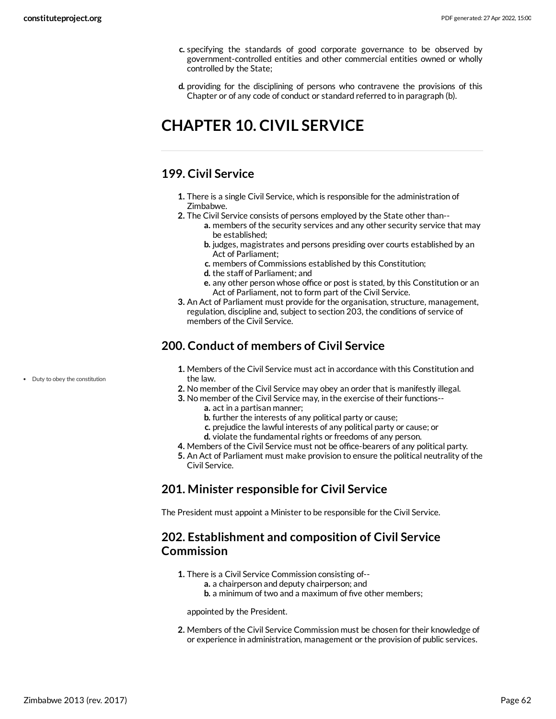- **c.** specifying the standards of good corporate governance to be observed by government-controlled entities and other commercial entities owned or wholly controlled by the State;
- **d.** providing for the disciplining of persons who contravene the provisions of this Chapter or of any code of conduct or standard referred to in paragraph (b).

# **CHAPTER 10. CIVIL SERVICE**

## **199. Civil Service**

- **1.** There is a single Civil Service, which is responsible for the administration of Zimbabwe.
- **2.** The Civil Service consists of persons employed by the State other than-
	- **a.** members of the security services and any other security service that may be established;
	- **b.** judges, magistrates and persons presiding over courts established by an Act of Parliament;
	- **c.** members of Commissions established by this Constitution;
	- **d.** the staff of Parliament; and
	- **e.** any other person whose office or post is stated, by this Constitution or an Act of Parliament, not to form part of the Civil Service.
- **3.** An Act of Parliament must provide for the organisation, structure, management, regulation, discipline and, subject to section 203, the conditions of service of members of the Civil Service.

### **200. Conduct of members of Civil Service**

- **1.** Members of the Civil Service must act in accordance with this Constitution and the law.
- **2.** No member of the Civil Service may obey an order that is manifestly illegal.
- **3.** No member of the Civil Service may, in the exercise of their functions-
	- **a.** act in a partisan manner;
	- **b.** further the interests of any political party or cause;
	- **c.** prejudice the lawful interests of any political party or cause; or
	- **d.** violate the fundamental rights or freedoms of any person.
- **4.** Members of the Civil Service must not be office-bearers of any political party.
- **5.** An Act of Parliament must make provision to ensure the political neutrality of the Civil Service.

### **201. Minister responsible for Civil Service**

The President must appoint a Minister to be responsible for the Civil Service.

### **202. Establishment and composition of Civil Service Commission**

- **1.** There is a Civil Service Commission consisting of-
	- **a.** a chairperson and deputy chairperson; and
	- **b.** a minimum of two and a maximum of five other members;

appointed by the President.

**2.** Members of the Civil Service Commission must be chosen for their knowledge of or experience in administration, management or the provision of public services.

• Duty to obey the constitution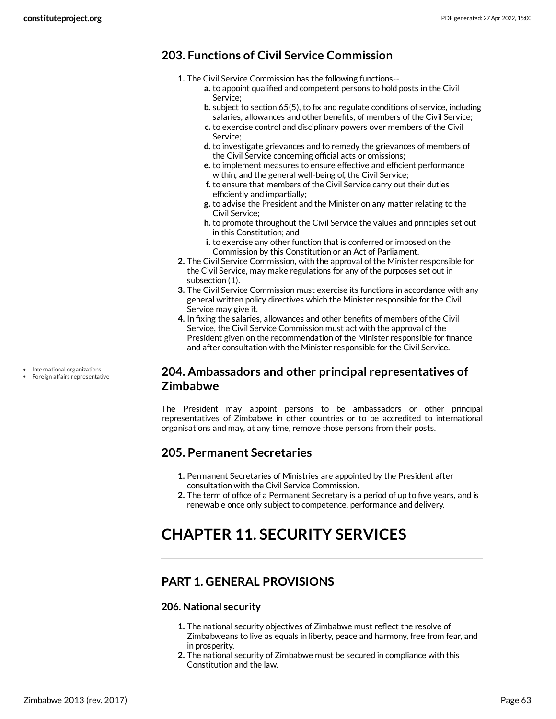### **203. Functions of Civil Service Commission**

- **1.** The Civil Service Commission has the following functions-
	- **a.** to appoint qualified and competent persons to hold posts in the Civil Service;
	- **b.** subject to section 65(5), to fix and regulate conditions of service, including salaries, allowances and other benefits, of members of the Civil Service;
	- **c.** to exercise control and disciplinary powers over members of the Civil Service;
	- **d.** to investigate grievances and to remedy the grievances of members of the Civil Service concerning official acts or omissions;
	- **e.** to implement measures to ensure effective and efficient performance within, and the general well-being of, the Civil Service;
	- **f.** to ensure that members of the Civil Service carry out their duties efficiently and impartially;
	- **g.** to advise the President and the Minister on any matter relating to the Civil Service;
	- **h.** to promote throughout the Civil Service the values and principles set out in this Constitution; and
	- **i.** to exercise any other function that is conferred or imposed on the Commission by this Constitution or an Act of Parliament.
- **2.** The Civil Service Commission, with the approval of the Minister responsible for the Civil Service, may make regulations for any of the purposes set out in subsection (1).
- **3.** The Civil Service Commission must exercise its functions in accordance with any general written policy directives which the Minister responsible for the Civil Service may give it.
- **4.** In fixing the salaries, allowances and other benefits of members of the Civil Service, the Civil Service Commission must act with the approval of the President given on the recommendation of the Minister responsible for finance and after consultation with the Minister responsible for the Civil Service.

### **204. Ambassadors and other principal representatives of Zimbabwe**

The President may appoint persons to be ambassadors or other principal representatives of Zimbabwe in other countries or to be accredited to international organisations and may, at any time, remove those persons from their posts.

### **205. Permanent Secretaries**

- **1.** Permanent Secretaries of Ministries are appointed by the President after consultation with the Civil Service Commission.
- **2.** The term of office of a Permanent Secretary is a period of up to five years, and is renewable once only subject to competence, performance and delivery.

## **CHAPTER 11. SECURITY SERVICES**

### **PART 1. GENERAL PROVISIONS**

### **206. National security**

- **1.** The national security objectives of Zimbabwe must reflect the resolve of Zimbabweans to live as equals in liberty, peace and harmony, free from fear, and in prosperity.
- **2.** The national security of Zimbabwe must be secured in compliance with this Constitution and the law.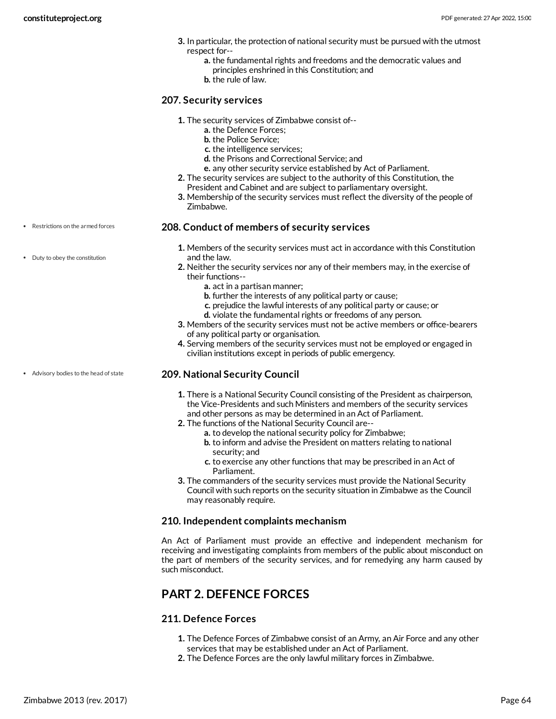- **3.** In particular, the protection of national security must be pursued with the utmost respect for-
	- **a.** the fundamental rights and freedoms and the democratic values and principles enshrined in this Constitution; and
	- **b.** the rule of law.

### **207. Security services**

- **1.** The security services of Zimbabwe consist of-
	- **a.** the Defence Forces;
	- **b.** the Police Service;
	- **c.** the intelligence services;
	- **d.** the Prisons and Correctional Service; and
	- **e.** any other security service established by Act of Parliament.
- **2.** The security services are subject to the authority of this Constitution, the President and Cabinet and are subject to parliamentary oversight.
- **3.** Membership of the security services must reflect the diversity of the people of Zimbabwe.

### **208. Conduct of members of security services**

- **1.** Members of the security services must act in accordance with this Constitution and the law.
- **2.** Neither the security services nor any of their members may, in the exercise of their functions-
	- **a.** act in a partisan manner;
	- **b.** further the interests of any political party or cause;
	- **c.** prejudice the lawful interests of any political party or cause; or
	- **d.** violate the fundamental rights or freedoms of any person.
- **3.** Members of the security services must not be active members or office-bearers of any political party or organisation.
- **4.** Serving members of the security services must not be employed or engaged in civilian institutions except in periods of public emergency.

### **209. National Security Council**

- **1.** There is a National Security Council consisting of the President as chairperson, the Vice-Presidents and such Ministers and members of the security services and other persons as may be determined in an Act of Parliament.
- **2.** The functions of the National Security Council are-
	- **a.** to develop the national security policy for Zimbabwe;
	- **b.** to inform and advise the President on matters relating to national security; and
	- **c.** to exercise any other functions that may be prescribed in an Act of Parliament.
- **3.** The commanders of the security services must provide the National Security Council with such reports on the security situation in Zimbabwe as the Council may reasonably require.

### **210. Independent complaints mechanism**

An Act of Parliament must provide an effective and independent mechanism for receiving and investigating complaints from members of the public about misconduct on the part of members of the security services, and for remedying any harm caused by such misconduct.

### **PART 2. DEFENCE FORCES**

### **211. Defence Forces**

- **1.** The Defence Forces of Zimbabwe consist of an Army, an Air Force and any other services that may be established under an Act of Parliament.
- **2.** The Defence Forces are the only lawful military forces in Zimbabwe.

Restrictions on the armed forces

• Duty to obey the constitution

#### Advisory bodies to the head of state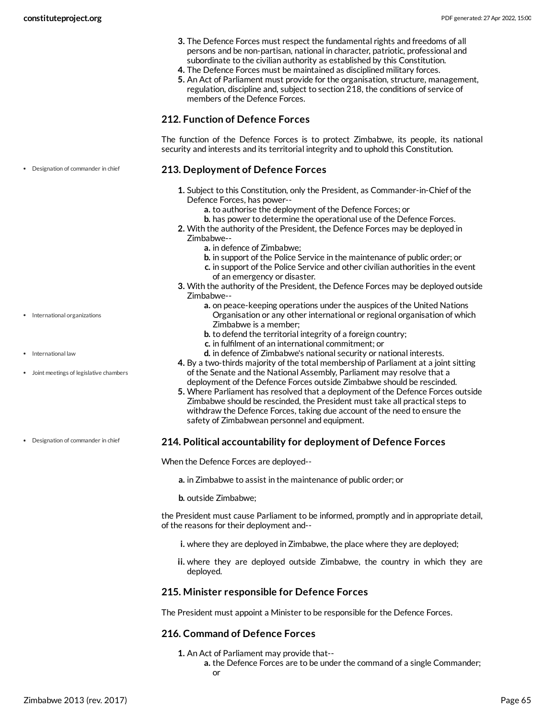- **3.** The Defence Forces must respect the fundamental rights and freedoms of all persons and be non-partisan, national in character, patriotic, professional and subordinate to the civilian authority as established by this Constitution.
- **4.** The Defence Forces must be maintained as disciplined military forces.
- **5.** An Act of Parliament must provide for the organisation, structure, management, regulation, discipline and, subject to section 218, the conditions of service of members of the Defence Forces.

### **212. Function of Defence Forces**

The function of the Defence Forces is to protect Zimbabwe, its people, its national security and interests and its territorial integrity and to uphold this Constitution.

Designation of commander in chief

- **213. Deployment of Defence Forces**
	- **1.** Subject to this Constitution, only the President, as Commander-in-Chief of the Defence Forces, has power-
		- **a.** to authorise the deployment of the Defence Forces; or
		- **b.** has power to determine the operational use of the Defence Forces.
	- **2.** With the authority of the President, the Defence Forces may be deployed in Zimbabwe-
		- **a.** in defence of Zimbabwe;
		- **b.** in support of the Police Service in the maintenance of public order; or
		- **c.** in support of the Police Service and other civilian authorities in the event of an emergency or disaster.
	- **3.** With the authority of the President, the Defence Forces may be deployed outside Zimbabwe-
		- **a.** on peace-keeping operations under the auspices of the United Nations Organisation or any other international or regional organisation of which Zimbabwe is a member;
		- **b.** to defend the territorial integrity of a foreign country;
		- **c.** in fulfilment of an international commitment; or
		- **d.** in defence of Zimbabwe's national security or national interests.
	- **4.** By a two-thirds majority of the total membership of Parliament at a joint sitting of the Senate and the National Assembly, Parliament may resolve that a deployment of the Defence Forces outside Zimbabwe should be rescinded.
	- **5.** Where Parliament has resolved that a deployment of the Defence Forces outside Zimbabwe should be rescinded, the President must take all practical steps to withdraw the Defence Forces, taking due account of the need to ensure the safety of Zimbabwean personnel and equipment.

### **214. Political accountability for deployment of Defence Forces**

When the Defence Forces are deployed--

**a.** in Zimbabwe to assist in the maintenance of public order; or

**b.** outside Zimbabwe;

the President must cause Parliament to be informed, promptly and in appropriate detail, of the reasons for their deployment and--

- **i.** where they are deployed in Zimbabwe, the place where they are deployed;
- **ii.** where they are deployed outside Zimbabwe, the country in which they are deployed.

### **215. Minister responsible for Defence Forces**

The President must appoint a Minister to be responsible for the Defence Forces.

### **216. Command of Defence Forces**

- **1.** An Act of Parliament may provide that-
	- **a.** the Defence Forces are to be under the command of a single Commander; or
- International organizations
- International law
- Joint meetings of legislative chambers
- Designation of commander in chief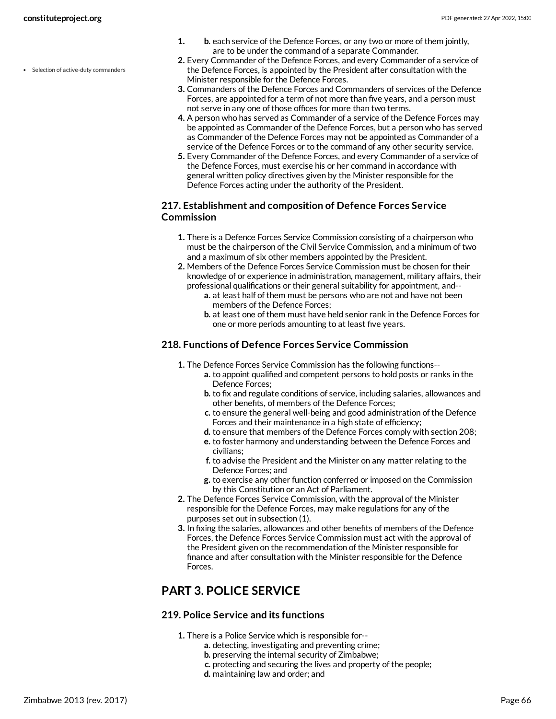- **1. b.** each service of the Defence Forces, or any two or more of them jointly, are to be under the command of a separate Commander.
- **2.** Every Commander of the Defence Forces, and every Commander of a service of the Defence Forces, is appointed by the President after consultation with the Minister responsible for the Defence Forces.
- **3.** Commanders of the Defence Forces and Commanders of services of the Defence Forces, are appointed for a term of not more than five years, and a person must not serve in any one of those offices for more than two terms.
- **4.** A person who has served as Commander of a service of the Defence Forces may be appointed as Commander of the Defence Forces, but a person who has served as Commander of the Defence Forces may not be appointed as Commander of a service of the Defence Forces or to the command of any other security service.
- **5.** Every Commander of the Defence Forces, and every Commander of a service of the Defence Forces, must exercise his or her command in accordance with general written policy directives given by the Minister responsible for the Defence Forces acting under the authority of the President.

### **217. Establishment and composition of Defence Forces Service Commission**

**1.** There is a Defence Forces Service Commission consisting of a chairperson who must be the chairperson of the Civil Service Commission, and a minimum of two and a maximum of six other members appointed by the President.

**2.** Members of the Defence Forces Service Commission must be chosen for their knowledge of or experience in administration, management, military affairs, their professional qualifications or their general suitability for appointment, and--

- **a.** at least half of them must be persons who are not and have not been members of the Defence Forces;
- **b.** at least one of them must have held senior rank in the Defence Forces for one or more periods amounting to at least five years.

### **218. Functions of Defence Forces Service Commission**

- **1.** The Defence Forces Service Commission has the following functions-
	- **a.** to appoint qualified and competent persons to hold posts or ranks in the Defence Forces;
	- **b.** to fix and regulate conditions of service, including salaries, allowances and other benefits, of members of the Defence Forces;
	- **c.** to ensure the general well-being and good administration of the Defence Forces and their maintenance in a high state of efficiency;
	- **d.** to ensure that members of the Defence Forces comply with section 208;
	- **e.** to foster harmony and understanding between the Defence Forces and
		- civilians;
	- **f.** to advise the President and the Minister on any matter relating to the Defence Forces; and
	- **g.** to exercise any other function conferred or imposed on the Commission by this Constitution or an Act of Parliament.
- **2.** The Defence Forces Service Commission, with the approval of the Minister responsible for the Defence Forces, may make regulations for any of the purposes set out in subsection (1).
- **3.** In fixing the salaries, allowances and other benefits of members of the Defence Forces, the Defence Forces Service Commission must act with the approval of the President given on the recommendation of the Minister responsible for finance and after consultation with the Minister responsible for the Defence Forces.

### **PART 3. POLICE SERVICE**

### **219. Police Service and its functions**

- **1.** There is a Police Service which is responsible for-
	- **a.** detecting, investigating and preventing crime;
	- **b.** preserving the internal security of Zimbabwe;
	- **c.** protecting and securing the lives and property of the people;
	- **d.** maintaining law and order; and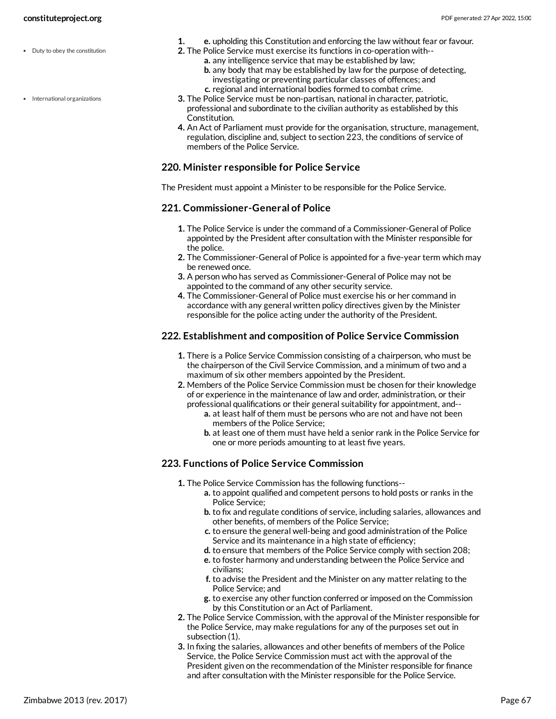- Duty to obey the constitution
- 
- International organizations
- **1. e.** upholding this Constitution and enforcing the law without fear or favour.
- **2.** The Police Service must exercise its functions in co-operation with-
	- **a.** any intelligence service that may be established by law; **b.** any body that may be established by law for the purpose of detecting, investigating or preventing particular classes of offences; and **c.** regional and international bodies formed to combat crime.
- **3.** The Police Service must be non-partisan, national in character, patriotic, professional and subordinate to the civilian authority as established by this Constitution.
- **4.** An Act of Parliament must provide for the organisation, structure, management, regulation, discipline and, subject to section 223, the conditions of service of members of the Police Service.

### **220. Minister responsible for Police Service**

The President must appoint a Minister to be responsible for the Police Service.

### **221. Commissioner-General of Police**

- **1.** The Police Service is under the command of a Commissioner-General of Police appointed by the President after consultation with the Minister responsible for the police.
- **2.** The Commissioner-General of Police is appointed for a five-year term which may be renewed once.
- **3.** A person who has served as Commissioner-General of Police may not be appointed to the command of any other security service.
- **4.** The Commissioner-General of Police must exercise his or her command in accordance with any general written policy directives given by the Minister responsible for the police acting under the authority of the President.

### **222. Establishment and composition of Police Service Commission**

- **1.** There is a Police Service Commission consisting of a chairperson, who must be the chairperson of the Civil Service Commission, and a minimum of two and a maximum of six other members appointed by the President.
- **2.** Members of the Police Service Commission must be chosen for their knowledge of or experience in the maintenance of law and order, administration, or their professional qualifications or their general suitability for appointment, and-
	- **a.** at least half of them must be persons who are not and have not been members of the Police Service;
	- **b.** at least one of them must have held a senior rank in the Police Service for one or more periods amounting to at least five years.

### **223. Functions of Police Service Commission**

- **1.** The Police Service Commission has the following functions-
	- **a.** to appoint qualified and competent persons to hold posts or ranks in the Police Service;
	- **b.** to fix and regulate conditions of service, including salaries, allowances and other benefits, of members of the Police Service;
	- **c.** to ensure the general well-being and good administration of the Police Service and its maintenance in a high state of efficiency;
	- **d.** to ensure that members of the Police Service comply with section 208;
	- **e.** to foster harmony and understanding between the Police Service and civilians;
	- **f.** to advise the President and the Minister on any matter relating to the Police Service; and
	- **g.** to exercise any other function conferred or imposed on the Commission by this Constitution or an Act of Parliament.
- **2.** The Police Service Commission, with the approval of the Minister responsible for the Police Service, may make regulations for any of the purposes set out in subsection (1).
- **3.** In fixing the salaries, allowances and other benefits of members of the Police Service, the Police Service Commission must act with the approval of the President given on the recommendation of the Minister responsible for finance and after consultation with the Minister responsible for the Police Service.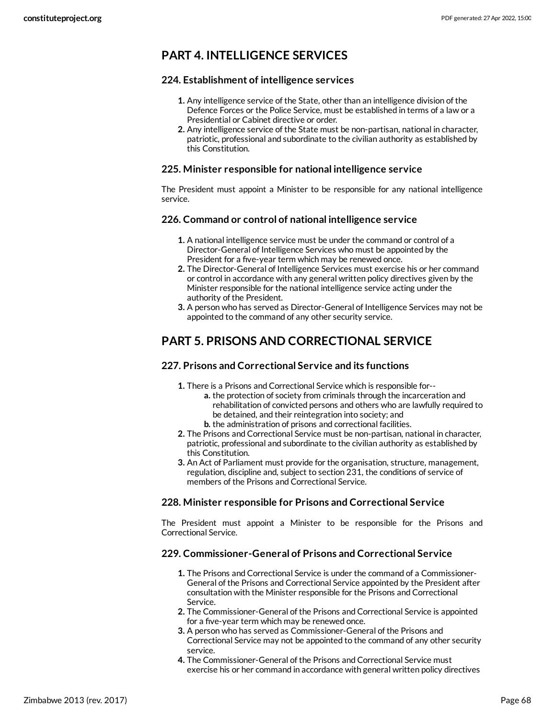### **PART 4. INTELLIGENCE SERVICES**

### **224. Establishment of intelligence services**

- **1.** Any intelligence service of the State, other than an intelligence division of the Defence Forces or the Police Service, must be established in terms of a law or a Presidential or Cabinet directive or order.
- **2.** Any intelligence service of the State must be non-partisan, national in character, patriotic, professional and subordinate to the civilian authority as established by this Constitution.

### **225. Minister responsible for national intelligence service**

The President must appoint a Minister to be responsible for any national intelligence service.

### **226. Command or control of national intelligence service**

- **1.** A national intelligence service must be under the command or control of a Director-General of Intelligence Services who must be appointed by the President for a five-year term which may be renewed once.
- **2.** The Director-General of Intelligence Services must exercise his or her command or control in accordance with any general written policy directives given by the Minister responsible for the national intelligence service acting under the authority of the President.
- **3.** A person who has served as Director-General of Intelligence Services may not be appointed to the command of any other security service.

### **PART 5. PRISONS AND CORRECTIONAL SERVICE**

### **227. Prisons and Correctional Service and its functions**

- **1.** There is a Prisons and Correctional Service which is responsible for-
	- **a.** the protection of society from criminals through the incarceration and rehabilitation of convicted persons and others who are lawfully required to be detained, and their reintegration into society; and
	- **b.** the administration of prisons and correctional facilities.
- **2.** The Prisons and Correctional Service must be non-partisan, national in character, patriotic, professional and subordinate to the civilian authority as established by this Constitution.
- **3.** An Act of Parliament must provide for the organisation, structure, management, regulation, discipline and, subject to section 231, the conditions of service of members of the Prisons and Correctional Service.

### **228. Minister responsible for Prisons and Correctional Service**

The President must appoint a Minister to be responsible for the Prisons and Correctional Service.

### **229. Commissioner-General of Prisons and Correctional Service**

- **1.** The Prisons and Correctional Service is under the command of a Commissioner-General of the Prisons and Correctional Service appointed by the President after consultation with the Minister responsible for the Prisons and Correctional Service.
- **2.** The Commissioner-General of the Prisons and Correctional Service is appointed for a five-year term which may be renewed once.
- **3.** A person who has served as Commissioner-General of the Prisons and Correctional Service may not be appointed to the command of any other security service.
- **4.** The Commissioner-General of the Prisons and Correctional Service must exercise his or her command in accordance with general written policy directives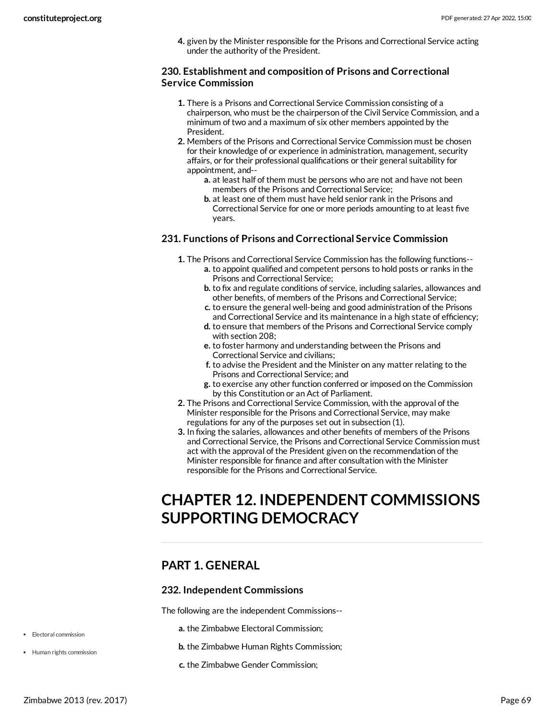**4.** given by the Minister responsible for the Prisons and Correctional Service acting under the authority of the President.

### **230. Establishment and composition of Prisons and Correctional Service Commission**

- **1.** There is a Prisons and Correctional Service Commission consisting of a chairperson, who must be the chairperson of the Civil Service Commission, and a minimum of two and a maximum of six other members appointed by the President.
- **2.** Members of the Prisons and Correctional Service Commission must be chosen for their knowledge of or experience in administration, management, security affairs, or for their professional qualifications or their general suitability for appointment, and-
	- **a.** at least half of them must be persons who are not and have not been members of the Prisons and Correctional Service;
	- **b.** at least one of them must have held senior rank in the Prisons and Correctional Service for one or more periods amounting to at least five years.

### **231. Functions of Prisons and Correctional Service Commission**

- **1.** The Prisons and Correctional Service Commission has the following functions-
	- **a.** to appoint qualified and competent persons to hold posts or ranks in the Prisons and Correctional Service;
	- **b.** to fix and regulate conditions of service, including salaries, allowances and other benefits, of members of the Prisons and Correctional Service;
	- **c.** to ensure the general well-being and good administration of the Prisons and Correctional Service and its maintenance in a high state of efficiency;
	- **d.** to ensure that members of the Prisons and Correctional Service comply with section 208;
	- **e.** to foster harmony and understanding between the Prisons and Correctional Service and civilians;
	- **f.** to advise the President and the Minister on any matter relating to the Prisons and Correctional Service; and
	- **g.** to exercise any other function conferred or imposed on the Commission by this Constitution or an Act of Parliament.
- **2.** The Prisons and Correctional Service Commission, with the approval of the Minister responsible for the Prisons and Correctional Service, may make regulations for any of the purposes set out in subsection (1).
- **3.** In fixing the salaries, allowances and other benefits of members of the Prisons and Correctional Service, the Prisons and Correctional Service Commission must act with the approval of the President given on the recommendation of the Minister responsible for finance and after consultation with the Minister responsible for the Prisons and Correctional Service.

## **CHAPTER 12. INDEPENDENT COMMISSIONS SUPPORTING DEMOCRACY**

### **PART 1. GENERAL**

### **232. Independent Commissions**

The following are the independent Commissions--

**a.** the Zimbabwe Electoral Commission;

- **b.** the Zimbabwe Human Rights Commission;
- **c.** the Zimbabwe Gender Commission;
- Flectoral commission
- Human rights commission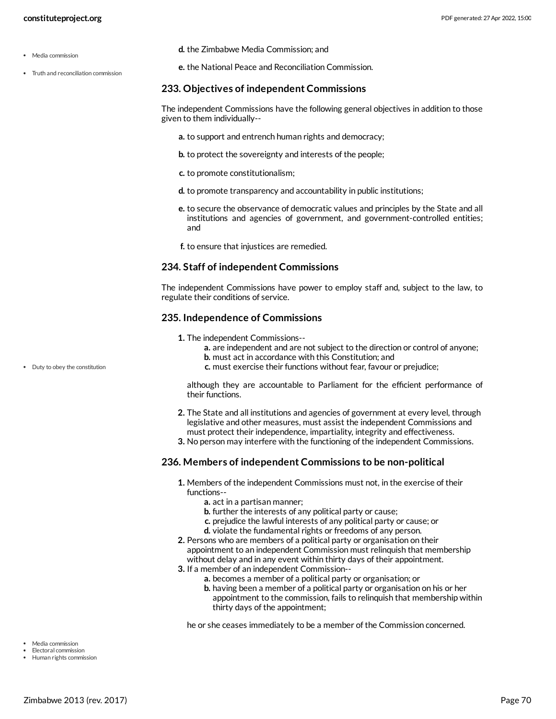- Media commission
- Truth and reconciliation commission
- **d.** the Zimbabwe Media Commission; and
- **e.** the National Peace and Reconciliation Commission.

#### **233. Objectives of independent Commissions**

The independent Commissions have the following general objectives in addition to those given to them individually--

- **a.** to support and entrench human rights and democracy;
- **b.** to protect the sovereignty and interests of the people;
- **c.** to promote constitutionalism;
- **d.** to promote transparency and accountability in public institutions;
- **e.** to secure the observance of democratic values and principles by the State and all institutions and agencies of government, and government-controlled entities; and
- **f.** to ensure that injustices are remedied.

#### **234. Staff of independent Commissions**

The independent Commissions have power to employ staff and, subject to the law, to regulate their conditions of service.

#### **235. Independence of Commissions**

- **1.** The independent Commissions-
	- **a.** are independent and are not subject to the direction or control of anyone; **b.** must act in accordance with this Constitution; and
	- **c.** must exercise their functions without fear, favour or prejudice;

although they are accountable to Parliament for the efficient performance of their functions.

- **2.** The State and all institutions and agencies of government at every level, through legislative and other measures, must assist the independent Commissions and must protect their independence, impartiality, integrity and effectiveness.
- **3.** No person may interfere with the functioning of the independent Commissions.

#### **236. Members of independent Commissions to be non-political**

- **1.** Members of the independent Commissions must not, in the exercise of their functions-
	- **a.** act in a partisan manner;
	- **b.** further the interests of any political party or cause;
	- **c.** prejudice the lawful interests of any political party or cause; or
	- **d.** violate the fundamental rights or freedoms of any person.
- **2.** Persons who are members of a political party or organisation on their appointment to an independent Commission must relinquish that membership without delay and in any event within thirty days of their appointment.
- **3.** If a member of an independent Commission-
	- **a.** becomes a member of a political party or organisation; or
	- **b.** having been a member of a political party or organisation on his or her appointment to the commission, fails to relinquish that membership within thirty days of the appointment;

he or she ceases immediately to be a member of the Commission concerned.

Duty to obey the constitution

Media commission

Electoral commission Human rights commission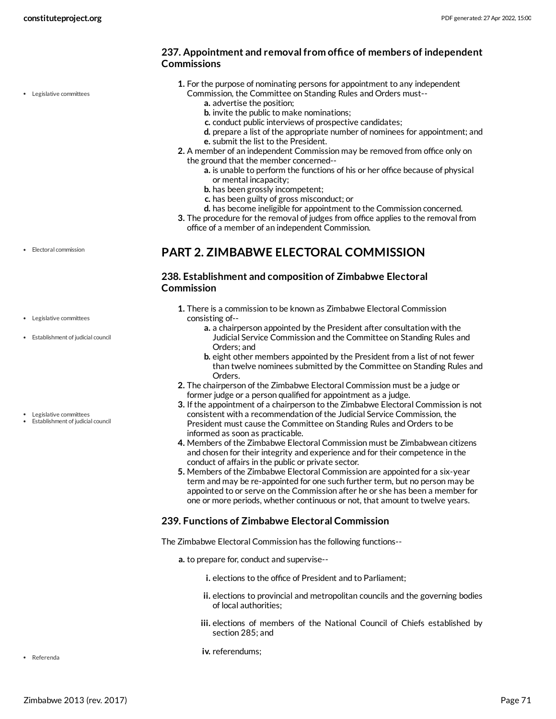### **237. Appointment and removal from office of members of independent Commissions**

**1.** For the purpose of nominating persons for appointment to any independent

Commission, the Committee on Standing Rules and Orders must--

- **a.** advertise the position;
- **b.** invite the public to make nominations;
- **c.** conduct public interviews of prospective candidates;
- **d.** prepare a list of the appropriate number of nominees for appointment; and
- **e.** submit the list to the President.
- **2.** A member of an independent Commission may be removed from office only on the ground that the member concerned-
	- **a.** is unable to perform the functions of his or her office because of physical or mental incapacity;
	- **b.** has been grossly incompetent;
	- **c.** has been guilty of gross misconduct; or
	- **d.** has become ineligible for appointment to the Commission concerned.
- **3.** The procedure for the removal of judges from office applies to the removal from office of a member of an independent Commission.

### **PART 2. ZIMBABWE ELECTORAL COMMISSION**

### **238. Establishment and composition of Zimbabwe Electoral Commission**

- **1.** There is a commission to be known as Zimbabwe Electoral Commission consisting of-
	- **a.** a chairperson appointed by the President after consultation with the Judicial Service Commission and the Committee on Standing Rules and Orders; and
	- **b.** eight other members appointed by the President from a list of not fewer than twelve nominees submitted by the Committee on Standing Rules and Orders.
- **2.** The chairperson of the Zimbabwe Electoral Commission must be a judge or former judge or a person qualified for appointment as a judge.
- **3.** If the appointment of a chairperson to the Zimbabwe Electoral Commission is not consistent with a recommendation of the Judicial Service Commission, the President must cause the Committee on Standing Rules and Orders to be informed as soon as practicable.
- **4.** Members of the Zimbabwe Electoral Commission must be Zimbabwean citizens and chosen for their integrity and experience and for their competence in the conduct of affairs in the public or private sector.
- **5.** Members of the Zimbabwe Electoral Commission are appointed for a six-year term and may be re-appointed for one such further term, but no person may be appointed to or serve on the Commission after he or she has been a member for one or more periods, whether continuous or not, that amount to twelve years.

### **239. Functions of Zimbabwe Electoral Commission**

The Zimbabwe Electoral Commission has the following functions--

**a.** to prepare for, conduct and supervise--

- **i.** elections to the office of President and to Parliament;
- **ii.** elections to provincial and metropolitan councils and the governing bodies of local authorities;
- **iii.** elections of members of the National Council of Chiefs established by section 285; and
- **iv.** referendums;

Legislative committees

Electoral commission

- Legislative committees
- Establishment of judicial council
- Legislative committees
- Establishment of judicial council

Referenda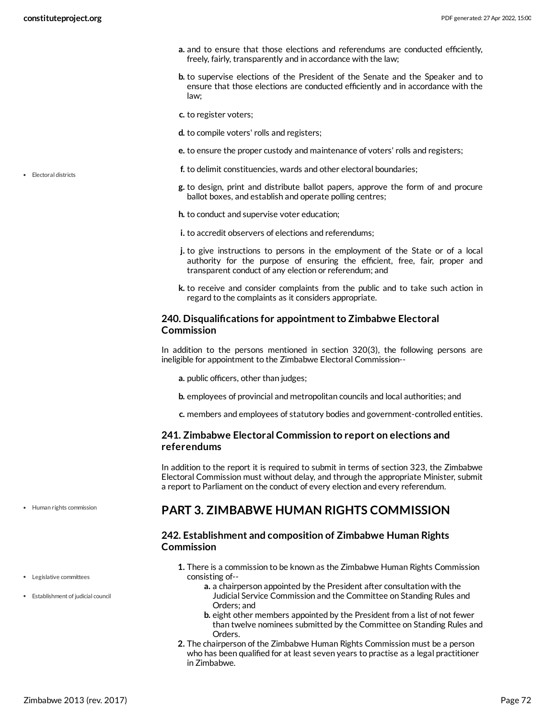Electoral districts

- **a.** and to ensure that those elections and referendums are conducted efficiently, freely, fairly, transparently and in accordance with the law;
- **b.** to supervise elections of the President of the Senate and the Speaker and to ensure that those elections are conducted efficiently and in accordance with the law;
- **c.** to register voters;
- **d.** to compile voters' rolls and registers;
- **e.** to ensure the proper custody and maintenance of voters' rolls and registers;
- **f.** to delimit constituencies, wards and other electoral boundaries;
- **g.** to design, print and distribute ballot papers, approve the form of and procure ballot boxes, and establish and operate polling centres;
- **h.** to conduct and supervise voter education;
- **i.** to accredit observers of elections and referendums;
- **j.** to give instructions to persons in the employment of the State or of a local authority for the purpose of ensuring the efficient, free, fair, proper and transparent conduct of any election or referendum; and
- **k.** to receive and consider complaints from the public and to take such action in regard to the complaints as it considers appropriate.

#### **240. Disqualifications for appointmentto Zimbabwe Electoral Commission**

In addition to the persons mentioned in section 320(3), the following persons are ineligible for appointment to the Zimbabwe Electoral Commission--

- **a.** public officers, other than judges;
- **b.** employees of provincial and metropolitan councils and local authorities; and
- **c.** members and employees of statutory bodies and government-controlled entities.

### **241. Zimbabwe Electoral Commission to report on elections and referendums**

In addition to the report it is required to submit in terms of section 323, the Zimbabwe Electoral Commission must without delay, and through the appropriate Minister, submit a report to Parliament on the conduct of every election and every referendum.

- Human rights commission
- Legislative committees
- Establishment of judicial council

**PART 3. ZIMBABWE HUMAN RIGHTS COMMISSION**

### **242. Establishment and composition of Zimbabwe Human Rights Commission**

- **1.** There is a commission to be known as the Zimbabwe Human Rights Commission consisting of-
	- **a.** a chairperson appointed by the President after consultation with the Judicial Service Commission and the Committee on Standing Rules and Orders; and
	- **b.** eight other members appointed by the President from a list of not fewer than twelve nominees submitted by the Committee on Standing Rules and Orders.
- **2.** The chairperson of the Zimbabwe Human Rights Commission must be a person who has been qualified for at least seven years to practise as a legal practitioner in Zimbabwe.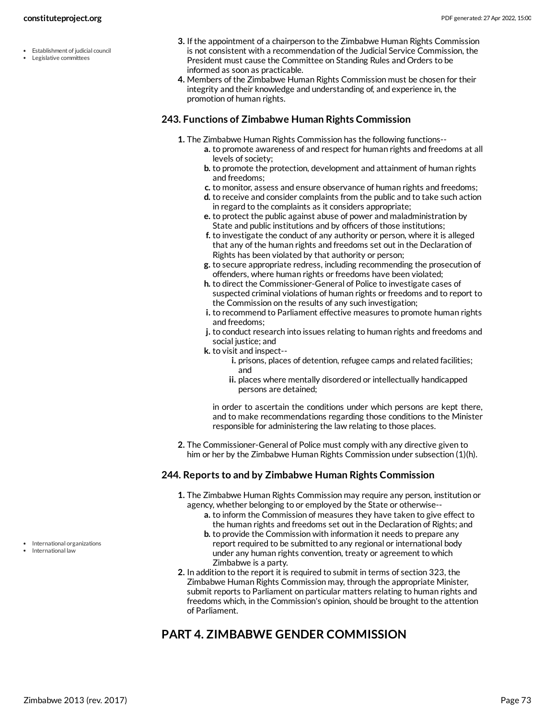- Establishment of judicial council
- Legislative committees
- **3.** If the appointment of a chairperson to the Zimbabwe Human Rights Commission is not consistent with a recommendation of the Judicial Service Commission, the President must cause the Committee on Standing Rules and Orders to be informed as soon as practicable.
- **4.** Members of the Zimbabwe Human Rights Commission must be chosen for their integrity and their knowledge and understanding of, and experience in, the promotion of human rights.

### **243. Functions of Zimbabwe Human Rights Commission**

- **1.** The Zimbabwe Human Rights Commission has the following functions-
	- **a.** to promote awareness of and respect for human rights and freedoms at all levels of society;
	- **b.** to promote the protection, development and attainment of human rights and freedoms;
	- **c.** to monitor, assess and ensure observance of human rights and freedoms;
	- **d.** to receive and consider complaints from the public and to take such action in regard to the complaints as it considers appropriate;
	- **e.** to protect the public against abuse of power and maladministration by State and public institutions and by officers of those institutions;
	- **f.** to investigate the conduct of any authority or person, where it is alleged that any of the human rights and freedoms set out in the Declaration of Rights has been violated by that authority or person;
	- **g.** to secure appropriate redress, including recommending the prosecution of offenders, where human rights or freedoms have been violated;
	- **h.** to direct the Commissioner-General of Police to investigate cases of suspected criminal violations of human rights or freedoms and to report to the Commission on the results of any such investigation;
	- **i.** to recommend to Parliament effective measures to promote human rights and freedoms;
	- **j.** to conduct research into issues relating to human rights and freedoms and social justice; and
	- **k.** to visit and inspect-
		- **i.** prisons, places of detention, refugee camps and related facilities; and
		- **ii.** places where mentally disordered or intellectually handicapped persons are detained;

in order to ascertain the conditions under which persons are kept there, and to make recommendations regarding those conditions to the Minister responsible for administering the law relating to those places.

**2.** The Commissioner-General of Police must comply with any directive given to him or her by the Zimbabwe Human Rights Commission under subsection (1)(h).

### **244. Reports to and by Zimbabwe Human Rights Commission**

- **1.** The Zimbabwe Human Rights Commission may require any person, institution or agency, whether belonging to or employed by the State or otherwise-
	- **a.** to inform the Commission of measures they have taken to give effect to the human rights and freedoms set out in the Declaration of Rights; and
	- **b.** to provide the Commission with information it needs to prepare any report required to be submitted to any regional or international body under any human rights convention, treaty or agreement to which Zimbabwe is a party.
- **2.** In addition to the report it is required to submit in terms of section 323, the Zimbabwe Human Rights Commission may, through the appropriate Minister, submit reports to Parliament on particular matters relating to human rights and freedoms which, in the Commission's opinion, should be brought to the attention of Parliament.

# **PART 4. ZIMBABWE GENDER COMMISSION**

- International organizations
- International law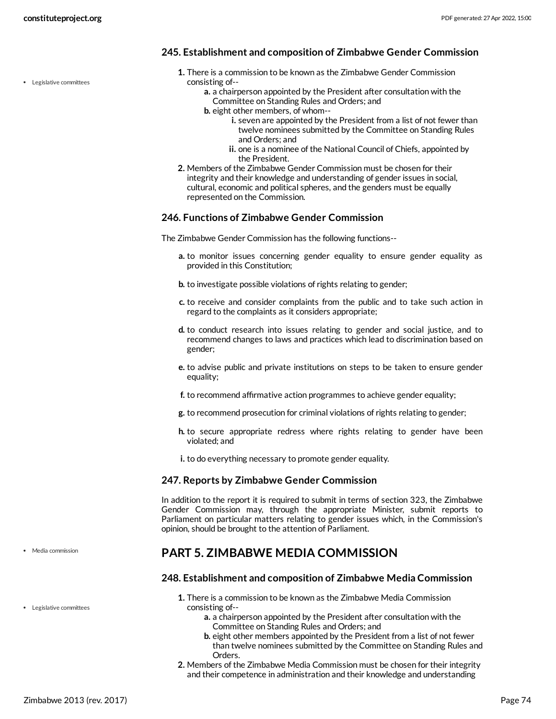Legislative committees

### **245. Establishment and composition of Zimbabwe Gender Commission**

- **1.** There is a commission to be known as the Zimbabwe Gender Commission consisting of-
	- **a.** a chairperson appointed by the President after consultation with the Committee on Standing Rules and Orders; and
	- **b.** eight other members, of whom-
		- **i.** seven are appointed by the President from a list of not fewer than twelve nominees submitted by the Committee on Standing Rules and Orders; and
		- **ii.** one is a nominee of the National Council of Chiefs, appointed by the President.
- **2.** Members of the Zimbabwe Gender Commission must be chosen for their integrity and their knowledge and understanding of gender issues in social, cultural, economic and political spheres, and the genders must be equally represented on the Commission.

### **246. Functions of Zimbabwe Gender Commission**

The Zimbabwe Gender Commission has the following functions--

- **a.** to monitor issues concerning gender equality to ensure gender equality as provided in this Constitution;
- **b.** to investigate possible violations of rights relating to gender;
- **c.** to receive and consider complaints from the public and to take such action in regard to the complaints as it considers appropriate;
- **d.** to conduct research into issues relating to gender and social justice, and to recommend changes to laws and practices which lead to discrimination based on gender;
- **e.** to advise public and private institutions on steps to be taken to ensure gender equality;
- **f.** to recommend affirmative action programmes to achieve gender equality;
- **g.** to recommend prosecution for criminal violations of rights relating to gender;
- **h.** to secure appropriate redress where rights relating to gender have been violated; and
- **i.** to do everything necessary to promote gender equality.

### **247. Reports by Zimbabwe Gender Commission**

In addition to the report it is required to submit in terms of section 323, the Zimbabwe Gender Commission may, through the appropriate Minister, submit reports to Parliament on particular matters relating to gender issues which, in the Commission's opinion, should be brought to the attention of Parliament.

• Media commission

Legislative committees

# **PART 5. ZIMBABWE MEDIA COMMISSION**

### **248. Establishment and composition of Zimbabwe Media Commission**

- **1.** There is a commission to be known as the Zimbabwe Media Commission consisting of-
	- **a.** a chairperson appointed by the President after consultation with the Committee on Standing Rules and Orders; and
	- **b.** eight other members appointed by the President from a list of not fewer than twelve nominees submitted by the Committee on Standing Rules and Orders.
- **2.** Members of the Zimbabwe Media Commission must be chosen for their integrity and their competence in administration and their knowledge and understanding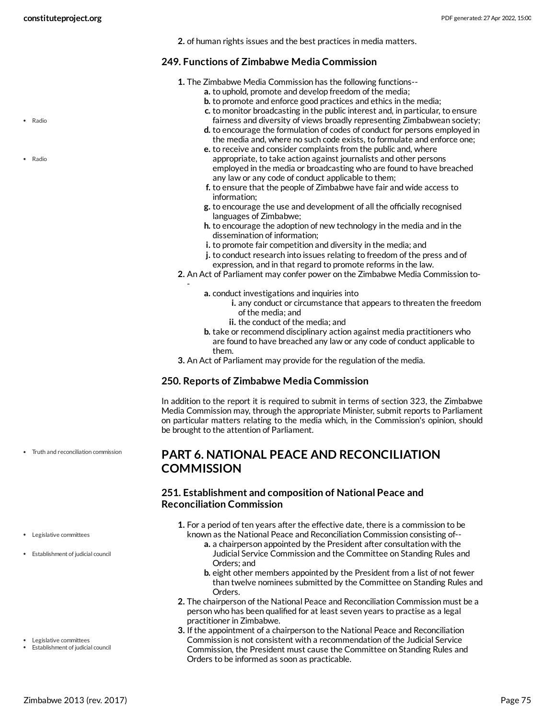• Radio

• Radio

**2.** of human rights issues and the best practices in media matters.

### **249. Functions of Zimbabwe Media Commission**

- **1.** The Zimbabwe Media Commission has the following functions-
	- **a.** to uphold, promote and develop freedom of the media;
	- **b.** to promote and enforce good practices and ethics in the media;
	- **c.** to monitor broadcasting in the public interest and, in particular, to ensure
	- fairness and diversity of views broadly representing Zimbabwean society; **d.** to encourage the formulation of codes of conduct for persons employed in
	- the media and, where no such code exists, to formulate and enforce one; **e.** to receive and consider complaints from the public and, where
	- appropriate, to take action against journalists and other persons employed in the media or broadcasting who are found to have breached any law or any code of conduct applicable to them;
	- **f.** to ensure that the people of Zimbabwe have fair and wide access to information;
	- **g.** to encourage the use and development of all the officially recognised languages of Zimbabwe;
	- **h.** to encourage the adoption of new technology in the media and in the dissemination of information;
	- **i.** to promote fair competition and diversity in the media; and
	- **j.** to conduct research into issues relating to freedom of the press and of expression, and in that regard to promote reforms in the law.
	- **2.** An Act of Parliament may confer power on the Zimbabwe Media Commission to
		- **a.** conduct investigations and inquiries into

-

- **i.** any conduct or circumstance that appears to threaten the freedom of the media; and
- **ii.** the conduct of the media; and
- **b.** take or recommend disciplinary action against media practitioners who are found to have breached any law or any code of conduct applicable to them.
- **3.** An Act of Parliament may provide for the regulation of the media.

### **250. Reports of Zimbabwe Media Commission**

In addition to the report it is required to submit in terms of section 323, the Zimbabwe Media Commission may, through the appropriate Minister, submit reports to Parliament on particular matters relating to the media which, in the Commission's opinion, should be brought to the attention of Parliament.

Truth and reconciliation commission

# **PART 6. NATIONAL PEACE AND RECONCILIATION COMMISSION**

### **251. Establishment and composition of National Peace and Reconciliation Commission**

- **1.** For a period of ten years after the effective date, there is a commission to be known as the National Peace and Reconciliation Commission consisting of-
	- **a.** a chairperson appointed by the President after consultation with the Judicial Service Commission and the Committee on Standing Rules and Orders; and
	- **b.** eight other members appointed by the President from a list of not fewer than twelve nominees submitted by the Committee on Standing Rules and Orders.
- **2.** The chairperson of the National Peace and Reconciliation Commission must be a person who has been qualified for at least seven years to practise as a legal practitioner in Zimbabwe.
- **3.** If the appointment of a chairperson to the National Peace and Reconciliation Commission is not consistent with a recommendation of the Judicial Service Commission, the President must cause the Committee on Standing Rules and Orders to be informed as soon as practicable.
- Legislative committees
- Establishment of judicial council

- Legislative committees
- Establishment of judicial council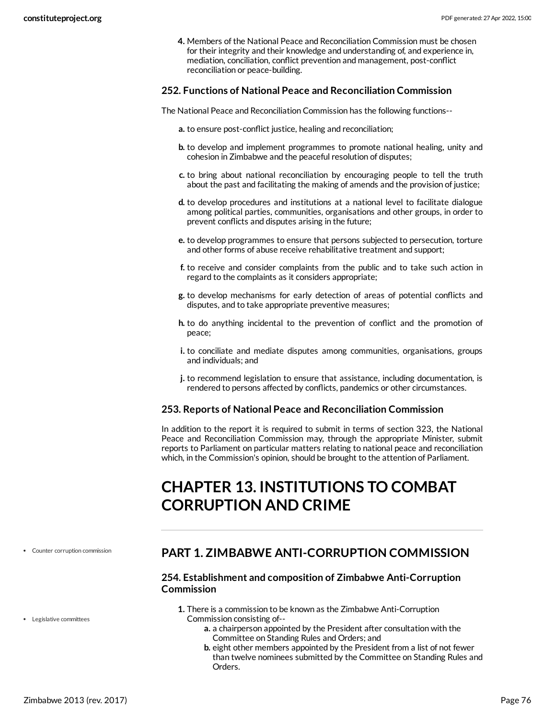**4.** Members of the National Peace and Reconciliation Commission must be chosen for their integrity and their knowledge and understanding of, and experience in, mediation, conciliation, conflict prevention and management, post-conflict reconciliation or peace-building.

### **252. Functions of National Peace and Reconciliation Commission**

The National Peace and Reconciliation Commission has the following functions--

- **a.** to ensure post-conflict justice, healing and reconciliation;
- **b.** to develop and implement programmes to promote national healing, unity and cohesion in Zimbabwe and the peaceful resolution of disputes;
- **c.** to bring about national reconciliation by encouraging people to tell the truth about the past and facilitating the making of amends and the provision of justice;
- **d.** to develop procedures and institutions at a national level to facilitate dialogue among political parties, communities, organisations and other groups, in order to prevent conflicts and disputes arising in the future;
- **e.** to develop programmes to ensure that persons subjected to persecution, torture and other forms of abuse receive rehabilitative treatment and support;
- **f.** to receive and consider complaints from the public and to take such action in regard to the complaints as it considers appropriate;
- **g.** to develop mechanisms for early detection of areas of potential conflicts and disputes, and to take appropriate preventive measures;
- **h.** to do anything incidental to the prevention of conflict and the promotion of peace;
- **i.** to conciliate and mediate disputes among communities, organisations, groups and individuals; and
- **j.** to recommend legislation to ensure that assistance, including documentation, is rendered to persons affected by conflicts, pandemics or other circumstances.

### **253. Reports of National Peace and Reconciliation Commission**

In addition to the report it is required to submit in terms of section 323, the National Peace and Reconciliation Commission may, through the appropriate Minister, submit reports to Parliament on particular matters relating to national peace and reconciliation which, in the Commission's opinion, should be brought to the attention of Parliament.

# **CHAPTER 13. INSTITUTIONS TO COMBAT CORRUPTION AND CRIME**

Counter corruption commission

# **PART 1. ZIMBABWE ANTI-CORRUPTION COMMISSION**

### **254. Establishment and composition of Zimbabwe Anti-Corruption Commission**

- **1.** There is a commission to be known as the Zimbabwe Anti-Corruption Commission consisting of-
	- **a.** a chairperson appointed by the President after consultation with the Committee on Standing Rules and Orders; and
	- **b.** eight other members appointed by the President from a list of not fewer than twelve nominees submitted by the Committee on Standing Rules and Orders.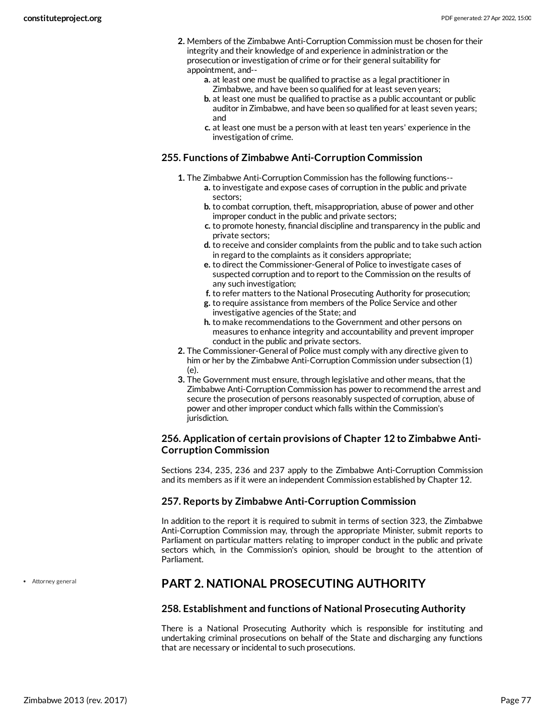- **2.** Members of the Zimbabwe Anti-Corruption Commission must be chosen for their integrity and their knowledge of and experience in administration or the prosecution or investigation of crime or for their general suitability for appointment, and-
	- **a.** at least one must be qualified to practise as a legal practitioner in Zimbabwe, and have been so qualified for at least seven years;
	- **b.** at least one must be qualified to practise as a public accountant or public auditor in Zimbabwe, and have been so qualified for at least seven years; and
	- **c.** at least one must be a person with at least ten years' experience in the investigation of crime.

### **255. Functions of Zimbabwe Anti-Corruption Commission**

- **1.** The Zimbabwe Anti-Corruption Commission has the following functions-
	- **a.** to investigate and expose cases of corruption in the public and private sectors;
	- **b.** to combat corruption, theft, misappropriation, abuse of power and other improper conduct in the public and private sectors;
	- **c.** to promote honesty, financial discipline and transparency in the public and private sectors;
	- **d.** to receive and consider complaints from the public and to take such action in regard to the complaints as it considers appropriate;
	- **e.** to direct the Commissioner-General of Police to investigate cases of suspected corruption and to report to the Commission on the results of any such investigation;
	- **f.** to refer matters to the National Prosecuting Authority for prosecution;
	- **g.** to require assistance from members of the Police Service and other investigative agencies of the State; and
	- **h.** to make recommendations to the Government and other persons on measures to enhance integrity and accountability and prevent improper conduct in the public and private sectors.
- **2.** The Commissioner-General of Police must comply with any directive given to him or her by the Zimbabwe Anti-Corruption Commission under subsection (1) (e).
- **3.** The Government must ensure, through legislative and other means, that the Zimbabwe Anti-Corruption Commission has power to recommend the arrest and secure the prosecution of persons reasonably suspected of corruption, abuse of power and other improper conduct which falls within the Commission's jurisdiction.

### **256. Application of certain provisions of Chapter 12 to Zimbabwe Anti-Corruption Commission**

Sections 234, 235, 236 and 237 apply to the Zimbabwe Anti-Corruption Commission and its members as if it were an independent Commission established by Chapter 12.

### **257. Reports by Zimbabwe Anti-Corruption Commission**

In addition to the report it is required to submit in terms of section 323, the Zimbabwe Anti-Corruption Commission may, through the appropriate Minister, submit reports to Parliament on particular matters relating to improper conduct in the public and private sectors which, in the Commission's opinion, should be brought to the attention of Parliament.

Attorney general

# **PART 2. NATIONAL PROSECUTING AUTHORITY**

### **258. Establishment and functions of National Prosecuting Authority**

There is a National Prosecuting Authority which is responsible for instituting and undertaking criminal prosecutions on behalf of the State and discharging any functions that are necessary or incidental to such prosecutions.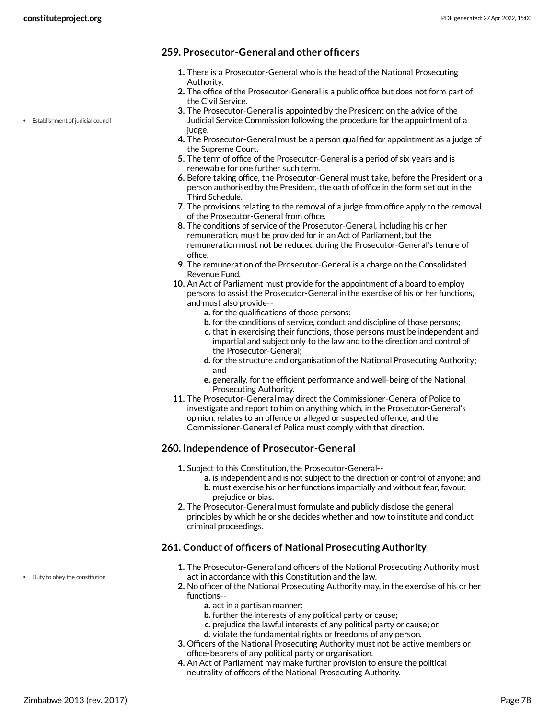### **259. Prosecutor-General and other officers**

- **1.** There is a Prosecutor-General who is the head of the National Prosecuting Authority.
- **2.** The office of the Prosecutor-General is a public office but does not form part of the Civil Service.
- **3.** The Prosecutor-General is appointed by the President on the advice of the Judicial Service Commission following the procedure for the appointment of a judge.
- **4.** The Prosecutor-General must be a person qualified for appointment as a judge of the Supreme Court.
- **5.** The term of office of the Prosecutor-General is a period of six years and is renewable for one further such term.
- **6.** Before taking office, the Prosecutor-General must take, before the President or a person authorised by the President, the oath of office in the form set out in the Third Schedule.
- **7.** The provisions relating to the removal of a judge from office apply to the removal of the Prosecutor-General from office.
- **8.** The conditions of service of the Prosecutor-General, including his or her remuneration, must be provided for in an Act of Parliament, but the remuneration must not be reduced during the Prosecutor-General's tenure of office.
- **9.** The remuneration of the Prosecutor-General is a charge on the Consolidated Revenue Fund.
- **10.** An Act of Parliament must provide for the appointment of a board to employ persons to assist the Prosecutor-General in the exercise of his or her functions, and must also provide-
	- **a.** for the qualifications of those persons;
	- **b.** for the conditions of service, conduct and discipline of those persons;
	- **c.** that in exercising their functions, those persons must be independent and impartial and subject only to the law and to the direction and control of the Prosecutor-General;
	- **d.** for the structure and organisation of the National Prosecuting Authority; and
	- **e.** generally, for the efficient performance and well-being of the National Prosecuting Authority.
- **11.** The Prosecutor-General may direct the Commissioner-General of Police to investigate and report to him on anything which, in the Prosecutor-General's opinion, relates to an offence or alleged or suspected offence, and the Commissioner-General of Police must comply with that direction.

### **260. Independence of Prosecutor-General**

- **1.** Subject to this Constitution, the Prosecutor-General-
	- **a.** is independent and is not subject to the direction or control of anyone; and **b.** must exercise his or her functions impartially and without fear, favour, prejudice or bias.
- **2.** The Prosecutor-General must formulate and publicly disclose the general principles by which he or she decides whether and how to institute and conduct criminal proceedings.

### **261. Conduct of officers of National Prosecuting Authority**

- **1.** The Prosecutor-General and officers of the National Prosecuting Authority must act in accordance with this Constitution and the law.
- **2.** No officer of the National Prosecuting Authority may, in the exercise of his or her functions-
	- **a.** act in a partisan manner;
	- **b.** further the interests of any political party or cause;
	- **c.** prejudice the lawful interests of any political party or cause; or
	- **d.** violate the fundamental rights or freedoms of any person.
- **3.** Officers of the National Prosecuting Authority must not be active members or office-bearers of any political party or organisation.
- **4.** An Act of Parliament may make further provision to ensure the political neutrality of officers of the National Prosecuting Authority.

Establishment of judicial council

• Duty to obey the constitution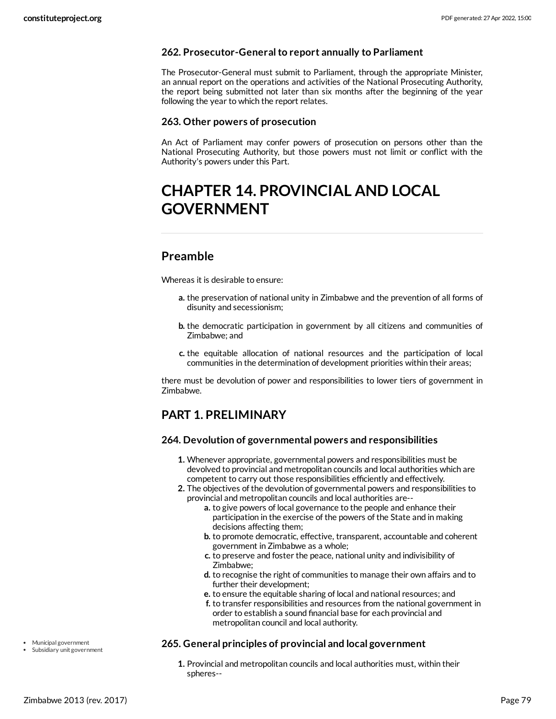### **262. Prosecutor-Generalto report annually to Parliament**

The Prosecutor-General must submit to Parliament, through the appropriate Minister, an annual report on the operations and activities of the National Prosecuting Authority, the report being submitted not later than six months after the beginning of the year following the year to which the report relates.

### **263. Other powers of prosecution**

An Act of Parliament may confer powers of prosecution on persons other than the National Prosecuting Authority, but those powers must not limit or conflict with the Authority's powers under this Part.

# **CHAPTER 14. PROVINCIAL AND LOCAL GOVERNMENT**

### **Preamble**

Whereas it is desirable to ensure:

- **a.** the preservation of national unity in Zimbabwe and the prevention of all forms of disunity and secessionism;
- **b.** the democratic participation in government by all citizens and communities of Zimbabwe; and
- **c.** the equitable allocation of national resources and the participation of local communities in the determination of development priorities within their areas;

there must be devolution of power and responsibilities to lower tiers of government in Zimbabwe.

# **PART 1. PRELIMINARY**

### **264. Devolution of governmental powers and responsibilities**

- **1.** Whenever appropriate, governmental powers and responsibilities must be devolved to provincial and metropolitan councils and local authorities which are competent to carry out those responsibilities efficiently and effectively.
- **2.** The objectives of the devolution of governmental powers and responsibilities to provincial and metropolitan councils and local authorities are-
	- **a.** to give powers of local governance to the people and enhance their participation in the exercise of the powers of the State and in making decisions affecting them;
	- **b.** to promote democratic, effective, transparent, accountable and coherent government in Zimbabwe as a whole;
	- **c.** to preserve and foster the peace, national unity and indivisibility of Zimbabwe;
	- **d.** to recognise the right of communities to manage their own affairs and to further their development;
	- **e.** to ensure the equitable sharing of local and national resources; and
	- **f.** to transfer responsibilities and resources from the national government in order to establish a sound financial base for each provincial and metropolitan council and local authority.
- **265. General principles of provincial and local government**
	- **1.** Provincial and metropolitan councils and local authorities must, within their spheres--
- Municipal government
- Subsidiary unit government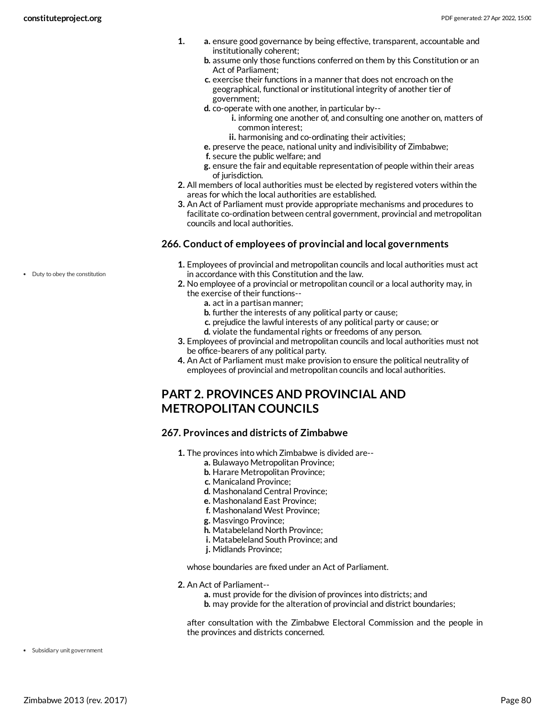- **1. a.** ensure good governance by being effective, transparent, accountable and institutionally coherent;
	- **b.** assume only those functions conferred on them by this Constitution or an Act of Parliament;
	- **c.** exercise their functions in a manner that does not encroach on the geographical, functional or institutional integrity of another tier of government;
	- **d.** co-operate with one another, in particular by-
		- **i.** informing one another of, and consulting one another on, matters of common interest;
		- **ii.** harmonising and co-ordinating their activities;
	- **e.** preserve the peace, national unity and indivisibility of Zimbabwe;
	- **f.** secure the public welfare; and
	- **g.** ensure the fair and equitable representation of people within their areas of jurisdiction.
- **2.** All members of local authorities must be elected by registered voters within the areas for which the local authorities are established.
- **3.** An Act of Parliament must provide appropriate mechanisms and procedures to facilitate co-ordination between central government, provincial and metropolitan councils and local authorities.

### **266. Conduct of employees of provincial and local governments**

- **1.** Employees of provincial and metropolitan councils and local authorities must act in accordance with this Constitution and the law.
- **2.** No employee of a provincial or metropolitan council or a local authority may, in the exercise of their functions-
	- **a.** act in a partisan manner;
	- **b.** further the interests of any political party or cause;
	- **c.** prejudice the lawful interests of any political party or cause; or
	- **d.** violate the fundamental rights or freedoms of any person.
- **3.** Employees of provincial and metropolitan councils and local authorities must not be office-bearers of any political party.
- **4.** An Act of Parliament must make provision to ensure the political neutrality of employees of provincial and metropolitan councils and local authorities.

# **PART 2. PROVINCES AND PROVINCIAL AND METROPOLITAN COUNCILS**

### **267. Provinces and districts of Zimbabwe**

- **1.** The provinces into which Zimbabwe is divided are-
	- **a.** Bulawayo Metropolitan Province;
	- **b.** Harare Metropolitan Province;
	- **c.** Manicaland Province;
	- **d.** Mashonaland Central Province;
	- **e.** Mashonaland East Province;
	- **f.** Mashonaland West Province;
	- **g.** Masvingo Province;
	- **h.** Matabeleland North Province;
	- **i.** Matabeleland South Province; and
	- **j.** Midlands Province;

whose boundaries are fixed under an Act of Parliament.

- **2.** An Act of Parliament-
	- **a.** must provide for the division of provinces into districts; and **b.** may provide for the alteration of provincial and district boundaries;

after consultation with the Zimbabwe Electoral Commission and the people in the provinces and districts concerned.

Subsidiary unit government

Duty to obey the constitution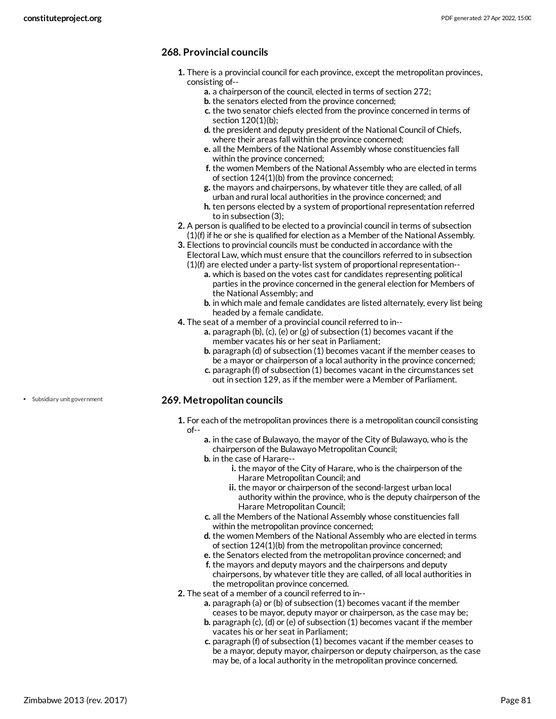### **268. Provincial councils**

- **1.** There is a provincial council for each province, except the metropolitan provinces, consisting of-
	- **a.** a chairperson of the council, elected in terms of section 272;
	- **b.** the senators elected from the province concerned;
	- **c.** the two senator chiefs elected from the province concerned in terms of section 120(1)(b);
	- **d.** the president and deputy president of the National Council of Chiefs, where their areas fall within the province concerned;
	- **e.** all the Members of the National Assembly whose constituencies fall within the province concerned;
	- **f.** the women Members of the National Assembly who are elected in terms of section 124(1)(b) from the province concerned;
	- **g.** the mayors and chairpersons, by whatever title they are called, of all urban and rural local authorities in the province concerned; and
	- **h.** ten persons elected by a system of proportional representation referred to in subsection (3);
- **2.** A person is qualified to be elected to a provincial council in terms of subsection
- (1)(f) if he or she is qualified for election as a Member of the National Assembly.
- **3.** Elections to provincial councils must be conducted in accordance with the Electoral Law, which must ensure that the councillors referred to in subsection (1)(f) are elected under a party-list system of proportional representation-
	- **a.** which is based on the votes cast for candidates representing political parties in the province concerned in the general election for Members of the National Assembly; and
	- **b.** in which male and female candidates are listed alternately, every list being headed by a female candidate.
- **4.** The seat of a member of a provincial council referred to in-
	- **a.** paragraph (b), (c), (e) or (g) of subsection (1) becomes vacant if the member vacates his or her seat in Parliament;
	- **b.** paragraph (d) of subsection (1) becomes vacant if the member ceases to be a mayor or chairperson of a local authority in the province concerned;
	- **c.** paragraph (f) of subsection (1) becomes vacant in the circumstances set out in section 129, as if the member were a Member of Parliament.

### **269. Metropolitan councils**

- **1.** For each of the metropolitan provinces there is a metropolitan council consisting of-
	- **a.** in the case of Bulawayo, the mayor of the City of Bulawayo, who is the chairperson of the Bulawayo Metropolitan Council;
	- **b.** in the case of Harare-
		- **i.** the mayor of the City of Harare, who is the chairperson of the Harare Metropolitan Council; and
		- **ii.** the mayor or chairperson of the second-largest urban local authority within the province, who is the deputy chairperson of the Harare Metropolitan Council;
	- **c.** all the Members of the National Assembly whose constituencies fall within the metropolitan province concerned;
	- **d.** the women Members of the National Assembly who are elected in terms of section 124(1)(b) from the metropolitan province concerned;
	- **e.** the Senators elected from the metropolitan province concerned; and
	- **f.** the mayors and deputy mayors and the chairpersons and deputy chairpersons, by whatever title they are called, of all local authorities in the metropolitan province concerned.
- **2.** The seat of a member of a council referred to in-
	- **a.** paragraph (a) or (b) of subsection (1) becomes vacant if the member ceases to be mayor, deputy mayor or chairperson, as the case may be;
	- **b.** paragraph (c), (d) or (e) of subsection (1) becomes vacant if the member vacates his or her seat in Parliament;
	- **c.** paragraph (f) of subsection (1) becomes vacant if the member ceases to be a mayor, deputy mayor, chairperson or deputy chairperson, as the case may be, of a local authority in the metropolitan province concerned.

Subsidiary unit government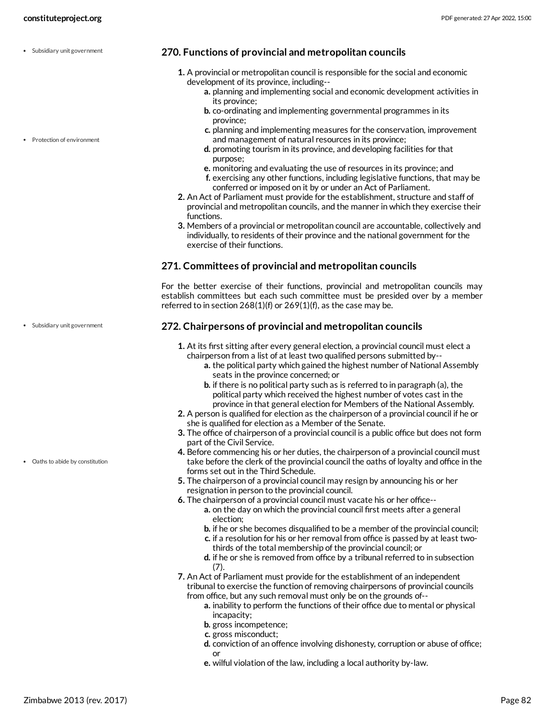- 
- Protection of environment

Subsidiary unit government

Oaths to abide by constitution

- **1.** A provincial or metropolitan council is responsible for the social and economic development of its province, including-
	- **a.** planning and implementing social and economic development activities in its province;
	- **b.** co-ordinating and implementing governmental programmes in its province;
	- **c.** planning and implementing measures for the conservation, improvement and management of natural resources in its province;
	- **d.** promoting tourism in its province, and developing facilities for that purpose;
	- **e.** monitoring and evaluating the use of resources in its province; and
	- **f.** exercising any other functions, including legislative functions, that may be conferred or imposed on it by or under an Act of Parliament.
- **2.** An Act of Parliament must provide for the establishment, structure and staff of provincial and metropolitan councils, and the manner in which they exercise their functions.
- **3.** Members of a provincial or metropolitan council are accountable, collectively and individually, to residents of their province and the national government for the exercise of their functions.

### **271. Committees of provincial and metropolitan councils**

For the better exercise of their functions, provincial and metropolitan councils may establish committees but each such committee must be presided over by a member referred to in section  $268(1)(f)$  or  $269(1)(f)$ , as the case may be.

### **272. Chairpersons of provincial and metropolitan councils**

- **1.** At its first sitting after every general election, a provincial council must elect a chairperson from a list of at least two qualified persons submitted by-
	- **a.** the political party which gained the highest number of National Assembly seats in the province concerned; or
	- **b.** if there is no political party such as is referred to in paragraph (a), the political party which received the highest number of votes cast in the province in that general election for Members of the National Assembly.
- **2.** A person is qualified for election as the chairperson of a provincial council if he or she is qualified for election as a Member of the Senate.
- **3.** The office of chairperson of a provincial council is a public office but does not form part of the Civil Service.
- **4.** Before commencing his or her duties, the chairperson of a provincial council must take before the clerk of the provincial council the oaths of loyalty and office in the forms set out in the Third Schedule.
- **5.** The chairperson of a provincial council may resign by announcing his or her resignation in person to the provincial council.
- **6.** The chairperson of a provincial council must vacate his or her office-
	- **a.** on the day on which the provincial council first meets after a general election;
	- **b.** if he or she becomes disqualified to be a member of the provincial council;
	- **c.** if a resolution for his or her removal from office is passed by at least twothirds of the total membership of the provincial council; or
	- **d.** if he or she is removed from office by a tribunal referred to in subsection (7).
- **7.** An Act of Parliament must provide for the establishment of an independent tribunal to exercise the function of removing chairpersons of provincial councils from office, but any such removal must only be on the grounds of-
	- **a.** inability to perform the functions of their office due to mental or physical incapacity;
	- **b.** gross incompetence;
	- **c.** gross misconduct;
	- **d.** conviction of an offence involving dishonesty, corruption or abuse of office; or
	- **e.** wilful violation of the law, including a local authority by-law.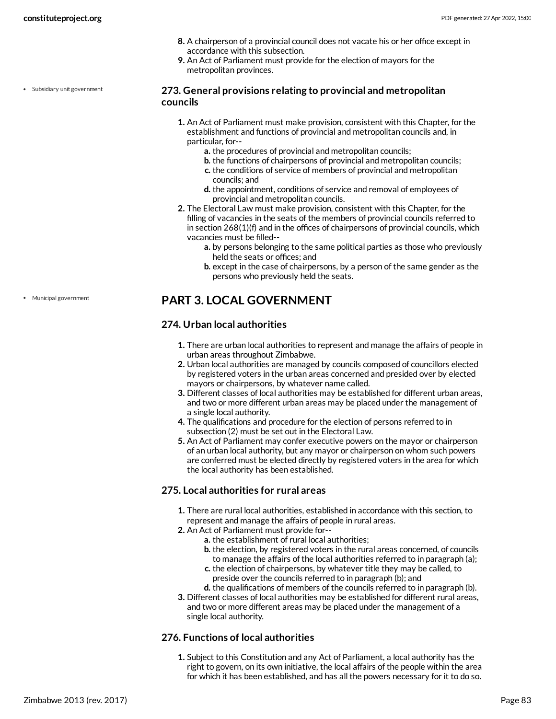- **8.** A chairperson of a provincial council does not vacate his or her office except in accordance with this subsection.
- **9.** An Act of Parliament must provide for the election of mayors for the metropolitan provinces.

Subsidiary unit government

Municipal government

### **273. General provisions relating to provincial and metropolitan councils**

- **1.** An Act of Parliament must make provision, consistent with this Chapter, for the establishment and functions of provincial and metropolitan councils and, in particular, for-
	- **a.** the procedures of provincial and metropolitan councils;
	- **b.** the functions of chairpersons of provincial and metropolitan councils;
	- **c.** the conditions of service of members of provincial and metropolitan councils; and
	- **d.** the appointment, conditions of service and removal of employees of provincial and metropolitan councils.
- **2.** The Electoral Law must make provision, consistent with this Chapter, for the filling of vacancies in the seats of the members of provincial councils referred to in section 268(1)(f) and in the offices of chairpersons of provincial councils, which vacancies must be filled-
	- **a.** by persons belonging to the same political parties as those who previously held the seats or offices; and
	- **b.** except in the case of chairpersons, by a person of the same gender as the persons who previously held the seats.

# **PART 3. LOCAL GOVERNMENT**

### **274. Urban local authorities**

- **1.** There are urban local authorities to represent and manage the affairs of people in urban areas throughout Zimbabwe.
- **2.** Urban local authorities are managed by councils composed of councillors elected by registered voters in the urban areas concerned and presided over by elected mayors or chairpersons, by whatever name called.
- **3.** Different classes of local authorities may be established for different urban areas, and two or more different urban areas may be placed under the management of a single local authority.
- **4.** The qualifications and procedure for the election of persons referred to in subsection (2) must be set out in the Electoral Law.
- **5.** An Act of Parliament may confer executive powers on the mayor or chairperson of an urban local authority, but any mayor or chairperson on whom such powers are conferred must be elected directly by registered voters in the area for which the local authority has been established.

### **275. Local authorities for rural areas**

- **1.** There are rural local authorities, established in accordance with this section, to represent and manage the affairs of people in rural areas.
- **2.** An Act of Parliament must provide for-
	- **a.** the establishment of rural local authorities;
	- **b.** the election, by registered voters in the rural areas concerned, of councils to manage the affairs of the local authorities referred to in paragraph (a);
	- **c.** the election of chairpersons, by whatever title they may be called, to preside over the councils referred to in paragraph (b); and
	- **d.** the qualifications of members of the councils referred to in paragraph (b).
- **3.** Different classes of local authorities may be established for different rural areas, and two or more different areas may be placed under the management of a single local authority.

### **276. Functions of local authorities**

**1.** Subject to this Constitution and any Act of Parliament, a local authority has the right to govern, on its own initiative, the local affairs of the people within the area for which it has been established, and has all the powers necessary for it to do so.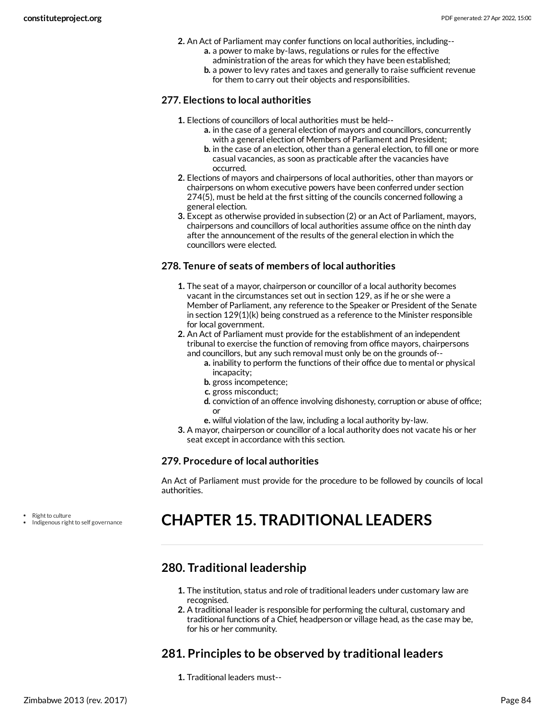- **2.** An Act of Parliament may confer functions on local authorities, including-
	- **a.** a power to make by-laws, regulations or rules for the effective administration of the areas for which they have been established;
	- **b.** a power to levy rates and taxes and generally to raise sufficient revenue for them to carry out their objects and responsibilities.

### **277. Elections to local authorities**

- **1.** Elections of councillors of local authorities must be held-
	- **a.** in the case of a general election of mayors and councillors, concurrently with a general election of Members of Parliament and President;
	- **b.** in the case of an election, other than a general election, to fill one or more casual vacancies, as soon as practicable after the vacancies have occurred.
- **2.** Elections of mayors and chairpersons of local authorities, other than mayors or chairpersons on whom executive powers have been conferred under section 274(5), must be held at the first sitting of the councils concerned following a general election.
- **3.** Except as otherwise provided in subsection (2) or an Act of Parliament, mayors, chairpersons and councillors of local authorities assume office on the ninth day after the announcement of the results of the general election in which the councillors were elected.

### **278. Tenure of seats of members of local authorities**

- **1.** The seat of a mayor, chairperson or councillor of a local authority becomes vacant in the circumstances set out in section 129, as if he or she were a Member of Parliament, any reference to the Speaker or President of the Senate in section 129(1)(k) being construed as a reference to the Minister responsible for local government.
- **2.** An Act of Parliament must provide for the establishment of an independent tribunal to exercise the function of removing from office mayors, chairpersons and councillors, but any such removal must only be on the grounds of-
	- **a.** inability to perform the functions of their office due to mental or physical incapacity;
	- **b.** gross incompetence;
	- **c.** gross misconduct;
	- **d.** conviction of an offence involving dishonesty, corruption or abuse of office; or
	- **e.** wilful violation of the law, including a local authority by-law.
- **3.** A mayor, chairperson or councillor of a local authority does not vacate his or her seat except in accordance with this section.

### **279. Procedure of local authorities**

An Act of Parliament must provide for the procedure to be followed by councils of local authorities.

• Right to culture

Indigenous right to self governance

# **CHAPTER 15. TRADITIONAL LEADERS**

# **280. Traditional leadership**

- **1.** The institution, status and role of traditional leaders under customary law are recognised.
- **2.** A traditional leader is responsible for performing the cultural, customary and traditional functions of a Chief, headperson or village head, as the case may be, for his or her community.

# **281. Principles to be observed by traditional leaders**

**1.** Traditional leaders must--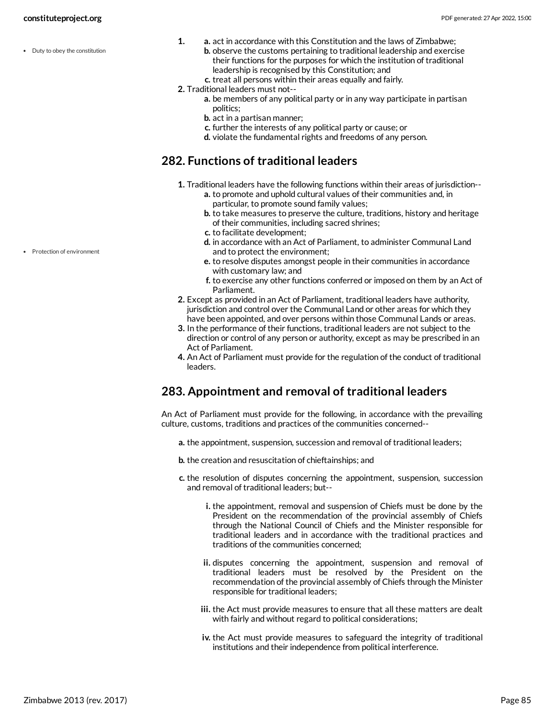Duty to obey the constitution

- **1. a.** act in accordance with this Constitution and the laws of Zimbabwe;
	- **b.** observe the customs pertaining to traditional leadership and exercise their functions for the purposes for which the institution of traditional leadership is recognised by this Constitution; and
	- **c.** treat all persons within their areas equally and fairly.
- **2.** Traditional leaders must not-
	- **a.** be members of any political party or in any way participate in partisan politics;
		- **b.** act in a partisan manner;
		- **c.** further the interests of any political party or cause; or
		- **d.** violate the fundamental rights and freedoms of any person.

# **282. Functions of traditional leaders**

- **1.** Traditional leaders have the following functions within their areas of jurisdiction-
	- **a.** to promote and uphold cultural values of their communities and, in particular, to promote sound family values;
	- **b.** to take measures to preserve the culture, traditions, history and heritage of their communities, including sacred shrines;
	- **c.** to facilitate development;
	- **d.** in accordance with an Act of Parliament, to administer Communal Land and to protect the environment;
	- **e.** to resolve disputes amongst people in their communities in accordance with customary law; and
	- **f.** to exercise any other functions conferred or imposed on them by an Act of Parliament.
- **2.** Except as provided in an Act of Parliament, traditional leaders have authority, jurisdiction and control over the Communal Land or other areas for which they have been appointed, and over persons within those Communal Lands or areas.
- **3.** In the performance of their functions, traditional leaders are not subject to the direction or control of any person or authority, except as may be prescribed in an Act of Parliament.
- **4.** An Act of Parliament must provide for the regulation of the conduct of traditional leaders.

# **283. Appointment and removal of traditional leaders**

An Act of Parliament must provide for the following, in accordance with the prevailing culture, customs, traditions and practices of the communities concerned--

- **a.** the appointment, suspension, succession and removal of traditional leaders;
- **b.** the creation and resuscitation of chieftainships; and
- **c.** the resolution of disputes concerning the appointment, suspension, succession and removal of traditional leaders; but-
	- **i.** the appointment, removal and suspension of Chiefs must be done by the President on the recommendation of the provincial assembly of Chiefs through the National Council of Chiefs and the Minister responsible for traditional leaders and in accordance with the traditional practices and traditions of the communities concerned;
	- **ii.** disputes concerning the appointment, suspension and removal of traditional leaders must be resolved by the President on the recommendation of the provincial assembly of Chiefs through the Minister responsible for traditional leaders;
	- **iii.** the Act must provide measures to ensure that all these matters are dealt with fairly and without regard to political considerations;
	- **iv.** the Act must provide measures to safeguard the integrity of traditional institutions and their independence from political interference.

• Protection of environment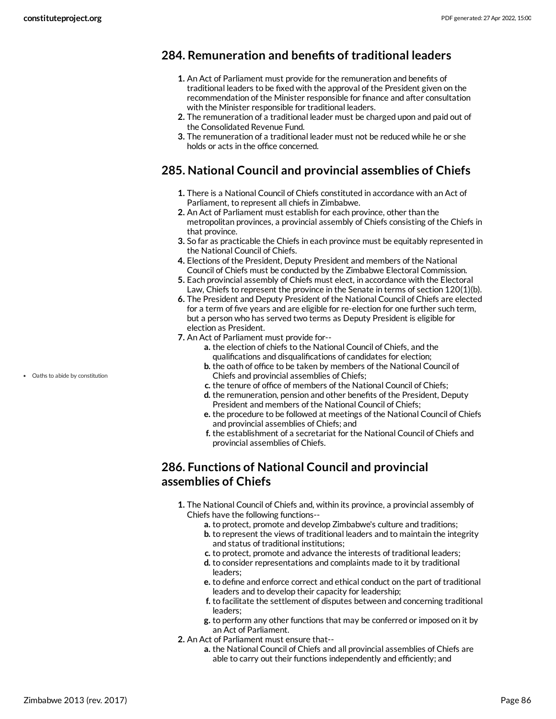# **284. Remuneration and benefits of traditional leaders**

- **1.** An Act of Parliament must provide for the remuneration and benefits of traditional leaders to be fixed with the approval of the President given on the recommendation of the Minister responsible for finance and after consultation with the Minister responsible for traditional leaders.
- **2.** The remuneration of a traditional leader must be charged upon and paid out of the Consolidated Revenue Fund.
- **3.** The remuneration of a traditional leader must not be reduced while he or she holds or acts in the office concerned.

# **285. National Council and provincial assemblies of Chiefs**

- **1.** There is a National Council of Chiefs constituted in accordance with an Act of Parliament, to represent all chiefs in Zimbabwe.
- **2.** An Act of Parliament must establish for each province, other than the metropolitan provinces, a provincial assembly of Chiefs consisting of the Chiefs in that province.
- **3.** So far as practicable the Chiefs in each province must be equitably represented in the National Council of Chiefs.
- **4.** Elections of the President, Deputy President and members of the National Council of Chiefs must be conducted by the Zimbabwe Electoral Commission.
- **5.** Each provincial assembly of Chiefs must elect, in accordance with the Electoral Law, Chiefs to represent the province in the Senate in terms of section 120(1)(b).
- **6.** The President and Deputy President of the National Council of Chiefs are elected for a term of five years and are eligible for re-election for one further such term, but a person who has served two terms as Deputy President is eligible for election as President.
- **7.** An Act of Parliament must provide for-
	- **a.** the election of chiefs to the National Council of Chiefs, and the qualifications and disqualifications of candidates for election;
	- **b.** the oath of office to be taken by members of the National Council of Chiefs and provincial assemblies of Chiefs;
	- **c.** the tenure of office of members of the National Council of Chiefs;
	- **d.** the remuneration, pension and other benefits of the President, Deputy President and members of the National Council of Chiefs;
	- **e.** the procedure to be followed at meetings of the National Council of Chiefs and provincial assemblies of Chiefs; and
	- **f.** the establishment of a secretariat for the National Council of Chiefs and provincial assemblies of Chiefs.

# **286. Functions of National Council and provincial assemblies of Chiefs**

- **1.** The National Council of Chiefs and, within its province, a provincial assembly of Chiefs have the following functions-
	- **a.** to protect, promote and develop Zimbabwe's culture and traditions;
	- **b.** to represent the views of traditional leaders and to maintain the integrity and status of traditional institutions;
	- **c.** to protect, promote and advance the interests of traditional leaders;
	- **d.** to consider representations and complaints made to it by traditional leaders;
	- **e.** to define and enforce correct and ethical conduct on the part of traditional leaders and to develop their capacity for leadership;
	- **f.** to facilitate the settlement of disputes between and concerning traditional leaders;
	- **g.** to perform any other functions that may be conferred or imposed on it by an Act of Parliament.
- **2.** An Act of Parliament must ensure that-
	- **a.** the National Council of Chiefs and all provincial assemblies of Chiefs are able to carry out their functions independently and efficiently; and

Oaths to abide by constitution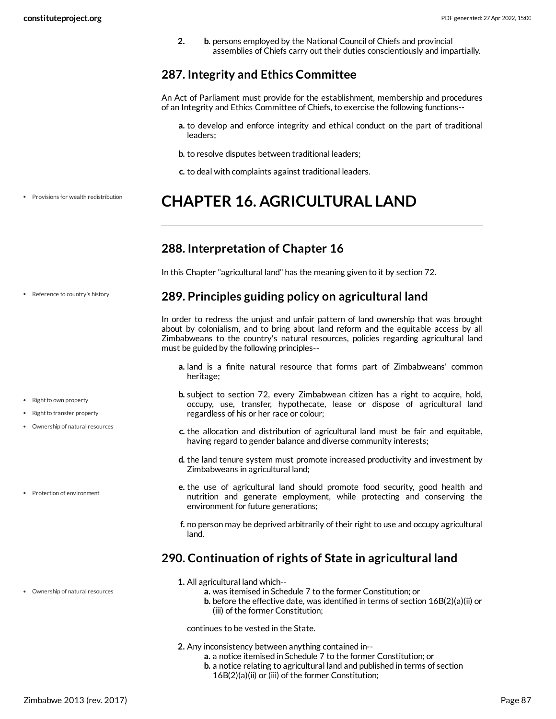**2. b.** persons employed by the National Council of Chiefs and provincial assemblies of Chiefs carry out their duties conscientiously and impartially.

### **287. Integrity and Ethics Committee**

An Act of Parliament must provide for the establishment, membership and procedures of an Integrity and Ethics Committee of Chiefs, to exercise the following functions--

- **a.** to develop and enforce integrity and ethical conduct on the part of traditional leaders;
- **b.** to resolve disputes between traditional leaders;
- **c.** to deal with complaints against traditional leaders.

• Provisions for wealth redistribution

# **CHAPTER 16. AGRICULTURAL LAND**

### **288. Interpretation of Chapter 16**

In this Chapter "agricultural land" has the meaning given to it by section 72.

### **289. Principles guiding policy on agricultural land**

In order to redress the unjust and unfair pattern of land ownership that was brought about by colonialism, and to bring about land reform and the equitable access by all Zimbabweans to the country's natural resources, policies regarding agricultural land must be guided by the following principles--

- **a.** land is a finite natural resource that forms part of Zimbabweans' common heritage;
- **b.** subject to section 72, every Zimbabwean citizen has a right to acquire, hold, occupy, use, transfer, hypothecate, lease or dispose of agricultural land regardless of his or her race or colour;
- **c.** the allocation and distribution of agricultural land must be fair and equitable, having regard to gender balance and diverse community interests;
- **d.** the land tenure system must promote increased productivity and investment by Zimbabweans in agricultural land;
- **e.** the use of agricultural land should promote food security, good health and nutrition and generate employment, while protecting and conserving the environment for future generations;
- **f.** no person may be deprived arbitrarily of their right to use and occupy agricultural land.

# **290. Continuation of rights of State in agricultural land**

- **1.** All agricultural land which-
	- **a.** was itemised in Schedule 7 to the former Constitution; or
	- **b.** before the effective date, was identified in terms of section 16B(2)(a)(ii) or (iii) of the former Constitution;

continues to be vested in the State.

- **2.** Any inconsistency between anything contained in-
	- **a.** a notice itemised in Schedule 7 to the former Constitution; or
		- **b.** a notice relating to agricultural land and published in terms of section
			- 16B(2)(a)(ii) or (iii) of the former Constitution;

Reference to country's history

- Right to own property • Right to transfer property
- Ownership of natural resources
- Protection of environment

Ownership of natural resources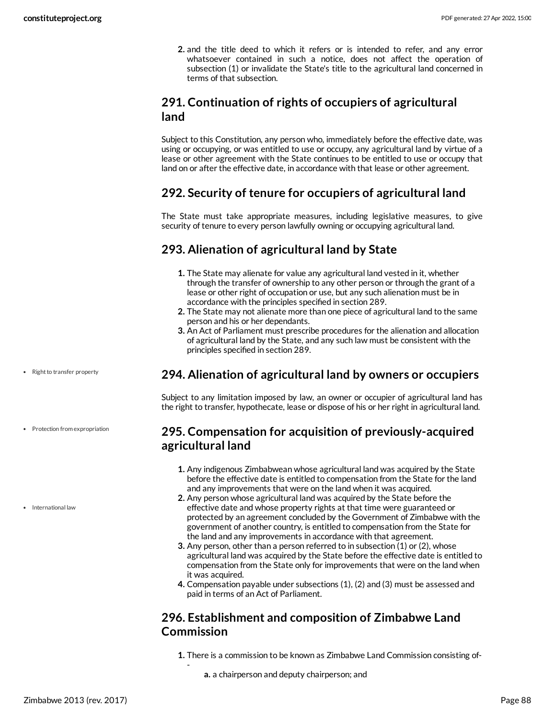**2.** and the title deed to which it refers or is intended to refer, and any error whatsoever contained in such a notice, does not affect the operation of subsection (1) or invalidate the State's title to the agricultural land concerned in terms of that subsection.

# **291. Continuation of rights of occupiers of agricultural land**

Subject to this Constitution, any person who, immediately before the effective date, was using or occupying, or was entitled to use or occupy, any agricultural land by virtue of a lease or other agreement with the State continues to be entitled to use or occupy that land on or after the effective date, in accordance with that lease or other agreement.

# **292. Security of tenure for occupiers of agricultural land**

The State must take appropriate measures, including legislative measures, to give security of tenure to every person lawfully owning or occupying agricultural land.

# **293. Alienation of agricultural land by State**

- **1.** The State may alienate for value any agricultural land vested in it, whether through the transfer of ownership to any other person or through the grant of a lease or other right of occupation or use, but any such alienation must be in accordance with the principles specified in section 289.
- **2.** The State may not alienate more than one piece of agricultural land to the same person and his or her dependants.
- **3.** An Act of Parliament must prescribe procedures for the alienation and allocation of agricultural land by the State, and any such law must be consistent with the principles specified in section 289.

# **294. Alienation of agricultural land by owners or occupiers**

Subject to any limitation imposed by law, an owner or occupier of agricultural land has the right to transfer, hypothecate, lease or dispose of his or her right in agricultural land.

# **295. Compensation for acquisition of previously-acquired agricultural land**

- **1.** Any indigenous Zimbabwean whose agricultural land was acquired by the State before the effective date is entitled to compensation from the State for the land and any improvements that were on the land when it was acquired.
- **2.** Any person whose agricultural land was acquired by the State before the effective date and whose property rights at that time were guaranteed or protected by an agreement concluded by the Government of Zimbabwe with the government of another country, is entitled to compensation from the State for the land and any improvements in accordance with that agreement.
- **3.** Any person, other than a person referred to in subsection (1) or (2), whose agricultural land was acquired by the State before the effective date is entitled to compensation from the State only for improvements that were on the land when it was acquired.
- **4.** Compensation payable under subsections (1), (2) and (3) must be assessed and paid in terms of an Act of Parliament.

# **296. Establishment and composition of Zimbabwe Land Commission**

**1.** There is a commission to be known as Zimbabwe Land Commission consisting of-

**a.** a chairperson and deputy chairperson; and

-

• Right to transfer property

• Protection from expropriation

• International law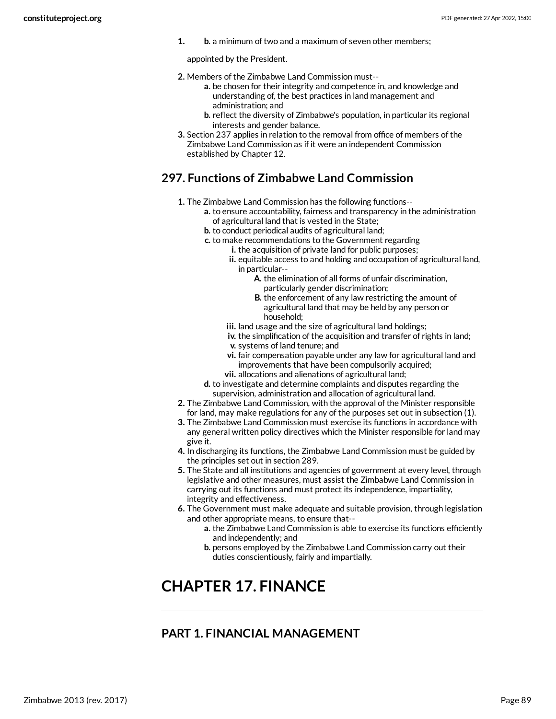**1. b.** a minimum of two and a maximum of seven other members;

appointed by the President.

- **2.** Members of the Zimbabwe Land Commission must-
	- **a.** be chosen for their integrity and competence in, and knowledge and understanding of, the best practices in land management and administration; and
	- **b.** reflect the diversity of Zimbabwe's population, in particular its regional interests and gender balance.
- **3.** Section 237 applies in relation to the removal from office of members of the Zimbabwe Land Commission as if it were an independent Commission established by Chapter 12.

# **297. Functions of Zimbabwe Land Commission**

- **1.** The Zimbabwe Land Commission has the following functions-
	- **a.** to ensure accountability, fairness and transparency in the administration of agricultural land that is vested in the State;
	- **b.** to conduct periodical audits of agricultural land;
	- **c.** to make recommendations to the Government regarding **i.** the acquisition of private land for public purposes;
		- **ii.** equitable access to and holding and occupation of agricultural land, in particular--
			- **A.** the elimination of all forms of unfair discrimination, particularly gender discrimination;
			- **B.** the enforcement of any law restricting the amount of agricultural land that may be held by any person or household;
		- **iii.** land usage and the size of agricultural land holdings;
		- **iv.** the simplification of the acquisition and transfer of rights in land;
		- **v.** systems of land tenure; and
		- **vi.** fair compensation payable under any law for agricultural land and improvements that have been compulsorily acquired;
	- **vii.** allocations and alienations of agricultural land; **d.** to investigate and determine complaints and disputes regarding the supervision, administration and allocation of agricultural land.
- **2.** The Zimbabwe Land Commission, with the approval of the Minister responsible for land, may make regulations for any of the purposes set out in subsection (1).
- **3.** The Zimbabwe Land Commission must exercise its functions in accordance with any general written policy directives which the Minister responsible for land may give it.
- **4.** In discharging its functions, the Zimbabwe Land Commission must be guided by the principles set out in section 289.
- **5.** The State and all institutions and agencies of government at every level, through legislative and other measures, must assist the Zimbabwe Land Commission in carrying out its functions and must protect its independence, impartiality, integrity and effectiveness.
- **6.** The Government must make adequate and suitable provision, through legislation and other appropriate means, to ensure that-
	- **a.** the Zimbabwe Land Commission is able to exercise its functions efficiently and independently; and
	- **b.** persons employed by the Zimbabwe Land Commission carry out their duties conscientiously, fairly and impartially.

# **CHAPTER 17. FINANCE**

# **PART 1. FINANCIAL MANAGEMENT**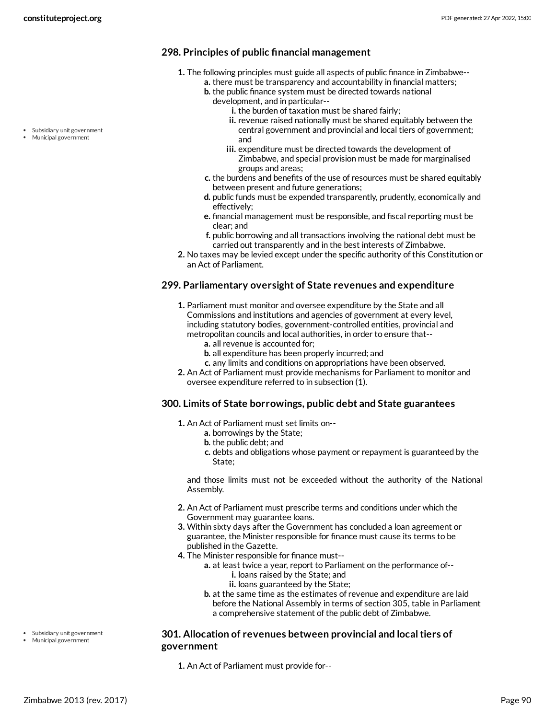### **298. Principles of public financial management**

- **1.** The following principles must guide all aspects of public finance in Zimbabwe-
	- **a.** there must be transparency and accountability in financial matters; **b.** the public finance system must be directed towards national development, and in particular-
		- **i.** the burden of taxation must be shared fairly;
		- **ii.** revenue raised nationally must be shared equitably between the central government and provincial and local tiers of government;
		- and **iii.** expenditure must be directed towards the development of Zimbabwe, and special provision must be made for marginalised groups and areas;
	- **c.** the burdens and benefits of the use of resources must be shared equitably between present and future generations;
	- **d.** public funds must be expended transparently, prudently, economically and effectively;
	- **e.** financial management must be responsible, and fiscal reporting must be clear; and
	- **f.** public borrowing and all transactions involving the national debt must be carried out transparently and in the best interests of Zimbabwe.
- **2.** No taxes may be levied except under the specific authority of this Constitution or an Act of Parliament.

### **299. Parliamentary oversight of State revenues and expenditure**

- **1.** Parliament must monitor and oversee expenditure by the State and all Commissions and institutions and agencies of government at every level, including statutory bodies, government-controlled entities, provincial and metropolitan councils and local authorities, in order to ensure that-
	- **a.** all revenue is accounted for;
	- **b.** all expenditure has been properly incurred; and
	- **c.** any limits and conditions on appropriations have been observed.
- **2.** An Act of Parliament must provide mechanisms for Parliament to monitor and oversee expenditure referred to in subsection (1).

### **300. Limits of State borrowings, public debt and State guarantees**

- **1.** An Act of Parliament must set limits on-
	- **a.** borrowings by the State;
	- **b.** the public debt; and
	- **c.** debts and obligations whose payment or repayment is guaranteed by the State;

and those limits must not be exceeded without the authority of the National Assembly.

- **2.** An Act of Parliament must prescribe terms and conditions under which the Government may guarantee loans.
- **3.** Within sixty days after the Government has concluded a loan agreement or guarantee, the Minister responsible for finance must cause its terms to be published in the Gazette.
- **4.** The Minister responsible for finance must-
	- **a.** at least twice a year, report to Parliament on the performance of- **i.** loans raised by the State; and
		- **ii.** loans guaranteed by the State;
	- **b.** at the same time as the estimates of revenue and expenditure are laid before the National Assembly in terms of section 305, table in Parliament a comprehensive statement of the public debt of Zimbabwe.

### **301. Allocation of revenues between provincial and localtiers of government**

**1.** An Act of Parliament must provide for--

Subsidiary unit government Municipal government

Subsidiary unit government Municipal government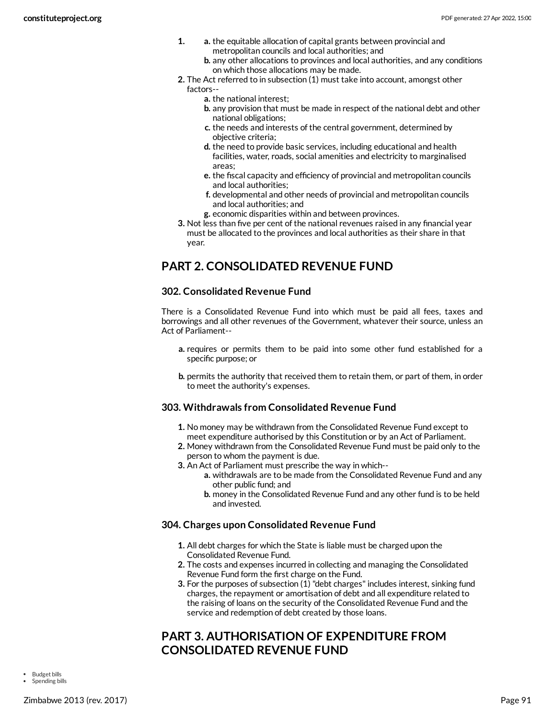- **1. a.** the equitable allocation of capital grants between provincial and metropolitan councils and local authorities; and
	- **b.** any other allocations to provinces and local authorities, and any conditions on which those allocations may be made.
- **2.** The Act referred to in subsection (1) must take into account, amongst other factors-
	- **a.** the national interest;
	- **b.** any provision that must be made in respect of the national debt and other national obligations;
	- **c.** the needs and interests of the central government, determined by objective criteria;
	- **d.** the need to provide basic services, including educational and health facilities, water, roads, social amenities and electricity to marginalised areas;
	- **e.** the fiscal capacity and efficiency of provincial and metropolitan councils and local authorities;
	- **f.** developmental and other needs of provincial and metropolitan councils and local authorities; and
	- **g.** economic disparities within and between provinces.
- **3.** Not less than five per cent of the national revenues raised in any financial year must be allocated to the provinces and local authorities as their share in that year.

# **PART 2. CONSOLIDATED REVENUE FUND**

### **302. Consolidated Revenue Fund**

There is a Consolidated Revenue Fund into which must be paid all fees, taxes and borrowings and all other revenues of the Government, whatever their source, unless an Act of Parliament--

- **a.** requires or permits them to be paid into some other fund established for a specific purpose; or
- **b.** permits the authority that received them to retain them, or part of them, in order to meet the authority's expenses.

### **303. Withdrawals from Consolidated Revenue Fund**

- **1.** No money may be withdrawn from the Consolidated Revenue Fund except to meet expenditure authorised by this Constitution or by an Act of Parliament.
- **2.** Money withdrawn from the Consolidated Revenue Fund must be paid only to the person to whom the payment is due.
- **3.** An Act of Parliament must prescribe the way in which-
	- **a.** withdrawals are to be made from the Consolidated Revenue Fund and any other public fund; and
	- **b.** money in the Consolidated Revenue Fund and any other fund is to be held and invested.

### **304. Charges upon Consolidated Revenue Fund**

- **1.** All debt charges for which the State is liable must be charged upon the Consolidated Revenue Fund.
- **2.** The costs and expenses incurred in collecting and managing the Consolidated Revenue Fund form the first charge on the Fund.
- **3.** For the purposes of subsection (1) "debt charges" includes interest, sinking fund charges, the repayment or amortisation of debt and all expenditure related to the raising of loans on the security of the Consolidated Revenue Fund and the service and redemption of debt created by those loans.

# **PART 3. AUTHORISATION OF EXPENDITURE FROM CONSOLIDATED REVENUE FUND**

• Budget bills • Spending bills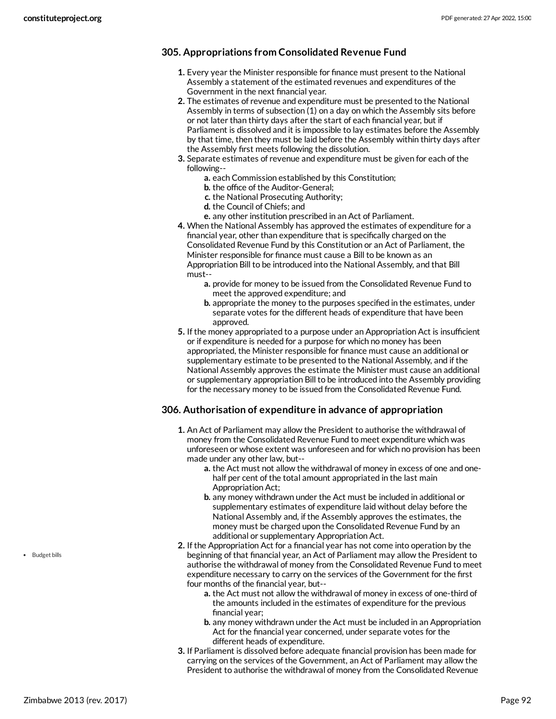### **305. Appropriations from Consolidated Revenue Fund**

- **1.** Every year the Minister responsible for finance must present to the National Assembly a statement of the estimated revenues and expenditures of the Government in the next financial year.
- **2.** The estimates of revenue and expenditure must be presented to the National Assembly in terms of subsection (1) on a day on which the Assembly sits before or not later than thirty days after the start of each financial year, but if Parliament is dissolved and it is impossible to lay estimates before the Assembly by that time, then they must be laid before the Assembly within thirty days after the Assembly first meets following the dissolution.
- **3.** Separate estimates of revenue and expenditure must be given for each of the following-
	- **a.** each Commission established by this Constitution;
	- **b.** the office of the Auditor-General;
	- **c.** the National Prosecuting Authority;
	- **d.** the Council of Chiefs; and
	- **e.** any other institution prescribed in an Act of Parliament.
- **4.** When the National Assembly has approved the estimates of expenditure for a financial year, other than expenditure that is specifically charged on the Consolidated Revenue Fund by this Constitution or an Act of Parliament, the Minister responsible for finance must cause a Bill to be known as an Appropriation Bill to be introduced into the National Assembly, and that Bill must-
	- **a.** provide for money to be issued from the Consolidated Revenue Fund to meet the approved expenditure; and
	- **b.** appropriate the money to the purposes specified in the estimates, under separate votes for the different heads of expenditure that have been approved.
- **5.** If the money appropriated to a purpose under an Appropriation Act is insufficient or if expenditure is needed for a purpose for which no money has been appropriated, the Minister responsible for finance must cause an additional or supplementary estimate to be presented to the National Assembly, and if the National Assembly approves the estimate the Minister must cause an additional or supplementary appropriation Bill to be introduced into the Assembly providing for the necessary money to be issued from the Consolidated Revenue Fund.

### **306. Authorisation of expenditure in advance of appropriation**

- **1.** An Act of Parliament may allow the President to authorise the withdrawal of money from the Consolidated Revenue Fund to meet expenditure which was unforeseen or whose extent was unforeseen and for which no provision has been made under any other law, but-
	- **a.** the Act must not allow the withdrawal of money in excess of one and onehalf per cent of the total amount appropriated in the last main Appropriation Act;
	- **b.** any money withdrawn under the Act must be included in additional or supplementary estimates of expenditure laid without delay before the National Assembly and, if the Assembly approves the estimates, the money must be charged upon the Consolidated Revenue Fund by an additional or supplementary Appropriation Act.
- **2.** If the Appropriation Act for a financial year has not come into operation by the beginning of that financial year, an Act of Parliament may allow the President to authorise the withdrawal of money from the Consolidated Revenue Fund to meet expenditure necessary to carry on the services of the Government for the first four months of the financial year, but-
	- **a.** the Act must not allow the withdrawal of money in excess of one-third of the amounts included in the estimates of expenditure for the previous financial year;
	- **b.** any money withdrawn under the Act must be included in an Appropriation Act for the financial year concerned, under separate votes for the different heads of expenditure.
- **3.** If Parliament is dissolved before adequate financial provision has been made for carrying on the services of the Government, an Act of Parliament may allow the President to authorise the withdrawal of money from the Consolidated Revenue

• Budget bills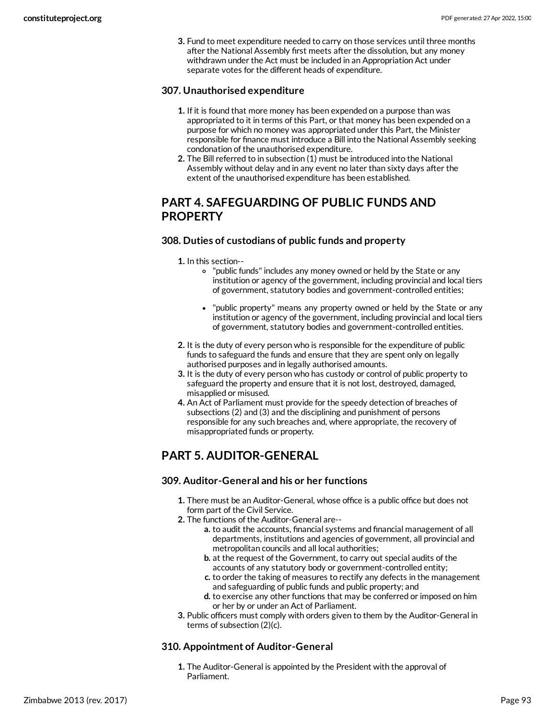**3.** Fund to meet expenditure needed to carry on those services until three months after the National Assembly first meets after the dissolution, but any money withdrawn under the Act must be included in an Appropriation Act under separate votes for the different heads of expenditure.

### **307. Unauthorised expenditure**

- **1.** If it is found that more money has been expended on a purpose than was appropriated to it in terms of this Part, or that money has been expended on a purpose for which no money was appropriated under this Part, the Minister responsible for finance must introduce a Bill into the National Assembly seeking condonation of the unauthorised expenditure.
- **2.** The Bill referred to in subsection (1) must be introduced into the National Assembly without delay and in any event no later than sixty days after the extent of the unauthorised expenditure has been established.

# **PART 4. SAFEGUARDING OF PUBLIC FUNDS AND PROPERTY**

### **308. Duties of custodians of public funds and property**

- **1.** In this section--
	- "public funds" includes any money owned or held by the State or any institution or agency of the government, including provincial and local tiers of government, statutory bodies and government-controlled entities;
	- "public property" means any property owned or held by the State or any institution or agency of the government, including provincial and local tiers of government, statutory bodies and government-controlled entities.
- **2.** It is the duty of every person who is responsible for the expenditure of public funds to safeguard the funds and ensure that they are spent only on legally authorised purposes and in legally authorised amounts.
- **3.** It is the duty of every person who has custody or control of public property to safeguard the property and ensure that it is not lost, destroyed, damaged, misapplied or misused.
- **4.** An Act of Parliament must provide for the speedy detection of breaches of subsections (2) and (3) and the disciplining and punishment of persons responsible for any such breaches and, where appropriate, the recovery of misappropriated funds or property.

# **PART 5. AUDITOR-GENERAL**

### **309. Auditor-General and his or her functions**

- **1.** There must be an Auditor-General, whose office is a public office but does not form part of the Civil Service.
- **2.** The functions of the Auditor-General are-
	- **a.** to audit the accounts, financial systems and financial management of all departments, institutions and agencies of government, all provincial and metropolitan councils and all local authorities;
	- **b.** at the request of the Government, to carry out special audits of the accounts of any statutory body or government-controlled entity;
	- **c.** to order the taking of measures to rectify any defects in the management and safeguarding of public funds and public property; and
	- **d.** to exercise any other functions that may be conferred or imposed on him or her by or under an Act of Parliament.
- **3.** Public officers must comply with orders given to them by the Auditor-General in terms of subsection (2)(c).

### **310. Appointment of Auditor-General**

**1.** The Auditor-General is appointed by the President with the approval of Parliament.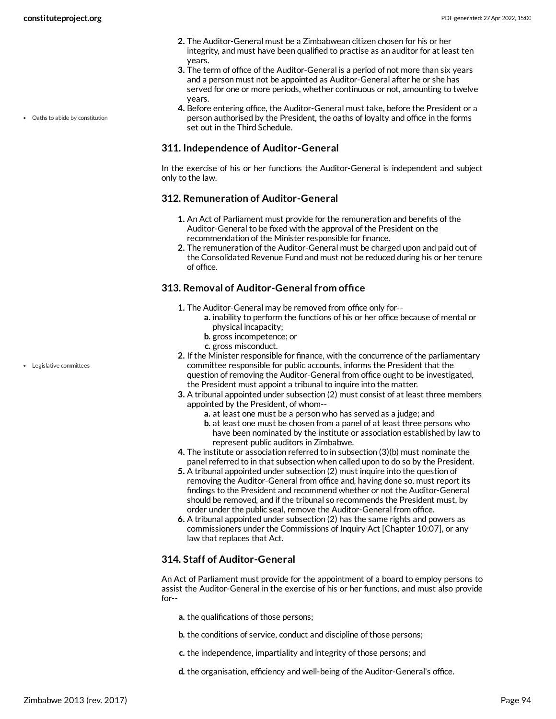Oaths to abide by constitution

- **2.** The Auditor-General must be a Zimbabwean citizen chosen for his or her integrity, and must have been qualified to practise as an auditor for at least ten years.
- **3.** The term of office of the Auditor-General is a period of not more than six years and a person must not be appointed as Auditor-General after he or she has served for one or more periods, whether continuous or not, amounting to twelve years.
- **4.** Before entering office, the Auditor-General must take, before the President or a person authorised by the President, the oaths of loyalty and office in the forms set out in the Third Schedule.

### **311. Independence of Auditor-General**

In the exercise of his or her functions the Auditor-General is independent and subject only to the law.

### **312. Remuneration of Auditor-General**

- **1.** An Act of Parliament must provide for the remuneration and benefits of the Auditor-General to be fixed with the approval of the President on the recommendation of the Minister responsible for finance.
- **2.** The remuneration of the Auditor-General must be charged upon and paid out of the Consolidated Revenue Fund and must not be reduced during his or her tenure of office.

### **313. Removal of Auditor-General from office**

- **1.** The Auditor-General may be removed from office only for-
	- **a.** inability to perform the functions of his or her office because of mental or physical incapacity;
	- **b.** gross incompetence; or
	- **c.** gross misconduct.
- **2.** If the Minister responsible for finance, with the concurrence of the parliamentary committee responsible for public accounts, informs the President that the question of removing the Auditor-General from office ought to be investigated, the President must appoint a tribunal to inquire into the matter.
- **3.** A tribunal appointed under subsection (2) must consist of at least three members appointed by the President, of whom-
	- **a.** at least one must be a person who has served as a judge; and **b.** at least one must be chosen from a panel of at least three persons who
	- have been nominated by the institute or association established by law to represent public auditors in Zimbabwe.
- **4.** The institute or association referred to in subsection (3)(b) must nominate the panel referred to in that subsection when called upon to do so by the President.
- **5.** A tribunal appointed under subsection (2) must inquire into the question of removing the Auditor-General from office and, having done so, must report its findings to the President and recommend whether or not the Auditor-General should be removed, and if the tribunal so recommends the President must, by order under the public seal, remove the Auditor-General from office.
- **6.** A tribunal appointed under subsection (2) has the same rights and powers as commissioners under the Commissions of Inquiry Act [Chapter 10:07], or any law that replaces that Act.

### **314. Staff of Auditor-General**

An Act of Parliament must provide for the appointment of a board to employ persons to assist the Auditor-General in the exercise of his or her functions, and must also provide for--

- **a.** the qualifications of those persons;
- **b.** the conditions of service, conduct and discipline of those persons;
- **c.** the independence, impartiality and integrity of those persons; and
- **d.** the organisation, efficiency and well-being of the Auditor-General's office.

Legislative committees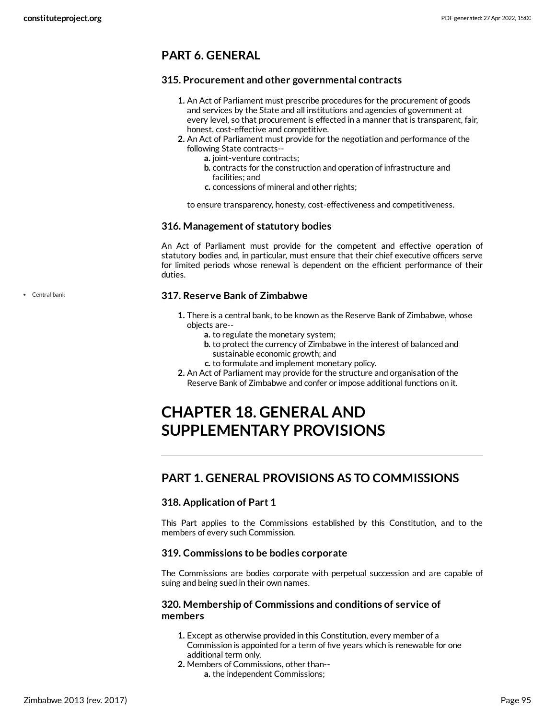# **PART 6. GENERAL**

### **315. Procurement and other governmental contracts**

- **1.** An Act of Parliament must prescribe procedures for the procurement of goods and services by the State and all institutions and agencies of government at every level, so that procurement is effected in a manner that is transparent, fair, honest, cost-effective and competitive.
- **2.** An Act of Parliament must provide for the negotiation and performance of the following State contracts-
	- **a.** joint-venture contracts;
	- **b.** contracts for the construction and operation of infrastructure and facilities; and
	- **c.** concessions of mineral and other rights;

to ensure transparency, honesty, cost-effectiveness and competitiveness.

### **316. Management of statutory bodies**

An Act of Parliament must provide for the competent and effective operation of statutory bodies and, in particular, must ensure that their chief executive officers serve for limited periods whose renewal is dependent on the efficient performance of their duties.

### **317. Reserve Bank of Zimbabwe**

- **1.** There is a central bank, to be known as the Reserve Bank of Zimbabwe, whose objects are-
	- **a.** to regulate the monetary system;
	- **b.** to protect the currency of Zimbabwe in the interest of balanced and sustainable economic growth; and
	- **c.** to formulate and implement monetary policy.
- **2.** An Act of Parliament may provide for the structure and organisation of the Reserve Bank of Zimbabwe and confer or impose additional functions on it.

# **CHAPTER 18. GENERAL AND SUPPLEMENTARY PROVISIONS**

# **PART 1. GENERAL PROVISIONS AS TO COMMISSIONS**

### **318. Application of Part 1**

This Part applies to the Commissions established by this Constitution, and to the members of every such Commission.

### **319. Commissions to be bodies corporate**

The Commissions are bodies corporate with perpetual succession and are capable of suing and being sued in their own names.

### **320. Membership of Commissions and conditions of service of members**

- **1.** Except as otherwise provided in this Constitution, every member of a Commission is appointed for a term of five years which is renewable for one additional term only.
- **2.** Members of Commissions, other than- **a.** the independent Commissions;

Central bank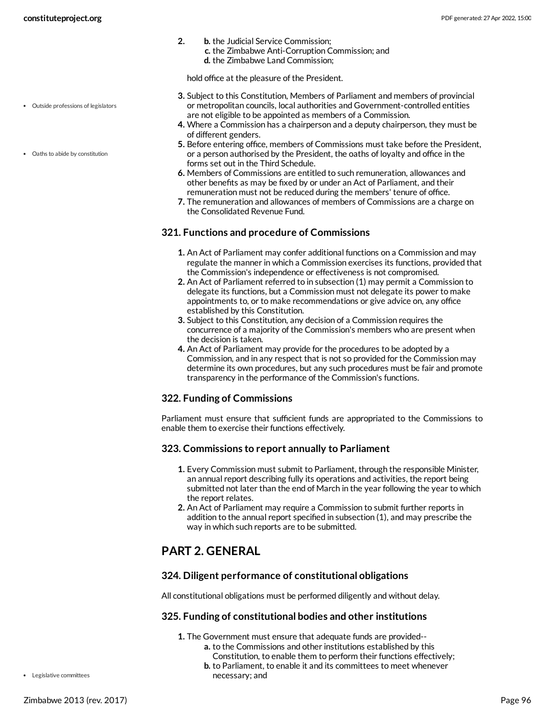**2. b.** the Judicial Service Commission; **c.** the Zimbabwe Anti-Corruption Commission; and **d.** the Zimbabwe Land Commission;

hold office at the pleasure of the President.

- **3.** Subject to this Constitution, Members of Parliament and members of provincial or metropolitan councils, local authorities and Government-controlled entities are not eligible to be appointed as members of a Commission.
- **4.** Where a Commission has a chairperson and a deputy chairperson, they must be of different genders.
- **5.** Before entering office, members of Commissions must take before the President, or a person authorised by the President, the oaths of loyalty and office in the forms set out in the Third Schedule.
- **6.** Members of Commissions are entitled to such remuneration, allowances and other benefits as may be fixed by or under an Act of Parliament, and their remuneration must not be reduced during the members' tenure of office.
- **7.** The remuneration and allowances of members of Commissions are a charge on the Consolidated Revenue Fund.

### **321. Functions and procedure of Commissions**

- **1.** An Act of Parliament may confer additional functions on a Commission and may regulate the manner in which a Commission exercises its functions, provided that the Commission's independence or effectiveness is not compromised.
- **2.** An Act of Parliament referred to in subsection (1) may permit a Commission to delegate its functions, but a Commission must not delegate its power to make appointments to, or to make recommendations or give advice on, any office established by this Constitution.
- **3.** Subject to this Constitution, any decision of a Commission requires the concurrence of a majority of the Commission's members who are present when the decision is taken.
- **4.** An Act of Parliament may provide for the procedures to be adopted by a Commission, and in any respect that is not so provided for the Commission may determine its own procedures, but any such procedures must be fair and promote transparency in the performance of the Commission's functions.

### **322. Funding of Commissions**

Parliament must ensure that sufficient funds are appropriated to the Commissions to enable them to exercise their functions effectively.

### **323. Commissions to report annually to Parliament**

- **1.** Every Commission must submit to Parliament, through the responsible Minister, an annual report describing fully its operations and activities, the report being submitted not later than the end of March in the year following the year to which the report relates.
- **2.** An Act of Parliament may require a Commission to submit further reports in addition to the annual report specified in subsection (1), and may prescribe the way in which such reports are to be submitted.

# **PART 2. GENERAL**

### **324. Diligent performance of constitutional obligations**

All constitutional obligations must be performed diligently and without delay.

### **325. Funding of constitutional bodies and other institutions**

**1.** The Government must ensure that adequate funds are provided--

- **a.** to the Commissions and other institutions established by this Constitution, to enable them to perform their functions effectively;
- **b.** to Parliament, to enable it and its committees to meet whenever necessary; and

Outside professions of legislators

Oaths to abide by constitution

Legislative committees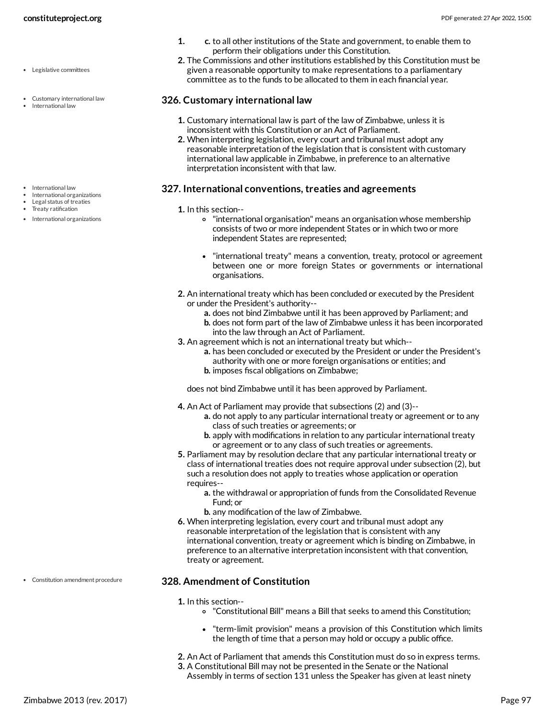- Legislative committees
- Customary international law
- International law
- International law
- International organizations
- Legal status of treaties
- Treaty ratification
- International organizations
- **1. c.** to all other institutions of the State and government, to enable them to perform their obligations under this Constitution.
- **2.** The Commissions and other institutions established by this Constitution must be given a reasonable opportunity to make representations to a parliamentary committee as to the funds to be allocated to them in each financial year.

### **326. Customary international law**

- **1.** Customary international law is part of the law of Zimbabwe, unless it is inconsistent with this Constitution or an Act of Parliament.
- **2.** When interpreting legislation, every court and tribunal must adopt any reasonable interpretation of the legislation that is consistent with customary international law applicable in Zimbabwe, in preference to an alternative interpretation inconsistent with that law.

### **327. International conventions, treaties and agreements**

- **1.** In this section--
	- "international organisation" means an organisation whose membership consists of two or more independent States or in which two or more independent States are represented;
	- "international treaty" means a convention, treaty, protocol or agreement between one or more foreign States or governments or international organisations.
- **2.** An international treaty which has been concluded or executed by the President or under the President's authority-
	- **a.** does not bind Zimbabwe until it has been approved by Parliament; and
	- **b.** does not form part of the law of Zimbabwe unless it has been incorporated into the law through an Act of Parliament.
- **3.** An agreement which is not an international treaty but which-
	- **a.** has been concluded or executed by the President or under the President's authority with one or more foreign organisations or entities; and **b.** imposes fiscal obligations on Zimbabwe;

does not bind Zimbabwe until it has been approved by Parliament.

- **4.** An Act of Parliament may provide that subsections (2) and (3)-
	- **a.** do not apply to any particular international treaty or agreement or to any class of such treaties or agreements; or
	- **b.** apply with modifications in relation to any particular international treaty or agreement or to any class of such treaties or agreements.
- **5.** Parliament may by resolution declare that any particular international treaty or class of international treaties does not require approval under subsection (2), but such a resolution does not apply to treaties whose application or operation requires-
	- **a.** the withdrawal or appropriation of funds from the Consolidated Revenue Fund; or
	- **b.** any modification of the law of Zimbabwe.
- **6.** When interpreting legislation, every court and tribunal must adopt any reasonable interpretation of the legislation that is consistent with any international convention, treaty or agreement which is binding on Zimbabwe, in preference to an alternative interpretation inconsistent with that convention, treaty or agreement.

#### Constitution amendment procedure

### **328. Amendment of Constitution**

#### **1.** In this section--

- "Constitutional Bill" means a Bill that seeks to amend this Constitution;
- "term-limit provision" means a provision of this Constitution which limits the length of time that a person may hold or occupy a public office.
- **2.** An Act of Parliament that amends this Constitution must do so in express terms.
- **3.** A Constitutional Bill may not be presented in the Senate or the National
- Assembly in terms of section 131 unless the Speaker has given at least ninety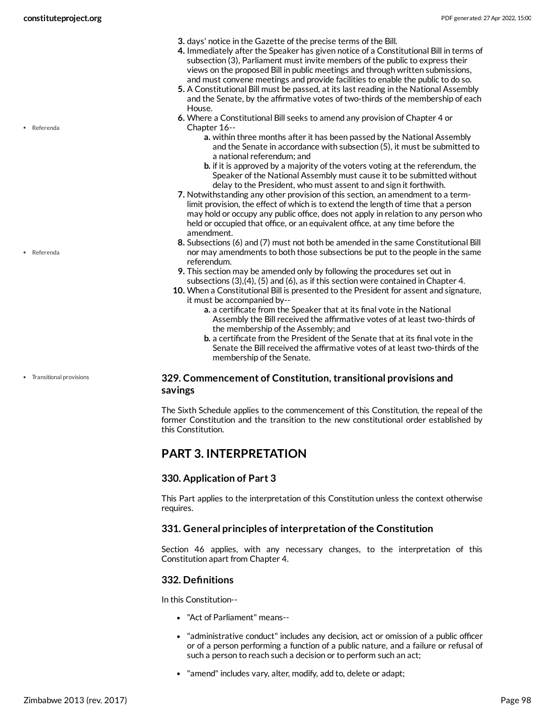- **3.** days' notice in the Gazette of the precise terms of the Bill.
- **4.** Immediately after the Speaker has given notice of a Constitutional Bill in terms of subsection (3), Parliament must invite members of the public to express their views on the proposed Bill in public meetings and through written submissions, and must convene meetings and provide facilities to enable the public to do so.
- **5.** A Constitutional Bill must be passed, at its last reading in the National Assembly and the Senate, by the affirmative votes of two-thirds of the membership of each House.
- **6.** Where a Constitutional Bill seeks to amend any provision of Chapter 4 or Chapter 16-
	- **a.** within three months after it has been passed by the National Assembly and the Senate in accordance with subsection (5), it must be submitted to a national referendum; and
	- **b.** if it is approved by a majority of the voters voting at the referendum, the Speaker of the National Assembly must cause it to be submitted without delay to the President, who must assent to and sign it forthwith.
- **7.** Notwithstanding any other provision of this section, an amendment to a termlimit provision, the effect of which is to extend the length of time that a person may hold or occupy any public office, does not apply in relation to any person who held or occupied that office, or an equivalent office, at any time before the amendment.
- **8.** Subsections (6) and (7) must not both be amended in the same Constitutional Bill nor may amendments to both those subsections be put to the people in the same referendum.
- **9.** This section may be amended only by following the procedures set out in subsections (3),(4), (5) and (6), as if this section were contained in Chapter 4.
- **10.** When a Constitutional Bill is presented to the President for assent and signature, it must be accompanied by-
	- **a.** a certificate from the Speaker that at its final vote in the National Assembly the Bill received the affirmative votes of at least two-thirds of the membership of the Assembly; and
	- **b.** a certificate from the President of the Senate that at its final vote in the Senate the Bill received the affirmative votes of at least two-thirds of the membership of the Senate.

### **329. Commencement of Constitution, transitional provisions and savings**

The Sixth Schedule applies to the commencement of this Constitution, the repeal of the former Constitution and the transition to the new constitutional order established by this Constitution.

# **PART 3. INTERPRETATION**

### **330. Application of Part 3**

This Part applies to the interpretation of this Constitution unless the context otherwise requires.

### **331. General principles of interpretation of the Constitution**

Section 46 applies, with any necessary changes, to the interpretation of this Constitution apart from Chapter 4.

### **332. Definitions**

In this Constitution--

- "Act of Parliament" means--
- "administrative conduct" includes any decision, act or omission of a public officer or of a person performing a function of a public nature, and a failure or refusal of such a person to reach such a decision or to perform such an act;
- "amend" includes vary, alter, modify, add to, delete or adapt;

Referenda

Transitional provisions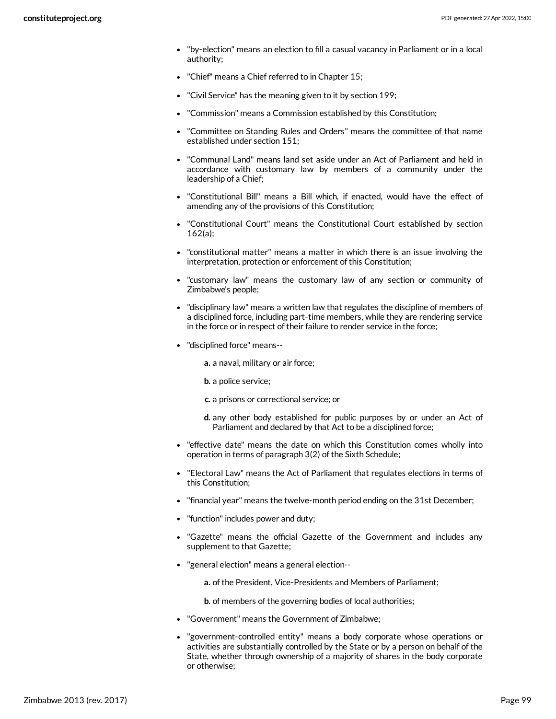- "by-election" means an election to fill a casual vacancy in Parliament or in a local authority;
- "Chief" means a Chief referred to in Chapter 15;
- "Civil Service" has the meaning given to it by section 199;
- "Commission" means a Commission established by this Constitution;
- "Committee on Standing Rules and Orders" means the committee of that name established under section 151;
- "Communal Land" means land set aside under an Act of Parliament and held in accordance with customary law by members of a community under the leadership of a Chief;
- "Constitutional Bill" means a Bill which, if enacted, would have the effect of amending any of the provisions of this Constitution;
- "Constitutional Court" means the Constitutional Court established by section 162(a);
- "constitutional matter" means a matter in which there is an issue involving the interpretation, protection or enforcement of this Constitution;
- "customary law" means the customary law of any section or community of Zimbabwe's people;
- "disciplinary law" means a written law that regulates the discipline of members of a disciplined force, including part-time members, while they are rendering service in the force or in respect of their failure to render service in the force;
- "disciplined force" means--

**a.** a naval, military or air force;

**b.** a police service;

- **c.** a prisons or correctional service; or
- **d.** any other body established for public purposes by or under an Act of Parliament and declared by that Act to be a disciplined force;
- "effective date" means the date on which this Constitution comes wholly into operation in terms of paragraph 3(2) of the Sixth Schedule;
- "Electoral Law" means the Act of Parliament that regulates elections in terms of this Constitution;
- "financial year" means the twelve-month period ending on the 31st December;
- "function" includes power and duty;
- "Gazette" means the official Gazette of the Government and includes any supplement to that Gazette;
- "general election" means a general election-
	- **a.** of the President, Vice-Presidents and Members of Parliament;

**b.** of members of the governing bodies of local authorities;

- "Government" means the Government of Zimbabwe;
- "government-controlled entity" means a body corporate whose operations or activities are substantially controlled by the State or by a person on behalf of the State, whether through ownership of a majority of shares in the body corporate or otherwise;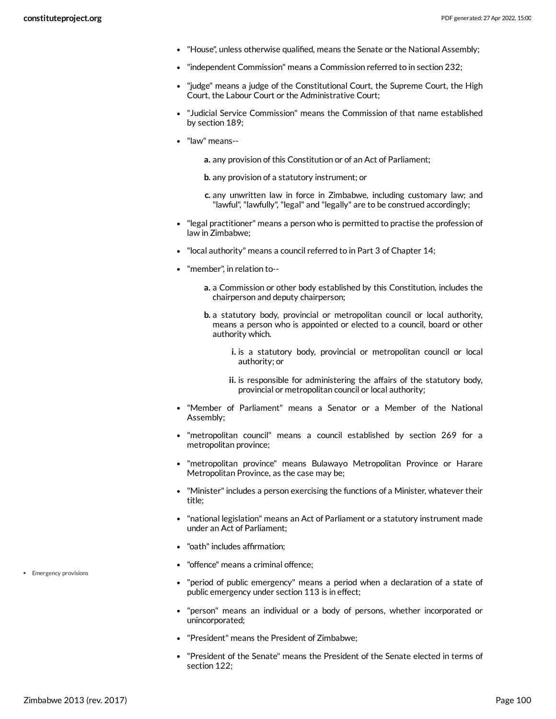- "House", unless otherwise qualified, means the Senate or the National Assembly;
- "independent Commission" means a Commission referred to in section 232;
- "judge" means a judge of the Constitutional Court, the Supreme Court, the High Court, the Labour Court or the Administrative Court;
- "Judicial Service Commission" means the Commission of that name established by section 189;
- "law" means-
	- **a.** any provision of this Constitution or of an Act of Parliament;
	- **b.** any provision of a statutory instrument; or
	- **c.** any unwritten law in force in Zimbabwe, including customary law; and "lawful", "lawfully", "legal" and "legally" are to be construed accordingly;
- "legal practitioner" means a person who is permitted to practise the profession of law in Zimbabwe;
- "local authority" means a council referred to in Part 3 of Chapter 14;
- "member", in relation to-
	- **a.** a Commission or other body established by this Constitution, includes the chairperson and deputy chairperson;
	- **b.** a statutory body, provincial or metropolitan council or local authority, means a person who is appointed or elected to a council, board or other authority which.
		- **i.** is a statutory body, provincial or metropolitan council or local authority; or
		- **ii.** is responsible for administering the affairs of the statutory body, provincial or metropolitan council or local authority;
- "Member of Parliament" means a Senator or a Member of the National Assembly;
- "metropolitan council" means a council established by section 269 for a metropolitan province;
- "metropolitan province" means Bulawayo Metropolitan Province or Harare Metropolitan Province, as the case may be;
- "Minister" includes a person exercising the functions of a Minister, whatever their title;
- "national legislation" means an Act of Parliament or a statutory instrument made under an Act of Parliament;
- "oath" includes affirmation;
- "offence" means a criminal offence;
- "period of public emergency" means a period when a declaration of a state of public emergency under section 113 is in effect;
- "person" means an individual or a body of persons, whether incorporated or unincorporated;
- "President" means the President of Zimbabwe;
- "President of the Senate" means the President of the Senate elected in terms of section 122;

• Emergency provisions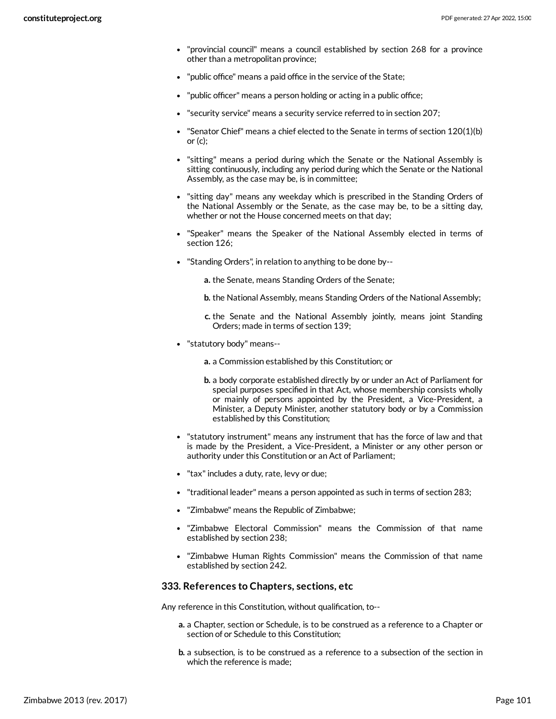- "provincial council" means a council established by section 268 for a province other than a metropolitan province;
- "public office" means a paid office in the service of the State;
- "public officer" means a person holding or acting in a public office;
- "security service" means a security service referred to in section 207;
- "Senator Chief" means a chief elected to the Senate in terms of section 120(1)(b) or (c);
- "sitting" means a period during which the Senate or the National Assembly is sitting continuously, including any period during which the Senate or the National Assembly, as the case may be, is in committee;
- "sitting day" means any weekday which is prescribed in the Standing Orders of the National Assembly or the Senate, as the case may be, to be a sitting day, whether or not the House concerned meets on that day;
- "Speaker" means the Speaker of the National Assembly elected in terms of section 126;
- "Standing Orders", in relation to anything to be done by-
	- **a.** the Senate, means Standing Orders of the Senate;
	- **b.** the National Assembly, means Standing Orders of the National Assembly;
	- **c.** the Senate and the National Assembly jointly, means joint Standing Orders; made in terms of section 139;
- "statutory body" means-
	- **a.** a Commission established by this Constitution; or
	- **b.** a body corporate established directly by or under an Act of Parliament for special purposes specified in that Act, whose membership consists wholly or mainly of persons appointed by the President, a Vice-President, a Minister, a Deputy Minister, another statutory body or by a Commission established by this Constitution;
- "statutory instrument" means any instrument that has the force of law and that is made by the President, a Vice-President, a Minister or any other person or authority under this Constitution or an Act of Parliament;
- "tax" includes a duty, rate, levy or due;
- "traditional leader" means a person appointed as such in terms of section 283;
- "Zimbabwe" means the Republic of Zimbabwe;
- "Zimbabwe Electoral Commission" means the Commission of that name established by section 238;
- "Zimbabwe Human Rights Commission" means the Commission of that name established by section 242.

#### **333. References to Chapters, sections, etc**

Any reference in this Constitution, without qualification, to--

- **a.** a Chapter, section or Schedule, is to be construed as a reference to a Chapter or section of or Schedule to this Constitution;
- **b.** a subsection, is to be construed as a reference to a subsection of the section in which the reference is made;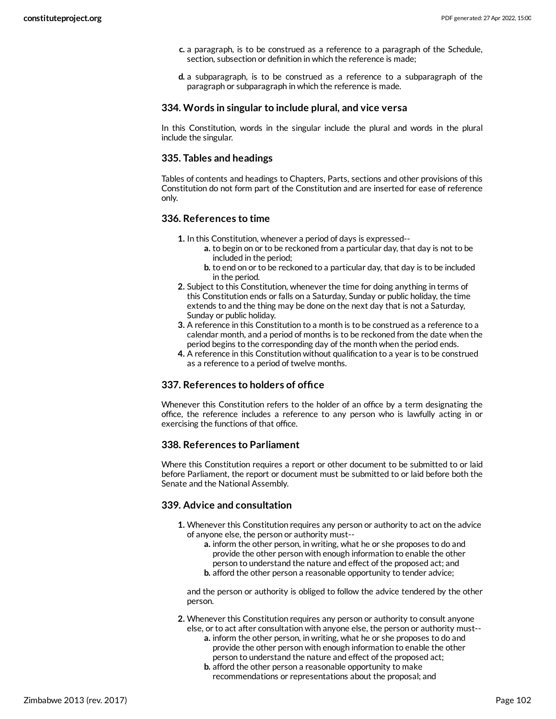- **c.** a paragraph, is to be construed as a reference to a paragraph of the Schedule, section, subsection or definition in which the reference is made;
- **d.** a subparagraph, is to be construed as a reference to a subparagraph of the paragraph or subparagraph in which the reference is made.

### **334. Words in singular to include plural, and vice versa**

In this Constitution, words in the singular include the plural and words in the plural include the singular.

### **335. Tables and headings**

Tables of contents and headings to Chapters, Parts, sections and other provisions of this Constitution do not form part of the Constitution and are inserted for ease of reference only.

### **336. References to time**

- **1.** In this Constitution, whenever a period of days is expressed-
	- **a.** to begin on or to be reckoned from a particular day, that day is not to be included in the period;
	- **b.** to end on or to be reckoned to a particular day, that day is to be included in the period.
- **2.** Subject to this Constitution, whenever the time for doing anything in terms of this Constitution ends or falls on a Saturday, Sunday or public holiday, the time extends to and the thing may be done on the next day that is not a Saturday, Sunday or public holiday.
- **3.** A reference in this Constitution to a month is to be construed as a reference to a calendar month, and a period of months is to be reckoned from the date when the period begins to the corresponding day of the month when the period ends.
- **4.** A reference in this Constitution without qualification to a year is to be construed as a reference to a period of twelve months.

### **337. References to holders of office**

Whenever this Constitution refers to the holder of an office by a term designating the office, the reference includes a reference to any person who is lawfully acting in or exercising the functions of that office.

### **338. References to Parliament**

Where this Constitution requires a report or other document to be submitted to or laid before Parliament, the report or document must be submitted to or laid before both the Senate and the National Assembly.

### **339. Advice and consultation**

- **1.** Whenever this Constitution requires any person or authority to act on the advice of anyone else, the person or authority must-
	- **a.** inform the other person, in writing, what he or she proposes to do and provide the other person with enough information to enable the other person to understand the nature and effect of the proposed act; and **b.** afford the other person a reasonable opportunity to tender advice;

and the person or authority is obliged to follow the advice tendered by the other person.

- **2.** Whenever this Constitution requires any person or authority to consult anyone else, or to act after consultation with anyone else, the person or authority must-
	- **a.** inform the other person, in writing, what he or she proposes to do and provide the other person with enough information to enable the other person to understand the nature and effect of the proposed act;
	- **b.** afford the other person a reasonable opportunity to make recommendations or representations about the proposal; and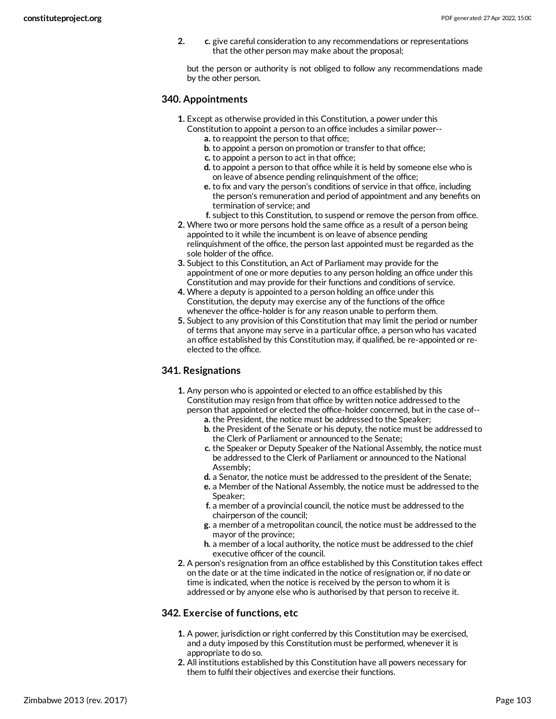**2. c.** give careful consideration to any recommendations or representations that the other person may make about the proposal;

but the person or authority is not obliged to follow any recommendations made by the other person.

### **340. Appointments**

- **1.** Except as otherwise provided in this Constitution, a power under this
	- Constitution to appoint a person to an office includes a similar power- **a.** to reappoint the person to that office;
		- **b.** to appoint a person on promotion or transfer to that office;
		- **c.** to appoint a person to act in that office;
		- **d.** to appoint a person to that office while it is held by someone else who is on leave of absence pending relinquishment of the office;
		- **e.** to fix and vary the person's conditions of service in that office, including the person's remuneration and period of appointment and any benefits on termination of service; and
		- **f.** subject to this Constitution, to suspend or remove the person from office.
- **2.** Where two or more persons hold the same office as a result of a person being appointed to it while the incumbent is on leave of absence pending relinquishment of the office, the person last appointed must be regarded as the sole holder of the office.
- **3.** Subject to this Constitution, an Act of Parliament may provide for the appointment of one or more deputies to any person holding an office under this Constitution and may provide for their functions and conditions of service.
- **4.** Where a deputy is appointed to a person holding an office under this Constitution, the deputy may exercise any of the functions of the office whenever the office-holder is for any reason unable to perform them.
- **5.** Subject to any provision of this Constitution that may limit the period or number of terms that anyone may serve in a particular office, a person who has vacated an office established by this Constitution may, if qualified, be re-appointed or reelected to the office.

### **341. Resignations**

- **1.** Any person who is appointed or elected to an office established by this Constitution may resign from that office by written notice addressed to the person that appointed or elected the office-holder concerned, but in the case of-
	- **a.** the President, the notice must be addressed to the Speaker;
	- **b.** the President of the Senate or his deputy, the notice must be addressed to the Clerk of Parliament or announced to the Senate;
	- **c.** the Speaker or Deputy Speaker of the National Assembly, the notice must be addressed to the Clerk of Parliament or announced to the National Assembly;
	- **d.** a Senator, the notice must be addressed to the president of the Senate;
	- **e.** a Member of the National Assembly, the notice must be addressed to the Speaker;
	- **f.** a member of a provincial council, the notice must be addressed to the chairperson of the council;
	- **g.** a member of a metropolitan council, the notice must be addressed to the mayor of the province;
	- **h.** a member of a local authority, the notice must be addressed to the chief executive officer of the council.
- **2.** A person's resignation from an office established by this Constitution takes effect on the date or at the time indicated in the notice of resignation or, if no date or time is indicated, when the notice is received by the person to whom it is addressed or by anyone else who is authorised by that person to receive it.

### **342. Exercise of functions, etc**

- **1.** A power, jurisdiction or right conferred by this Constitution may be exercised, and a duty imposed by this Constitution must be performed, whenever it is appropriate to do so.
- **2.** All institutions established by this Constitution have all powers necessary for them to fulfil their objectives and exercise their functions.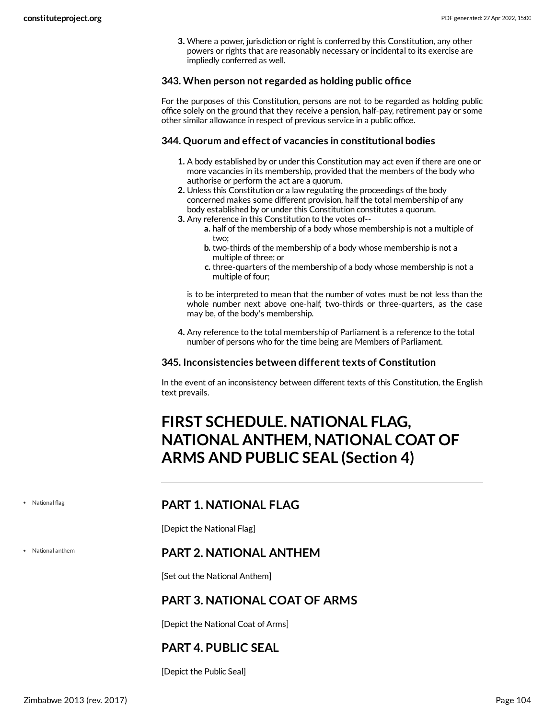**3.** Where a power, jurisdiction or right is conferred by this Constitution, any other powers or rights that are reasonably necessary or incidental to its exercise are impliedly conferred as well.

### **343. When person not regarded as holding public office**

For the purposes of this Constitution, persons are not to be regarded as holding public office solely on the ground that they receive a pension, half-pay, retirement pay or some other similar allowance in respect of previous service in a public office.

### **344. Quorum and effect of vacancies in constitutional bodies**

- **1.** A body established by or under this Constitution may act even if there are one or more vacancies in its membership, provided that the members of the body who authorise or perform the act are a quorum.
- **2.** Unless this Constitution or a law regulating the proceedings of the body concerned makes some different provision, half the total membership of any body established by or under this Constitution constitutes a quorum.
- **3.** Any reference in this Constitution to the votes of-
	- **a.** half of the membership of a body whose membership is not a multiple of two;
	- **b.** two-thirds of the membership of a body whose membership is not a multiple of three; or
	- **c.** three-quarters of the membership of a body whose membership is not a multiple of four;

is to be interpreted to mean that the number of votes must be not less than the whole number next above one-half, two-thirds or three-quarters, as the case may be, of the body's membership.

**4.** Any reference to the total membership of Parliament is a reference to the total number of persons who for the time being are Members of Parliament.

### **345. Inconsistencies between differenttexts of Constitution**

In the event of an inconsistency between different texts of this Constitution, the English text prevails.

# **FIRST SCHEDULE. NATIONAL FLAG, NATIONAL ANTHEM, NATIONAL COAT OF ARMS AND PUBLIC SEAL (Section 4)**

• National flag

# **PART 1. NATIONAL FLAG**

[Depict the National Flag]

National anthem

# **PART 2. NATIONAL ANTHEM**

[Set out the National Anthem]

# **PART 3. NATIONAL COAT OF ARMS**

[Depict the National Coat of Arms]

# **PART 4. PUBLIC SEAL**

[Depict the Public Seal]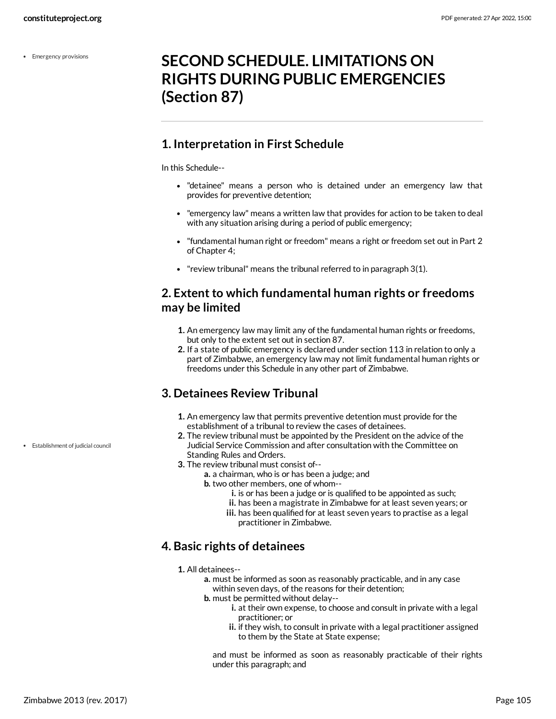• Emergency provisions

# **SECOND SCHEDULE. LIMITATIONS ON RIGHTS DURING PUBLIC EMERGENCIES (Section 87)**

# **1. Interpretation in First Schedule**

In this Schedule--

- "detainee" means a person who is detained under an emergency law that provides for preventive detention;
- "emergency law" means a written law that provides for action to be taken to deal with any situation arising during a period of public emergency;
- "fundamental human right or freedom" means a right or freedom set out in Part 2 of Chapter 4;
- "review tribunal" means the tribunal referred to in paragraph 3(1).

### **2. Extent to which fundamental human rights or freedoms may be limited**

- **1.** An emergency law may limit any of the fundamental human rights or freedoms, but only to the extent set out in section 87.
- **2.** If a state of public emergency is declared under section 113 in relation to only a part of Zimbabwe, an emergency law may not limit fundamental human rights or freedoms under this Schedule in any other part of Zimbabwe.

# **3. Detainees Review Tribunal**

- **1.** An emergency law that permits preventive detention must provide for the establishment of a tribunal to review the cases of detainees.
- **2.** The review tribunal must be appointed by the President on the advice of the Judicial Service Commission and after consultation with the Committee on Standing Rules and Orders.
- **3.** The review tribunal must consist of-
	- **a.** a chairman, who is or has been a judge; and
		- **b.** two other members, one of whom-
			- **i.** is or has been a judge or is qualified to be appointed as such;
			- **ii.** has been a magistrate in Zimbabwe for at least seven years; or
			- **iii.** has been qualified for at least seven years to practise as a legal practitioner in Zimbabwe.

# **4. Basic rights of detainees**

- **1.** All detainees-
	- **a.** must be informed as soon as reasonably practicable, and in any case within seven days, of the reasons for their detention;
	- **b.** must be permitted without delay-
		- **i.** at their own expense, to choose and consult in private with a legal practitioner; or
		- **ii.** if they wish, to consult in private with a legal practitioner assigned to them by the State at State expense;

and must be informed as soon as reasonably practicable of their rights under this paragraph; and

Establishment of judicial council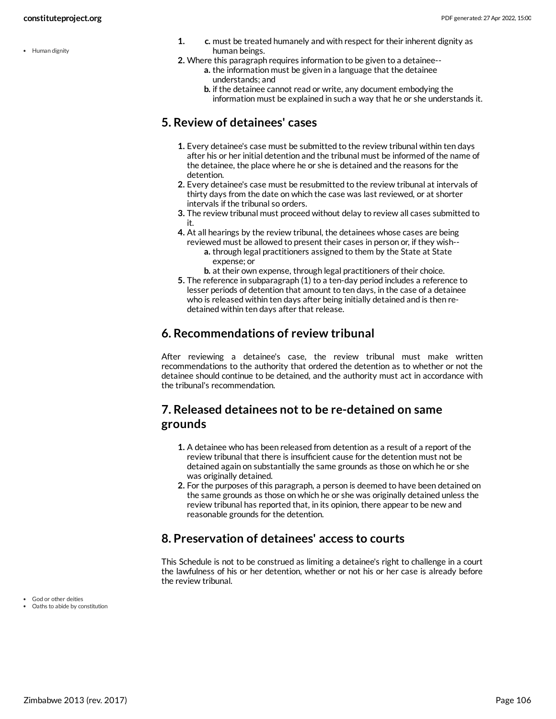- **1. c.** must be treated humanely and with respect for their inherent dignity as human beings.
- **2.** Where this paragraph requires information to be given to a detainee-
	- **a.** the information must be given in a language that the detainee understands; and
		- **b.** if the detainee cannot read or write, any document embodying the information must be explained in such a way that he or she understands it.

# **5. Review of detainees' cases**

- **1.** Every detainee's case must be submitted to the review tribunal within ten days after his or her initial detention and the tribunal must be informed of the name of the detainee, the place where he or she is detained and the reasons for the detention.
- **2.** Every detainee's case must be resubmitted to the review tribunal at intervals of thirty days from the date on which the case was last reviewed, or at shorter intervals if the tribunal so orders.
- **3.** The review tribunal must proceed without delay to review all cases submitted to it.
- **4.** At all hearings by the review tribunal, the detainees whose cases are being reviewed must be allowed to present their cases in person or, if they wish-
	- **a.** through legal practitioners assigned to them by the State at State expense; or
	- **b.** at their own expense, through legal practitioners of their choice.
- **5.** The reference in subparagraph (1) to a ten-day period includes a reference to lesser periods of detention that amount to ten days, in the case of a detainee who is released within ten days after being initially detained and is then redetained within ten days after that release.

# **6. Recommendations of review tribunal**

After reviewing a detainee's case, the review tribunal must make written recommendations to the authority that ordered the detention as to whether or not the detainee should continue to be detained, and the authority must act in accordance with the tribunal's recommendation.

# **7. Released detainees not to be re-detained on same grounds**

- **1.** A detainee who has been released from detention as a result of a report of the review tribunal that there is insufficient cause for the detention must not be detained again on substantially the same grounds as those on which he or she was originally detained.
- **2.** For the purposes of this paragraph, a person is deemed to have been detained on the same grounds as those on which he or she was originally detained unless the review tribunal has reported that, in its opinion, there appear to be new and reasonable grounds for the detention.

# **8. Preservation of detainees' access to courts**

This Schedule is not to be construed as limiting a detainee's right to challenge in a court the lawfulness of his or her detention, whether or not his or her case is already before the review tribunal.

God or other deities

Oaths to abide by constitution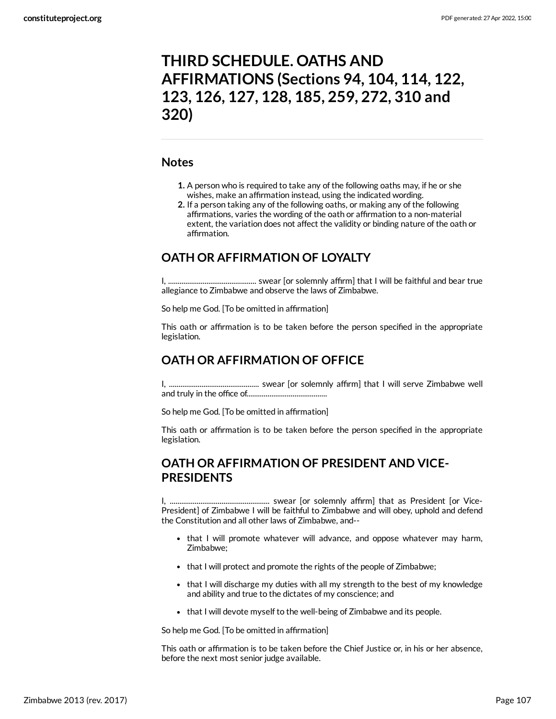# **THIRD SCHEDULE. OATHS AND AFFIRMATIONS (Sections 94, 104, 114, 122, 123, 126, 127, 128, 185, 259, 272, 310 and 320)**

### **Notes**

- **1.** A person who is required to take any of the following oaths may, if he or she wishes, make an affirmation instead, using the indicated wording.
- **2.** If a person taking any of the following oaths, or making any of the following affirmations, varies the wording of the oath or affirmation to a non-material extent, the variation does not affect the validity or binding nature of the oath or affirmation.

# **OATH OR AFFIRMATION OF LOYALTY**

I, .............................................. swear [or solemnly affirm] that I will be faithful and bear true allegiance to Zimbabwe and observe the laws of Zimbabwe.

So help me God. [To be omitted in affirmation]

This oath or affirmation is to be taken before the person specified in the appropriate legislation.

# **OATH OR AFFIRMATION OF OFFICE**

I, ............................................... swear [or solemnly affirm] that I will serve Zimbabwe well and truly in the office of..........................................

So help me God. [To be omitted in affirmation]

This oath or affirmation is to be taken before the person specified in the appropriate legislation.

# **OATH OR AFFIRMATION OF PRESIDENT AND VICE-PRESIDENTS**

I, .................................................... swear [or solemnly affirm] that as President [or Vice-President] of Zimbabwe I will be faithful to Zimbabwe and will obey, uphold and defend the Constitution and all other laws of Zimbabwe, and--

- that I will promote whatever will advance, and oppose whatever may harm, Zimbabwe;
- that I will protect and promote the rights of the people of Zimbabwe;
- that I will discharge my duties with all my strength to the best of my knowledge and ability and true to the dictates of my conscience; and
- that I will devote myself to the well-being of Zimbabwe and its people.

So help me God. [To be omitted in affirmation]

This oath or affirmation is to be taken before the Chief Justice or, in his or her absence, before the next most senior judge available.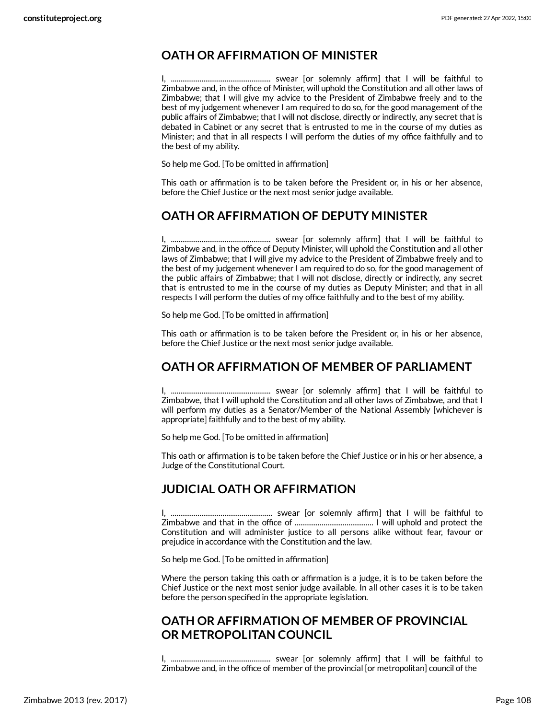# **OATH OR AFFIRMATION OF MINISTER**

I, .................................................... swear [or solemnly affirm] that I will be faithful to Zimbabwe and, in the office of Minister, will uphold the Constitution and all other laws of Zimbabwe; that I will give my advice to the President of Zimbabwe freely and to the best of my judgement whenever I am required to do so, for the good management of the public affairs of Zimbabwe; that I will not disclose, directly or indirectly, any secret that is debated in Cabinet or any secret that is entrusted to me in the course of my duties as Minister; and that in all respects I will perform the duties of my office faithfully and to the best of my ability.

So help me God. [To be omitted in affirmation]

This oath or affirmation is to be taken before the President or, in his or her absence, before the Chief Justice or the next most senior judge available.

# **OATH OR AFFIRMATION OF DEPUTY MINISTER**

I, .................................................... swear [or solemnly affirm] that I will be faithful to Zimbabwe and, in the office of Deputy Minister, will uphold the Constitution and all other laws of Zimbabwe; that I will give my advice to the President of Zimbabwe freely and to the best of my judgement whenever I am required to do so, for the good management of the public affairs of Zimbabwe; that I will not disclose, directly or indirectly, any secret that is entrusted to me in the course of my duties as Deputy Minister; and that in all respects I will perform the duties of my office faithfully and to the best of my ability.

So help me God. [To be omitted in affirmation]

This oath or affirmation is to be taken before the President or, in his or her absence, before the Chief Justice or the next most senior judge available.

# **OATH OR AFFIRMATION OF MEMBER OF PARLIAMENT**

I, .................................................... swear [or solemnly affirm] that I will be faithful to Zimbabwe, that I will uphold the Constitution and all other laws of Zimbabwe, and that I will perform my duties as a Senator/Member of the National Assembly [whichever is appropriate] faithfully and to the best of my ability.

So help me God. [To be omitted in affirmation]

This oath or affirmation is to be taken before the Chief Justice or in his or her absence, a Judge of the Constitutional Court.

# **JUDICIAL OATH OR AFFIRMATION**

I, ..................................................... swear [or solemnly affirm] that I will be faithful to Zimbabwe and that in the office of ......................................... I will uphold and protect the Constitution and will administer justice to all persons alike without fear, favour or prejudice in accordance with the Constitution and the law.

So help me God. [To be omitted in affirmation]

Where the person taking this oath or affirmation is a judge, it is to be taken before the Chief Justice or the next most senior judge available. In all other cases it is to be taken before the person specified in the appropriate legislation.

# **OATH OR AFFIRMATION OF MEMBER OF PROVINCIAL OR METROPOLITAN COUNCIL**

I, .................................................... swear [or solemnly affirm] that I will be faithful to Zimbabwe and, in the office of member of the provincial [or metropolitan] council of the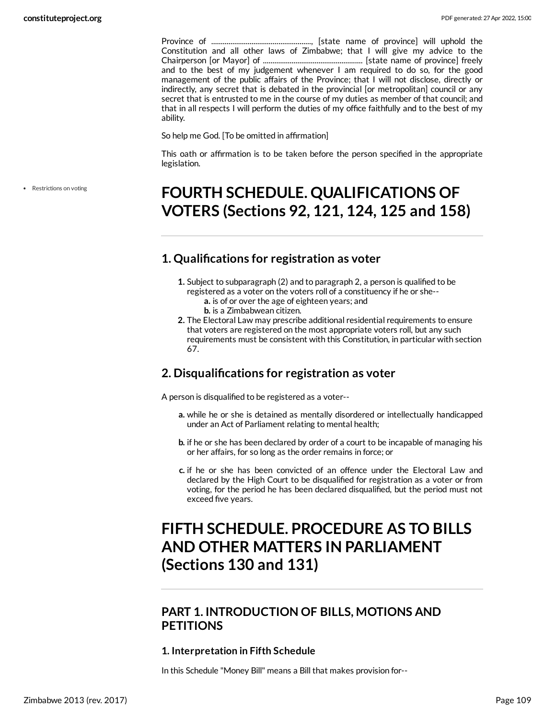Province of ...................................................., [state name of province] will uphold the Constitution and all other laws of Zimbabwe; that I will give my advice to the Chairperson [or Mayor] of .................................................... [state name of province] freely and to the best of my judgement whenever I am required to do so, for the good management of the public affairs of the Province; that I will not disclose, directly or indirectly, any secret that is debated in the provincial [or metropolitan] council or any secret that is entrusted to me in the course of my duties as member of that council; and that in all respects I will perform the duties of my office faithfully and to the best of my ability.

So help me God. [To be omitted in affirmation]

This oath or affirmation is to be taken before the person specified in the appropriate legislation.

# <span id="page-108-0"></span>**FOURTH SCHEDULE. QUALIFICATIONS OF VOTERS (Sections 92, 121, 124, 125 and 158)**

### **1. Qualifications for registration as voter**

- **1.** Subject to subparagraph (2) and to paragraph 2, a person is qualified to be registered as a voter on the voters roll of a constituency if he or she-
	- **a.** is of or over the age of eighteen years; and
	- **b.** is a Zimbabwean citizen.
- **2.** The Electoral Law may prescribe additional residential requirements to ensure that voters are registered on the most appropriate voters roll, but any such requirements must be consistent with this Constitution, in particular with section 67.

# **2. Disqualifications for registration as voter**

A person is disqualified to be registered as a voter--

- **a.** while he or she is detained as mentally disordered or intellectually handicapped under an Act of Parliament relating to mental health;
- **b.** if he or she has been declared by order of a court to be incapable of managing his or her affairs, for so long as the order remains in force; or
- **c.** if he or she has been convicted of an offence under the Electoral Law and declared by the High Court to be disqualified for registration as a voter or from voting, for the period he has been declared disqualified, but the period must not exceed five years.

# **FIFTH SCHEDULE. PROCEDURE AS TO BILLS AND OTHER MATTERS IN PARLIAMENT (Sections 130 and 131)**

## **PART 1. INTRODUCTION OF BILLS, MOTIONS AND PETITIONS**

#### **1. Interpretation in Fifth Schedule**

<span id="page-108-1"></span>In this Schedule "Money Bill" means a Bill that makes provision for--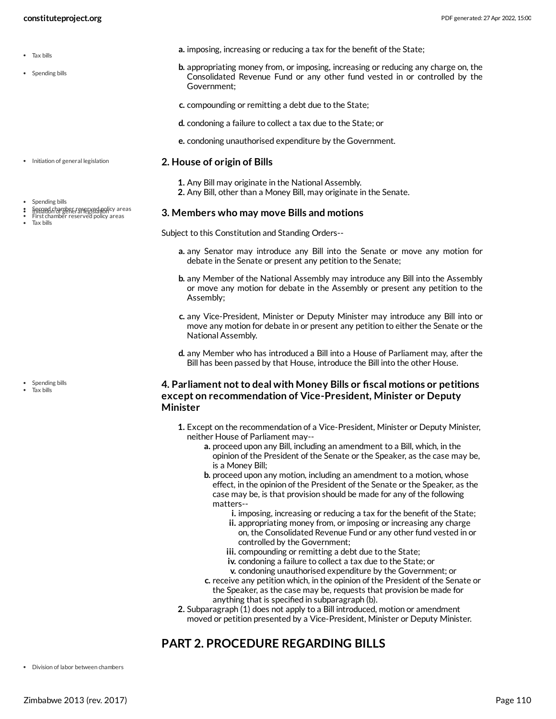• Spending bills

• Initiation of general legislation

- Spending bills
- $\ddot{\bullet}$ Second chamber reserved policy areas First chamber reserved policy areas Initiation of general legislation
- Tax bills

- Spending bills
- Tax bills
- **a.** imposing, increasing or reducing a tax for the benefit of the State;
- **b.** appropriating money from, or imposing, increasing or reducing any charge on, the Consolidated Revenue Fund or any other fund vested in or controlled by the Government;
- **c.** compounding or remitting a debt due to the State;
- **d.** condoning a failure to collect a tax due to the State; or
- **e.** condoning unauthorised expenditure by the Government.

#### <span id="page-109-1"></span>**2. House of origin of Bills**

- **1.** Any Bill may originate in the National Assembly.
- **2.** Any Bill, other than a Money Bill, may originate in the Senate.

#### **3. Members who may move Bills and motions**

Subject to this Constitution and Standing Orders--

- **a.** any Senator may introduce any Bill into the Senate or move any motion for debate in the Senate or present any petition to the Senate;
- **b.** any Member of the National Assembly may introduce any Bill into the Assembly or move any motion for debate in the Assembly or present any petition to the Assembly;
- **c.** any Vice-President, Minister or Deputy Minister may introduce any Bill into or move any motion for debate in or present any petition to either the Senate or the National Assembly.
- **d.** any Member who has introduced a Bill into a House of Parliament may, after the Bill has been passed by that House, introduce the Bill into the other House.

#### **4. Parliament notto deal with Money Bills or fiscal motions or petitions except on recommendation of Vice-President, Minister or Deputy Minister**

- **1.** Except on the recommendation of a Vice-President, Minister or Deputy Minister, neither House of Parliament may-
	- **a.** proceed upon any Bill, including an amendment to a Bill, which, in the opinion of the President of the Senate or the Speaker, as the case may be, is a Money Bill;
	- **b.** proceed upon any motion, including an amendment to a motion, whose effect, in the opinion of the President of the Senate or the Speaker, as the case may be, is that provision should be made for any of the following matters-
		- **i.** imposing, increasing or reducing a tax for the benefit of the State;
		- **ii.** appropriating money from, or imposing or increasing any charge on, the Consolidated Revenue Fund or any other fund vested in or controlled by the Government;
		- **iii.** compounding or remitting a debt due to the State;
		- **iv.** condoning a failure to collect a tax due to the State; or
		- **v.** condoning unauthorised expenditure by the Government; or
	- **c.** receive any petition which, in the opinion of the President of the Senate or the Speaker, as the case may be, requests that provision be made for anything that is specified in subparagraph (b).
- **2.** Subparagraph (1) does not apply to a Bill introduced, motion or amendment moved or petition presented by a Vice-President, Minister or Deputy Minister.

# <span id="page-109-0"></span>**PART 2. PROCEDURE REGARDING BILLS**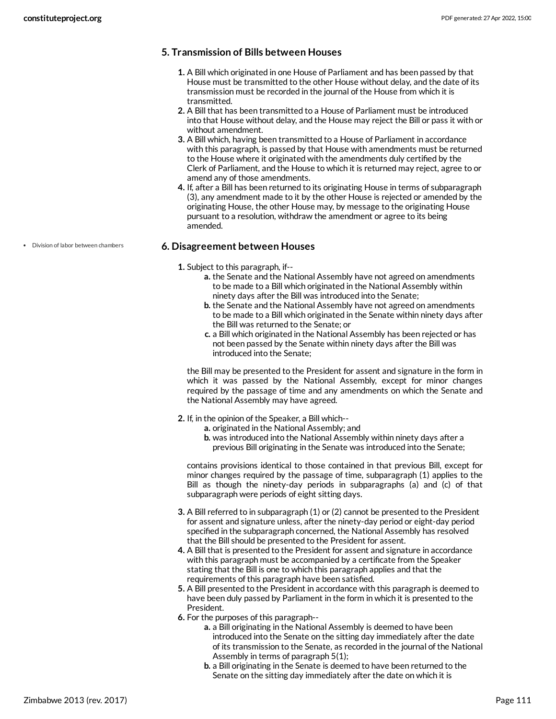### **5. Transmission of Bills between Houses**

- **1.** A Bill which originated in one House of Parliament and has been passed by that House must be transmitted to the other House without delay, and the date of its transmission must be recorded in the journal of the House from which it is transmitted.
- **2.** A Bill that has been transmitted to a House of Parliament must be introduced into that House without delay, and the House may reject the Bill or pass it with or without amendment.
- **3.** A Bill which, having been transmitted to a House of Parliament in accordance with this paragraph, is passed by that House with amendments must be returned to the House where it originated with the amendments duly certified by the Clerk of Parliament, and the House to which it is returned may reject, agree to or amend any of those amendments.
- **4.** If, after a Bill has been returned to its originating House in terms of subparagraph (3), any amendment made to it by the other House is rejected or amended by the originating House, the other House may, by message to the originating House pursuant to a resolution, withdraw the amendment or agree to its being amended.

#### <span id="page-110-0"></span>**6. Disagreement between Houses**

- **1.** Subject to this paragraph, if-
	- **a.** the Senate and the National Assembly have not agreed on amendments to be made to a Bill which originated in the National Assembly within ninety days after the Bill was introduced into the Senate;
	- **b.** the Senate and the National Assembly have not agreed on amendments to be made to a Bill which originated in the Senate within ninety days after the Bill was returned to the Senate; or
	- **c.** a Bill which originated in the National Assembly has been rejected or has not been passed by the Senate within ninety days after the Bill was introduced into the Senate;

the Bill may be presented to the President for assent and signature in the form in which it was passed by the National Assembly, except for minor changes required by the passage of time and any amendments on which the Senate and the National Assembly may have agreed.

- **2.** If, in the opinion of the Speaker, a Bill which-
	- **a.** originated in the National Assembly; and
	- **b.** was introduced into the National Assembly within ninety days after a previous Bill originating in the Senate was introduced into the Senate;

contains provisions identical to those contained in that previous Bill, except for minor changes required by the passage of time, subparagraph (1) applies to the Bill as though the ninety-day periods in subparagraphs (a) and (c) of that subparagraph were periods of eight sitting days.

- **3.** A Bill referred to in subparagraph (1) or (2) cannot be presented to the President for assent and signature unless, after the ninety-day period or eight-day period specified in the subparagraph concerned, the National Assembly has resolved that the Bill should be presented to the President for assent.
- **4.** A Bill that is presented to the President for assent and signature in accordance with this paragraph must be accompanied by a certificate from the Speaker stating that the Bill is one to which this paragraph applies and that the requirements of this paragraph have been satisfied.
- **5.** A Bill presented to the President in accordance with this paragraph is deemed to have been duly passed by Parliament in the form in which it is presented to the President.
- **6.** For the purposes of this paragraph-
	- **a.** a Bill originating in the National Assembly is deemed to have been introduced into the Senate on the sitting day immediately after the date of its transmission to the Senate, as recorded in the journal of the National Assembly in terms of paragraph 5(1);
	- **b.** a Bill originating in the Senate is deemed to have been returned to the Senate on the sitting day immediately after the date on which it is

Division of labor between chambers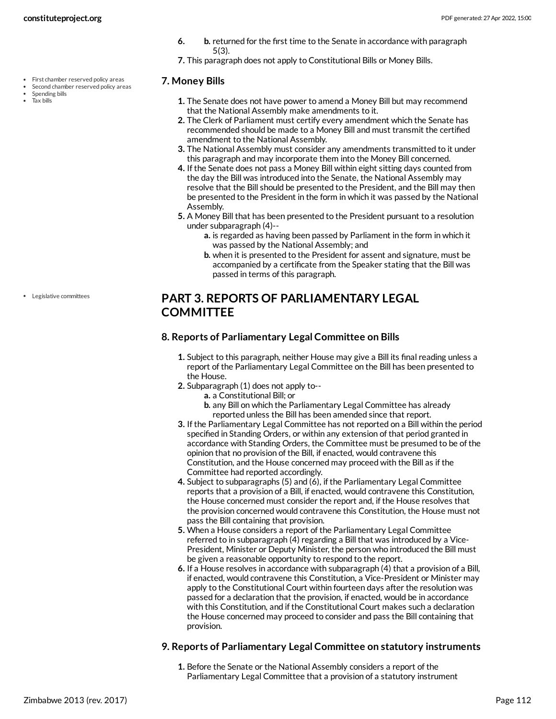- First chamber reserved policy areas
- Second chamber reserved policy areas Spending bills
- 
- Tax bills

Legislative committees

- **6. b.** returned for the first time to the Senate in accordance with paragraph 5(3).
- **7.** This paragraph does not apply to Constitutional Bills or Money Bills.

#### <span id="page-111-1"></span>**7. Money Bills**

- **1.** The Senate does not have power to amend a Money Bill but may recommend that the National Assembly make amendments to it.
- **2.** The Clerk of Parliament must certify every amendment which the Senate has recommended should be made to a Money Bill and must transmit the certified amendment to the National Assembly.
- **3.** The National Assembly must consider any amendments transmitted to it under this paragraph and may incorporate them into the Money Bill concerned.
- **4.** If the Senate does not pass a Money Bill within eight sitting days counted from the day the Bill was introduced into the Senate, the National Assembly may resolve that the Bill should be presented to the President, and the Bill may then be presented to the President in the form in which it was passed by the National Assembly.
- **5.** A Money Bill that has been presented to the President pursuant to a resolution under subparagraph (4)-
	- **a.** is regarded as having been passed by Parliament in the form in which it was passed by the National Assembly; and
	- **b.** when it is presented to the President for assent and signature, must be accompanied by a certificate from the Speaker stating that the Bill was passed in terms of this paragraph.

## <span id="page-111-2"></span>**PART 3. REPORTS OF PARLIAMENTARY LEGAL COMMITTEE**

### **8. Reports of Parliamentary Legal Committee on Bills**

- **1.** Subject to this paragraph, neither House may give a Bill its final reading unless a report of the Parliamentary Legal Committee on the Bill has been presented to the House.
- **2.** Subparagraph (1) does not apply to-
	- **a.** a Constitutional Bill; or
	- **b.** any Bill on which the Parliamentary Legal Committee has already reported unless the Bill has been amended since that report.
- **3.** If the Parliamentary Legal Committee has not reported on a Bill within the period specified in Standing Orders, or within any extension of that period granted in accordance with Standing Orders, the Committee must be presumed to be of the opinion that no provision of the Bill, if enacted, would contravene this Constitution, and the House concerned may proceed with the Bill as if the Committee had reported accordingly.
- **4.** Subject to subparagraphs (5) and (6), if the Parliamentary Legal Committee reports that a provision of a Bill, if enacted, would contravene this Constitution, the House concerned must consider the report and, if the House resolves that the provision concerned would contravene this Constitution, the House must not pass the Bill containing that provision.
- **5.** When a House considers a report of the Parliamentary Legal Committee referred to in subparagraph (4) regarding a Bill that was introduced by a Vice-President, Minister or Deputy Minister, the person who introduced the Bill must be given a reasonable opportunity to respond to the report.
- **6.** If a House resolves in accordance with subparagraph (4) that a provision of a Bill, if enacted, would contravene this Constitution, a Vice-President or Minister may apply to the Constitutional Court within fourteen days after the resolution was passed for a declaration that the provision, if enacted, would be in accordance with this Constitution, and if the Constitutional Court makes such a declaration the House concerned may proceed to consider and pass the Bill containing that provision.

### <span id="page-111-0"></span>**9. Reports of Parliamentary Legal Committee on statutory instruments**

**1.** Before the Senate or the National Assembly considers a report of the Parliamentary Legal Committee that a provision of a statutory instrument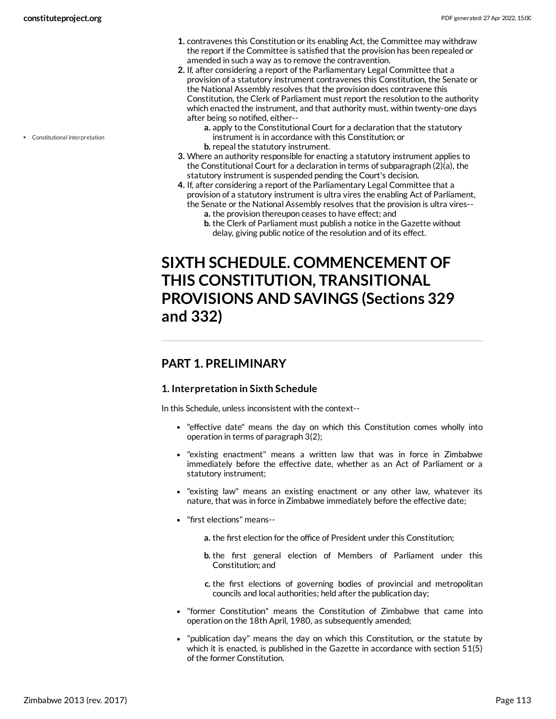- **1.** contravenes this Constitution or its enabling Act, the Committee may withdraw the report if the Committee is satisfied that the provision has been repealed or amended in such a way as to remove the contravention.
- **2.** If, after considering a report of the Parliamentary Legal Committee that a provision of a statutory instrument contravenes this Constitution, the Senate or the National Assembly resolves that the provision does contravene this Constitution, the Clerk of Parliament must report the resolution to the authority which enacted the instrument, and that authority must, within twenty-one days after being so notified, either-
	- **a.** apply to the Constitutional Court for a declaration that the statutory instrument is in accordance with this Constitution; or **b.** repeal the statutory instrument.
- **3.** Where an authority responsible for enacting a statutory instrument applies to the Constitutional Court for a declaration in terms of subparagraph (2)(a), the statutory instrument is suspended pending the Court's decision.
- **4.** If, after considering a report of the Parliamentary Legal Committee that a provision of a statutory instrument is ultra vires the enabling Act of Parliament, the Senate or the National Assembly resolves that the provision is ultra vires-
	- **a.** the provision thereupon ceases to have effect; and
	- **b.** the Clerk of Parliament must publish a notice in the Gazette without delay, giving public notice of the resolution and of its effect.

# **SIXTH SCHEDULE. COMMENCEMENT OF THIS CONSTITUTION, TRANSITIONAL PROVISIONS AND SAVINGS (Sections 329 and 332)**

## **PART 1. PRELIMINARY**

### **1. Interpretation in Sixth Schedule**

In this Schedule, unless inconsistent with the context--

- "effective date" means the day on which this Constitution comes wholly into operation in terms of paragraph 3(2);
- "existing enactment" means a written law that was in force in Zimbabwe immediately before the effective date, whether as an Act of Parliament or a statutory instrument;
- "existing law" means an existing enactment or any other law, whatever its nature, that was in force in Zimbabwe immediately before the effective date;
- "first elections" means-
	- **a.** the first election for the office of President under this Constitution;
	- **b.** the first general election of Members of Parliament under this Constitution; and
	- **c.** the first elections of governing bodies of provincial and metropolitan councils and local authorities; held after the publication day;
- "former Constitution" means the Constitution of Zimbabwe that came into operation on the 18th April, 1980, as subsequently amended;
- "publication day" means the day on which this Constitution, or the statute by which it is enacted, is published in the Gazette in accordance with section 51(5) of the former Constitution.

Constitutional interpretation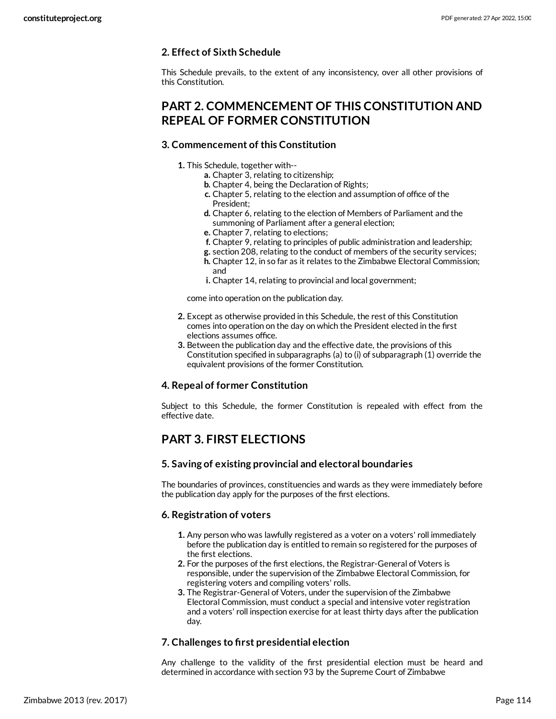### **2. Effect of Sixth Schedule**

This Schedule prevails, to the extent of any inconsistency, over all other provisions of this Constitution.

## **PART 2. COMMENCEMENT OF THIS CONSTITUTION AND REPEAL OF FORMER CONSTITUTION**

#### **3. Commencement of this Constitution**

- **1.** This Schedule, together with-
	- **a.** Chapter 3, relating to citizenship;
	- **b.** Chapter 4, being the Declaration of Rights;
	- **c.** Chapter 5, relating to the election and assumption of office of the President;
	- **d.** Chapter 6, relating to the election of Members of Parliament and the summoning of Parliament after a general election;
	- **e.** Chapter 7, relating to elections;
	- **f.** Chapter 9, relating to principles of public administration and leadership;
	- **g.** section 208, relating to the conduct of members of the security services;
	- **h.** Chapter 12, in so far as it relates to the Zimbabwe Electoral Commission; and
	- **i.** Chapter 14, relating to provincial and local government;

come into operation on the publication day.

- **2.** Except as otherwise provided in this Schedule, the rest of this Constitution comes into operation on the day on which the President elected in the first elections assumes office.
- **3.** Between the publication day and the effective date, the provisions of this Constitution specified in subparagraphs (a) to (i) of subparagraph (1) override the equivalent provisions of the former Constitution.

#### **4. Repeal of former Constitution**

Subject to this Schedule, the former Constitution is repealed with effect from the effective date.

# **PART 3. FIRST ELECTIONS**

#### **5. Saving of existing provincial and electoral boundaries**

The boundaries of provinces, constituencies and wards as they were immediately before the publication day apply for the purposes of the first elections.

#### **6. Registration of voters**

- **1.** Any person who was lawfully registered as a voter on a voters' roll immediately before the publication day is entitled to remain so registered for the purposes of the first elections.
- **2.** For the purposes of the first elections, the Registrar-General of Voters is responsible, under the supervision of the Zimbabwe Electoral Commission, for registering voters and compiling voters' rolls.
- **3.** The Registrar-General of Voters, under the supervision of the Zimbabwe Electoral Commission, must conduct a special and intensive voter registration and a voters' roll inspection exercise for at least thirty days after the publication day.

### **7. Challenges to first presidential election**

Any challenge to the validity of the first presidential election must be heard and determined in accordance with section 93 by the Supreme Court of Zimbabwe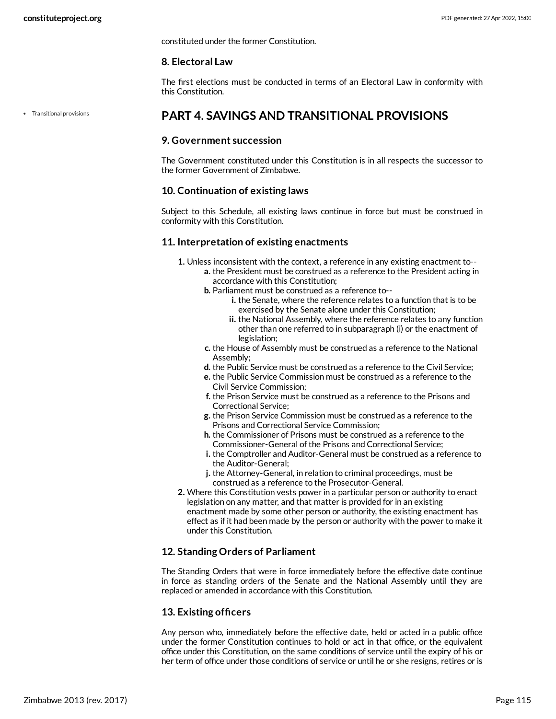constituted under the former Constitution.

#### **8. Electoral Law**

The first elections must be conducted in terms of an Electoral Law in conformity with this Constitution.

• Transitional provisions

### <span id="page-114-0"></span>**PART 4. SAVINGS AND TRANSITIONAL PROVISIONS**

#### **9. Government succession**

The Government constituted under this Constitution is in all respects the successor to the former Government of Zimbabwe.

#### **10. Continuation of existing laws**

Subject to this Schedule, all existing laws continue in force but must be construed in conformity with this Constitution.

#### **11. Interpretation of existing enactments**

- **1.** Unless inconsistent with the context, a reference in any existing enactment to-
	- **a.** the President must be construed as a reference to the President acting in accordance with this Constitution;
	- **b.** Parliament must be construed as a reference to-
		- **i.** the Senate, where the reference relates to a function that is to be exercised by the Senate alone under this Constitution;
		- **ii.** the National Assembly, where the reference relates to any function other than one referred to in subparagraph (i) or the enactment of legislation;
	- **c.** the House of Assembly must be construed as a reference to the National Assembly;
	- **d.** the Public Service must be construed as a reference to the Civil Service;
	- **e.** the Public Service Commission must be construed as a reference to the Civil Service Commission;
	- **f.** the Prison Service must be construed as a reference to the Prisons and Correctional Service;
	- **g.** the Prison Service Commission must be construed as a reference to the Prisons and Correctional Service Commission;
	- **h.** the Commissioner of Prisons must be construed as a reference to the Commissioner-General of the Prisons and Correctional Service;
	- **i.** the Comptroller and Auditor-General must be construed as a reference to the Auditor-General;
	- **j.** the Attorney-General, in relation to criminal proceedings, must be construed as a reference to the Prosecutor-General.
- **2.** Where this Constitution vests power in a particular person or authority to enact legislation on any matter, and that matter is provided for in an existing enactment made by some other person or authority, the existing enactment has effect as if it had been made by the person or authority with the power to make it under this Constitution.

#### **12. Standing Orders of Parliament**

The Standing Orders that were in force immediately before the effective date continue in force as standing orders of the Senate and the National Assembly until they are replaced or amended in accordance with this Constitution.

#### **13. Existing officers**

Any person who, immediately before the effective date, held or acted in a public office under the former Constitution continues to hold or act in that office, or the equivalent office under this Constitution, on the same conditions of service until the expiry of his or her term of office under those conditions of service or until he or she resigns, retires or is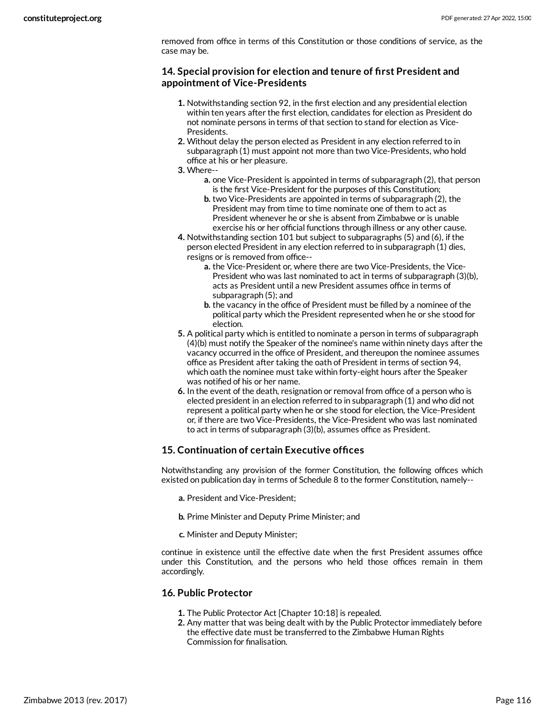removed from office in terms of this Constitution or those conditions of service, as the case may be.

#### **14. Special provision for election and tenure of first President and appointment of Vice-Presidents**

- **1.** Notwithstanding section 92, in the first election and any presidential election within ten years after the first election, candidates for election as President do not nominate persons in terms of that section to stand for election as Vice-Presidents.
- **2.** Without delay the person elected as President in any election referred to in subparagraph (1) must appoint not more than two Vice-Presidents, who hold office at his or her pleasure.
- **3.** Where-
	- **a.** one Vice-President is appointed in terms of subparagraph (2), that person is the first Vice-President for the purposes of this Constitution;
	- **b.** two Vice-Presidents are appointed in terms of subparagraph (2), the President may from time to time nominate one of them to act as President whenever he or she is absent from Zimbabwe or is unable exercise his or her official functions through illness or any other cause.
- **4.** Notwithstanding section 101 but subject to subparagraphs (5) and (6), if the person elected President in any election referred to in subparagraph (1) dies, resigns or is removed from office-
	- **a.** the Vice-President or, where there are two Vice-Presidents, the Vice-President who was last nominated to act in terms of subparagraph (3)(b), acts as President until a new President assumes office in terms of subparagraph (5); and
	- **b.** the vacancy in the office of President must be filled by a nominee of the political party which the President represented when he or she stood for election.
- **5.** A political party which is entitled to nominate a person in terms of subparagraph (4)(b) must notify the Speaker of the nominee's name within ninety days after the vacancy occurred in the office of President, and thereupon the nominee assumes office as President after taking the oath of President in terms of section 94, which oath the nominee must take within forty-eight hours after the Speaker was notified of his or her name.
- **6.** In the event of the death, resignation or removal from office of a person who is elected president in an election referred to in subparagraph (1) and who did not represent a political party when he or she stood for election, the Vice-President or, if there are two Vice-Presidents, the Vice-President who was last nominated to act in terms of subparagraph (3)(b), assumes office as President.

### **15. Continuation of certain Executive offices**

Notwithstanding any provision of the former Constitution, the following offices which existed on publication day in terms of Schedule 8 to the former Constitution, namely--

- **a.** President and Vice-President;
- **b.** Prime Minister and Deputy Prime Minister; and
- **c.** Minister and Deputy Minister;

continue in existence until the effective date when the first President assumes office under this Constitution, and the persons who held those offices remain in them accordingly.

#### **16. Public Protector**

- **1.** The Public Protector Act [Chapter 10:18] is repealed.
- **2.** Any matter that was being dealt with by the Public Protector immediately before the effective date must be transferred to the Zimbabwe Human Rights Commission for finalisation.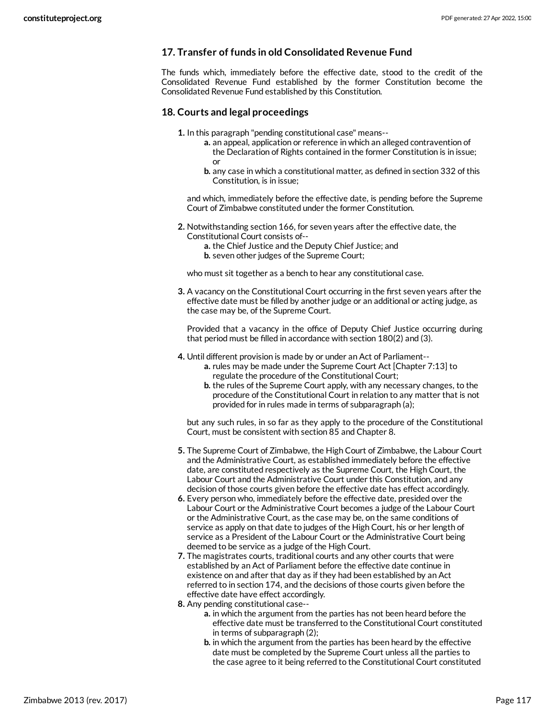#### **17. Transfer of funds in old Consolidated Revenue Fund**

The funds which, immediately before the effective date, stood to the credit of the Consolidated Revenue Fund established by the former Constitution become the Consolidated Revenue Fund established by this Constitution.

#### **18. Courts and legal proceedings**

- **1.** In this paragraph "pending constitutional case" means-
	- **a.** an appeal, application or reference in which an alleged contravention of the Declaration of Rights contained in the former Constitution is in issue; or
	- **b.** any case in which a constitutional matter, as defined in section 332 of this Constitution, is in issue;

and which, immediately before the effective date, is pending before the Supreme Court of Zimbabwe constituted under the former Constitution.

- **2.** Notwithstanding section 166, for seven years after the effective date, the Constitutional Court consists of-
	- **a.** the Chief Justice and the Deputy Chief Justice; and **b.** seven other judges of the Supreme Court;

who must sit together as a bench to hear any constitutional case.

**3.** A vacancy on the Constitutional Court occurring in the first seven years after the effective date must be filled by another judge or an additional or acting judge, as the case may be, of the Supreme Court.

Provided that a vacancy in the office of Deputy Chief Justice occurring during that period must be filled in accordance with section 180(2) and (3).

- **4.** Until different provision is made by or under an Act of Parliament-
	- **a.** rules may be made under the Supreme Court Act [Chapter 7:13] to regulate the procedure of the Constitutional Court;
		- **b.** the rules of the Supreme Court apply, with any necessary changes, to the procedure of the Constitutional Court in relation to any matter that is not provided for in rules made in terms of subparagraph (a);

but any such rules, in so far as they apply to the procedure of the Constitutional Court, must be consistent with section 85 and Chapter 8.

- **5.** The Supreme Court of Zimbabwe, the High Court of Zimbabwe, the Labour Court and the Administrative Court, as established immediately before the effective date, are constituted respectively as the Supreme Court, the High Court, the Labour Court and the Administrative Court under this Constitution, and any decision of those courts given before the effective date has effect accordingly.
- **6.** Every person who, immediately before the effective date, presided over the Labour Court or the Administrative Court becomes a judge of the Labour Court or the Administrative Court, as the case may be, on the same conditions of service as apply on that date to judges of the High Court, his or her length of service as a President of the Labour Court or the Administrative Court being deemed to be service as a judge of the High Court.
- **7.** The magistrates courts, traditional courts and any other courts that were established by an Act of Parliament before the effective date continue in existence on and after that day as if they had been established by an Act referred to in section 174, and the decisions of those courts given before the effective date have effect accordingly.
- **8.** Any pending constitutional case-
	- **a.** in which the argument from the parties has not been heard before the effective date must be transferred to the Constitutional Court constituted in terms of subparagraph (2);
	- **b.** in which the argument from the parties has been heard by the effective date must be completed by the Supreme Court unless all the parties to the case agree to it being referred to the Constitutional Court constituted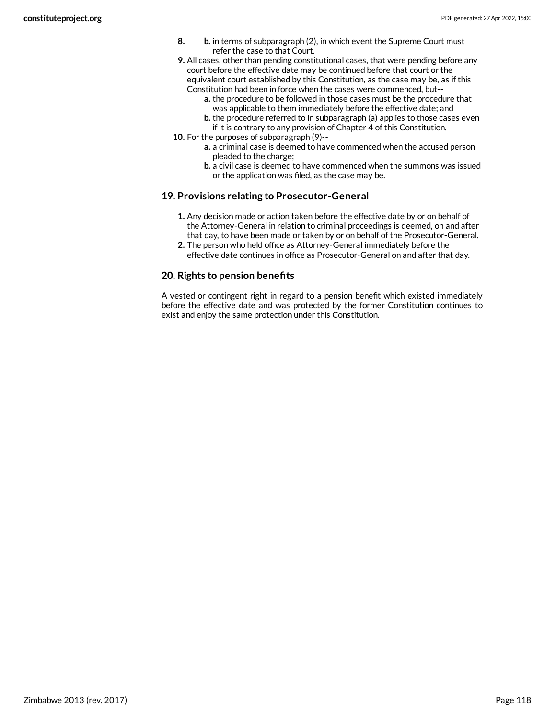- **8. b.** in terms of subparagraph (2), in which event the Supreme Court must refer the case to that Court.
- **9.** All cases, other than pending constitutional cases, that were pending before any court before the effective date may be continued before that court or the equivalent court established by this Constitution, as the case may be, as if this Constitution had been in force when the cases were commenced, but-
	- **a.** the procedure to be followed in those cases must be the procedure that was applicable to them immediately before the effective date; and
	- **b.** the procedure referred to in subparagraph (a) applies to those cases even if it is contrary to any provision of Chapter 4 of this Constitution.
- **10.** For the purposes of subparagraph (9)-
	- **a.** a criminal case is deemed to have commenced when the accused person pleaded to the charge;
	- **b.** a civil case is deemed to have commenced when the summons was issued or the application was filed, as the case may be.

#### **19. Provisions relating to Prosecutor-General**

- **1.** Any decision made or action taken before the effective date by or on behalf of the Attorney-General in relation to criminal proceedings is deemed, on and after that day, to have been made or taken by or on behalf of the Prosecutor-General.
- **2.** The person who held office as Attorney-General immediately before the effective date continues in office as Prosecutor-General on and after that day.

#### **20. Rights to pension benefits**

A vested or contingent right in regard to a pension benefit which existed immediately before the effective date and was protected by the former Constitution continues to exist and enjoy the same protection under this Constitution.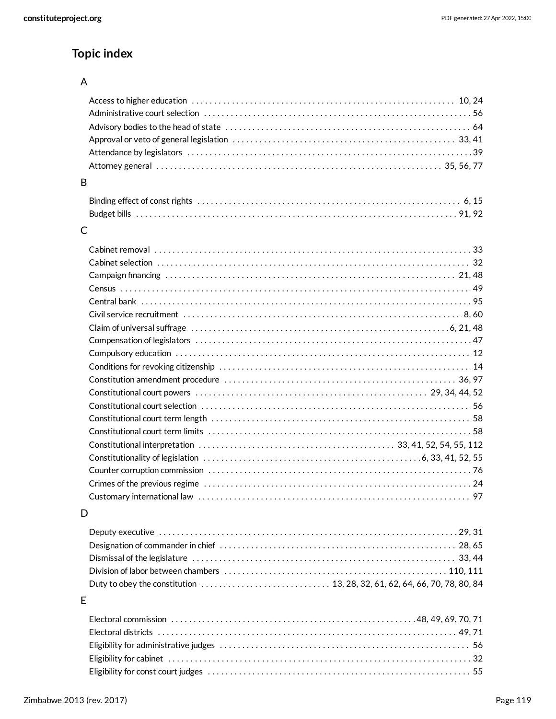# **Topic index**

# A

### B

### C

# D

## E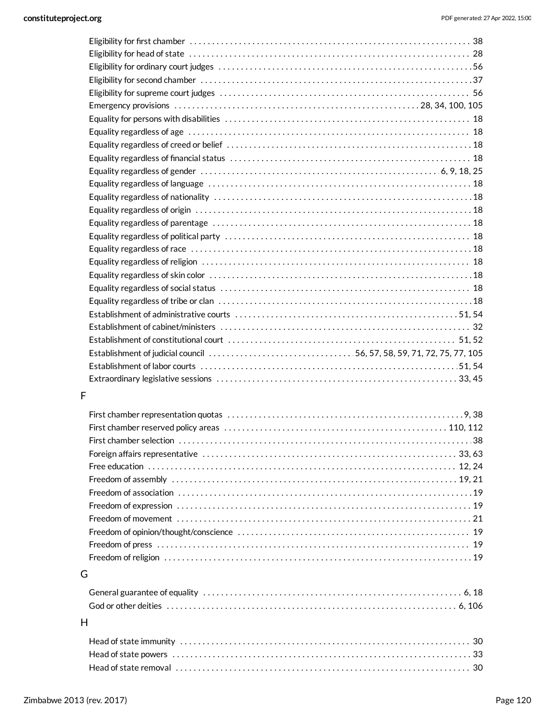### F

# G

### H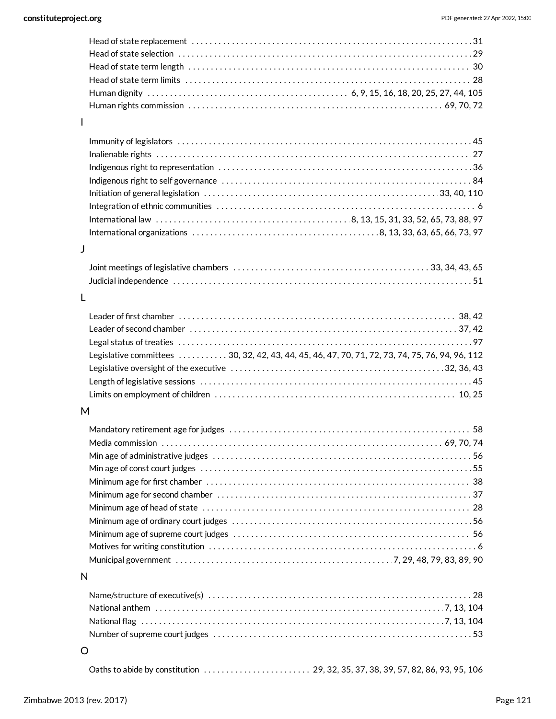| J |                                                                                                 |
|---|-------------------------------------------------------------------------------------------------|
|   |                                                                                                 |
|   |                                                                                                 |
|   |                                                                                                 |
| L |                                                                                                 |
|   |                                                                                                 |
|   |                                                                                                 |
|   |                                                                                                 |
|   | Legislative committees  30, 32, 42, 43, 44, 45, 46, 47, 70, 71, 72, 73, 74, 75, 76, 94, 96, 112 |
|   |                                                                                                 |
|   |                                                                                                 |
|   |                                                                                                 |
| M |                                                                                                 |
|   |                                                                                                 |
|   |                                                                                                 |
|   |                                                                                                 |
|   |                                                                                                 |
|   |                                                                                                 |
|   |                                                                                                 |
|   |                                                                                                 |
|   |                                                                                                 |
|   |                                                                                                 |
|   |                                                                                                 |
|   |                                                                                                 |
|   |                                                                                                 |
| N |                                                                                                 |
|   |                                                                                                 |
|   |                                                                                                 |
|   |                                                                                                 |
|   |                                                                                                 |

|--|--|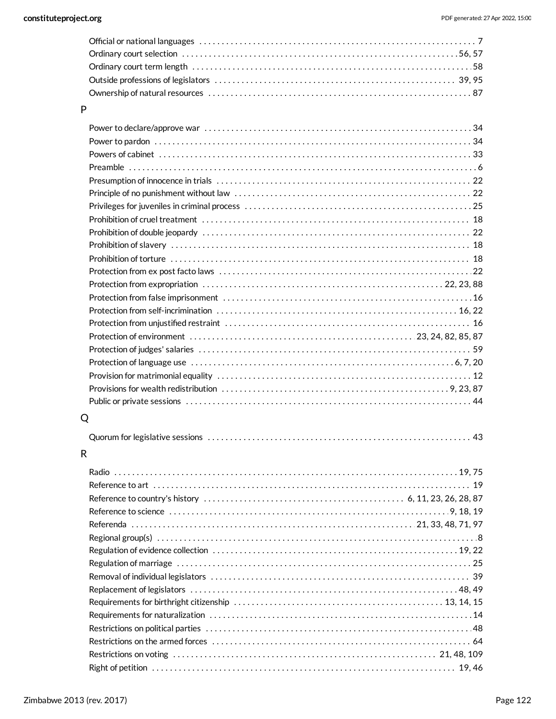### P

| Q |  |
|---|--|
|   |  |
| R |  |

### R

| Requirements for birthright citizenship $\ldots, \ldots, \ldots, \ldots, \ldots, \ldots, \ldots, \ldots, \ldots, \ldots, 13, 14, 15$ |  |
|--------------------------------------------------------------------------------------------------------------------------------------|--|
|                                                                                                                                      |  |
|                                                                                                                                      |  |
|                                                                                                                                      |  |
|                                                                                                                                      |  |
|                                                                                                                                      |  |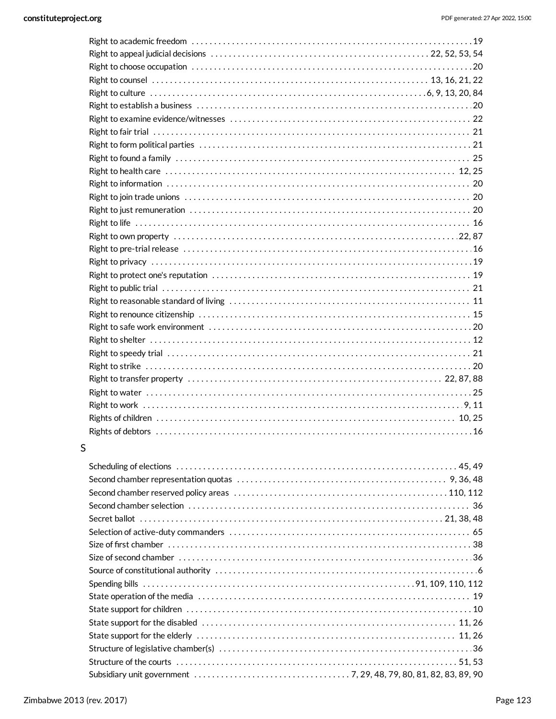## $\sf S$